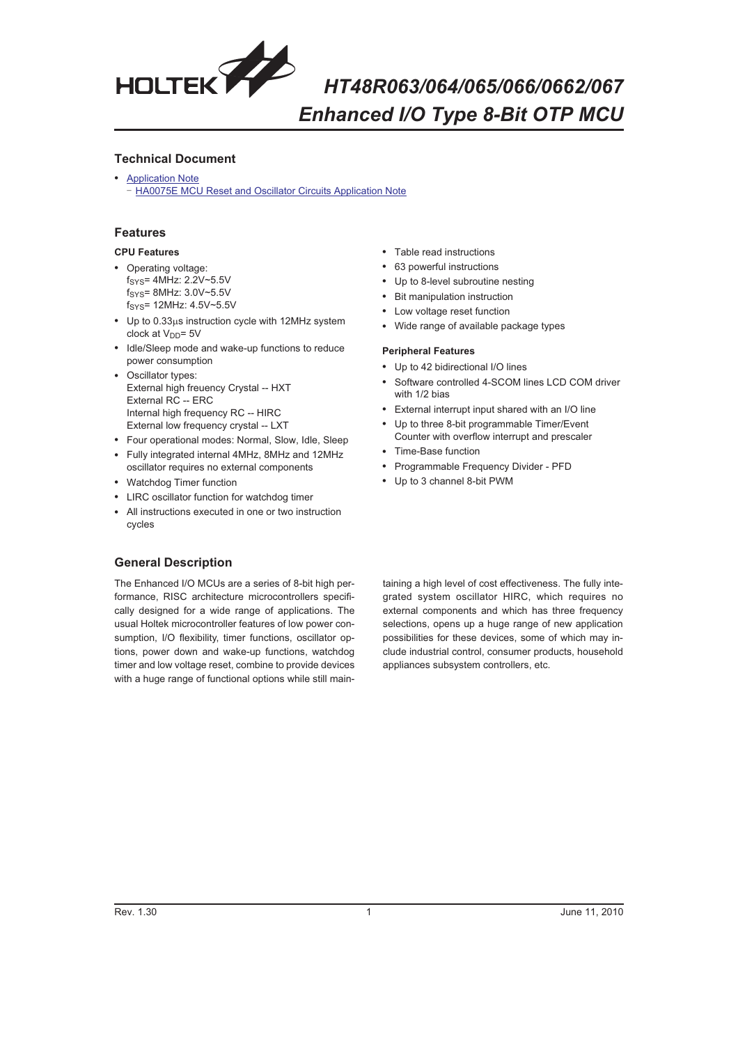

### **Technical Document**

• **[Application Note](http://www.holtek.com.tw/english/tech/appnote/appnote.htm#mcu)** [HA0075E MCU Reset and Oscillator Circuits Application Note](http://www.holtek.com.tw/english/tech/appnote/uc/pdf/ha0075ev110.pdf)

### **Features**

### **CPU Features**

- Operating voltage: fSYS= 4MHz: 2.2V~5.5V fSYS= 8MHz: 3.0V~5.5V fSYS= 12MHz: 4.5V~5.5V
- Up to 0.33µs instruction cycle with 12MHz system clock at  $V_{DD}$ = 5V
- Idle/Sleep mode and wake-up functions to reduce power consumption
- - Oscillator types: External high freuency Crystal -- HXT External RC -- ERC Internal high frequency RC -- HIRC External low frequency crystal -- LXT
- Four operational modes: Normal, Slow, Idle, Sleep
- Fully integrated internal 4MHz, 8MHz and 12MHz oscillator requires no external components
- Watchdog Timer function
- LIRC oscillator function for watchdog timer
- All instructions executed in one or two instruction cycles
- Table read instructions
- 63 powerful instructions
- Up to 8-level subroutine nesting
- -Bit manipulation instruction
- Low voltage reset function
- Wide range of available package types

#### **Peripheral Features**

- Up to 42 bidirectional I/O lines
- - Software controlled 4-SCOM lines LCD COM driver with 1/2 bias
- External interrupt input shared with an I/O line
- Up to three 8-bit programmable Timer/Event
- Counter with overflow interrupt and prescaler
- Time-Base function
- Programmable Frequency Divider PFD
- Up to 3 channel 8-bit PWM

### **General Description**

The Enhanced I/O MCUs are a series of 8-bit high performance, RISC architecture microcontrollers specifically designed for a wide range of applications. The usual Holtek microcontroller features of low power consumption, I/O flexibility, timer functions, oscillator options, power down and wake-up functions, watchdog timer and low voltage reset, combine to provide devices with a huge range of functional options while still maintaining a high level of cost effectiveness. The fully integrated system oscillator HIRC, which requires no external components and which has three frequency selections, opens up a huge range of new application possibilities for these devices, some of which may include industrial control, consumer products, household appliances subsystem controllers, etc.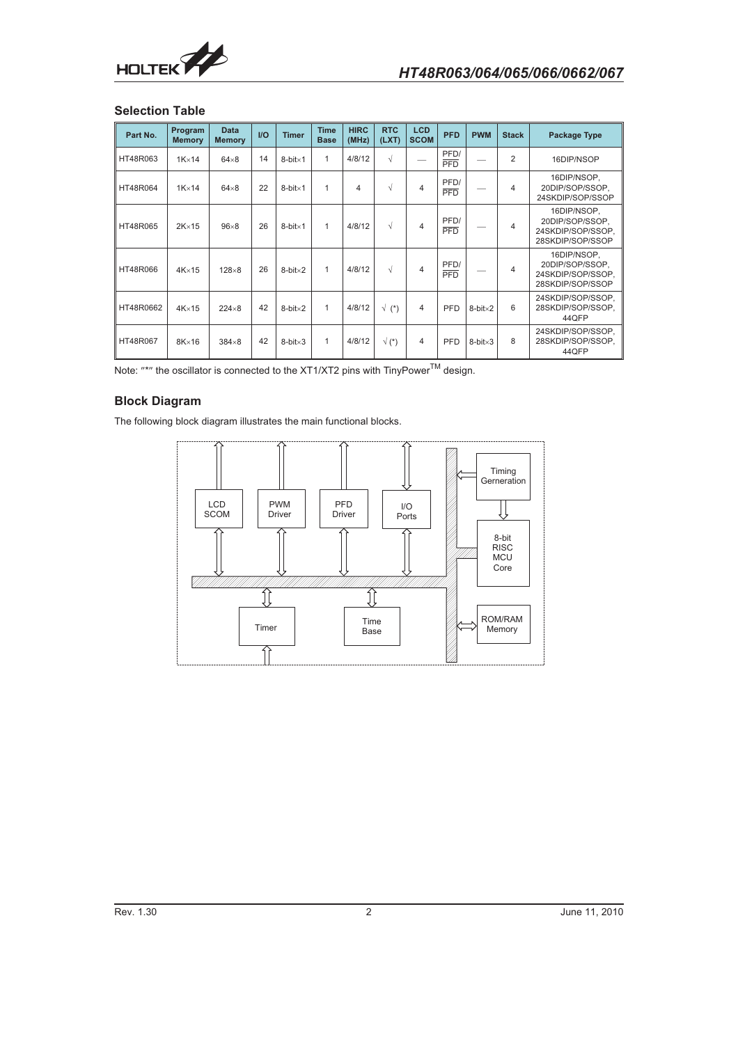

### **Selection Table**

| Part No.  | Program<br><b>Memory</b> | <b>Data</b><br><b>Memory</b> | I/O | <b>Timer</b>        | <b>Time</b><br><b>Base</b> | <b>HIRC</b><br>(MHz) | <b>RTC</b><br>(LXT)  | <b>LCD</b><br><b>SCOM</b> | <b>PFD</b>         | <b>PWM</b>          | <b>Stack</b>   | <b>Package Type</b>                                                     |
|-----------|--------------------------|------------------------------|-----|---------------------|----------------------------|----------------------|----------------------|---------------------------|--------------------|---------------------|----------------|-------------------------------------------------------------------------|
| HT48R063  | $1K \times 14$           | $64\times8$                  | 14  | $8$ -bit $\times$ 1 | 1                          | 4/8/12               | $\sqrt{ }$           |                           | PFD/<br><b>PFD</b> |                     | $\overline{2}$ | 16DIP/NSOP                                                              |
| HT48R064  | $1K \times 14$           | $64\times8$                  | 22  | $8$ -bit $\times$ 1 | 1                          | 4                    | $\sqrt{ }$           | 4                         | PFD/<br>PFD        |                     | $\overline{4}$ | 16DIP/NSOP.<br>20DIP/SOP/SSOP,<br>24SKDIP/SOP/SSOP                      |
| HT48R065  | $2K \times 15$           | $96\times8$                  | 26  | $8$ -bit $\times$ 1 | 1                          | 4/8/12               | $\sqrt{ }$           | 4                         | PFD/<br><b>PFD</b> |                     | $\overline{4}$ | 16DIP/NSOP,<br>20DIP/SOP/SSOP.<br>24SKDIP/SOP/SSOP.<br>28SKDIP/SOP/SSOP |
| HT48R066  | $4K \times 15$           | $128\times8$                 | 26  | $8$ -bit $\times 2$ | 1                          | 4/8/12               | $\sqrt{ }$           | 4                         | PFD/<br>PFD        |                     | $\overline{4}$ | 16DIP/NSOP,<br>20DIP/SOP/SSOP.<br>24SKDIP/SOP/SSOP.<br>28SKDIP/SOP/SSOP |
| HT48R0662 | $4K \times 15$           | $224\times8$                 | 42  | $8$ -bit $\times 2$ | 1                          | 4/8/12               | $\sqrt{\ }$ (*)      | 4                         | PFD                | $8$ -bit $\times 2$ | 6              | 24SKDIP/SOP/SSOP.<br>28SKDIP/SOP/SSOP.<br>44QFP                         |
| HT48R067  | $8K \times 16$           | $384\times8$                 | 42  | $8$ -bit $\times 3$ | 1                          | 4/8/12               | $\sqrt{\binom{*}{}}$ | 4                         | PFD                | $8$ -bit $\times 3$ | 8              | 24SKDIP/SOP/SSOP,<br>28SKDIP/SOP/SSOP.<br>44QFP                         |

Note:  $\text{""}$  the oscillator is connected to the XT1/XT2 pins with TinyPower<sup>TM</sup> design.

# **Block Diagram**

The following block diagram illustrates the main functional blocks.

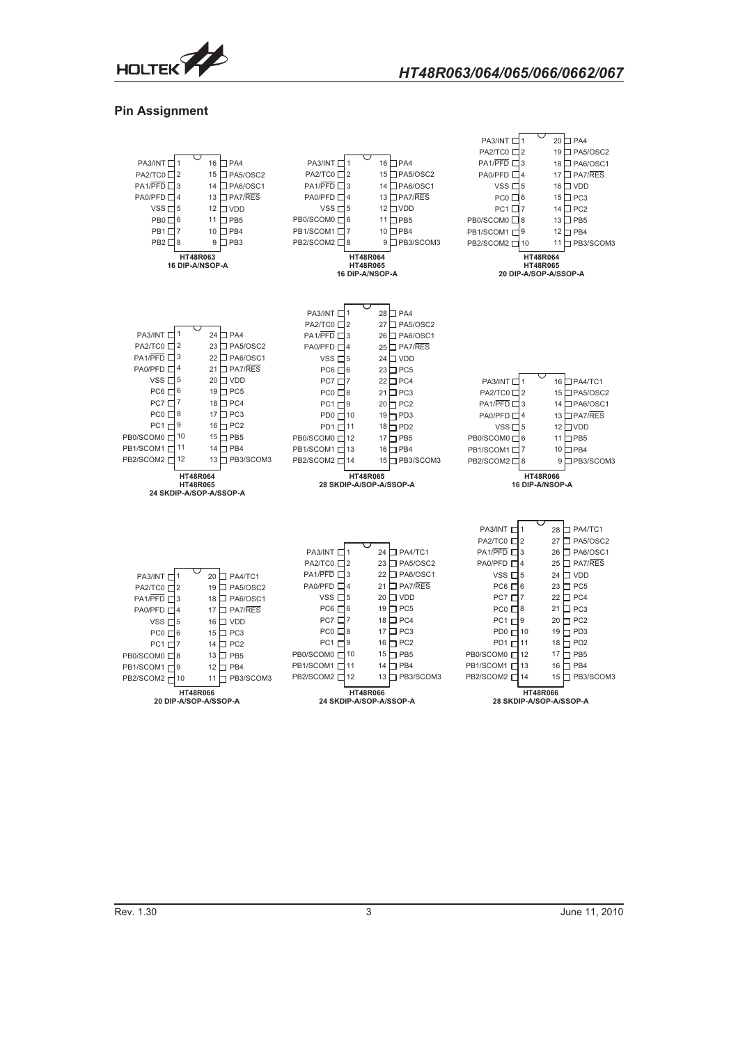

### **Pin Assignment**



Rev. 1.30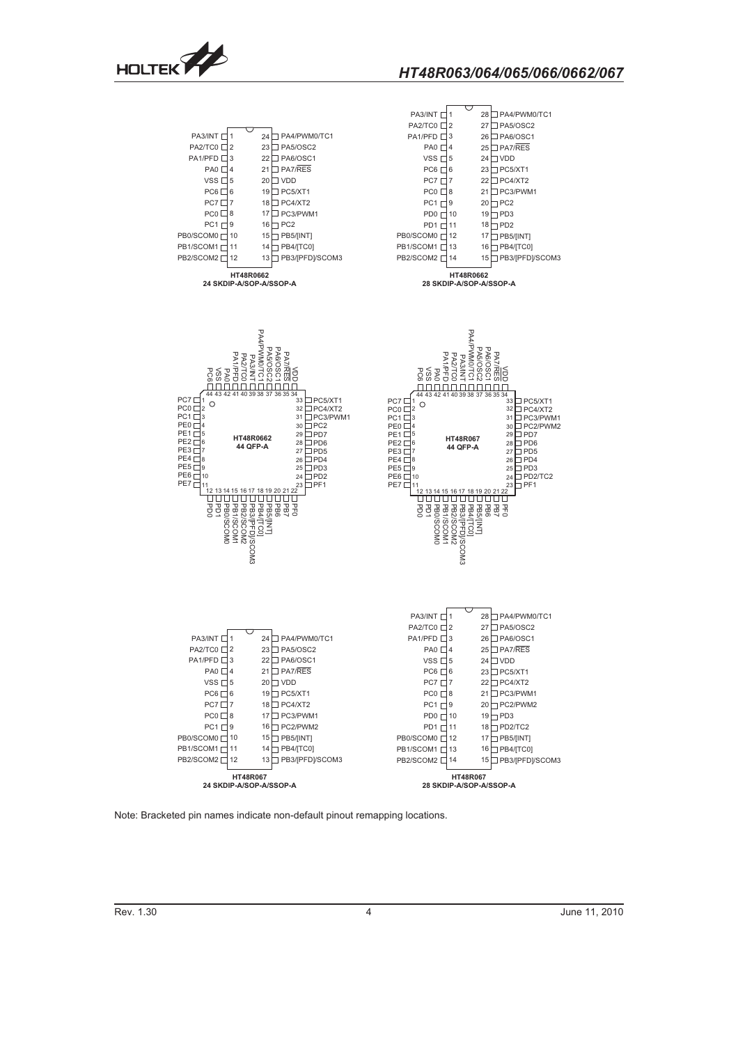





Note: Bracketed pin names indicate non-default pinout remapping locations.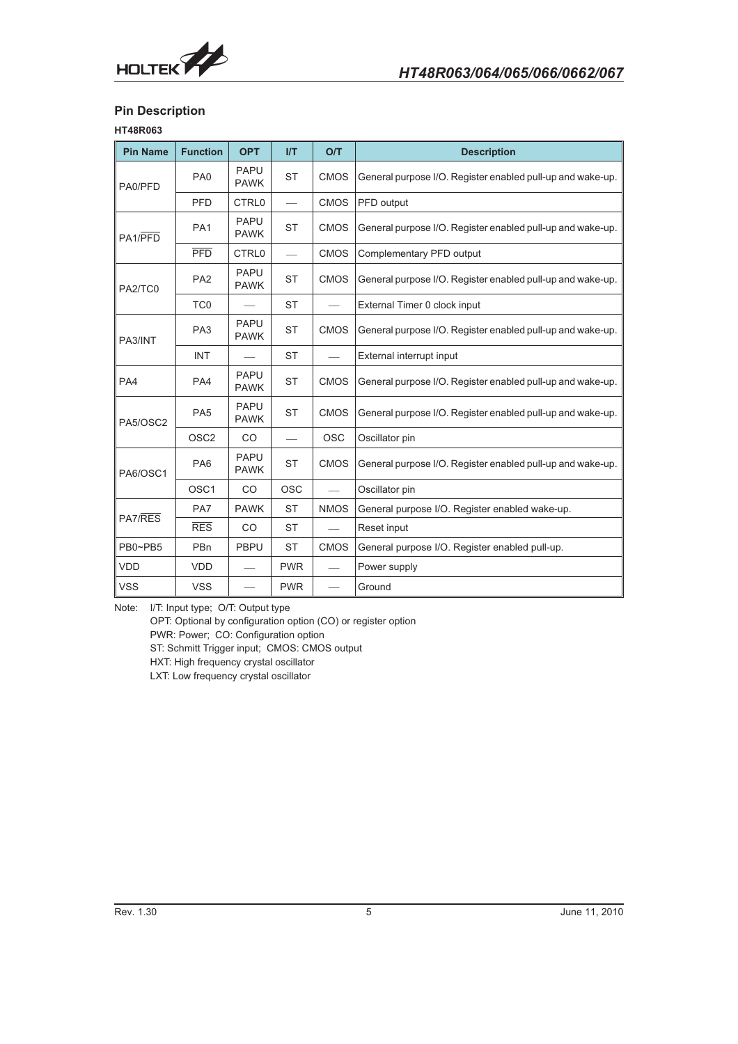

# **Pin Description**

# **HT48R063**

| <b>Pin Name</b> | <b>Function</b>  | <b>OPT</b>                 | VI         | O/T         | <b>Description</b>                                         |
|-----------------|------------------|----------------------------|------------|-------------|------------------------------------------------------------|
| PA0/PFD         | PA <sub>0</sub>  | <b>PAPU</b><br><b>PAWK</b> | <b>ST</b>  | <b>CMOS</b> | General purpose I/O. Register enabled pull-up and wake-up. |
|                 | <b>PFD</b>       | <b>CTRL0</b>               |            | <b>CMOS</b> | PFD output                                                 |
| PA1/PFD         | PA <sub>1</sub>  | <b>PAPU</b><br><b>PAWK</b> | <b>ST</b>  | <b>CMOS</b> | General purpose I/O. Register enabled pull-up and wake-up. |
|                 | $\overline{PFD}$ | CTRL <sub>0</sub>          |            | <b>CMOS</b> | Complementary PFD output                                   |
| PA2/TC0         | PA <sub>2</sub>  | <b>PAPU</b><br><b>PAWK</b> | <b>ST</b>  | <b>CMOS</b> | General purpose I/O. Register enabled pull-up and wake-up. |
|                 | TC <sub>0</sub>  |                            | <b>ST</b>  |             | External Timer 0 clock input                               |
| PA3/INT         | PA <sub>3</sub>  | PAPU<br><b>PAWK</b>        | <b>ST</b>  | <b>CMOS</b> | General purpose I/O. Register enabled pull-up and wake-up. |
|                 | <b>INT</b>       |                            | <b>ST</b>  |             | External interrupt input                                   |
| PA4             | PA4              | <b>PAPU</b><br><b>PAWK</b> | <b>ST</b>  | <b>CMOS</b> | General purpose I/O. Register enabled pull-up and wake-up. |
| PA5/OSC2        | PA <sub>5</sub>  | <b>PAPU</b><br><b>PAWK</b> | <b>ST</b>  | <b>CMOS</b> | General purpose I/O. Register enabled pull-up and wake-up. |
|                 | OSC <sub>2</sub> | CO                         |            | <b>OSC</b>  | Oscillator pin                                             |
| PA6/OSC1        | PA <sub>6</sub>  | <b>PAPU</b><br><b>PAWK</b> | <b>ST</b>  | <b>CMOS</b> | General purpose I/O. Register enabled pull-up and wake-up. |
|                 | OSC <sub>1</sub> | CO                         | <b>OSC</b> |             | Oscillator pin                                             |
|                 | PA7              | <b>PAWK</b>                | <b>ST</b>  | <b>NMOS</b> | General purpose I/O. Register enabled wake-up.             |
| PA7/RES         | <b>RES</b>       | CO                         | <b>ST</b>  |             | Reset input                                                |
| PB0~PB5         | <b>PBn</b>       | <b>PBPU</b>                | <b>ST</b>  | <b>CMOS</b> | General purpose I/O. Register enabled pull-up.             |
| <b>VDD</b>      | <b>VDD</b>       |                            | <b>PWR</b> |             | Power supply                                               |
| <b>VSS</b>      | <b>VSS</b>       |                            | <b>PWR</b> |             | Ground                                                     |

Note: I/T: Input type; O/T: Output type

OPT: Optional by configuration option (CO) or register option PWR: Power; CO: Configuration option ST: Schmitt Trigger input; CMOS: CMOS output HXT: High frequency crystal oscillator LXT: Low frequency crystal oscillator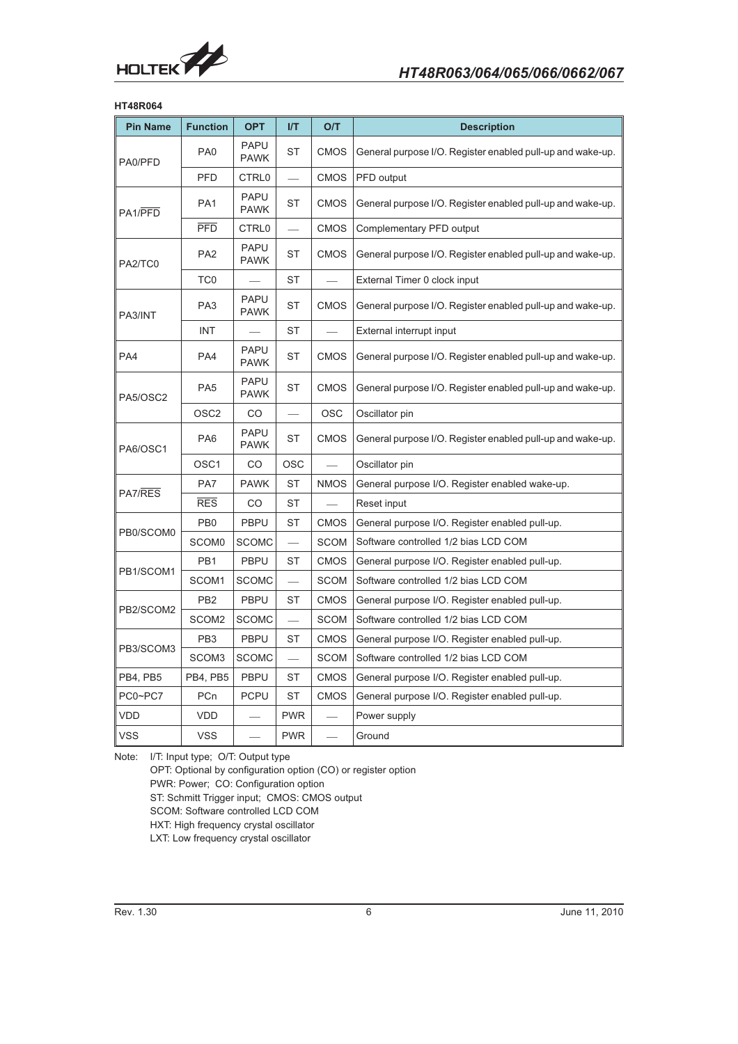

### **HT48R064**

| <b>Pin Name</b> | <b>Function</b>   | <b>OPT</b>                         | I/T        | O/T         | <b>Description</b>                                         |
|-----------------|-------------------|------------------------------------|------------|-------------|------------------------------------------------------------|
| PA0/PFD         | PA <sub>0</sub>   | <b>PAPU</b><br><b>PAWK</b>         | <b>ST</b>  | <b>CMOS</b> | General purpose I/O. Register enabled pull-up and wake-up. |
|                 | PFD               | CTRL0                              |            | <b>CMOS</b> | PFD output                                                 |
| PA1/PFD         | PA <sub>1</sub>   | <b>PAPU</b><br><b>PAWK</b>         | <b>ST</b>  | <b>CMOS</b> | General purpose I/O. Register enabled pull-up and wake-up. |
|                 | <b>PFD</b>        | CTRL0                              |            | <b>CMOS</b> | Complementary PFD output                                   |
| PA2/TC0         | PA <sub>2</sub>   | <b>PAPU</b><br><b>PAWK</b>         | ST         | <b>CMOS</b> | General purpose I/O. Register enabled pull-up and wake-up. |
|                 | TC <sub>0</sub>   |                                    | <b>ST</b>  |             | External Timer 0 clock input                               |
| PA3/INT         | PA <sub>3</sub>   | <b>PAPU</b><br><b>PAWK</b>         | ST         | <b>CMOS</b> | General purpose I/O. Register enabled pull-up and wake-up. |
|                 | <b>INT</b>        |                                    | <b>ST</b>  |             | External interrupt input                                   |
| PA4             | PA4               | <b>PAPU</b><br><b>PAWK</b>         | <b>ST</b>  | <b>CMOS</b> | General purpose I/O. Register enabled pull-up and wake-up. |
| PA5/OSC2        | PA <sub>5</sub>   | <b>PAPU</b><br><b>PAWK</b>         | <b>ST</b>  | <b>CMOS</b> | General purpose I/O. Register enabled pull-up and wake-up. |
|                 | OSC <sub>2</sub>  | <b>OSC</b><br>CO<br>Oscillator pin |            |             |                                                            |
| PA6/OSC1        | PA <sub>6</sub>   | <b>PAPU</b><br><b>PAWK</b>         | <b>ST</b>  | <b>CMOS</b> | General purpose I/O. Register enabled pull-up and wake-up. |
|                 | OSC <sub>1</sub>  | CO                                 | <b>OSC</b> |             | Oscillator pin                                             |
| PA7/RES         | PA7               | <b>PAWK</b>                        | <b>ST</b>  | <b>NMOS</b> | General purpose I/O. Register enabled wake-up.             |
|                 | <b>RES</b>        | CO                                 | ST         |             | Reset input                                                |
|                 | PB <sub>0</sub>   | <b>PBPU</b>                        | <b>ST</b>  | <b>CMOS</b> | General purpose I/O. Register enabled pull-up.             |
| PB0/SCOM0       | SCOM0             | <b>SCOMC</b>                       |            | SCOM        | Software controlled 1/2 bias LCD COM                       |
|                 | PB <sub>1</sub>   | <b>PBPU</b>                        | ST         | <b>CMOS</b> | General purpose I/O. Register enabled pull-up.             |
| PB1/SCOM1       | SCOM1             | <b>SCOMC</b>                       |            | SCOM        | Software controlled 1/2 bias LCD COM                       |
|                 | PB <sub>2</sub>   | <b>PBPU</b>                        | ST         | <b>CMOS</b> | General purpose I/O. Register enabled pull-up.             |
| PB2/SCOM2       | SCOM <sub>2</sub> | <b>SCOMC</b>                       |            | <b>SCOM</b> | Software controlled 1/2 bias LCD COM                       |
|                 | PB <sub>3</sub>   | <b>PBPU</b>                        | <b>ST</b>  | <b>CMOS</b> | General purpose I/O. Register enabled pull-up.             |
| PB3/SCOM3       | SCOM3             | <b>SCOMC</b>                       |            | <b>SCOM</b> | Software controlled 1/2 bias LCD COM                       |
| PB4, PB5        | PB4, PB5          | PBPU                               | <b>ST</b>  | <b>CMOS</b> | General purpose I/O. Register enabled pull-up.             |
| PC0~PC7         | PCn               | <b>PCPU</b>                        | <b>ST</b>  | <b>CMOS</b> | General purpose I/O. Register enabled pull-up.             |
| VDD             | VDD               |                                    | <b>PWR</b> |             | Power supply                                               |
| <b>VSS</b>      | <b>VSS</b>        |                                    | <b>PWR</b> |             | Ground                                                     |

Note: I/T: Input type; O/T: Output type

OPT: Optional by configuration option (CO) or register option PWR: Power; CO: Configuration option ST: Schmitt Trigger input; CMOS: CMOS output SCOM: Software controlled LCD COM HXT: High frequency crystal oscillator LXT: Low frequency crystal oscillator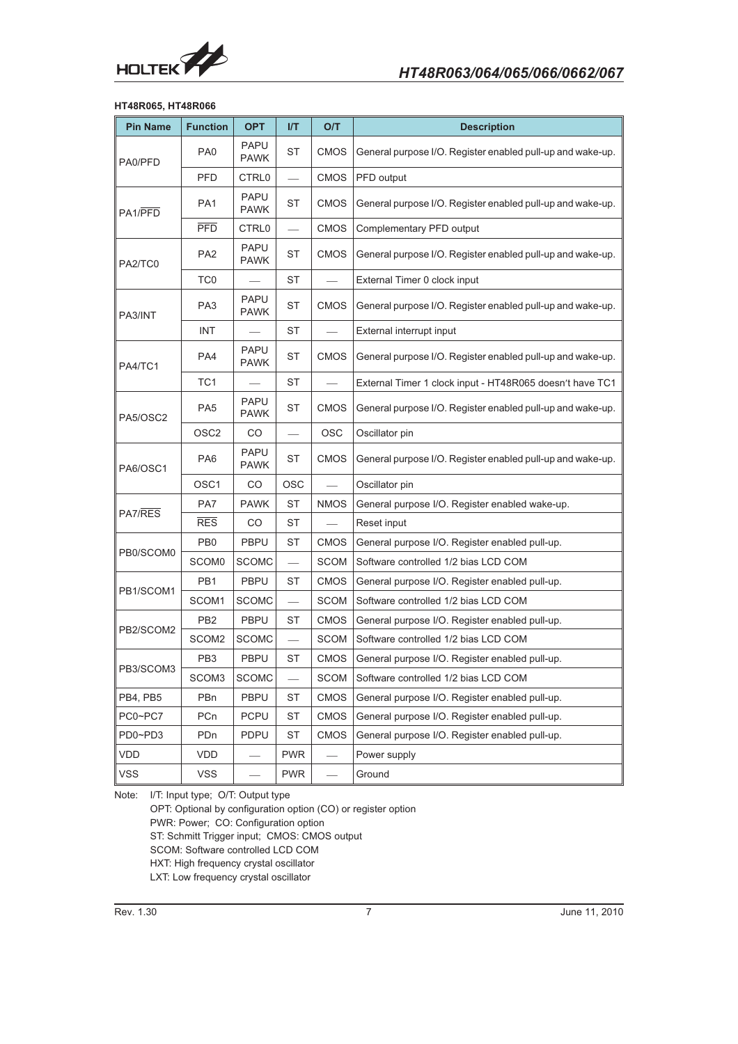

### **HT48R065, HT48R066**

| <b>Pin Name</b> | <b>Function</b>   | <b>OPT</b>                         | I/T                      | O/T         | <b>Description</b>                                         |
|-----------------|-------------------|------------------------------------|--------------------------|-------------|------------------------------------------------------------|
| PA0/PFD         | PA <sub>0</sub>   | <b>PAPU</b><br><b>PAWK</b>         | ST                       | <b>CMOS</b> | General purpose I/O. Register enabled pull-up and wake-up. |
|                 | <b>PFD</b>        | CTRL0                              |                          | <b>CMOS</b> | PFD output                                                 |
| PA1/PFD         | PA <sub>1</sub>   | <b>PAPU</b><br><b>PAWK</b>         | ST                       | <b>CMOS</b> | General purpose I/O. Register enabled pull-up and wake-up. |
|                 | <b>PFD</b>        | CTRL0                              |                          | CMOS        | Complementary PFD output                                   |
| PA2/TC0         | PA <sub>2</sub>   | PAPU<br>PAWK                       | <b>ST</b>                | CMOS        | General purpose I/O. Register enabled pull-up and wake-up. |
|                 | TC0               | ST<br>External Timer 0 clock input |                          |             |                                                            |
| PA3/INT         | PA <sub>3</sub>   | PAPU<br><b>PAWK</b>                | <b>ST</b>                | <b>CMOS</b> | General purpose I/O. Register enabled pull-up and wake-up. |
|                 | <b>INT</b>        |                                    | ST                       |             | External interrupt input                                   |
| PA4/TC1         | PA4               | <b>PAPU</b><br><b>PAWK</b>         | ST                       | <b>CMOS</b> | General purpose I/O. Register enabled pull-up and wake-up. |
|                 | TC <sub>1</sub>   |                                    | <b>ST</b>                |             | External Timer 1 clock input - HT48R065 doesn't have TC1   |
| PA5/OSC2        | PA <sub>5</sub>   | <b>PAPU</b><br><b>PAWK</b>         | ST                       | CMOS        | General purpose I/O. Register enabled pull-up and wake-up. |
|                 | OSC <sub>2</sub>  | CO                                 |                          | <b>OSC</b>  | Oscillator pin                                             |
| PA6/OSC1        | PA <sub>6</sub>   | PAPU<br><b>PAWK</b>                | ST                       | <b>CMOS</b> | General purpose I/O. Register enabled pull-up and wake-up. |
|                 | OSC <sub>1</sub>  | CO                                 | <b>OSC</b>               |             | Oscillator pin                                             |
| PA7/RES         | PA7               | <b>PAWK</b>                        | ST                       | <b>NMOS</b> | General purpose I/O. Register enabled wake-up.             |
|                 | <b>RES</b>        | CO.                                | <b>ST</b>                |             | Reset input                                                |
| PB0/SCOM0       | PB <sub>0</sub>   | <b>PBPU</b>                        | ST                       | <b>CMOS</b> | General purpose I/O. Register enabled pull-up.             |
|                 | SCOM <sub>0</sub> | <b>SCOMC</b>                       | $\overline{\phantom{0}}$ | SCOM        | Software controlled 1/2 bias LCD COM                       |
| PB1/SCOM1       | PB <sub>1</sub>   | <b>PBPU</b>                        | ST                       | <b>CMOS</b> | General purpose I/O. Register enabled pull-up.             |
|                 | SCOM1             | <b>SCOMC</b>                       | $\overline{\phantom{0}}$ | SCOM        | Software controlled 1/2 bias LCD COM                       |
| PB2/SCOM2       | PB <sub>2</sub>   | <b>PBPU</b>                        | ST                       | <b>CMOS</b> | General purpose I/O. Register enabled pull-up.             |
|                 | SCOM2             | <b>SCOMC</b>                       |                          | <b>SCOM</b> | Software controlled 1/2 bias LCD COM                       |
| PB3/SCOM3       | PB <sub>3</sub>   | <b>PBPU</b>                        | <b>ST</b>                | <b>CMOS</b> | General purpose I/O. Register enabled pull-up.             |
|                 | SCOM3             | <b>SCOMC</b>                       | $\overline{\phantom{0}}$ | <b>SCOM</b> | Software controlled 1/2 bias LCD COM                       |
| PB4, PB5        | PBn               | PBPU                               | ST                       | CMOS        | General purpose I/O. Register enabled pull-up.             |
| PC0~PC7         | PCn               | <b>PCPU</b>                        | ST                       | CMOS        | General purpose I/O. Register enabled pull-up.             |
| PD0~PD3         | PDn               | PDPU                               | ST                       | CMOS        | General purpose I/O. Register enabled pull-up.             |
| VDD             | <b>VDD</b>        |                                    | <b>PWR</b>               |             | Power supply                                               |
| <b>VSS</b>      | <b>VSS</b>        |                                    | <b>PWR</b>               |             | Ground                                                     |

Note: I/T: Input type; O/T: Output type

OPT: Optional by configuration option (CO) or register option PWR: Power; CO: Configuration option ST: Schmitt Trigger input; CMOS: CMOS output SCOM: Software controlled LCD COM HXT: High frequency crystal oscillator LXT: Low frequency crystal oscillator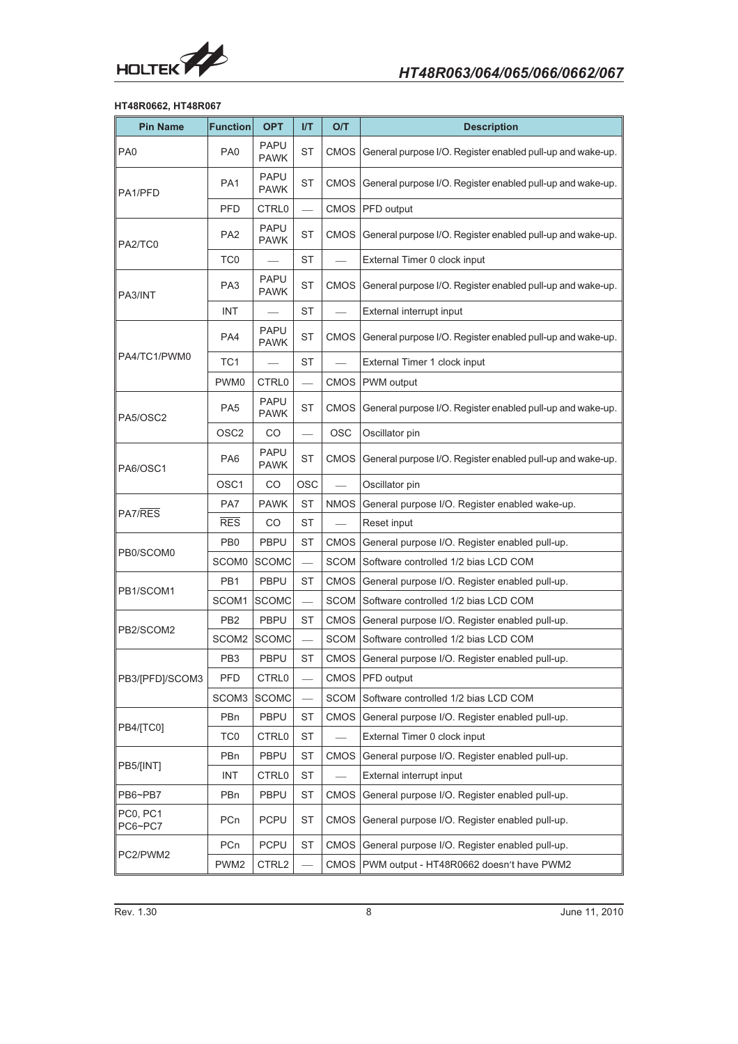

### **HT48R0662, HT48R067**

| <b>Pin Name</b>                                                                                                                               | <b>Function</b>   | <b>OPT</b>                 | I/T                      | O/T         | <b>Description</b>                                                                                                                                                                                                                                                                                                                                                                                                                                                                                                                                                                                                                                                                                                                                                                                                                                                                                                                                                           |  |
|-----------------------------------------------------------------------------------------------------------------------------------------------|-------------------|----------------------------|--------------------------|-------------|------------------------------------------------------------------------------------------------------------------------------------------------------------------------------------------------------------------------------------------------------------------------------------------------------------------------------------------------------------------------------------------------------------------------------------------------------------------------------------------------------------------------------------------------------------------------------------------------------------------------------------------------------------------------------------------------------------------------------------------------------------------------------------------------------------------------------------------------------------------------------------------------------------------------------------------------------------------------------|--|
| PA <sub>0</sub>                                                                                                                               | PA <sub>0</sub>   | <b>PAPU</b><br><b>PAWK</b> | <b>ST</b>                | <b>CMOS</b> | General purpose I/O. Register enabled pull-up and wake-up.                                                                                                                                                                                                                                                                                                                                                                                                                                                                                                                                                                                                                                                                                                                                                                                                                                                                                                                   |  |
| PA1/PFD                                                                                                                                       | PA <sub>1</sub>   | <b>PAPU</b><br><b>PAWK</b> | <b>ST</b>                | <b>CMOS</b> | General purpose I/O. Register enabled pull-up and wake-up.                                                                                                                                                                                                                                                                                                                                                                                                                                                                                                                                                                                                                                                                                                                                                                                                                                                                                                                   |  |
|                                                                                                                                               | <b>PFD</b>        | CTRL0                      |                          | <b>CMOS</b> | PFD output                                                                                                                                                                                                                                                                                                                                                                                                                                                                                                                                                                                                                                                                                                                                                                                                                                                                                                                                                                   |  |
| PA2/TC0                                                                                                                                       | PA <sub>2</sub>   | <b>PAPU</b><br><b>PAWK</b> | <b>ST</b>                | <b>CMOS</b> | General purpose I/O. Register enabled pull-up and wake-up.                                                                                                                                                                                                                                                                                                                                                                                                                                                                                                                                                                                                                                                                                                                                                                                                                                                                                                                   |  |
|                                                                                                                                               | TC <sub>0</sub>   |                            | <b>ST</b>                |             | External Timer 0 clock input                                                                                                                                                                                                                                                                                                                                                                                                                                                                                                                                                                                                                                                                                                                                                                                                                                                                                                                                                 |  |
| PA3/INT                                                                                                                                       | PA <sub>3</sub>   | <b>PAPU</b><br><b>PAWK</b> | <b>ST</b>                | <b>CMOS</b> | General purpose I/O. Register enabled pull-up and wake-up.                                                                                                                                                                                                                                                                                                                                                                                                                                                                                                                                                                                                                                                                                                                                                                                                                                                                                                                   |  |
|                                                                                                                                               | <b>INT</b>        |                            | <b>ST</b>                |             | External interrupt input                                                                                                                                                                                                                                                                                                                                                                                                                                                                                                                                                                                                                                                                                                                                                                                                                                                                                                                                                     |  |
|                                                                                                                                               | PA4               | <b>PAPU</b><br><b>PAWK</b> | <b>ST</b>                | <b>CMOS</b> | General purpose I/O. Register enabled pull-up and wake-up.                                                                                                                                                                                                                                                                                                                                                                                                                                                                                                                                                                                                                                                                                                                                                                                                                                                                                                                   |  |
|                                                                                                                                               | TC <sub>1</sub>   |                            | <b>ST</b>                |             | External Timer 1 clock input<br>PWM output<br>OSC<br>Oscillator pin<br>General purpose I/O. Register enabled pull-up and wake-up.<br>Oscillator pin<br>General purpose I/O. Register enabled wake-up.<br>Reset input<br>General purpose I/O. Register enabled pull-up.<br>Software controlled 1/2 bias LCD COM<br>General purpose I/O. Register enabled pull-up.<br>Software controlled 1/2 bias LCD COM<br>General purpose I/O. Register enabled pull-up.<br>Software controlled 1/2 bias LCD COM<br>General purpose I/O. Register enabled pull-up.<br>PFD output<br>Software controlled 1/2 bias LCD COM<br>General purpose I/O. Register enabled pull-up.<br>External Timer 0 clock input<br>General purpose I/O. Register enabled pull-up.<br>External interrupt input<br>General purpose I/O. Register enabled pull-up.<br>General purpose I/O. Register enabled pull-up.<br>General purpose I/O. Register enabled pull-up.<br>PWM output - HT48R0662 doesn't have PWM2 |  |
|                                                                                                                                               | PWM <sub>0</sub>  | <b>CTRL0</b>               | $\overline{\phantom{0}}$ | <b>CMOS</b> |                                                                                                                                                                                                                                                                                                                                                                                                                                                                                                                                                                                                                                                                                                                                                                                                                                                                                                                                                                              |  |
| PA5/OSC2                                                                                                                                      | PA <sub>5</sub>   | <b>PAPU</b><br><b>PAWK</b> | <b>ST</b>                | <b>CMOS</b> | General purpose I/O. Register enabled pull-up and wake-up.                                                                                                                                                                                                                                                                                                                                                                                                                                                                                                                                                                                                                                                                                                                                                                                                                                                                                                                   |  |
|                                                                                                                                               | OSC <sub>2</sub>  | CO                         | $\overline{\phantom{0}}$ |             |                                                                                                                                                                                                                                                                                                                                                                                                                                                                                                                                                                                                                                                                                                                                                                                                                                                                                                                                                                              |  |
| PA6/OSC1                                                                                                                                      | PA <sub>6</sub>   | <b>PAPU</b><br><b>PAWK</b> | <b>ST</b>                | <b>CMOS</b> |                                                                                                                                                                                                                                                                                                                                                                                                                                                                                                                                                                                                                                                                                                                                                                                                                                                                                                                                                                              |  |
|                                                                                                                                               | OSC <sub>1</sub>  | CO                         | <b>OSC</b>               |             |                                                                                                                                                                                                                                                                                                                                                                                                                                                                                                                                                                                                                                                                                                                                                                                                                                                                                                                                                                              |  |
|                                                                                                                                               | PA7               | <b>PAWK</b>                | <b>ST</b>                | <b>NMOS</b> |                                                                                                                                                                                                                                                                                                                                                                                                                                                                                                                                                                                                                                                                                                                                                                                                                                                                                                                                                                              |  |
|                                                                                                                                               | <b>RES</b>        | CO                         | <b>ST</b>                |             |                                                                                                                                                                                                                                                                                                                                                                                                                                                                                                                                                                                                                                                                                                                                                                                                                                                                                                                                                                              |  |
|                                                                                                                                               | PB <sub>0</sub>   | <b>PBPU</b>                | <b>ST</b>                | <b>CMOS</b> |                                                                                                                                                                                                                                                                                                                                                                                                                                                                                                                                                                                                                                                                                                                                                                                                                                                                                                                                                                              |  |
|                                                                                                                                               | SCOM <sub>0</sub> | <b>SCOMC</b>               | $\overline{\phantom{0}}$ | SCOM        |                                                                                                                                                                                                                                                                                                                                                                                                                                                                                                                                                                                                                                                                                                                                                                                                                                                                                                                                                                              |  |
|                                                                                                                                               | PB <sub>1</sub>   | <b>PBPU</b>                | ST                       | <b>CMOS</b> |                                                                                                                                                                                                                                                                                                                                                                                                                                                                                                                                                                                                                                                                                                                                                                                                                                                                                                                                                                              |  |
|                                                                                                                                               | SCOM1             | <b>SCOMC</b>               | $\overline{\phantom{0}}$ | SCOM        |                                                                                                                                                                                                                                                                                                                                                                                                                                                                                                                                                                                                                                                                                                                                                                                                                                                                                                                                                                              |  |
|                                                                                                                                               | PB <sub>2</sub>   | <b>PBPU</b>                | ST                       | <b>CMOS</b> |                                                                                                                                                                                                                                                                                                                                                                                                                                                                                                                                                                                                                                                                                                                                                                                                                                                                                                                                                                              |  |
|                                                                                                                                               | SCOM2             | <b>SCOMC</b>               | $\overline{\phantom{0}}$ | <b>SCOM</b> |                                                                                                                                                                                                                                                                                                                                                                                                                                                                                                                                                                                                                                                                                                                                                                                                                                                                                                                                                                              |  |
|                                                                                                                                               | PB <sub>3</sub>   | <b>PBPU</b>                | <b>ST</b>                | <b>CMOS</b> |                                                                                                                                                                                                                                                                                                                                                                                                                                                                                                                                                                                                                                                                                                                                                                                                                                                                                                                                                                              |  |
| PA4/TC1/PWM0<br>PA7/RES<br>PB0/SCOM0<br>PB1/SCOM1<br>PB2/SCOM2<br>PB3/[PFD]/SCOM3<br>PB4/[TC0]<br>PB5/[INT]<br>PB6~PB7<br>PC0, PC1<br>PC6~PC7 | PFD               | CTRL0                      | $\overline{\phantom{0}}$ | <b>CMOS</b> |                                                                                                                                                                                                                                                                                                                                                                                                                                                                                                                                                                                                                                                                                                                                                                                                                                                                                                                                                                              |  |
|                                                                                                                                               | SCOM3             | <b>SCOMC</b>               | L.                       | SCOM        |                                                                                                                                                                                                                                                                                                                                                                                                                                                                                                                                                                                                                                                                                                                                                                                                                                                                                                                                                                              |  |
|                                                                                                                                               | PBn               | PBPU                       | <b>ST</b>                | <b>CMOS</b> |                                                                                                                                                                                                                                                                                                                                                                                                                                                                                                                                                                                                                                                                                                                                                                                                                                                                                                                                                                              |  |
|                                                                                                                                               | TC0               | CTRL0                      | ST                       |             |                                                                                                                                                                                                                                                                                                                                                                                                                                                                                                                                                                                                                                                                                                                                                                                                                                                                                                                                                                              |  |
|                                                                                                                                               | PBn               | PBPU                       | <b>ST</b>                | <b>CMOS</b> |                                                                                                                                                                                                                                                                                                                                                                                                                                                                                                                                                                                                                                                                                                                                                                                                                                                                                                                                                                              |  |
|                                                                                                                                               | <b>INT</b>        | CTRL0                      | ST                       |             |                                                                                                                                                                                                                                                                                                                                                                                                                                                                                                                                                                                                                                                                                                                                                                                                                                                                                                                                                                              |  |
|                                                                                                                                               | PBn               | <b>PBPU</b>                | ST                       | <b>CMOS</b> |                                                                                                                                                                                                                                                                                                                                                                                                                                                                                                                                                                                                                                                                                                                                                                                                                                                                                                                                                                              |  |
|                                                                                                                                               | PCn               | <b>PCPU</b>                | ST                       | <b>CMOS</b> |                                                                                                                                                                                                                                                                                                                                                                                                                                                                                                                                                                                                                                                                                                                                                                                                                                                                                                                                                                              |  |
| PC2/PWM2                                                                                                                                      | PCn               | <b>PCPU</b>                | ST                       | <b>CMOS</b> |                                                                                                                                                                                                                                                                                                                                                                                                                                                                                                                                                                                                                                                                                                                                                                                                                                                                                                                                                                              |  |
|                                                                                                                                               | PWM <sub>2</sub>  | CTRL2                      |                          | <b>CMOS</b> |                                                                                                                                                                                                                                                                                                                                                                                                                                                                                                                                                                                                                                                                                                                                                                                                                                                                                                                                                                              |  |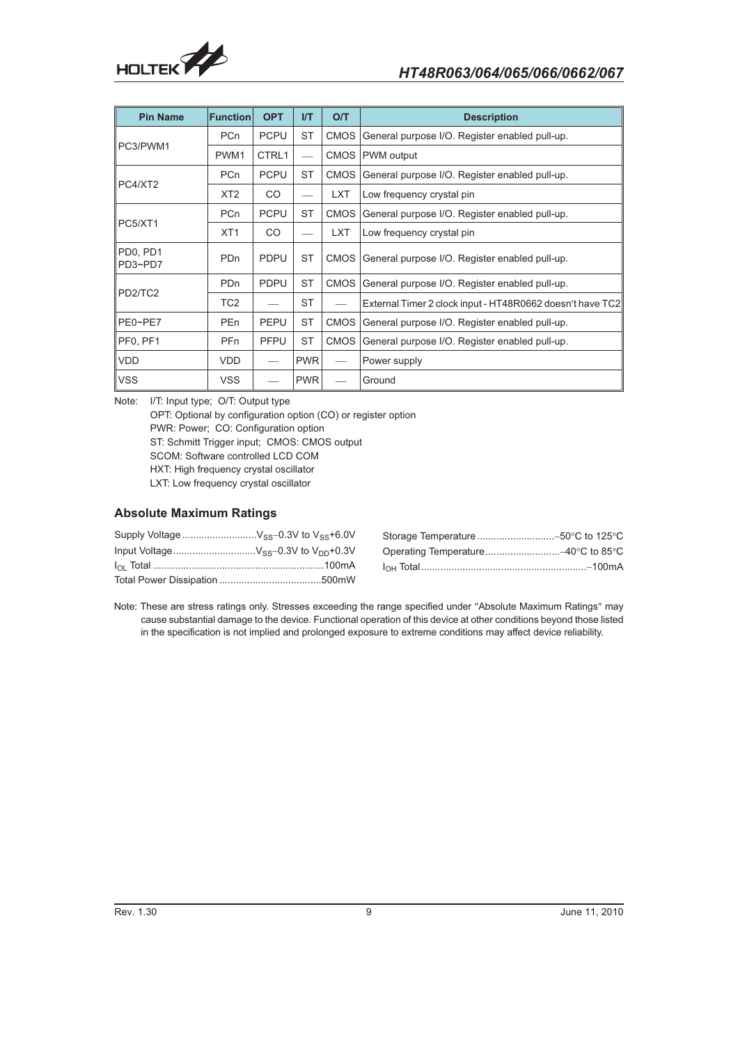

| <b>Pin Name</b>                              | <b>Function</b> | <b>OPT</b>  | <b>I/T</b> | O/T         | <b>Description</b>                                        |
|----------------------------------------------|-----------------|-------------|------------|-------------|-----------------------------------------------------------|
|                                              | PC <sub>n</sub> | <b>PCPU</b> | <b>ST</b>  | <b>CMOS</b> | General purpose I/O. Register enabled pull-up.            |
| PC3/PWM1                                     | PWM1            | CTRL1       |            | CMOS        | PWM output                                                |
|                                              | PC <sub>n</sub> | <b>PCPU</b> | <b>ST</b>  | <b>CMOS</b> | General purpose I/O. Register enabled pull-up.            |
| PC4/XT2                                      | XT <sub>2</sub> | <b>CO</b>   |            | <b>LXT</b>  | Low frequency crystal pin                                 |
|                                              | PC <sub>n</sub> | <b>PCPU</b> | <b>ST</b>  | <b>CMOS</b> | General purpose I/O. Register enabled pull-up.            |
| PC5/XT1                                      | XT <sub>1</sub> | CO.         |            | <b>LXT</b>  | Low frequency crystal pin                                 |
| PD <sub>0</sub> . PD <sub>1</sub><br>PD3~PD7 | <b>PDn</b>      | <b>PDPU</b> | <b>ST</b>  | CMOS        | General purpose I/O. Register enabled pull-up.            |
|                                              | P <sub>Dn</sub> | <b>PDPU</b> | <b>ST</b>  | <b>CMOS</b> | General purpose I/O. Register enabled pull-up.            |
| PD2/TC2                                      | TC <sub>2</sub> |             | <b>ST</b>  |             | External Timer 2 clock input - HT48R0662 doesn't have TC2 |
| PE0~PE7                                      | PE <sub>n</sub> | <b>PEPU</b> | <b>ST</b>  | <b>CMOS</b> | General purpose I/O. Register enabled pull-up.            |
| PF0, PF1                                     | PF <sub>n</sub> | <b>PFPU</b> | <b>ST</b>  | <b>CMOS</b> | General purpose I/O. Register enabled pull-up.            |
| <b>VDD</b>                                   | VDD.            |             | <b>PWR</b> |             | Power supply                                              |
| <b>VSS</b>                                   | <b>VSS</b>      |             | <b>PWR</b> |             | Ground                                                    |

Note: I/T: Input type; O/T: Output type OPT: Optional by configuration option (CO) or register option PWR: Power; CO: Configuration option ST: Schmitt Trigger input; CMOS: CMOS output SCOM: Software controlled LCD COM HXT: High frequency crystal oscillator LXT: Low frequency crystal oscillator

### **Absolute Maximum Ratings**

| Input VoltageV <sub>SS</sub> -0.3V to V <sub>DD</sub> +0.3V |  |
|-------------------------------------------------------------|--|
|                                                             |  |
|                                                             |  |

Note: These are stress ratings only. Stresses exceeding the range specified under "Absolute Maximum Ratings" may cause substantial damage to the device. Functional operation of this device at other conditions beyond those listed in the specification is not implied and prolonged exposure to extreme conditions may affect device reliability.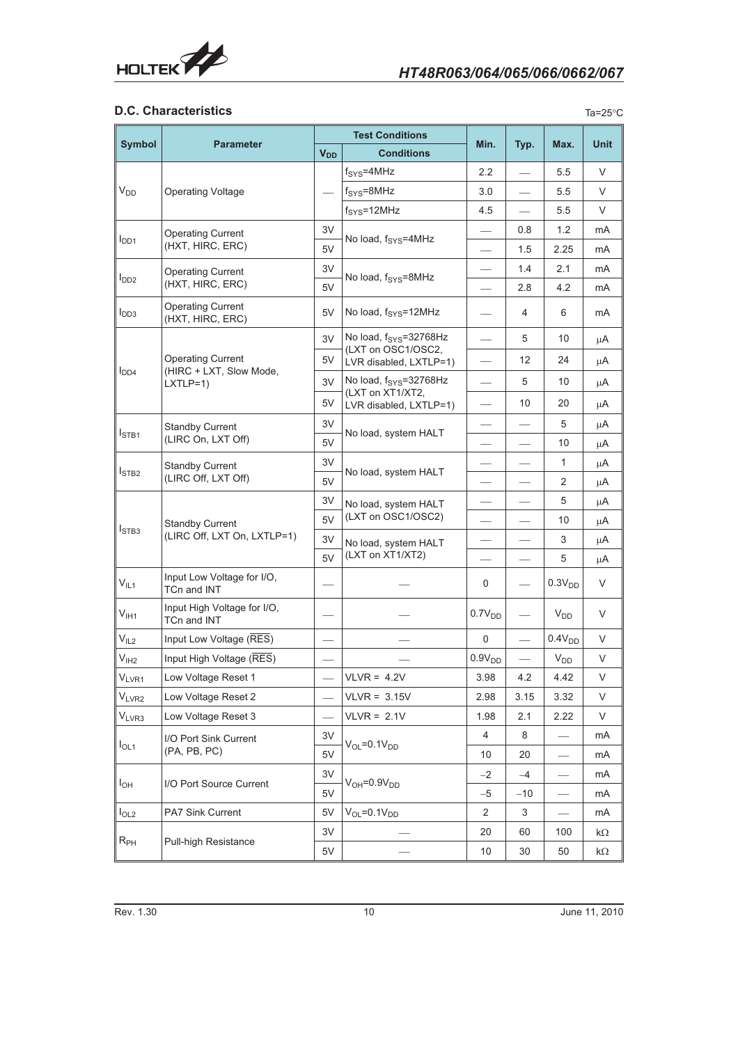

# **D.C. Characteristics**

| . .<br>× | ۰,<br>۰.<br>w |
|----------|---------------|
|          |               |

|                   |                                                       |                          | <b>Test Conditions</b>                       |                    |       |                    | <b>Unit</b> |
|-------------------|-------------------------------------------------------|--------------------------|----------------------------------------------|--------------------|-------|--------------------|-------------|
| <b>Symbol</b>     | <b>Parameter</b>                                      | <b>V<sub>DD</sub></b>    | <b>Conditions</b>                            | Min.               | Typ.  | Max.               |             |
|                   |                                                       |                          | $f_{\text{SYS}}=4\text{MHz}$                 | 2.2                |       | 5.5                | V           |
| $V_{DD}$          | <b>Operating Voltage</b>                              |                          | $f_{\text{SYS}}=8\text{MHz}$                 | 3.0                |       | 5.5                | V           |
|                   |                                                       |                          | $fSYS=12MHz$                                 | 4.5                |       | 5.5                | $\vee$      |
|                   | <b>Operating Current</b><br>(HXT, HIRC, ERC)          |                          | No load, f <sub>SYS</sub> =4MHz              |                    | 0.8   | 1.2                | mA          |
| I <sub>DD1</sub>  |                                                       |                          |                                              |                    | 1.5   | 2.25               | mA          |
|                   | <b>Operating Current</b>                              | 3V                       | No load, f <sub>SYS</sub> =8MHz              |                    | 1.4   | 2.1                | mA          |
| $I_{DD2}$         | (HXT, HIRC, ERC)                                      |                          |                                              |                    | 2.8   | 4.2                | mA          |
| $I_{DD3}$         | <b>Operating Current</b><br>(HXT, HIRC, ERC)          | 5V                       | No load, $f_{\text{SYS}}=12\text{MHz}$       |                    | 4     | 6                  | mA          |
|                   |                                                       |                          | No load, f <sub>SYS</sub> =32768Hz           |                    | 5     | 10                 | μA          |
|                   | <b>Operating Current</b>                              | 5V                       | (LXT on OSC1/OSC2,<br>LVR disabled, LXTLP=1) |                    | 12    | 24                 | μA          |
| I <sub>DD4</sub>  | (HIRC + LXT, Slow Mode,<br>$LXTLP=1$ )                | 3V                       | No load, f <sub>SYS</sub> =32768Hz           |                    | 5     | 10                 | μA          |
|                   |                                                       | 5V                       | (LXT on XT1/XT2,<br>LVR disabled, LXTLP=1)   |                    | 10    | 20                 | μA          |
|                   |                                                       | 3V                       |                                              |                    |       | 5                  | $\mu$ A     |
| I <sub>STB1</sub> | <b>Standby Current</b><br>(LIRC On, LXT Off)          | 5V                       | No load, system HALT                         |                    |       | 10                 | $\mu$ A     |
|                   |                                                       | 3V                       |                                              |                    |       | 1                  | μA          |
| $I_{STB2}$        | <b>Standby Current</b><br>(LIRC Off, LXT Off)         | 5V                       | No load, system HALT                         |                    |       | 2                  | μA          |
|                   | <b>Standby Current</b><br>(LIRC Off, LXT On, LXTLP=1) | 3V                       |                                              | —                  |       | 5                  | μA          |
|                   |                                                       | 5V                       | No load, system HALT<br>(LXT on OSC1/OSC2)   |                    |       | 10                 | μA          |
| I <sub>STB3</sub> |                                                       | 3V                       | No load, system HALT                         |                    |       | 3                  | μA          |
|                   |                                                       | 5V                       | (LXT on XT1/XT2)                             |                    |       | 5                  | μA          |
| $V_{IL1}$         | Input Low Voltage for I/O,<br>TCn and INT             |                          |                                              | 0                  |       | 0.3V <sub>DD</sub> | V           |
| $V_{I H1}$        | Input High Voltage for I/O,<br>TCn and INT            |                          |                                              | 0.7V <sub>DD</sub> |       | $V_{DD}$           | V           |
| V <sub>IL2</sub>  | Input Low Voltage (RES)                               |                          |                                              | 0                  |       | 0.4V <sub>DD</sub> | V           |
| V <sub>IH2</sub>  | Input High Voltage (RES)                              |                          |                                              | $0.9V_{DD}$        |       | $V_{DD}$           | V           |
| $V_{LVR1}$        | Low Voltage Reset 1                                   |                          | $VLVR = 4.2V$                                | 3.98               | 4.2   | 4.42               | V           |
| VLVR2             | Low Voltage Reset 2                                   | $\overline{\phantom{0}}$ | $VLVR = 3.15V$                               | 2.98               | 3.15  | 3.32               | V           |
| V <sub>LVR3</sub> | Low Voltage Reset 3                                   | $\overline{\phantom{0}}$ | $VLVR = 2.1V$                                | 1.98               | 2.1   | 2.22               | V           |
|                   | I/O Port Sink Current                                 | 3V                       |                                              | $\overline{4}$     | 8     |                    | mA          |
| $I_{OL1}$         | (PA, PB, PC)                                          | 5V                       | $V_{OL} = 0.1V_{DD}$                         | 10                 | 20    |                    | mA          |
|                   |                                                       | 3V                       | $V_{OH} = 0.9V_{DD}$                         | $-2$               | $-4$  |                    | mA          |
| $I_{OH}$          | I/O Port Source Current                               | 5V                       |                                              | $-5$               | $-10$ |                    | mA          |
| I <sub>OL2</sub>  | PA7 Sink Current                                      | 5V                       | $V_{OL} = 0.1V_{DD}$                         | 2                  | 3     |                    | mA          |
| $R_{PH}$          | Pull-high Resistance                                  | 3V                       |                                              | 20                 | 60    | 100                | kΩ          |
|                   |                                                       | 5V                       |                                              | 10                 | 30    | 50                 | k $\Omega$  |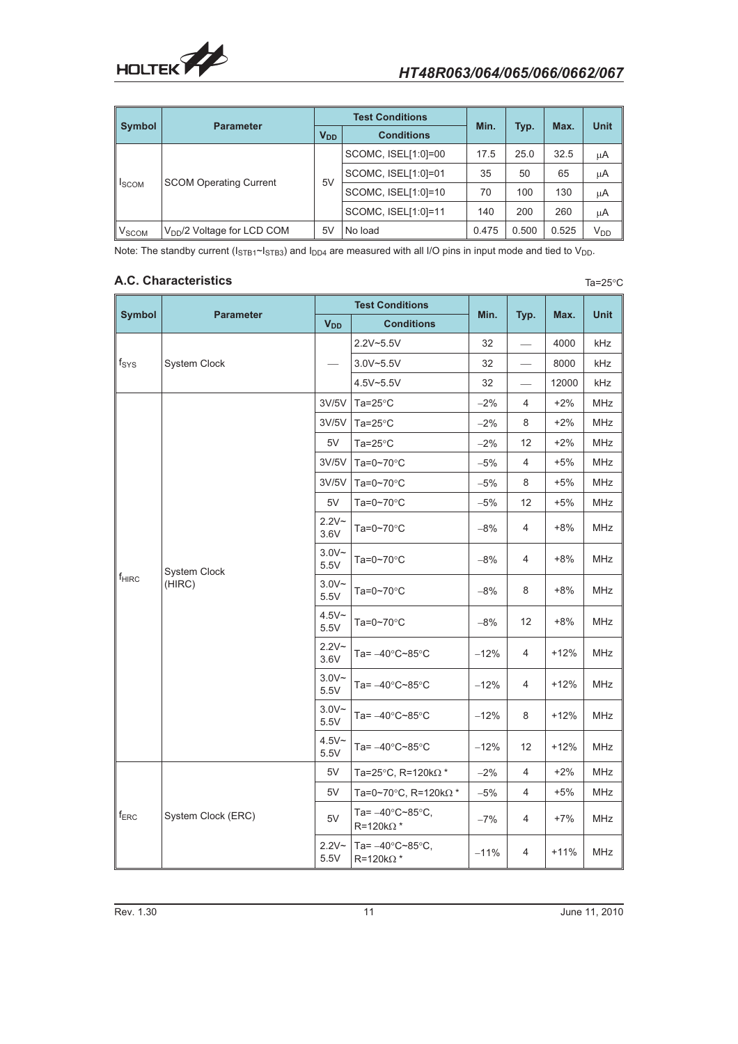

Ta=25 $\degree$ C

| <b>Symbol</b>           |                               |                       | <b>Test Conditions</b> | Min.  |       |       | <b>Unit</b> |
|-------------------------|-------------------------------|-----------------------|------------------------|-------|-------|-------|-------------|
|                         | <b>Parameter</b>              | <b>V<sub>DD</sub></b> | <b>Conditions</b>      |       | Typ.  | Max.  |             |
|                         |                               |                       | SCOMC, ISEL[1:0]=00    | 17.5  | 25.0  | 32.5  | μA          |
|                         | <b>SCOM Operating Current</b> | 5V                    | SCOMC, ISEL[1:0]=01    | 35    | 50    | 65    | μA          |
| <b>I</b> SCOM           |                               |                       | SCOMC, ISEL[1:0]=10    | 70    | 100   | 130   | μA          |
|                         |                               |                       | SCOMC, ISEL[1:0]=11    | 140   | 200   | 260   | μA          |
| <b>V<sub>SCOM</sub></b> | $VDD/2$ Voltage for LCD COM   | 5 <sub>V</sub>        | No load                | 0.475 | 0.500 | 0.525 | $V_{DD}$    |

Note: The standby current ( $I_{STB1}$ ~ $I_{STB3}$ ) and  $I_{DD4}$  are measured with all I/O pins in input mode and tied to V<sub>DD</sub>.

# **A.C. Characteristics**

|                          |                        |                       | <b>Test Conditions</b>                                     |        |      |        |             |
|--------------------------|------------------------|-----------------------|------------------------------------------------------------|--------|------|--------|-------------|
| <b>Symbol</b>            | <b>Parameter</b>       | <b>V<sub>DD</sub></b> | <b>Conditions</b>                                          | Min.   | Typ. | Max.   | <b>Unit</b> |
|                          |                        |                       | 2.2V~5.5V                                                  | 32     |      | 4000   | kHz         |
| $f_{\rm{SYS}}$           | System Clock           |                       | $3.0V - 5.5V$                                              | 32     |      | 8000   | kHz         |
|                          |                        |                       | 4.5V~5.5V                                                  | 32     |      | 12000  | kHz         |
|                          |                        | 3V/5V                 | Ta= $25^{\circ}$ C                                         | $-2%$  | 4    | $+2%$  | <b>MHz</b>  |
|                          |                        | 3V/5V                 | Ta= $25^{\circ}$ C                                         | $-2%$  | 8    | $+2%$  | <b>MHz</b>  |
|                          |                        | 5V                    | Ta= $25^{\circ}$ C                                         | $-2%$  | 12   | $+2%$  | <b>MHz</b>  |
|                          |                        | 3V/5V                 | Ta=0~70 $\degree$ C                                        | $-5%$  | 4    | $+5%$  | MHz         |
|                          |                        | 3V/5V                 | Ta=0~70 $\degree$ C                                        | $-5%$  | 8    | $+5%$  | MHz         |
|                          |                        | 5V                    | Ta=0~70 $\degree$ C                                        | $-5%$  | 12   | $+5%$  | <b>MHz</b>  |
|                          |                        | $2.2V -$<br>3.6V      | Ta=0~70 $\degree$ C                                        | $-8%$  | 4    | $+8%$  | <b>MHz</b>  |
|                          | System Clock<br>(HIRC) | $3.0V -$<br>5.5V      | Ta=0~70 $\degree$ C                                        | $-8%$  | 4    | $+8%$  | <b>MHz</b>  |
| <b>f</b> <sub>HIRC</sub> |                        | $3.0V -$<br>5.5V      | Ta=0~70 $\degree$ C                                        | $-8%$  | 8    | $+8%$  | <b>MHz</b>  |
|                          |                        | $4.5V -$<br>5.5V      | Ta=0~70 $\degree$ C                                        | $-8%$  | 12   | $+8%$  | <b>MHz</b>  |
|                          |                        | $2.2V -$<br>3.6V      | Ta= $-40^{\circ}$ C~85 $^{\circ}$ C                        | $-12%$ | 4    | $+12%$ | <b>MHz</b>  |
|                          |                        | $3.0V -$<br>5.5V      | Ta= $-40^{\circ}$ C~85 $^{\circ}$ C                        | $-12%$ | 4    | $+12%$ | <b>MHz</b>  |
|                          |                        | $3.0V -$<br>5.5V      | Ta= $-40^{\circ}$ C~85 $^{\circ}$ C                        | $-12%$ | 8    | $+12%$ | MHz         |
|                          |                        | $4.5V -$<br>5.5V      | Ta= $-40^{\circ}$ C~85 $^{\circ}$ C                        | $-12%$ | 12   | $+12%$ | MHz         |
|                          |                        | 5V                    | Ta=25°C, R=120k $\Omega^*$                                 | $-2%$  | 4    | $+2%$  | <b>MHz</b>  |
|                          |                        | 5V                    | Ta=0~70 $\degree$ C, R=120k $\Omega^*$                     | $-5%$  | 4    | $+5%$  | <b>MHz</b>  |
| $f_{ERC}$                | System Clock (ERC)     | $5V$                  | Ta= $-40^{\circ}$ C~85 $^{\circ}$ C,<br>$R = 120k\Omega$ * | $-7%$  | 4    | $+7%$  | MHz         |
|                          |                        | $2.2V -$<br>5.5V      | Ta= $-40^{\circ}$ C~85 $^{\circ}$ C,<br>$R = 120k\Omega^*$ | $-11%$ | 4    | $+11%$ | <b>MHz</b>  |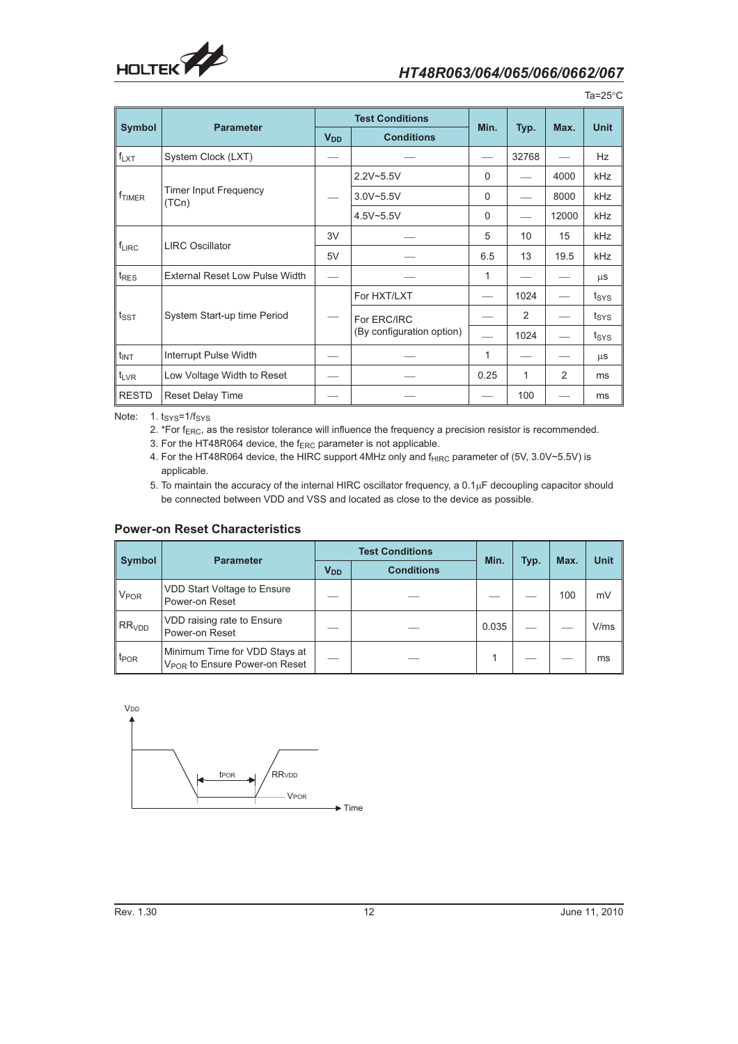

|                    |                                       |                       | <b>Test Conditions</b>    |          |       |               |                  |
|--------------------|---------------------------------------|-----------------------|---------------------------|----------|-------|---------------|------------------|
| <b>Symbol</b>      | <b>Parameter</b>                      | <b>V<sub>DD</sub></b> | <b>Conditions</b>         | Min.     | Typ.  | Max.          | <b>Unit</b>      |
| $f_{LXT}$          | System Clock (LXT)                    |                       |                           |          | 32768 |               | Hz               |
|                    |                                       |                       | $2.2V - 5.5V$             | $\Omega$ |       | 4000          | kHz              |
| f <sub>TIMER</sub> | <b>Timer Input Frequency</b><br>(TCn) |                       | $3.0V - 5.5V$             | $\Omega$ |       | 8000          | kHz              |
|                    |                                       |                       | 4.5V~5.5V                 | 0        |       | 12000         | <b>kHz</b>       |
|                    |                                       | 3V                    |                           |          | 10    | 15            | kHz              |
| $f_{LIRC}$         | <b>LIRC Oscillator</b>                | 5V                    |                           | 6.5      | 13    | 19.5          | <b>kHz</b>       |
| t <sub>RES</sub>   | <b>External Reset Low Pulse Width</b> |                       |                           | 1        |       |               | $\mu$ S          |
|                    |                                       |                       | For HXT/LXT               |          | 1024  |               | t <sub>SYS</sub> |
| $t_{\text{SST}}$   | System Start-up time Period           |                       | For ERC/IRC               |          | 2     |               | t <sub>SYS</sub> |
|                    |                                       |                       | (By configuration option) |          | 1024  |               | t <sub>SYS</sub> |
| $t_{INT}$          | Interrupt Pulse Width                 |                       |                           |          |       |               | μS               |
| $t_{LVR}$          | Low Voltage Width to Reset            |                       |                           | 0.25     | 1     | $\mathcal{P}$ | ms               |
| <b>RESTD</b>       | <b>Reset Delay Time</b>               |                       |                           |          | 100   |               | ms               |

Ta=25 C

Note: 1. t<sub>SYS</sub>=1/f<sub>SYS</sub>

2. \*For f<sub>ERC</sub>, as the resistor tolerance will influence the frequency a precision resistor is recommended.

3. For the HT48R064 device, the f<sub>ERC</sub> parameter is not applicable.

4. For the HT48R064 device, the HIRC support 4MHz only and f<sub>HIRC</sub> parameter of (5V, 3.0V~5.5V) is applicable.

5. To maintain the accuracy of the internal HIRC oscillator frequency, a  $0.1\mu$ F decoupling capacitor should be connected between VDD and VSS and located as close to the device as possible.

### **Power-on Reset Characteristics**

|                        |                                                                            |                       | <b>Test Conditions</b> |       |      |      | <b>Unit</b> |
|------------------------|----------------------------------------------------------------------------|-----------------------|------------------------|-------|------|------|-------------|
| <b>Symbol</b>          | <b>Parameter</b>                                                           | <b>V<sub>DD</sub></b> | <b>Conditions</b>      | Min.  | Typ. | Max. |             |
| <b>V<sub>POR</sub></b> | VDD Start Voltage to Ensure<br>Power-on Reset                              |                       |                        |       |      | 100  | mV          |
| $R$ RR <sub>VDD</sub>  | VDD raising rate to Ensure<br>Power-on Reset                               |                       |                        | 0.035 |      |      | V/ms        |
| t <sub>POR</sub>       | Minimum Time for VDD Stays at<br>V <sub>POR</sub> to Ensure Power-on Reset |                       |                        |       |      |      | ms          |

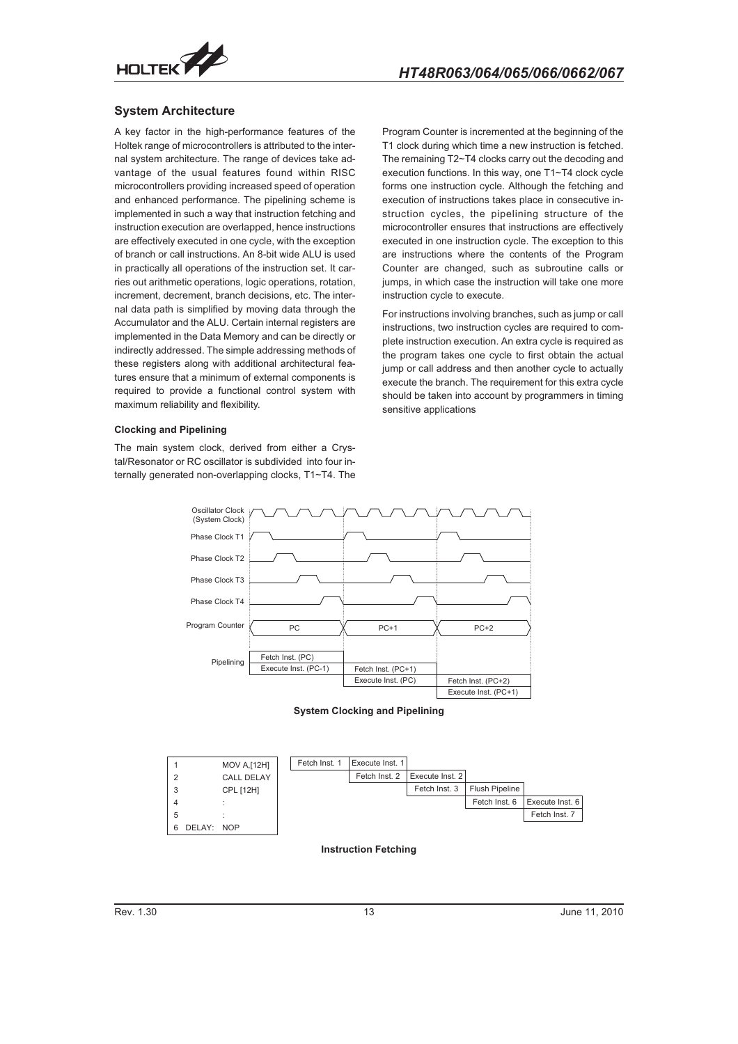

### **System Architecture**

A key factor in the high-performance features of the Holtek range of microcontrollers is attributed to the internal system architecture. The range of devices take advantage of the usual features found within RISC microcontrollers providing increased speed of operation and enhanced performance. The pipelining scheme is implemented in such a way that instruction fetching and instruction execution are overlapped, hence instructions are effectively executed in one cycle, with the exception of branch or call instructions. An 8-bit wide ALU is used in practically all operations of the instruction set. It carries out arithmetic operations, logic operations, rotation, increment, decrement, branch decisions, etc. The internal data path is simplified by moving data through the Accumulator and the ALU. Certain internal registers are implemented in the Data Memory and can be directly or indirectly addressed. The simple addressing methods of these registers along with additional architectural features ensure that a minimum of external components is required to provide a functional control system with maximum reliability and flexibility.

#### **Clocking and Pipelining**

The main system clock, derived from either a Crystal/Resonator or RC oscillator is subdivided into four internally generated non-overlapping clocks, T1~T4. The

Program Counter is incremented at the beginning of the T1 clock during which time a new instruction is fetched. The remaining T2~T4 clocks carry out the decoding and execution functions. In this way, one T1~T4 clock cycle forms one instruction cycle. Although the fetching and execution of instructions takes place in consecutive instruction cycles, the pipelining structure of the microcontroller ensures that instructions are effectively executed in one instruction cycle. The exception to this are instructions where the contents of the Program Counter are changed, such as subroutine calls or jumps, in which case the instruction will take one more instruction cycle to execute.

For instructions involving branches, such as jump or call instructions, two instruction cycles are required to complete instruction execution. An extra cycle is required as the program takes one cycle to first obtain the actual jump or call address and then another cycle to actually execute the branch. The requirement for this extra cycle should be taken into account by programmers in timing sensitive applications







**Instruction Fetching**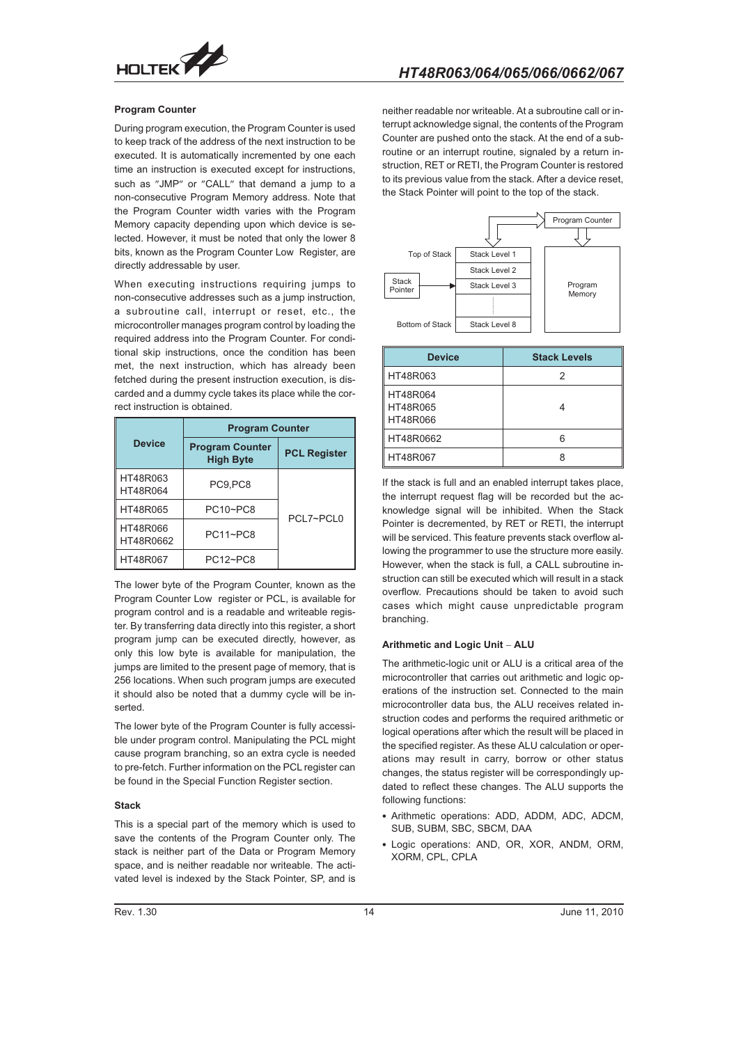

#### **Program Counter**

During program execution, the Program Counter is used to keep track of the address of the next instruction to be executed. It is automatically incremented by one each time an instruction is executed except for instructions, such as "JMP" or "CALL" that demand a jump to a non-consecutive Program Memory address. Note that the Program Counter width varies with the Program Memory capacity depending upon which device is selected. However, it must be noted that only the lower 8 bits, known as the Program Counter Low Register, are directly addressable by user.

When executing instructions requiring jumps to non-consecutive addresses such as a jump instruction, a subroutine call, interrupt or reset, etc., the microcontroller manages program control by loading the required address into the Program Counter. For conditional skip instructions, once the condition has been met, the next instruction, which has already been fetched during the present instruction execution, is discarded and a dummy cycle takes its place while the correct instruction is obtained.

|                       | <b>Program Counter</b>                     |                     |  |
|-----------------------|--------------------------------------------|---------------------|--|
| <b>Device</b>         | <b>Program Counter</b><br><b>High Byte</b> | <b>PCL Register</b> |  |
| HT48R063<br>HT48R064  | PC9,PC8                                    |                     |  |
| HT48R065              | PC10~PC8                                   |                     |  |
| HT48R066<br>HT48R0662 | <b>PC11~PC8</b>                            | PCI 7~PCI 0         |  |
| HT48R067              | PC12~PC8                                   |                     |  |

The lower byte of the Program Counter, known as the Program Counter Low register or PCL, is available for program control and is a readable and writeable register. By transferring data directly into this register, a short program jump can be executed directly, however, as only this low byte is available for manipulation, the jumps are limited to the present page of memory, that is 256 locations. When such program jumps are executed it should also be noted that a dummy cycle will be inserted.

The lower byte of the Program Counter is fully accessible under program control. Manipulating the PCL might cause program branching, so an extra cycle is needed to pre-fetch. Further information on the PCL register can be found in the Special Function Register section.

#### **Stack**

This is a special part of the memory which is used to save the contents of the Program Counter only. The stack is neither part of the Data or Program Memory space, and is neither readable nor writeable. The activated level is indexed by the Stack Pointer, SP, and is

neither readable nor writeable. At a subroutine call or interrupt acknowledge signal, the contents of the Program Counter are pushed onto the stack. At the end of a subroutine or an interrupt routine, signaled by a return instruction, RET or RETI, the Program Counter is restored to its previous value from the stack. After a device reset, the Stack Pointer will point to the top of the stack.



| <b>Device</b>                    | <b>Stack Levels</b> |
|----------------------------------|---------------------|
| HT48R063                         | 2                   |
| HT48R064<br>HT48R065<br>HT48R066 |                     |
| HT48R0662                        | հ                   |
| HT48R067                         |                     |

If the stack is full and an enabled interrupt takes place, the interrupt request flag will be recorded but the acknowledge signal will be inhibited. When the Stack Pointer is decremented, by RET or RETI, the interrupt will be serviced. This feature prevents stack overflow allowing the programmer to use the structure more easily. However, when the stack is full, a CALL subroutine instruction can still be executed which will result in a stack overflow. Precautions should be taken to avoid such cases which might cause unpredictable program branching.

#### **Arithmetic and Logic Unit - ALU**

The arithmetic-logic unit or ALU is a critical area of the microcontroller that carries out arithmetic and logic operations of the instruction set. Connected to the main microcontroller data bus, the ALU receives related instruction codes and performs the required arithmetic or logical operations after which the result will be placed in the specified register. As these ALU calculation or operations may result in carry, borrow or other status changes, the status register will be correspondingly updated to reflect these changes. The ALU supports the following functions:

- Arithmetic operations: ADD, ADDM, ADC, ADCM, SUB, SUBM, SBC, SBCM, DAA
- Logic operations: AND, OR, XOR, ANDM, ORM, XORM, CPL, CPLA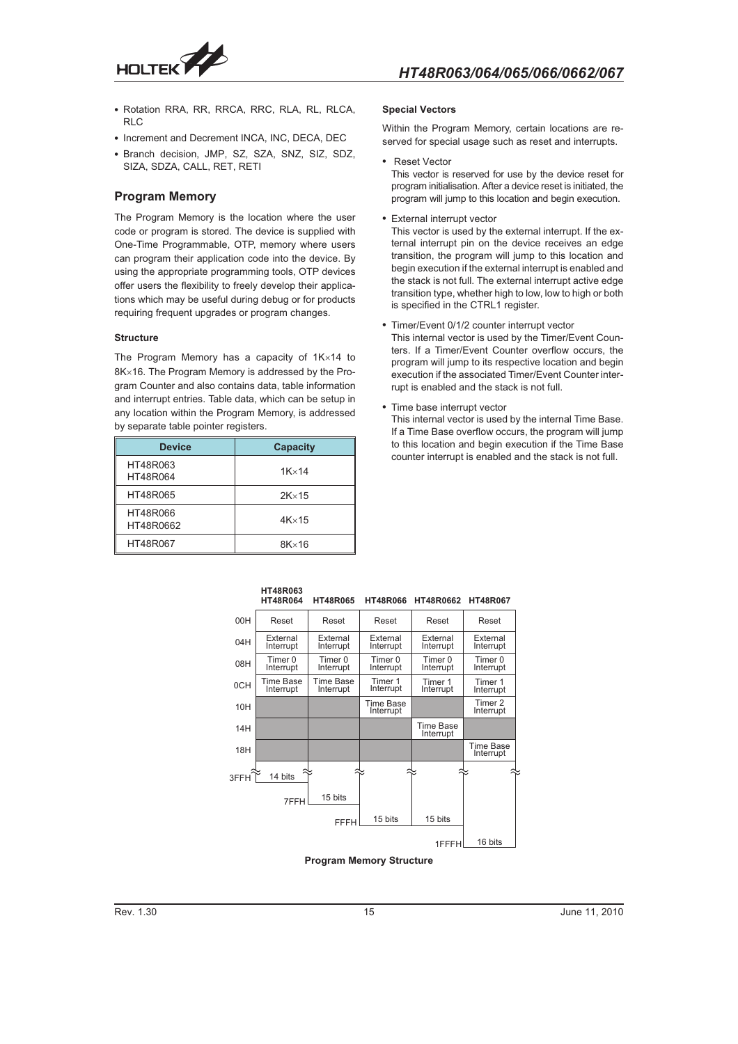

- Rotation RRA, RR, RRCA, RRC, RLA, RL, RLCA, RL<sub>C</sub>
- Increment and Decrement INCA, INC, DECA, DEC
- Branch decision, JMP, SZ, SZA, SNZ, SIZ, SDZ, SIZA, SDZA, CALL, RET, RETI

### **Program Memory**

The Program Memory is the location where the user code or program is stored. The device is supplied with One-Time Programmable, OTP, memory where users can program their application code into the device. By using the appropriate programming tools, OTP devices offer users the flexibility to freely develop their applications which may be useful during debug or for products requiring frequent upgrades or program changes.

#### **Structure**

The Program Memory has a capacity of  $1K\times14$  to  $8K \times 16$ . The Program Memory is addressed by the Program Counter and also contains data, table information and interrupt entries. Table data, which can be setup in any location within the Program Memory, is addressed by separate table pointer registers.

| <b>Device</b>         | <b>Capacity</b> |
|-----------------------|-----------------|
| HT48R063<br>HT48R064  | $1K \times 14$  |
| HT48R065              | $2K \times 15$  |
| HT48R066<br>HT48R0662 | $4K \times 15$  |
| HT48R067              | $8K \times 16$  |

**HT48R063** 

#### **Special Vectors**

Within the Program Memory, certain locations are reserved for special usage such as reset and interrupts.

- Reset Vector This vector is reserved for use by the device reset for program initialisation. After a device reset is initiated, the program will jump to this location and begin execution.
- External interrupt vector
- This vector is used by the external interrupt. If the external interrupt pin on the device receives an edge transition, the program will jump to this location and begin execution if the external interrupt is enabled and the stack is not full. The external interrupt active edge transition type, whether high to low, low to high or both is specified in the CTRL1 register.
- Timer/Event 0/1/2 counter interrupt vector

This internal vector is used by the Timer/Event Counters. If a Timer/Event Counter overflow occurs, the program will jump to its respective location and begin execution if the associated Timer/Event Counter interrupt is enabled and the stack is not full.

- Time base interrupt vector This internal vector is used by the internal Time Base. If a Time Base overflow occurs, the program will jump to this location and begin execution if the Time Base counter interrupt is enabled and the stack is not full.

|      | <b>HT48R063</b><br><b>HT48R064</b> | <b>HT48R065</b>        | <b>HT48R066</b>        | HT48R0662                     | <b>HT48R067</b>               |
|------|------------------------------------|------------------------|------------------------|-------------------------------|-------------------------------|
| 00H  | Reset                              | Reset                  | Reset                  | Reset                         | Reset                         |
| 04H  | External<br>Interrupt              | External<br>Interrupt  | External<br>Interrupt  | External<br>Interrupt         | External<br>Interrupt         |
| 08H  | Timer 0<br>Interrupt               | Timer 0<br>Interrupt   | Timer 0<br>Interrupt   | Timer 0<br>Interrupt          | Timer 0<br>Interrupt          |
| 0CH  | Time Base<br>Interrupt             | Time Base<br>Interrupt | Timer 1<br>Interrupt   | Timer 1<br>Interrupt          | Timer 1<br>Interrupt          |
| 10H  |                                    |                        | Time Base<br>Interrupt |                               | Timer 2<br>Interrupt          |
| 14H  |                                    |                        |                        | <b>Time Base</b><br>Interrupt |                               |
| 18H  |                                    |                        |                        |                               | <b>Time Base</b><br>Interrupt |
| 3FFH | 14 bits                            |                        |                        |                               |                               |
|      | 7FFH                               | 15 bits                |                        |                               |                               |
|      |                                    | <b>FFFH</b>            | 15 bits                | 15 bits                       |                               |
|      |                                    |                        |                        | 1FFFH                         | 16 bits                       |

#### **Program Memory Structure**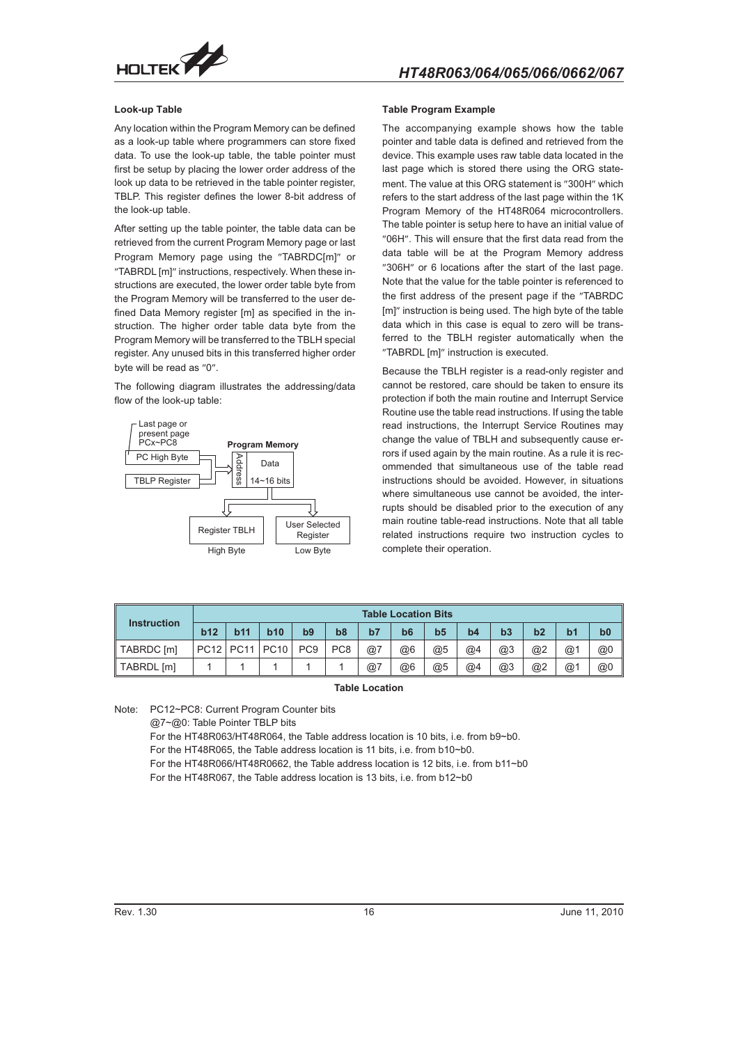

#### **Look-up Table**

Any location within the Program Memory can be defined as a look-up table where programmers can store fixed data. To use the look-up table, the table pointer must first be setup by placing the lower order address of the look up data to be retrieved in the table pointer register, TBLP. This register defines the lower 8-bit address of the look-up table.

After setting up the table pointer, the table data can be retrieved from the current Program Memory page or last Program Memory page using the "TABRDC[m]" or "TABRDL [m]" instructions, respectively. When these instructions are executed, the lower order table byte from the Program Memory will be transferred to the user defined Data Memory register [m] as specified in the instruction. The higher order table data byte from the Program Memory will be transferred to the TBLH special register. Any unused bits in this transferred higher order byte will be read as "0".

The following diagram illustrates the addressing/data flow of the look-up table:



#### **Table Program Example**

The accompanying example shows how the table pointer and table data is defined and retrieved from the device. This example uses raw table data located in the last page which is stored there using the ORG statement. The value at this ORG statement is "300H" which refers to the start address of the last page within the 1K Program Memory of the HT48R064 microcontrollers. The table pointer is setup here to have an initial value of "06H". This will ensure that the first data read from the data table will be at the Program Memory address "306H" or 6 locations after the start of the last page. Note that the value for the table pointer is referenced to the first address of the present page if the "TABRDC [m]" instruction is being used. The high byte of the table data which in this case is equal to zero will be transferred to the TBLH register automatically when the "TABRDL [m]" instruction is executed.

Because the TBLH register is a read-only register and cannot be restored, care should be taken to ensure its protection if both the main routine and Interrupt Service Routine use the table read instructions. If using the table read instructions, the Interrupt Service Routines may change the value of TBLH and subsequently cause errors if used again by the main routine. As a rule it is recommended that simultaneous use of the table read instructions should be avoided. However, in situations where simultaneous use cannot be avoided, the interrupts should be disabled prior to the execution of any main routine table-read instructions. Note that all table related instructions require two instruction cycles to complete their operation.

|                    |             | <b>Table Location Bits</b> |             |                 |                 |    |            |                |    |    |    |    |                |  |
|--------------------|-------------|----------------------------|-------------|-----------------|-----------------|----|------------|----------------|----|----|----|----|----------------|--|
| <b>Instruction</b> | b12         | <b>b11</b>                 | b10         | b <sub>9</sub>  | b8              | b7 | <b>b</b> 6 | b <sub>5</sub> | b4 | b3 | b2 | b1 | b <sub>0</sub> |  |
| TABRDC [m]         | <b>PC12</b> | <b>PC11</b>                | <b>PC10</b> | PC <sub>9</sub> | PC <sub>8</sub> | @7 | @6         | @5             | @4 | @3 | @2 | @1 | @0             |  |
| TABRDL [m]         |             |                            |             |                 |                 | @7 | @6         | @5             | @4 | @3 | @2 | @1 | @0             |  |

#### **Table Location**

Note: PC12~PC8: Current Program Counter bits

@7~@0: Table Pointer TBLP bits

For the HT48R063/HT48R064, the Table address location is 10 bits, i.e. from b9~b0. For the HT48R065, the Table address location is 11 bits, i.e. from b10~b0.

For the HT48R066/HT48R0662, the Table address location is 12 bits, i.e. from b11~b0

For the HT48R067, the Table address location is 13 bits, i.e. from b12~b0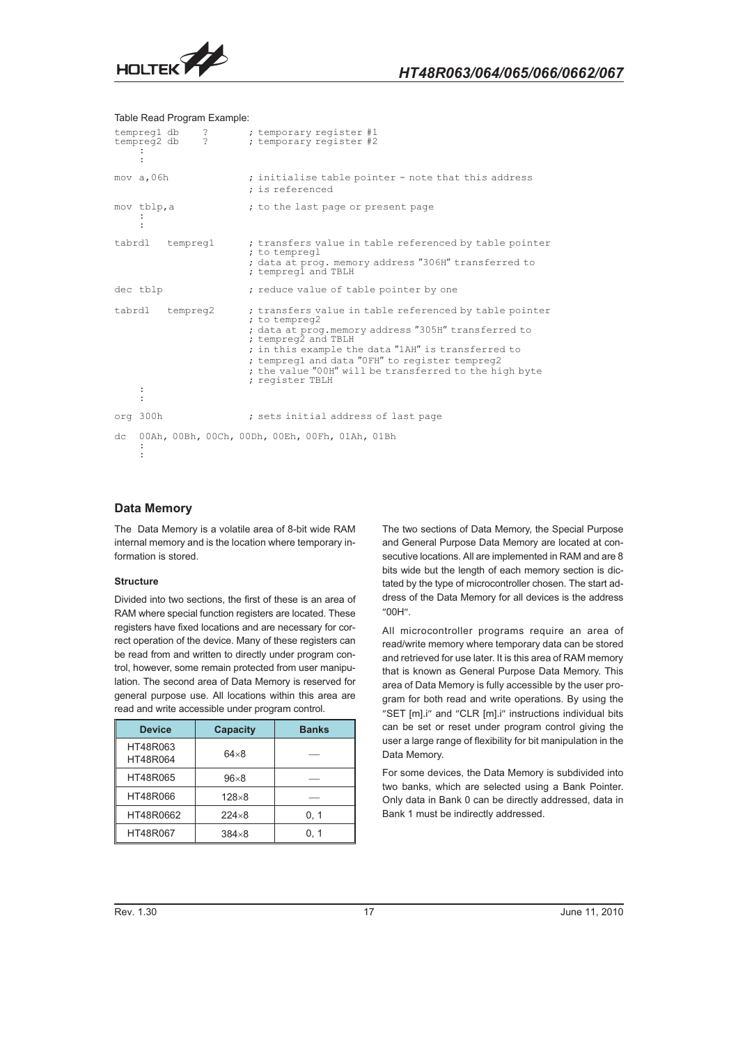

#### Table Read Program Example:

|        | tempreg1 db<br>tempreg2 db |          | ?<br>$\overline{?}$ | ; temporary register #1<br>; temporary register #2                                                                                                                                                                                                                                                                                         |
|--------|----------------------------|----------|---------------------|--------------------------------------------------------------------------------------------------------------------------------------------------------------------------------------------------------------------------------------------------------------------------------------------------------------------------------------------|
|        | mov a, 06h                 |          |                     | ; initialise table pointer - note that this address<br>; is referenced                                                                                                                                                                                                                                                                     |
|        | mov tblp, a                |          |                     | ; to the last page or present page                                                                                                                                                                                                                                                                                                         |
| tabrdl |                            | tempregl |                     | ; transfers value in table referenced by table pointer<br>; to tempregl<br>; data at prog. memory address "306H" transferred to<br>; tempreg1 and TBLH                                                                                                                                                                                     |
|        | dec tblp                   |          |                     | ; reduce value of table pointer by one                                                                                                                                                                                                                                                                                                     |
| tabrdl |                            | tempreg2 |                     | ; transfers value in table referenced by table pointer<br>; to tempreg2<br>; data at prog.memory address "305H" transferred to<br>; tempreg2 and TBLH<br>; in this example the data "1AH" is transferred to<br>; tempreg1 and data "OFH" to register tempreg2<br>; the value "00H" will be transferred to the high byte<br>; register TBLH |
|        | org 300h                   |          |                     | ; sets initial address of last page                                                                                                                                                                                                                                                                                                        |
| dc     |                            |          |                     | 00Ah, 00Bh, 00Ch, 00Dh, 00Eh, 00Fh, 01Ah, 01Bh                                                                                                                                                                                                                                                                                             |

### **Data Memory**

The Data Memory is a volatile area of 8-bit wide RAM internal memory and is the location where temporary information is stored.

#### **Structure**

Divided into two sections, the first of these is an area of RAM where special function registers are located. These registers have fixed locations and are necessary for correct operation of the device. Many of these registers can be read from and written to directly under program control, however, some remain protected from user manipulation. The second area of Data Memory is reserved for general purpose use. All locations within this area are read and write accessible under program control.

| <b>Device</b>        | <b>Capacity</b> | <b>Banks</b> |
|----------------------|-----------------|--------------|
| HT48R063<br>HT48R064 | $64\times8$     |              |
| HT48R065             | $96\times8$     |              |
| HT48R066             | $128\times8$    |              |
| HT48R0662            | $224\times8$    | 0, 1         |
| HT48R067             | $384\times8$    | 0, 1         |

The two sections of Data Memory, the Special Purpose and General Purpose Data Memory are located at consecutive locations. All are implemented in RAM and are 8 bits wide but the length of each memory section is dictated by the type of microcontroller chosen. The start address of the Data Memory for all devices is the address "00H".

All microcontroller programs require an area of read/write memory where temporary data can be stored and retrieved for use later. It is this area of RAM memory that is known as General Purpose Data Memory. This area of Data Memory is fully accessible by the user program for both read and write operations. By using the "SET [m].i" and "CLR [m].i" instructions individual bits can be set or reset under program control giving the user a large range of flexibility for bit manipulation in the Data Memory.

For some devices, the Data Memory is subdivided into two banks, which are selected using a Bank Pointer. Only data in Bank 0 can be directly addressed, data in Bank 1 must be indirectly addressed.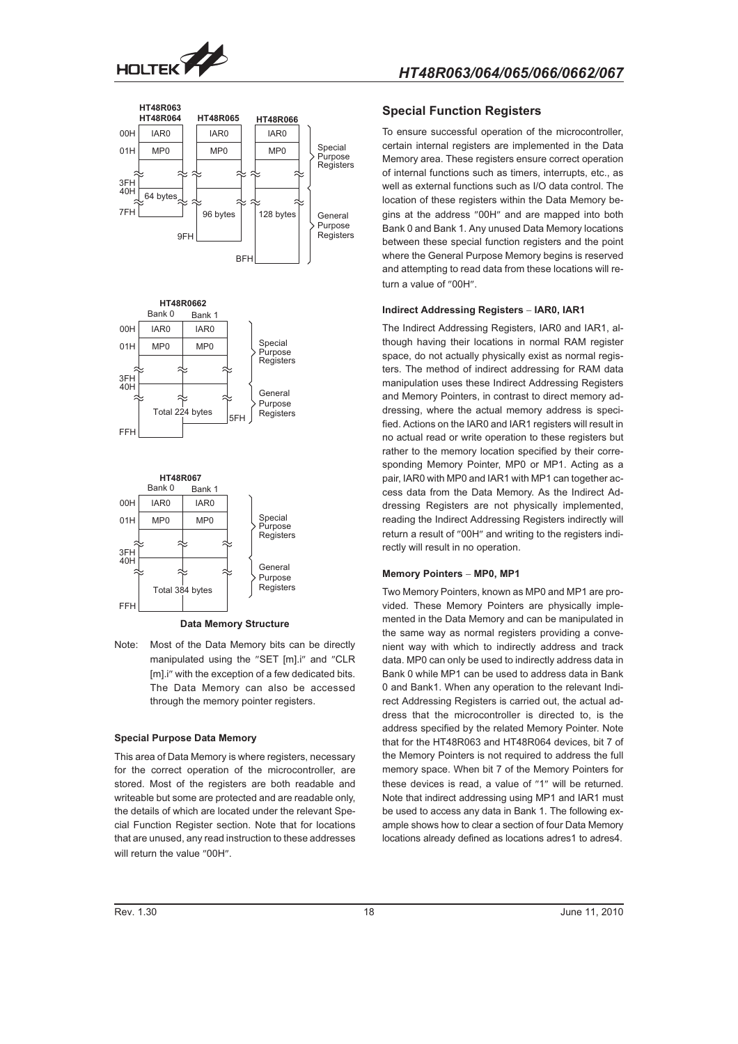





**Data Memory Structure**

Note: Most of the Data Memory bits can be directly manipulated using the "SET [m].i" and "CLR [m].i" with the exception of a few dedicated bits. The Data Memory can also be accessed through the memory pointer registers.

#### **Special Purpose Data Memory**

This area of Data Memory is where registers, necessary for the correct operation of the microcontroller, are stored. Most of the registers are both readable and writeable but some are protected and are readable only, the details of which are located under the relevant Special Function Register section. Note that for locations that are unused, any read instruction to these addresses will return the value "00H".

### **Special Function Registers**

To ensure successful operation of the microcontroller, certain internal registers are implemented in the Data Memory area. These registers ensure correct operation of internal functions such as timers, interrupts, etc., as well as external functions such as I/O data control. The location of these registers within the Data Memory begins at the address "00H" and are mapped into both Bank 0 and Bank 1. Any unused Data Memory locations between these special function registers and the point where the General Purpose Memory begins is reserved and attempting to read data from these locations will return a value of "00H".

#### **Indirect Addressing Registers - IAR0, IAR1**

The Indirect Addressing Registers, IAR0 and IAR1, although having their locations in normal RAM register space, do not actually physically exist as normal registers. The method of indirect addressing for RAM data manipulation uses these Indirect Addressing Registers and Memory Pointers, in contrast to direct memory addressing, where the actual memory address is specified. Actions on the IAR0 and IAR1 registers will result in no actual read or write operation to these registers but rather to the memory location specified by their corresponding Memory Pointer, MP0 or MP1. Acting as a pair, IAR0 with MP0 and IAR1 with MP1 can together access data from the Data Memory. As the Indirect Addressing Registers are not physically implemented, reading the Indirect Addressing Registers indirectly will return a result of "00H" and writing to the registers indirectly will result in no operation.

#### **Memory Pointers - MP0, MP1**

Two Memory Pointers, known as MP0 and MP1 are provided. These Memory Pointers are physically implemented in the Data Memory and can be manipulated in the same way as normal registers providing a convenient way with which to indirectly address and track data. MP0 can only be used to indirectly address data in Bank 0 while MP1 can be used to address data in Bank 0 and Bank1. When any operation to the relevant Indirect Addressing Registers is carried out, the actual address that the microcontroller is directed to, is the address specified by the related Memory Pointer. Note that for the HT48R063 and HT48R064 devices, bit 7 of the Memory Pointers is not required to address the full memory space. When bit 7 of the Memory Pointers for these devices is read, a value of "1" will be returned. Note that indirect addressing using MP1 and IAR1 must be used to access any data in Bank 1. The following example shows how to clear a section of four Data Memory locations already defined as locations adres1 to adres4.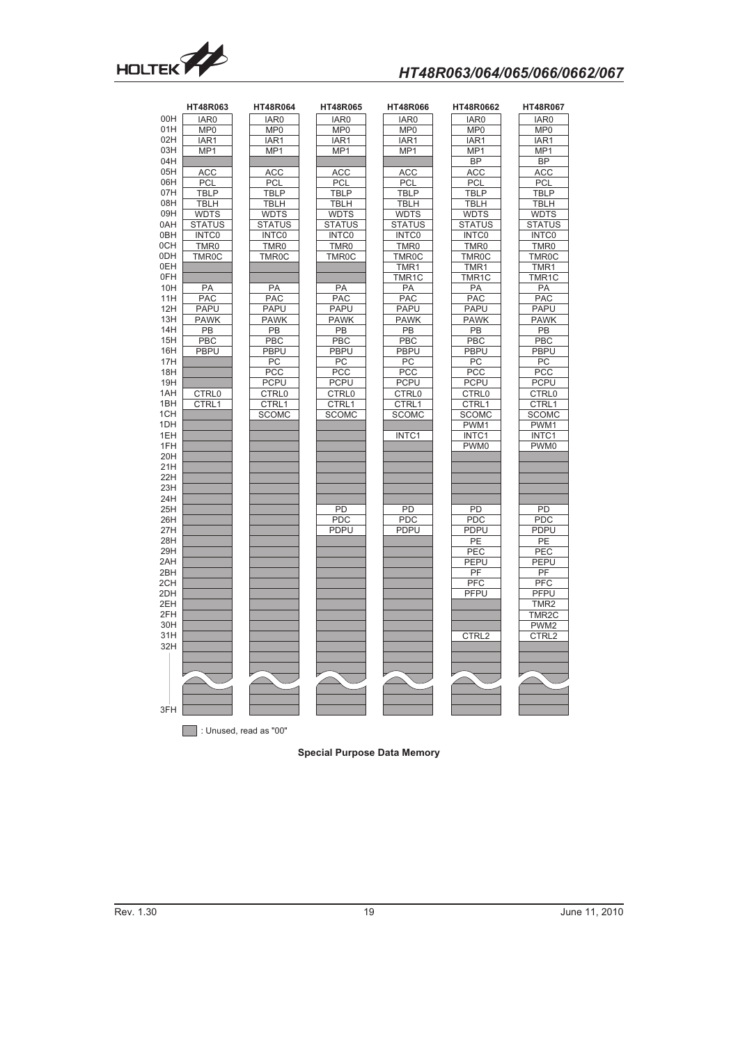

# HT48R063/064/065/066/0662/067

|     | HT48R063           | <b>HT48R064</b>        | <b>HT48R065</b>    | <b>HT48R066</b>    | HT48R0662          | HT48R067           |
|-----|--------------------|------------------------|--------------------|--------------------|--------------------|--------------------|
| 00H | IAR0               | IAR0                   | IAR0               | IAR <sub>0</sub>   | IAR0               | IAR <sub>0</sub>   |
| 01H | MP <sub>0</sub>    | MP <sub>0</sub>        | MP <sub>0</sub>    | MP <sub>0</sub>    | MP <sub>0</sub>    | MP <sub>0</sub>    |
| 02H | IAR <sub>1</sub>   | IAR <sub>1</sub>       | IAR1               | IAR1               | IAR <sub>1</sub>   | IAR1               |
| 03H | MP <sub>1</sub>    | MP1                    | MP <sub>1</sub>    | MP <sub>1</sub>    | MP1                | MP1                |
| 04H |                    |                        |                    |                    | <b>BP</b>          | <b>BP</b>          |
| 05H | <b>ACC</b>         | <b>ACC</b>             | <b>ACC</b>         | <b>ACC</b>         | <b>ACC</b>         | <b>ACC</b>         |
| 06H | PCL                | PCL                    | PCL                | PCL                | <b>PCL</b>         | <b>PCL</b>         |
| 07H | <b>TBLP</b>        | <b>TBLP</b>            | <b>TBLP</b>        | <b>TBLP</b>        | <b>TBLP</b>        | <b>TBLP</b>        |
| 08H | <b>TBLH</b>        | <b>TBLH</b>            | <b>TBLH</b>        | <b>TBLH</b>        | <b>TBLH</b>        | <b>TBLH</b>        |
| 09H | <b>WDTS</b>        | <b>WDTS</b>            | <b>WDTS</b>        | <b>WDTS</b>        | <b>WDTS</b>        | <b>WDTS</b>        |
| 0AH | <b>STATUS</b>      | <b>STATUS</b>          | <b>STATUS</b>      | <b>STATUS</b>      | <b>STATUS</b>      | <b>STATUS</b>      |
| 0BH | <b>INTCO</b>       | <b>INTCO</b>           | <b>INTCO</b>       | <b>INTCO</b>       | <b>INTCO</b>       | INTC0              |
| 0CH | TMR <sub>0</sub>   | TMR <sub>0</sub>       | TMR0               | TMR <sub>0</sub>   | TMR <sub>0</sub>   | TMR <sub>0</sub>   |
| 0DH | TMR <sub>0</sub> C | TMR <sub>0</sub> C     | TMR <sub>0</sub> C | TMR <sub>0</sub> C | TMR <sub>0</sub> C | TMR <sub>0</sub> C |
| 0EH |                    |                        |                    |                    |                    |                    |
| 0FH |                    |                        |                    | TMR1               | TMR1               | TMR1               |
|     |                    |                        |                    | TMR1C              | TMR1C              | TMR1C              |
| 10H | PA                 | PA                     | PA                 | PA                 | PA                 | PA                 |
| 11H | <b>PAC</b>         | <b>PAC</b>             | <b>PAC</b>         | <b>PAC</b>         | <b>PAC</b>         | <b>PAC</b>         |
| 12H | <b>PAPU</b>        | <b>PAPU</b>            | <b>PAPU</b>        | <b>PAPU</b>        | PAPU               | <b>PAPU</b>        |
| 13H | <b>PAWK</b>        | <b>PAWK</b>            | <b>PAWK</b>        | <b>PAWK</b>        | <b>PAWK</b>        | <b>PAWK</b>        |
| 14H | <b>PB</b>          | PB                     | PB                 | $\overline{PB}$    | PB                 | $\overline{PB}$    |
| 15H | PBC                | PBC                    | PBC                | PBC                | PBC                | PBC                |
| 16H | <b>PBPU</b>        | <b>PBPU</b>            | <b>PBPU</b>        | <b>PBPU</b>        | <b>PBPU</b>        | <b>PBPU</b>        |
| 17H |                    | PC                     | PC                 | PC                 | PC                 | PC                 |
| 18H |                    | PCC                    | PCC                | <b>PCC</b>         | PCC                | <b>PCC</b>         |
| 19H |                    | <b>PCPU</b>            | <b>PCPU</b>        | <b>PCPU</b>        | <b>PCPU</b>        | <b>PCPU</b>        |
| 1AH | CTRL0              | CTRL0                  | CTRL0              | CTRL0              | CTRL0              | CTRL0              |
| 1BH | CTRL1              | CTRL1                  | CTRL1              | CTRL1              | CTRL1              | CTRL1              |
| 1CH |                    | <b>SCOMC</b>           | <b>SCOMC</b>       | <b>SCOMC</b>       | <b>SCOMC</b>       | <b>SCOMC</b>       |
| 1DH |                    |                        |                    |                    | PWM1               | PWM1               |
| 1EH |                    |                        |                    | INTC1              | INTC1              | INTC1              |
| 1FH |                    |                        |                    |                    | PWM0               | PWM0               |
| 20H |                    |                        |                    |                    |                    |                    |
| 21H |                    |                        |                    |                    |                    |                    |
| 22H |                    |                        |                    |                    |                    |                    |
| 23H |                    |                        |                    |                    |                    |                    |
| 24H |                    |                        |                    |                    |                    |                    |
| 25H |                    |                        | PD                 | PD                 | PD                 | PD                 |
| 26H |                    |                        | PDC                | PDC                | <b>PDC</b>         | <b>PDC</b>         |
| 27H |                    |                        | <b>PDPU</b>        | <b>PDPU</b>        | PDPU               | <b>PDPU</b>        |
| 28H |                    |                        |                    |                    | PE                 | PE                 |
| 29H |                    |                        |                    |                    | PEC                | PEC                |
| 2AH |                    |                        |                    |                    | <b>PEPU</b>        | PEPU               |
| 2BH |                    |                        |                    |                    | PF                 | PF                 |
| 2CH |                    |                        |                    |                    | PFC                | PFC                |
| 2DH |                    |                        |                    |                    | <b>PFPU</b>        | PFPU               |
| 2EH |                    |                        |                    |                    |                    | TMR <sub>2</sub>   |
| 2FH |                    |                        |                    |                    |                    | TMR <sub>2</sub> C |
| 30H |                    |                        |                    |                    |                    | PWM <sub>2</sub>   |
| 31H |                    |                        |                    |                    | CTRL2              | CTRL2              |
| 32H |                    |                        |                    |                    |                    |                    |
|     |                    |                        |                    |                    |                    |                    |
|     |                    |                        |                    |                    |                    |                    |
|     |                    |                        |                    |                    |                    |                    |
|     |                    |                        |                    |                    |                    |                    |
|     |                    |                        |                    |                    |                    |                    |
| 3FH |                    |                        |                    |                    |                    |                    |
|     |                    |                        |                    |                    |                    |                    |
|     |                    | : Unused, read as "00" |                    |                    |                    |                    |

### **Special Purpose Data Memory**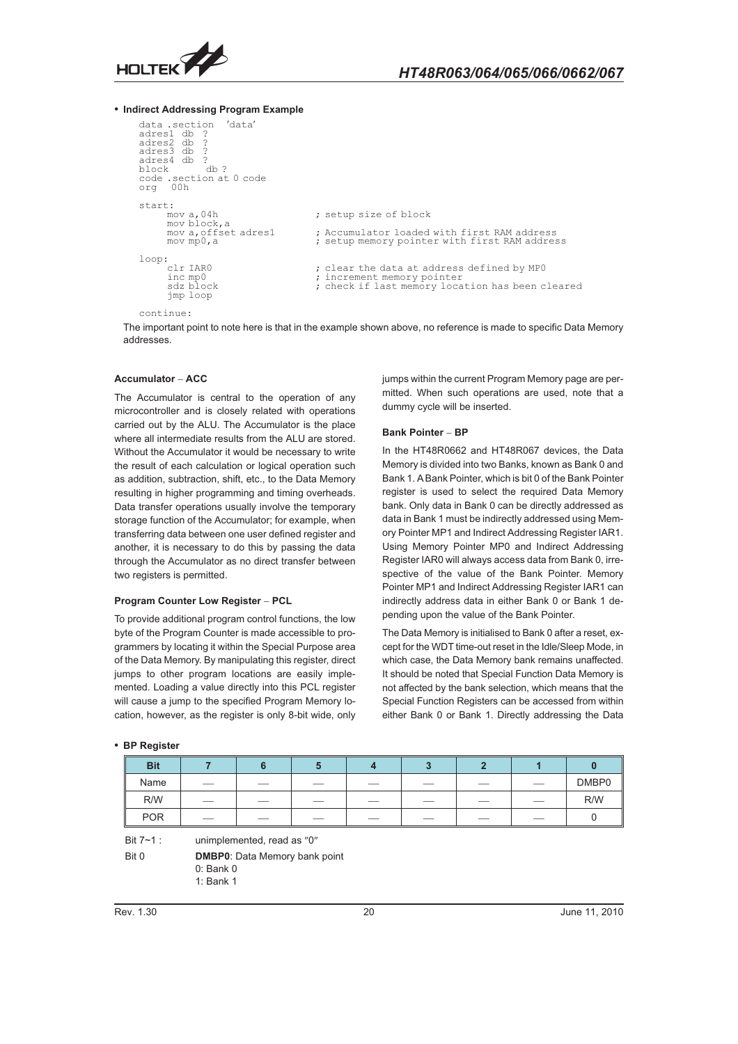

- **Indirect Addressing Program Example**

```
data.section 'data'
adres1 db<br>adres2 db
adres3 db
adres4 db ?<br>block db ?
block db ?
code .section at 0 code
org 00h
start:
                                                 ; setup size of block
       mov a,04h<br>mov block,a<br>mov a,offset adres1
       mov a, offset adres1 ; Accumulator loaded with first RAM address<br>mov mp0, a ; setup memory pointer with first RAM addres
                                                 ; setup memory pointer with first RAM address
loop:<br>clr IARO
       clr IARO ; clear the data at address defined by MPO<br>inc mpO ; increment memory pointer<br>sdz block ; check if last memory location has been c
        inc mp0 ; increment memory pointer
sdz block ; check if last memory location has been cleared
        jmp loop
continue:
```
The important point to note here is that in the example shown above, no reference is made to specific Data Memory addresses.

#### **Accumulator - ACC**

The Accumulator is central to the operation of any microcontroller and is closely related with operations carried out by the ALU. The Accumulator is the place where all intermediate results from the ALU are stored. Without the Accumulator it would be necessary to write the result of each calculation or logical operation such as addition, subtraction, shift, etc., to the Data Memory resulting in higher programming and timing overheads. Data transfer operations usually involve the temporary storage function of the Accumulator; for example, when transferring data between one user defined register and another, it is necessary to do this by passing the data through the Accumulator as no direct transfer between two registers is permitted.

#### **Program Counter Low Register - PCL**

To provide additional program control functions, the low byte of the Program Counter is made accessible to programmers by locating it within the Special Purpose area of the Data Memory. By manipulating this register, direct jumps to other program locations are easily implemented. Loading a value directly into this PCL register will cause a jump to the specified Program Memory location, however, as the register is only 8-bit wide, only jumps within the current Program Memory page are permitted. When such operations are used, note that a dummy cycle will be inserted.

#### **Bank Pointer - BP**

In the HT48R0662 and HT48R067 devices, the Data Memory is divided into two Banks, known as Bank 0 and Bank 1. A Bank Pointer, which is bit 0 of the Bank Pointer register is used to select the required Data Memory bank. Only data in Bank 0 can be directly addressed as data in Bank 1 must be indirectly addressed using Memory Pointer MP1 and Indirect Addressing Register IAR1. Using Memory Pointer MP0 and Indirect Addressing Register IAR0 will always access data from Bank 0, irrespective of the value of the Bank Pointer. Memory Pointer MP1 and Indirect Addressing Register IAR1 can indirectly address data in either Bank 0 or Bank 1 depending upon the value of the Bank Pointer.

The Data Memory is initialised to Bank 0 after a reset, except for the WDT time-out reset in the Idle/Sleep Mode, in which case, the Data Memory bank remains unaffected. It should be noted that Special Function Data Memory is not affected by the bank selection, which means that the Special Function Registers can be accessed from within either Bank 0 or Bank 1. Directly addressing the Data

| <b>Bit</b> |     |                          |    |                          |                          |     |     |       |
|------------|-----|--------------------------|----|--------------------------|--------------------------|-----|-----|-------|
| Name       | ___ | $\overline{\phantom{a}}$ | __ | $\overline{\phantom{a}}$ | $\overline{\phantom{a}}$ | ___ | __  | DMBP0 |
| R/W        |     | __                       |    | ___                      |                          | __  |     | R/W   |
| <b>POR</b> |     |                          |    |                          |                          |     | ___ |       |

- **BP Register**

Bit  $7 - 1$  : unimplemented, read as  $"0"$ 

Bit 0 **DMBP0**: Data Memory bank point 0: Bank 0 1: Bank 1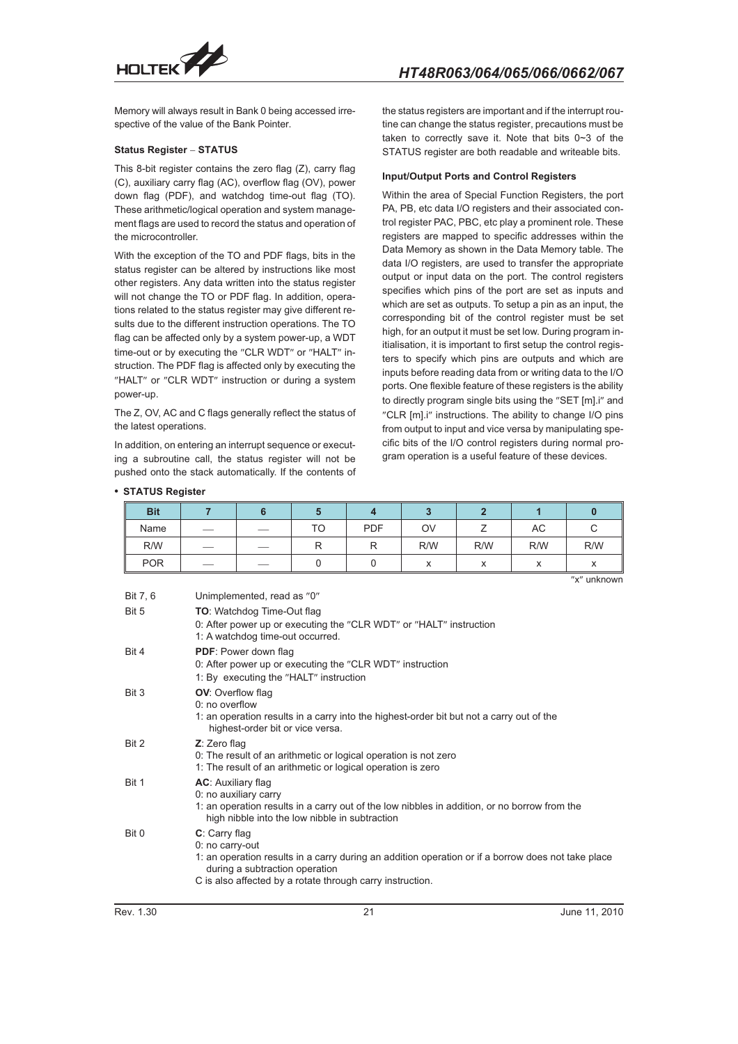

Memory will always result in Bank 0 being accessed irrespective of the value of the Bank Pointer.

#### **Status Register - STATUS**

This 8-bit register contains the zero flag (Z), carry flag (C), auxiliary carry flag (AC), overflow flag (OV), power down flag (PDF), and watchdog time-out flag (TO). These arithmetic/logical operation and system management flags are used to record the status and operation of the microcontroller.

With the exception of the TO and PDF flags, bits in the status register can be altered by instructions like most other registers. Any data written into the status register will not change the TO or PDF flag. In addition, operations related to the status register may give different results due to the different instruction operations. The TO flag can be affected only by a system power-up, a WDT time-out or by executing the "CLR WDT" or "HALT" instruction. The PDF flag is affected only by executing the "HALT" or "CLR WDT" instruction or during a system power-up.

The Z, OV, AC and C flags generally reflect the status of the latest operations.

In addition, on entering an interrupt sequence or executing a subroutine call, the status register will not be pushed onto the stack automatically. If the contents of

- **STATUS Register**

the status registers are important and if the interrupt routine can change the status register, precautions must be taken to correctly save it. Note that bits 0~3 of the STATUS register are both readable and writeable bits.

#### **Input/Output Ports and Control Registers**

Within the area of Special Function Registers, the port PA, PB, etc data I/O registers and their associated control register PAC, PBC, etc play a prominent role. These registers are mapped to specific addresses within the Data Memory as shown in the Data Memory table. The data I/O registers, are used to transfer the appropriate output or input data on the port. The control registers specifies which pins of the port are set as inputs and which are set as outputs. To setup a pin as an input, the corresponding bit of the control register must be set high, for an output it must be set low. During program initialisation, it is important to first setup the control registers to specify which pins are outputs and which are inputs before reading data from or writing data to the I/O ports. One flexible feature of these registers is the ability to directly program single bits using the "SET [m].i" and "CLR [m].i" instructions. The ability to change I/O pins from output to input and vice versa by manipulating specific bits of the I/O control registers during normal program operation is a useful feature of these devices.

| <b>Bit</b> |     |    |            |                               |           |     |     |
|------------|-----|----|------------|-------------------------------|-----------|-----|-----|
| Name       |     | TO | <b>PDF</b> | OV                            |           | AC  |     |
| R/W        |     |    |            | R/W                           | R/W       | R/W | R/W |
| <b>POR</b> | $-$ |    |            | $\overline{\phantom{a}}$<br>́ | $\lambda$ |     |     |

"x" unknown

| Rev. 1.30 | 21                                                                                                                                                                                                                                    | June 11, 2010 |
|-----------|---------------------------------------------------------------------------------------------------------------------------------------------------------------------------------------------------------------------------------------|---------------|
| Bit 0     | C: Carry flag<br>0: no carry-out<br>1: an operation results in a carry during an addition operation or if a borrow does not take place<br>during a subtraction operation<br>C is also affected by a rotate through carry instruction. |               |
| Bit 1     | AC: Auxiliary flag<br>0: no auxiliary carry<br>1: an operation results in a carry out of the low nibbles in addition, or no borrow from the<br>high nibble into the low nibble in subtraction                                         |               |
| Bit 2     | Z: Zero flag<br>0: The result of an arithmetic or logical operation is not zero<br>1: The result of an arithmetic or logical operation is zero                                                                                        |               |
| Bit 3     | <b>OV:</b> Overflow flag<br>$0:$ no overflow<br>1: an operation results in a carry into the highest-order bit but not a carry out of the<br>highest-order bit or vice versa.                                                          |               |
| Bit 4     | <b>PDF:</b> Power down flag<br>0: After power up or executing the "CLR WDT" instruction<br>1: By executing the "HALT" instruction                                                                                                     |               |
| Bit 5     | <b>TO:</b> Watchdog Time-Out flag<br>0: After power up or executing the "CLR WDT" or "HALT" instruction<br>1: A watchdog time-out occurred.                                                                                           |               |
| Bit 7, 6  | Unimplemented, read as "0"                                                                                                                                                                                                            |               |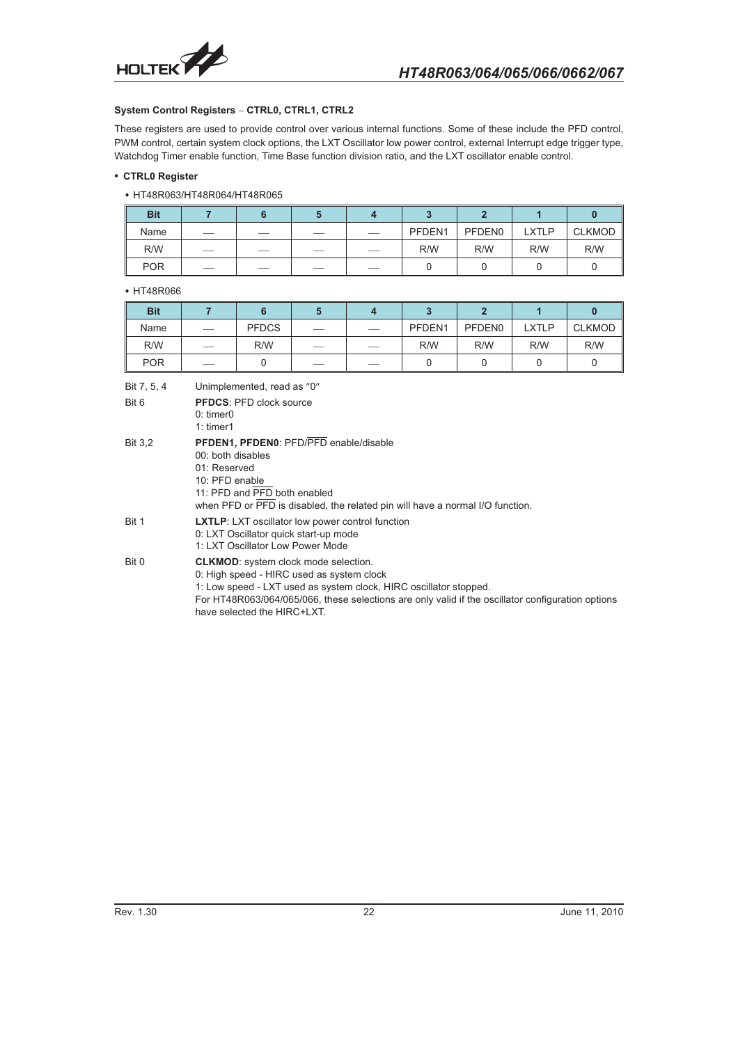

#### **System Control Registers - CTRL0, CTRL1, CTRL2**

These registers are used to provide control over various internal functions. Some of these include the PFD control, PWM control, certain system clock options, the LXT Oscillator low power control, external Interrupt edge trigger type, Watchdog Timer enable function, Time Base function division ratio, and the LXT oscillator enable control.

#### - **CTRL0 Register**

 HT48R063/HT48R064/HT48R065

| <b>Bit</b> |     |     |     |        |                    |              |               |
|------------|-----|-----|-----|--------|--------------------|--------------|---------------|
| Name       |     |     | __  | PFDEN1 | PFDEN <sub>0</sub> | <b>LXTLP</b> | <b>CLKMOD</b> |
| R/W        | ___ | ___ | ___ | R/W    | R/W                | R/W          | R/W           |
| <b>POR</b> | ___ | ___ |     |        |                    |              |               |

#### $\cdot$  HT48R066

| <b>Bit</b> |                                 |              |                                 |        |                    |              |               |
|------------|---------------------------------|--------------|---------------------------------|--------|--------------------|--------------|---------------|
| Name       | $\hspace{0.1mm}-\hspace{0.1mm}$ | <b>PFDCS</b> | $\hspace{0.1mm}-\hspace{0.1mm}$ | PFDEN1 | PFDEN <sub>0</sub> | <b>LXTLP</b> | <b>CLKMOD</b> |
| R/W        |                                 | R/W          |                                 | R/W    | R/W                | R/W          | R/W           |
| <b>POR</b> | __                              |              | $-$                             |        |                    |              |               |

Bit 7, 5, 4 Unimplemented, read as  $"0"$ Bit 6 **PFDCS**: PFD clock source 0: timer0 1: timer1 Bit 3,2 **PFDEN1, PFDEN0**: PFD/PFD enable/disable 00: both disables 01: Reserved 10: PFD enable 11: PFD and PFD both enabled when PFD or  $\overline{\text{PFD}}$  is disabled, the related pin will have a normal I/O function. Bit 1 **LXTLP**: LXT oscillator low power control function 0: LXT Oscillator quick start-up mode 1: LXT Oscillator Low Power Mode Bit 0 **CLKMOD**: system clock mode selection. 0: High speed - HIRC used as system clock 1: Low speed - LXT used as system clock, HIRC oscillator stopped. For HT48R063/064/065/066, these selections are only valid if the oscillator configuration options have selected the HIRC+LXT.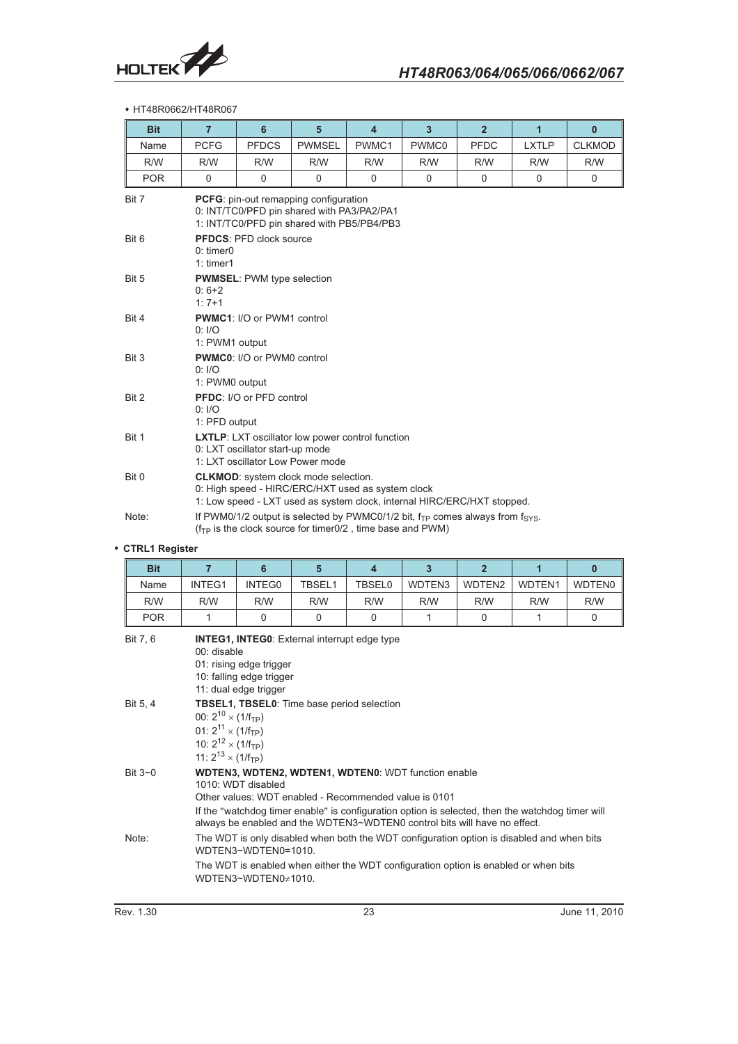

### HT48R0662/HT48R067

| <b>Bit</b> | $\overline{7}$                                                                                                                                                              | $6\phantom{1}$                    | 5             | $\overline{4}$ | $\overline{3}$ | $\overline{2}$ | $\overline{1}$ | $\mathbf{0}$  |  |  |
|------------|-----------------------------------------------------------------------------------------------------------------------------------------------------------------------------|-----------------------------------|---------------|----------------|----------------|----------------|----------------|---------------|--|--|
| Name       | <b>PCFG</b>                                                                                                                                                                 | <b>PFDCS</b>                      | <b>PWMSEL</b> | PWMC1          | PWMC0          | <b>PFDC</b>    | <b>LXTLP</b>   | <b>CLKMOD</b> |  |  |
| R/W        | R/W                                                                                                                                                                         | R/W                               | R/W           | R/W            | R/W            | R/W            | R/W            | R/W           |  |  |
| <b>POR</b> | 0                                                                                                                                                                           | $\Omega$                          | $\Omega$      | $\mathbf 0$    | $\mathbf 0$    | $\mathbf 0$    | $\mathbf 0$    | 0             |  |  |
| Bit 7      | <b>PCFG:</b> pin-out remapping configuration<br>0: INT/TC0/PFD pin shared with PA3/PA2/PA1<br>1: INT/TC0/PFD pin shared with PB5/PB4/PB3                                    |                                   |               |                |                |                |                |               |  |  |
| Bit 6      | $0:$ timer $0$<br>$1:$ timer1                                                                                                                                               | <b>PFDCS: PFD clock source</b>    |               |                |                |                |                |               |  |  |
| Bit 5      | $0:6+2$<br>$1:7+1$                                                                                                                                                          | <b>PWMSEL: PWM type selection</b> |               |                |                |                |                |               |  |  |
| Bit 4      | 0: I/O<br>1: PWM1 output                                                                                                                                                    | <b>PWMC1: I/O or PWM1 control</b> |               |                |                |                |                |               |  |  |
| Bit 3      | 0: I/O<br>1: PWM0 output                                                                                                                                                    | PWMC0: I/O or PWM0 control        |               |                |                |                |                |               |  |  |
| Bit 2      | 0: I/O<br>1: PFD output                                                                                                                                                     | <b>PFDC:</b> I/O or PFD control   |               |                |                |                |                |               |  |  |
| Bit 1      | <b>LXTLP:</b> LXT oscillator low power control function<br>0: LXT oscillator start-up mode<br>1: LXT oscillator Low Power mode                                              |                                   |               |                |                |                |                |               |  |  |
| Bit 0      | <b>CLKMOD:</b> system clock mode selection.<br>0: High speed - HIRC/ERC/HXT used as system clock<br>1: Low speed - LXT used as system clock, internal HIRC/ERC/HXT stopped. |                                   |               |                |                |                |                |               |  |  |
| Note:      | If PWM0/1/2 output is selected by PWMC0/1/2 bit, $f_{TP}$ comes always from $f_{SYS}$ .<br>$(fTP$ is the clock source for timer0/2, time base and PWM)                      |                                   |               |                |                |                |                |               |  |  |

#### - **CTRL1 Register**

| <b>Bit</b>    | 7                                                                                                                                                                                                                                                                                                                          | 6        | 5        | 4                                          | 3      | $\overline{2}$ |        | $\bf{0}$      |
|---------------|----------------------------------------------------------------------------------------------------------------------------------------------------------------------------------------------------------------------------------------------------------------------------------------------------------------------------|----------|----------|--------------------------------------------|--------|----------------|--------|---------------|
| Name          | INTEG1                                                                                                                                                                                                                                                                                                                     | INTEG0   | TBSEL1   | <b>TBSEL0</b>                              | WDTEN3 | WDTEN2         | WDTEN1 | <b>WDTEN0</b> |
| R/W           | R/W                                                                                                                                                                                                                                                                                                                        | R/W      | R/W      | R/W                                        | R/W    | R/W            | R/W    | R/W           |
| <b>POR</b>    |                                                                                                                                                                                                                                                                                                                            | $\Omega$ | $\Omega$ | 0                                          |        | 0              | 1      | 0             |
| Bit 7, 6      | <b>INTEG1, INTEG0:</b> External interrupt edge type<br>00: disable<br>01: rising edge trigger<br>10: falling edge trigger<br>11: dual edge trigger                                                                                                                                                                         |          |          |                                            |        |                |        |               |
| Bit 5, 4      | 00: $2^{10} \times (1/f_{TP})$<br>01: $2^{11} \times (1/f_{TP})$<br>10: $2^{12} \times (1/f_{TP})$<br>11: $2^{13} \times (1/f_{TP})$                                                                                                                                                                                       |          |          | TBSEL1, TBSEL0: Time base period selection |        |                |        |               |
| Bit $3\neg$ 0 | <b>WDTEN3, WDTEN2, WDTEN1, WDTEN0: WDT function enable</b><br>1010: WDT disabled<br>Other values: WDT enabled - Recommended value is 0101<br>If the "watchdog timer enable" is configuration option is selected, then the watchdog timer will<br>always be enabled and the WDTEN3~WDTEN0 control bits will have no effect. |          |          |                                            |        |                |        |               |

Note: The WDT is only disabled when both the WDT configuration option is disabled and when bits WDTEN3~WDTEN0=1010.

The WDT is enabled when either the WDT configuration option is enabled or when bits WDTEN3~WDTEN0≠1010.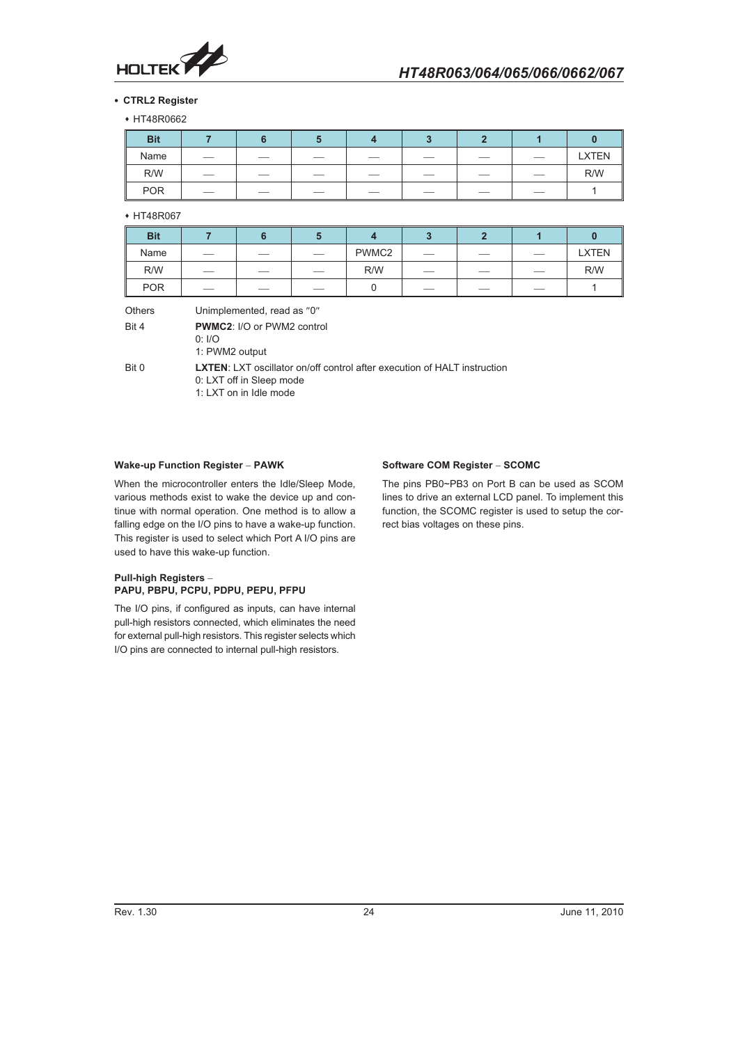

#### - **CTRL2 Register**

+ HT48R0662

| <b>Bit</b> |                                 |                          |      |                          |     |                          |                                 |              |
|------------|---------------------------------|--------------------------|------|--------------------------|-----|--------------------------|---------------------------------|--------------|
| Name       | $\hspace{0.1mm}-\hspace{0.1mm}$ | __                       | $-$  | $\overline{\phantom{a}}$ |     |                          | $\hspace{0.1mm}-\hspace{0.1mm}$ | <b>LXTEN</b> |
| R/W        |                                 | $\overline{\phantom{a}}$ | $ -$ | ___                      | ___ | __                       |                                 | R/W          |
| <b>POR</b> | $\overbrace{\hspace{25mm}}^{}$  | $\overline{\phantom{a}}$ | __   | __                       | __  | $\overline{\phantom{a}}$ | $\overline{\phantom{m}}$        |              |

• HT48R067

| <b>Bit</b> |     |      |    |       |     |                          |                                 |              |
|------------|-----|------|----|-------|-----|--------------------------|---------------------------------|--------------|
| Name       |     | $ -$ |    | PWMC2 | __  | $\overline{\phantom{a}}$ |                                 | <b>LXTEN</b> |
| R/W        |     | __   | __ | R/W   |     |                          | $\hspace{0.1mm}-\hspace{0.1mm}$ | R/W          |
| <b>POR</b> | ___ | ___  |    |       | ___ | ___                      |                                 |              |

| <b>Others</b> | Unimplemented, read as "0"                                                                                                            |
|---------------|---------------------------------------------------------------------------------------------------------------------------------------|
| Bit 4         | <b>PWMC2:</b> I/O or PWM2 control<br>0: I/O<br>1: PWM2 output                                                                         |
| Bit 0         | <b>LXTEN:</b> LXT oscillator on/off control after execution of HALT instruction<br>0: LXT off in Sleep mode<br>1: LXT on in Idle mode |

#### **Wake-up Function Register - PAWK**

When the microcontroller enters the Idle/Sleep Mode, various methods exist to wake the device up and continue with normal operation. One method is to allow a falling edge on the I/O pins to have a wake-up function. This register is used to select which Port A I/O pins are used to have this wake-up function.

### **Pull-high Registers - PAPU, PBPU, PCPU, PDPU, PEPU, PFPU**

The I/O pins, if configured as inputs, can have internal pull-high resistors connected, which eliminates the need for external pull-high resistors. This register selects which I/O pins are connected to internal pull-high resistors.

#### **Software COM Register - SCOMC**

The pins PB0~PB3 on Port B can be used as SCOM lines to drive an external LCD panel. To implement this function, the SCOMC register is used to setup the correct bias voltages on these pins.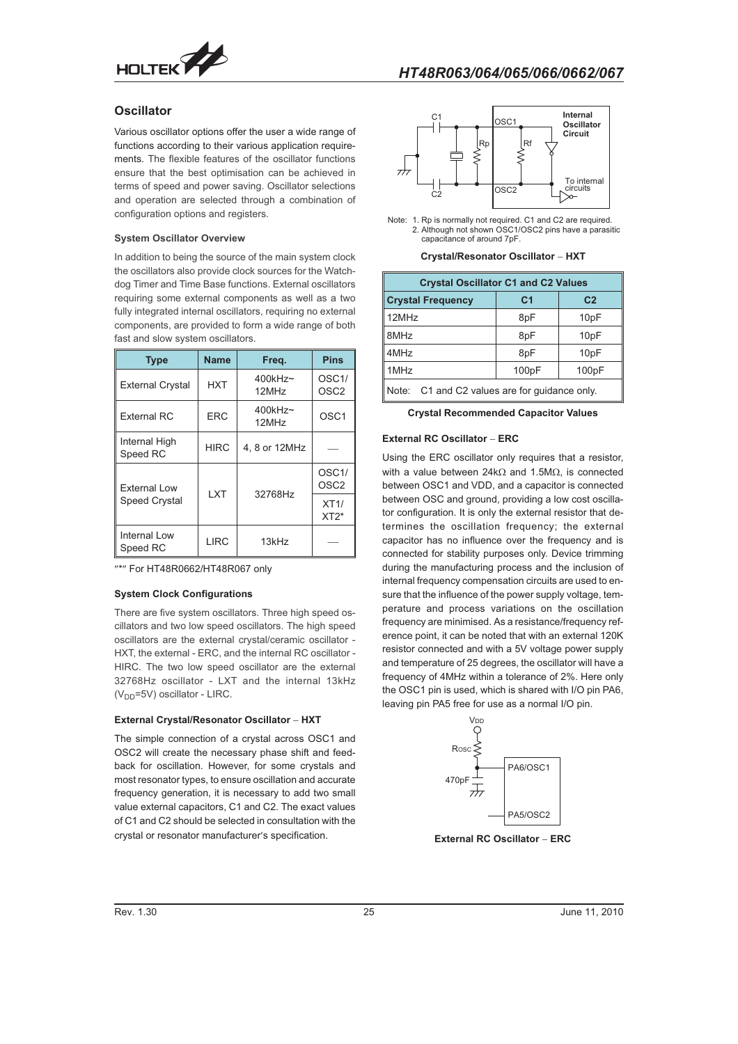

### **Oscillator**

Various oscillator options offer the user a wide range of functions according to their various application requirements. The flexible features of the oscillator functions ensure that the best optimisation can be achieved in terms of speed and power saving. Oscillator selections and operation are selected through a combination of configuration options and registers.

#### **System Oscillator Overview**

In addition to being the source of the main system clock the oscillators also provide clock sources for the Watchdog Timer and Time Base functions. External oscillators requiring some external components as well as a two fully integrated internal oscillators, requiring no external components, are provided to form a wide range of both fast and slow system oscillators.

| <b>Type</b>               | <b>Name</b> | Freg.                           | <b>Pins</b>                            |
|---------------------------|-------------|---------------------------------|----------------------------------------|
| <b>External Crystal</b>   | HXT         | $400$ kHz~<br>12MH <sub>7</sub> | OSC <sub>1</sub> /<br>OSC <sub>2</sub> |
| External RC               | <b>ERC</b>  | $400$ kHz~<br>12MHz             | OSC <sub>1</sub>                       |
| Internal High<br>Speed RC | <b>HIRC</b> | 4, 8 or 12MHz                   |                                        |
| <b>External Low</b>       | <b>LXT</b>  | 32768Hz                         | OSC <sub>1</sub> /<br>OSC <sub>2</sub> |
| <b>Speed Crystal</b>      |             |                                 | XT1/<br>$XT2*$                         |
| Internal Low<br>Speed RC  | <b>LIRC</b> | 13kHz                           |                                        |

"\*" For HT48R0662/HT48R067 only

#### **System Clock Configurations**

There are five system oscillators. Three high speed oscillators and two low speed oscillators. The high speed oscillators are the external crystal/ceramic oscillator - HXT, the external - ERC, and the internal RC oscillator - HIRC. The two low speed oscillator are the external 32768Hz oscillator - LXT and the internal 13kHz  $(V_{DD} = 5V)$  oscillator - LIRC.

#### **External Crystal/Resonator Oscillator - HXT**

The simple connection of a crystal across OSC1 and OSC2 will create the necessary phase shift and feedback for oscillation. However, for some crystals and most resonator types, to ensure oscillation and accurate frequency generation, it is necessary to add two small value external capacitors, C1 and C2. The exact values of C1 and C2 should be selected in consultation with the crystal or resonator manufacturer's specification.



Note: 1. Rp is normally not required. C1 and C2 are required 2. Although not shown OSC1/OSC2 pins have a parasiti capacitance of around 7pF.

**Crystal/Resonator Oscillator - HXT**

| <b>Crystal Oscillator C1 and C2 Values</b>    |                |                |  |  |  |  |  |
|-----------------------------------------------|----------------|----------------|--|--|--|--|--|
| <b>Crystal Frequency</b>                      | C <sub>1</sub> | C <sub>2</sub> |  |  |  |  |  |
| 12MHz                                         | 8pF            | 10pF           |  |  |  |  |  |
| 8MHz                                          | 8pF            | 10pF           |  |  |  |  |  |
| 4MHz                                          | 8pF            | 10pF           |  |  |  |  |  |
| 1MHz                                          | 100pF          | 100pF          |  |  |  |  |  |
| Note: C1 and C2 values are for guidance only. |                |                |  |  |  |  |  |

**Crystal Recommended Capacitor Values**

#### **External RC Oscillator - ERC**

Using the ERC oscillator only requires that a resistor, with a value between 24k $\Omega$  and 1.5M $\Omega$ , is connected between OSC1 and VDD, and a capacitor is connected between OSC and ground, providing a low cost oscillator configuration. It is only the external resistor that determines the oscillation frequency; the external capacitor has no influence over the frequency and is connected for stability purposes only. Device trimming during the manufacturing process and the inclusion of internal frequency compensation circuits are used to ensure that the influence of the power supply voltage, temperature and process variations on the oscillation frequency are minimised. As a resistance/frequency reference point, it can be noted that with an external 120K resistor connected and with a 5V voltage power supply and temperature of 25 degrees, the oscillator will have a frequency of 4MHz within a tolerance of 2%. Here only the OSC1 pin is used, which is shared with I/O pin PA6, leaving pin PA5 free for use as a normal I/O pin.



**External RC Oscillator - ERC**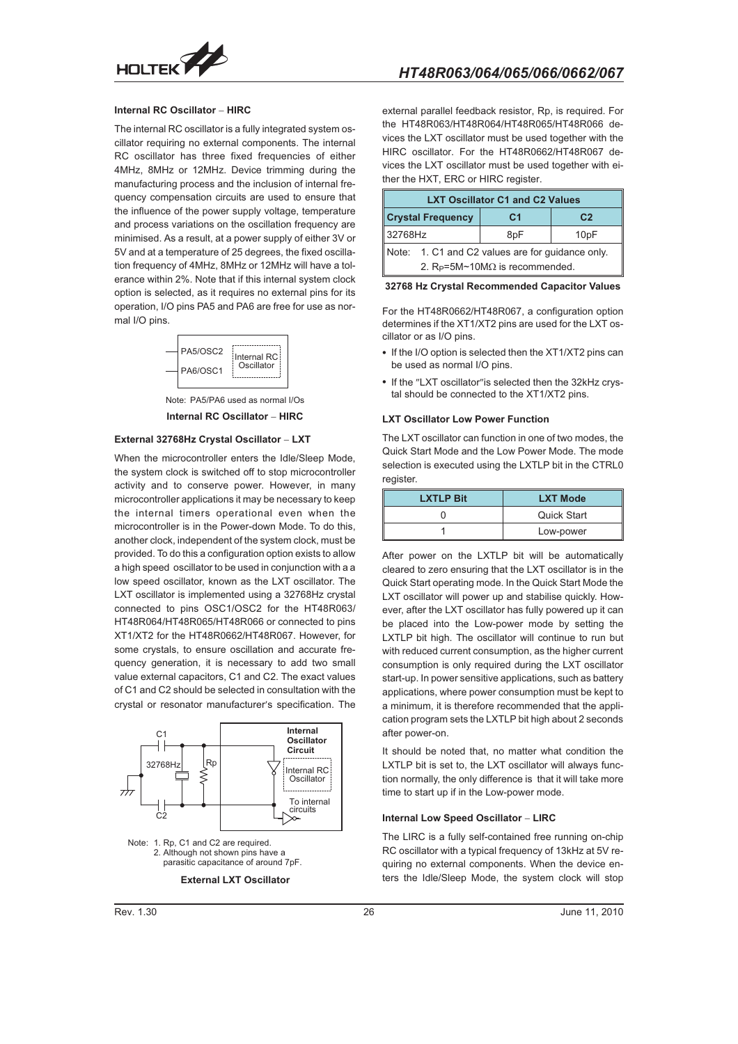

#### **Internal RC Oscillator - HIRC**

The internal RC oscillator is a fully integrated system oscillator requiring no external components. The internal RC oscillator has three fixed frequencies of either 4MHz, 8MHz or 12MHz. Device trimming during the manufacturing process and the inclusion of internal frequency compensation circuits are used to ensure that the influence of the power supply voltage, temperature and process variations on the oscillation frequency are minimised. As a result, at a power supply of either 3V or 5V and at a temperature of 25 degrees, the fixed oscillation frequency of 4MHz, 8MHz or 12MHz will have a tolerance within 2%. Note that if this internal system clock option is selected, as it requires no external pins for its operation, I/O pins PA5 and PA6 are free for use as normal I/O pins.



Note: PA5/PA6 used as normal I/Os **Internal RC Oscillator - HIRC**

#### **External 32768Hz Crystal Oscillator - LXT**

When the microcontroller enters the Idle/Sleep Mode, the system clock is switched off to stop microcontroller activity and to conserve power. However, in many microcontroller applications it may be necessary to keep the internal timers operational even when the microcontroller is in the Power-down Mode. To do this, another clock, independent of the system clock, must be provided. To do this a configuration option exists to allow a high speed oscillator to be used in conjunction with a a low speed oscillator, known as the LXT oscillator. The LXT oscillator is implemented using a 32768Hz crystal connected to pins OSC1/OSC2 for the HT48R063/ HT48R064/HT48R065/HT48R066 or connected to pins XT1/XT2 for the HT48R0662/HT48R067. However, for some crystals, to ensure oscillation and accurate frequency generation, it is necessary to add two small value external capacitors, C1 and C2. The exact values of C1 and C2 should be selected in consultation with the crystal or resonator manufacturer's specification. The



Note: 1. Rp, C1 and C2 are required 2. Although not shown pins have a parasitic capacitance of around 7pF.

external parallel feedback resistor, Rp, is required. For the HT48R063/HT48R064/HT48R065/HT48R066 devices the LXT oscillator must be used together with the HIRC oscillator. For the HT48R0662/HT48R067 devices the LXT oscillator must be used together with either the HXT, ERC or HIRC register.

| <b>LXT Oscillator C1 and C2 Values</b> |                                                  |                |                   |  |  |  |  |
|----------------------------------------|--------------------------------------------------|----------------|-------------------|--|--|--|--|
|                                        | <b>Crystal Frequency</b>                         | C <sub>1</sub> | C <sub>2</sub>    |  |  |  |  |
| 32768Hz                                |                                                  | 8pF            | 10 <sub>p</sub> F |  |  |  |  |
|                                        | Note: 1. C1 and C2 values are for guidance only. |                |                   |  |  |  |  |
|                                        | 2. $R_P = 5M \sim 10M\Omega$ is recommended.     |                |                   |  |  |  |  |

**32768 Hz Crystal Recommended Capacitor Values**

For the HT48R0662/HT48R067, a configuration option determines if the XT1/XT2 pins are used for the LXT oscillator or as I/O pins.

- If the I/O option is selected then the XT1/XT2 pins can be used as normal I/O pins.
- If the "LXT oscillator" is selected then the 32kHz crystal should be connected to the XT1/XT2 pins.

#### **LXT Oscillator Low Power Function**

The LXT oscillator can function in one of two modes, the Quick Start Mode and the Low Power Mode. The mode selection is executed using the LXTLP bit in the CTRL0 register.

| <b>LXTLP Bit</b> | <b>LXT Mode</b>    |  |  |
|------------------|--------------------|--|--|
|                  | <b>Quick Start</b> |  |  |
|                  | Low-power          |  |  |

After power on the LXTLP bit will be automatically cleared to zero ensuring that the LXT oscillator is in the Quick Start operating mode. In the Quick Start Mode the LXT oscillator will power up and stabilise quickly. However, after the LXT oscillator has fully powered up it can be placed into the Low-power mode by setting the LXTLP bit high. The oscillator will continue to run but with reduced current consumption, as the higher current consumption is only required during the LXT oscillator start-up. In power sensitive applications, such as battery applications, where power consumption must be kept to a minimum, it is therefore recommended that the application program sets the LXTLP bit high about 2 seconds after power-on.

It should be noted that, no matter what condition the LXTLP bit is set to, the LXT oscillator will always function normally, the only difference is that it will take more time to start up if in the Low-power mode.

#### **Internal Low Speed Oscillator - LIRC**

The LIRC is a fully self-contained free running on-chip RC oscillator with a typical frequency of 13kHz at 5V requiring no external components. When the device enters the Idle/Sleep Mode, the system clock will stop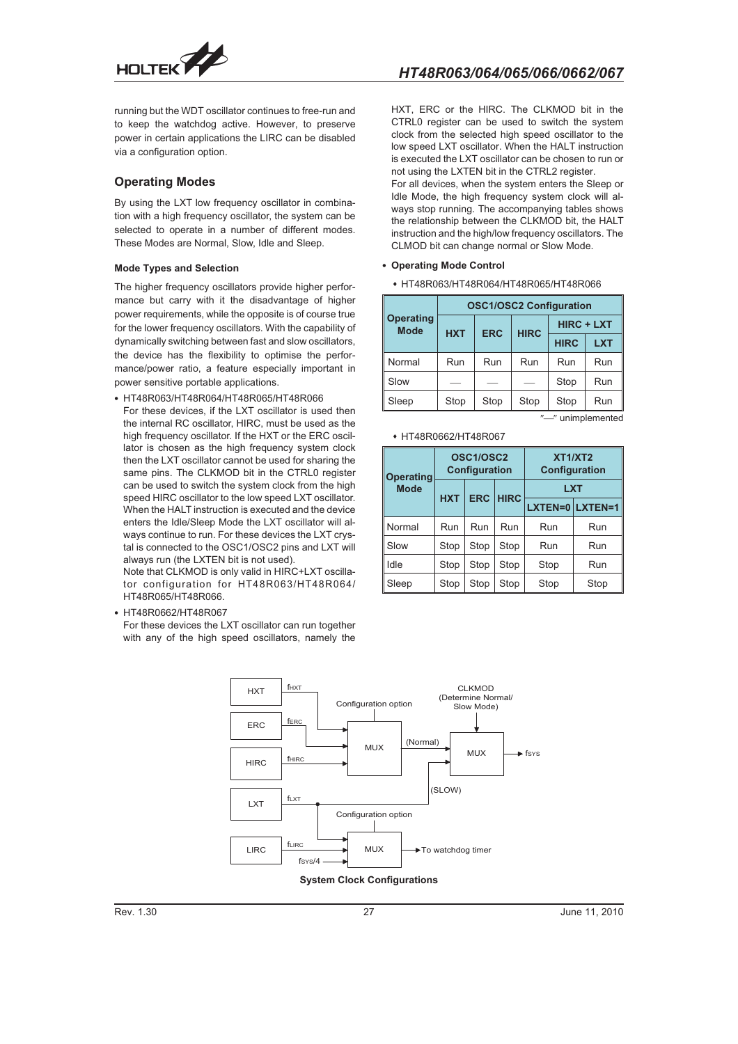

running but the WDT oscillator continues to free-run and to keep the watchdog active. However, to preserve power in certain applications the LIRC can be disabled via a configuration option.

### **Operating Modes**

By using the LXT low frequency oscillator in combination with a high frequency oscillator, the system can be selected to operate in a number of different modes. These Modes are Normal, Slow, Idle and Sleep.

#### **Mode Types and Selection**

The higher frequency oscillators provide higher performance but carry with it the disadvantage of higher power requirements, while the opposite is of course true for the lower frequency oscillators. With the capability of dynamically switching between fast and slow oscillators, the device has the flexibility to optimise the performance/power ratio, a feature especially important in power sensitive portable applications.

- HT48R063/HT48R064/HT48R065/HT48R066

For these devices, if the LXT oscillator is used then the internal RC oscillator, HIRC, must be used as the high frequency oscillator. If the HXT or the ERC oscillator is chosen as the high frequency system clock then the LXT oscillator cannot be used for sharing the same pins. The CLKMOD bit in the CTRL0 register can be used to switch the system clock from the high speed HIRC oscillator to the low speed LXT oscillator. When the HALT instruction is executed and the device enters the Idle/Sleep Mode the LXT oscillator will always continue to run. For these devices the LXT crystal is connected to the OSC1/OSC2 pins and LXT will always run (the LXTEN bit is not used).

Note that CLKMOD is only valid in HIRC+LXT oscillator configuration for HT48R063/HT48R064/ HT48R065/HT48R066.

- HT48R0662/HT48R067

For these devices the LXT oscillator can run together with any of the high speed oscillators, namely the HXT, ERC or the HIRC. The CLKMOD bit in the CTRL0 register can be used to switch the system clock from the selected high speed oscillator to the low speed LXT oscillator. When the HALT instruction is executed the LXT oscillator can be chosen to run or not using the LXTEN bit in the CTRL2 register.

For all devices, when the system enters the Sleep or Idle Mode, the high frequency system clock will always stop running. The accompanying tables shows the relationship between the CLKMOD bit, the HALT instruction and the high/low frequency oscillators. The CLMOD bit can change normal or Slow Mode.

#### - **Operating Mode Control**

 HT48R063/HT48R064/HT48R065/HT48R066

|                                 | <b>OSC1/OSC2 Configuration</b> |            |             |                   |            |  |  |  |  |  |
|---------------------------------|--------------------------------|------------|-------------|-------------------|------------|--|--|--|--|--|
| <b>Operating</b><br><b>Mode</b> | <b>HXT</b>                     | <b>ERC</b> | <b>HIRC</b> | <b>HIRC + LXT</b> |            |  |  |  |  |  |
|                                 |                                |            |             | <b>HIRC</b>       | <b>LXT</b> |  |  |  |  |  |
| Normal                          | Run                            | Run        | Run         | Run               | Run        |  |  |  |  |  |
| Slow                            |                                |            |             | Stop              | Run        |  |  |  |  |  |
| Sleep                           | Stop                           | Stop       | Stop        | Stop              | Run        |  |  |  |  |  |
|                                 | "-" unimplemented              |            |             |                   |            |  |  |  |  |  |

#### HT48R0662/HT48R067

| Operating   |            | OSC1/OSC2<br><b>Configuration</b> |             | XT1/XT2<br>Configuration |      |  |  |
|-------------|------------|-----------------------------------|-------------|--------------------------|------|--|--|
| <b>Mode</b> | <b>HXT</b> | <b>ERC</b>                        | <b>HIRC</b> | <b>LXT</b>               |      |  |  |
|             |            |                                   |             | LXTEN=0 LXTEN=1          |      |  |  |
| Normal      | Run        | Run                               | Run         | Run                      | Run  |  |  |
| Slow        | Stop       | Stop                              | Stop        | Run                      | Run  |  |  |
| Idle        | Stop       | Stop                              | Stop        | Stop                     | Run  |  |  |
| Sleep       | Stop       | Stop                              | Stop        | Stop                     | Stop |  |  |



**System Clock Configurations**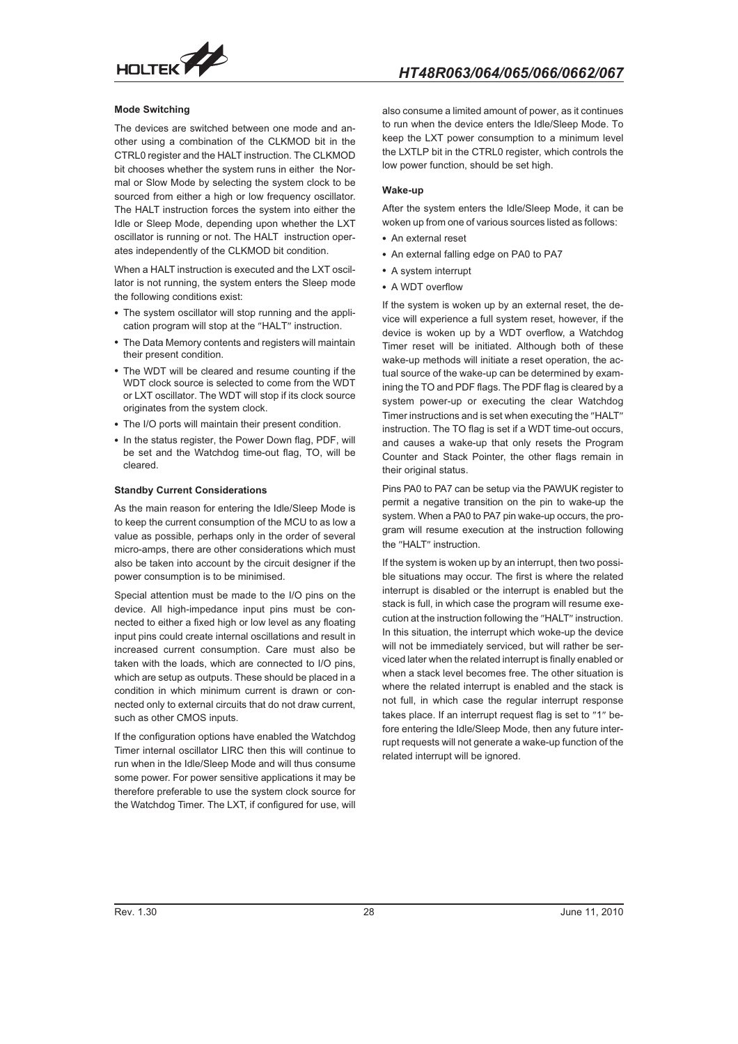

#### **Mode Switching**

The devices are switched between one mode and another using a combination of the CLKMOD bit in the CTRL0 register and the HALT instruction. The CLKMOD bit chooses whether the system runs in either the Normal or Slow Mode by selecting the system clock to be sourced from either a high or low frequency oscillator. The HALT instruction forces the system into either the Idle or Sleep Mode, depending upon whether the LXT oscillator is running or not. The HALT instruction operates independently of the CLKMOD bit condition.

When a HALT instruction is executed and the LXT oscillator is not running, the system enters the Sleep mode the following conditions exist:

- The system oscillator will stop running and the application program will stop at the "HALT" instruction.
- The Data Memory contents and registers will maintain their present condition.
- The WDT will be cleared and resume counting if the WDT clock source is selected to come from the WDT or LXT oscillator. The WDT will stop if its clock source originates from the system clock.
- The I/O ports will maintain their present condition.
- In the status register, the Power Down flag, PDF, will be set and the Watchdog time-out flag, TO, will be cleared.

#### **Standby Current Considerations**

As the main reason for entering the Idle/Sleep Mode is to keep the current consumption of the MCU to as low a value as possible, perhaps only in the order of several micro-amps, there are other considerations which must also be taken into account by the circuit designer if the power consumption is to be minimised.

Special attention must be made to the I/O pins on the device. All high-impedance input pins must be connected to either a fixed high or low level as any floating input pins could create internal oscillations and result in increased current consumption. Care must also be taken with the loads, which are connected to I/O pins, which are setup as outputs. These should be placed in a condition in which minimum current is drawn or connected only to external circuits that do not draw current, such as other CMOS inputs.

If the configuration options have enabled the Watchdog Timer internal oscillator LIRC then this will continue to run when in the Idle/Sleep Mode and will thus consume some power. For power sensitive applications it may be therefore preferable to use the system clock source for the Watchdog Timer. The LXT, if configured for use, will

also consume a limited amount of power, as it continues to run when the device enters the Idle/Sleep Mode. To keep the LXT power consumption to a minimum level the LXTLP bit in the CTRL0 register, which controls the low power function, should be set high.

#### **Wake-up**

After the system enters the Idle/Sleep Mode, it can be woken up from one of various sources listed as follows:

- An external reset
- An external falling edge on PA0 to PA7
- A system interrupt
- A WDT overflow

If the system is woken up by an external reset, the device will experience a full system reset, however, if the device is woken up by a WDT overflow, a Watchdog Timer reset will be initiated. Although both of these wake-up methods will initiate a reset operation, the actual source of the wake-up can be determined by examining the TO and PDF flags. The PDF flag is cleared by a system power-up or executing the clear Watchdog Timer instructions and is set when executing the "HALT" instruction. The TO flag is set if a WDT time-out occurs, and causes a wake-up that only resets the Program Counter and Stack Pointer, the other flags remain in their original status.

Pins PA0 to PA7 can be setup via the PAWUK register to permit a negative transition on the pin to wake-up the system. When a PA0 to PA7 pin wake-up occurs, the program will resume execution at the instruction following the "HALT" instruction.

If the system is woken up by an interrupt, then two possible situations may occur. The first is where the related interrupt is disabled or the interrupt is enabled but the stack is full, in which case the program will resume execution at the instruction following the "HALT" instruction. In this situation, the interrupt which woke-up the device will not be immediately serviced, but will rather be serviced later when the related interrupt is finally enabled or when a stack level becomes free. The other situation is where the related interrupt is enabled and the stack is not full, in which case the regular interrupt response takes place. If an interrupt request flag is set to "1" before entering the Idle/Sleep Mode, then any future interrupt requests will not generate a wake-up function of the related interrupt will be ignored.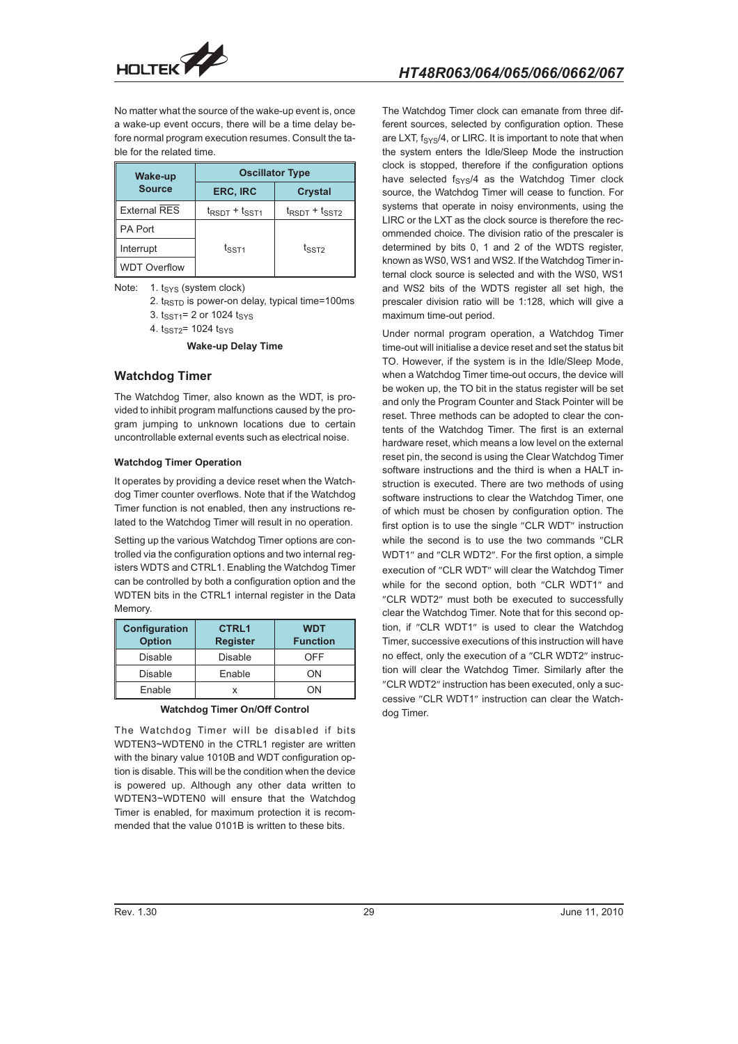

No matter what the source of the wake-up event is, once a wake-up event occurs, there will be a time delay before normal program execution resumes. Consult the table for the related time.

| <b>Wake-up</b>      | <b>Oscillator Type</b>              |                                     |  |  |  |  |
|---------------------|-------------------------------------|-------------------------------------|--|--|--|--|
| <b>Source</b>       | ERC, IRC                            | <b>Crystal</b>                      |  |  |  |  |
| <b>External RES</b> | $t_{\text{RSDT}} + t_{\text{SST1}}$ | $t_{\text{RSDT}} + t_{\text{SST2}}$ |  |  |  |  |
| PA Port             |                                     |                                     |  |  |  |  |
| Interrupt           | $t_{\text{SST1}}$                   | $t_{\text{SST2}}$                   |  |  |  |  |
| <b>WDT Overflow</b> |                                     |                                     |  |  |  |  |

Note: 1. t<sub>SYS</sub> (system clock)

- 2.  $t_{RSTD}$  is power-on delay, typical time=100ms
- 3.  $t_{SST1} = 2$  or 1024  $t_{SYS}$
- 4. tssT2= 1024 tsys

**Wake-up Delay Time**

#### **Watchdog Timer**

The Watchdog Timer, also known as the WDT, is provided to inhibit program malfunctions caused by the program jumping to unknown locations due to certain uncontrollable external events such as electrical noise.

#### **Watchdog Timer Operation**

It operates by providing a device reset when the Watchdog Timer counter overflows. Note that if the Watchdog Timer function is not enabled, then any instructions related to the Watchdog Timer will result in no operation.

Setting up the various Watchdog Timer options are controlled via the configuration options and two internal registers WDTS and CTRL1. Enabling the Watchdog Timer can be controlled by both a configuration option and the WDTEN bits in the CTRL1 internal register in the Data Memory.

| Configuration<br><b>Option</b> | <b>CTRL1</b><br><b>Register</b> | <b>WDT</b><br><b>Function</b> |
|--------------------------------|---------------------------------|-------------------------------|
| <b>Disable</b>                 | <b>Disable</b>                  | OFF                           |
| Disable                        | Enable                          | OΝ                            |
| Enable                         |                                 | ΩN                            |

**Watchdog Timer On/Off Control**

The Watchdog Timer will be disabled if bits WDTEN3~WDTEN0 in the CTRL1 register are written with the binary value 1010B and WDT configuration option is disable. This will be the condition when the device is powered up. Although any other data written to WDTEN3~WDTEN0 will ensure that the Watchdog Timer is enabled, for maximum protection it is recommended that the value 0101B is written to these bits.

The Watchdog Timer clock can emanate from three different sources, selected by configuration option. These are LXT,  $f_{\text{SYS}}/4$ , or LIRC. It is important to note that when the system enters the Idle/Sleep Mode the instruction clock is stopped, therefore if the configuration options have selected  $f_{\text{SYS}}/4$  as the Watchdog Timer clock source, the Watchdog Timer will cease to function. For systems that operate in noisy environments, using the LIRC or the LXT as the clock source is therefore the recommended choice. The division ratio of the prescaler is determined by bits 0, 1 and 2 of the WDTS register, known as WS0, WS1 and WS2. If the Watchdog Timer internal clock source is selected and with the WS0, WS1 and WS2 bits of the WDTS register all set high, the prescaler division ratio will be 1:128, which will give a maximum time-out period.

Under normal program operation, a Watchdog Timer time-out will initialise a device reset and set the status bit TO. However, if the system is in the Idle/Sleep Mode, when a Watchdog Timer time-out occurs, the device will be woken up, the TO bit in the status register will be set and only the Program Counter and Stack Pointer will be reset. Three methods can be adopted to clear the contents of the Watchdog Timer. The first is an external hardware reset, which means a low level on the external reset pin, the second is using the Clear Watchdog Timer software instructions and the third is when a HALT instruction is executed. There are two methods of using software instructions to clear the Watchdog Timer, one of which must be chosen by configuration option. The first option is to use the single "CLR WDT" instruction while the second is to use the two commands "CLR WDT1" and "CLR WDT2". For the first option, a simple execution of "CLR WDT" will clear the Watchdog Timer while for the second option, both "CLR WDT1" and "CLR WDT2" must both be executed to successfully clear the Watchdog Timer. Note that for this second option, if "CLR WDT1" is used to clear the Watchdog Timer, successive executions of this instruction will have no effect, only the execution of a "CLR WDT2" instruction will clear the Watchdog Timer. Similarly after the "CLR WDT2" instruction has been executed, only a successive "CLR WDT1" instruction can clear the Watchdog Timer.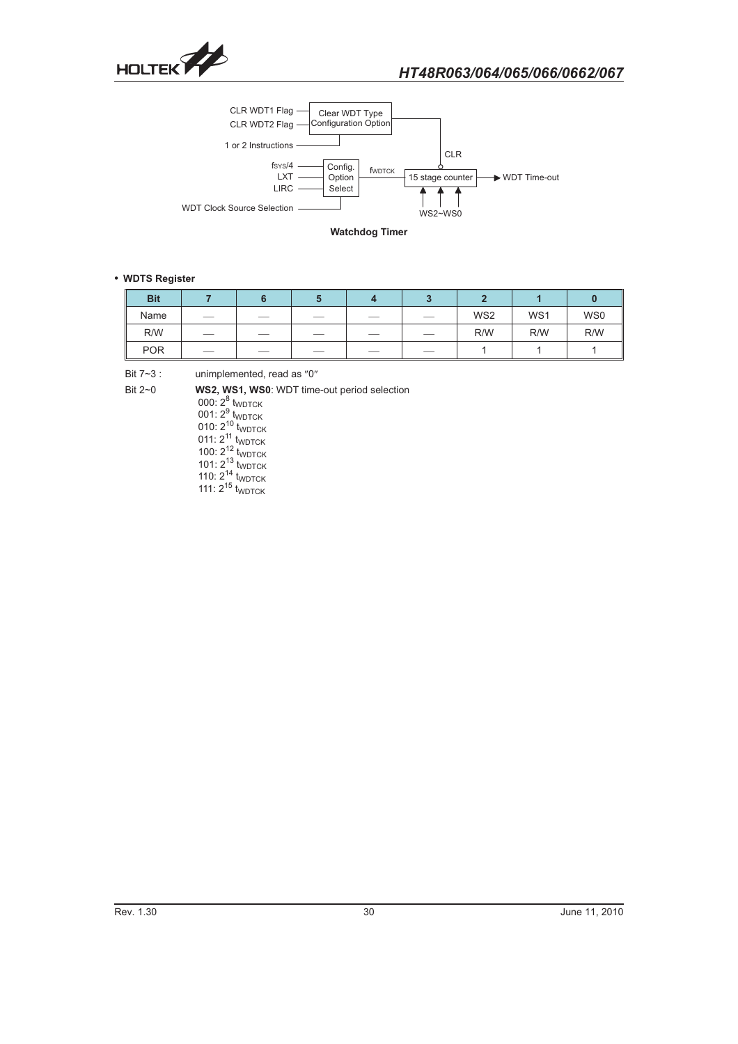



**Watchdog Timer**

#### - **WDTS Register**

| <b>Bit</b> |                          |    |     |                 |     |     |
|------------|--------------------------|----|-----|-----------------|-----|-----|
| Name       | $\overline{\phantom{a}}$ |    | $-$ | WS <sub>2</sub> | WS1 | WS0 |
| R/W        | $\overline{\phantom{a}}$ |    |     | R/W             | R/W | R/W |
| <b>POR</b> | $\overline{\phantom{a}}$ | __ | __  |                 |     |     |

Bit  $7 - 3$  : unimplemented, read as "0"

Bit 2~0 **WS2, WS1, WS0**: WDT time-out period selection

000:  $2^8$  t<sub>WDTCK</sub> 001:  $2^9$  t<sub>wdTCK</sub> 010:  $2^{10}_{11}$  t<sub>WDTCK</sub> 011:  $2^{11}$  t<sub>WDTCK</sub> 100:  $2^{12}_{12}$  t<sub>WDTCK</sub> 101:  $2^{13}$  t<sub>WDTCK</sub> 110:  $2^{14}_{1}$  t<sub>WDTCK</sub> 111:  $2^{15}$  t<sub>WDTCK</sub>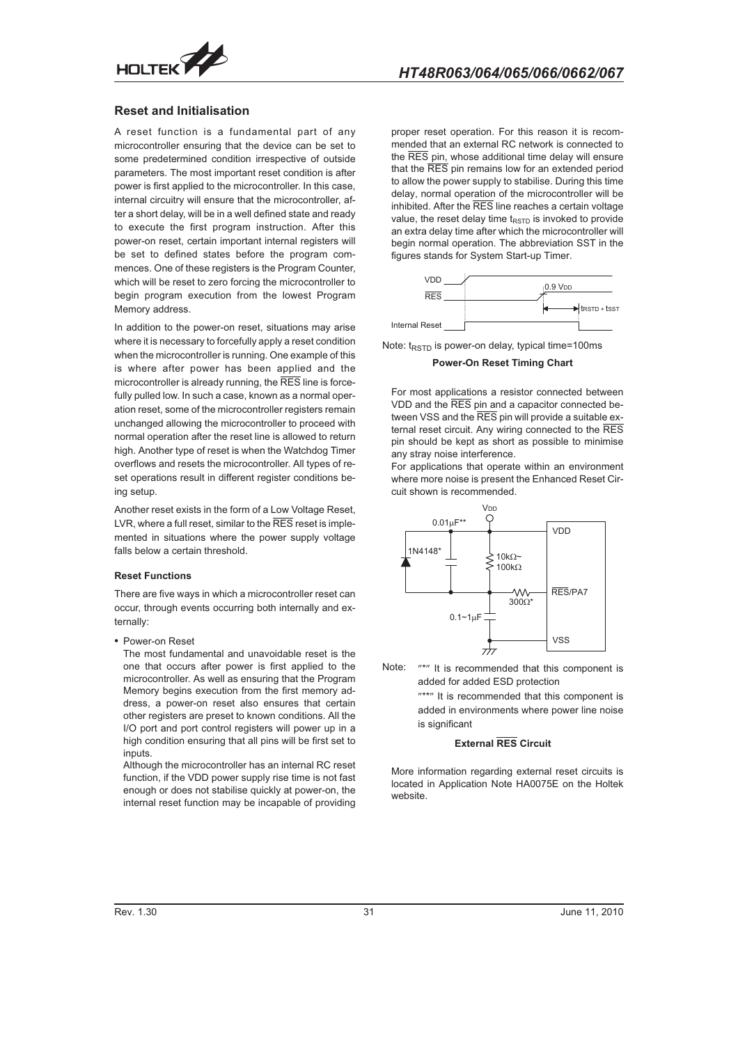

#### **Reset and Initialisation**

A reset function is a fundamental part of any microcontroller ensuring that the device can be set to some predetermined condition irrespective of outside parameters. The most important reset condition is after power is first applied to the microcontroller. In this case, internal circuitry will ensure that the microcontroller, after a short delay, will be in a well defined state and ready to execute the first program instruction. After this power-on reset, certain important internal registers will be set to defined states before the program commences. One of these registers is the Program Counter. which will be reset to zero forcing the microcontroller to begin program execution from the lowest Program Memory address.

In addition to the power-on reset, situations may arise where it is necessary to forcefully apply a reset condition when the microcontroller is running. One example of this is where after power has been applied and the microcontroller is already running, the RES line is forcefully pulled low. In such a case, known as a normal operation reset, some of the microcontroller registers remain unchanged allowing the microcontroller to proceed with normal operation after the reset line is allowed to return high. Another type of reset is when the Watchdog Timer overflows and resets the microcontroller. All types of reset operations result in different register conditions being setup.

Another reset exists in the form of a Low Voltage Reset, LVR, where a full reset, similar to the  $\overline{\text{RES}}$  reset is implemented in situations where the power supply voltage falls below a certain threshold.

#### **Reset Functions**

There are five ways in which a microcontroller reset can occur, through events occurring both internally and externally:

• Power-on Reset

The most fundamental and unavoidable reset is the one that occurs after power is first applied to the microcontroller. As well as ensuring that the Program Memory begins execution from the first memory address, a power-on reset also ensures that certain other registers are preset to known conditions. All the I/O port and port control registers will power up in a high condition ensuring that all pins will be first set to inputs.

Although the microcontroller has an internal RC reset function, if the VDD power supply rise time is not fast enough or does not stabilise quickly at power-on, the internal reset function may be incapable of providing

proper reset operation. For this reason it is recommended that an external RC network is connected to the RES pin, whose additional time delay will ensure that the RES pin remains low for an extended period to allow the power supply to stabilise. During this time delay, normal operation of the microcontroller will be inhibited. After the RES line reaches a certain voltage value, the reset delay time  $t_{RSTD}$  is invoked to provide an extra delay time after which the microcontroller will begin normal operation. The abbreviation SST in the figures stands for System Start-up Timer.



Note:  $t_{RSTD}$  is power-on delay, typical time=100ms

**Power-On Reset Timing Chart**

For most applications a resistor connected between VDD and the RES pin and a capacitor connected between VSS and the RES pin will provide a suitable external reset circuit. Any wiring connected to the RES pin should be kept as short as possible to minimise any stray noise interference.

For applications that operate within an environment where more noise is present the Enhanced Reset Circuit shown is recommended.



Note: "\*" It is recommended that this component is added for added ESD protection

"\*\*" It is recommended that this component is added in environments where power line noise is significant

#### **External RES Circuit**

More information regarding external reset circuits is located in Application Note HA0075E on the Holtek website.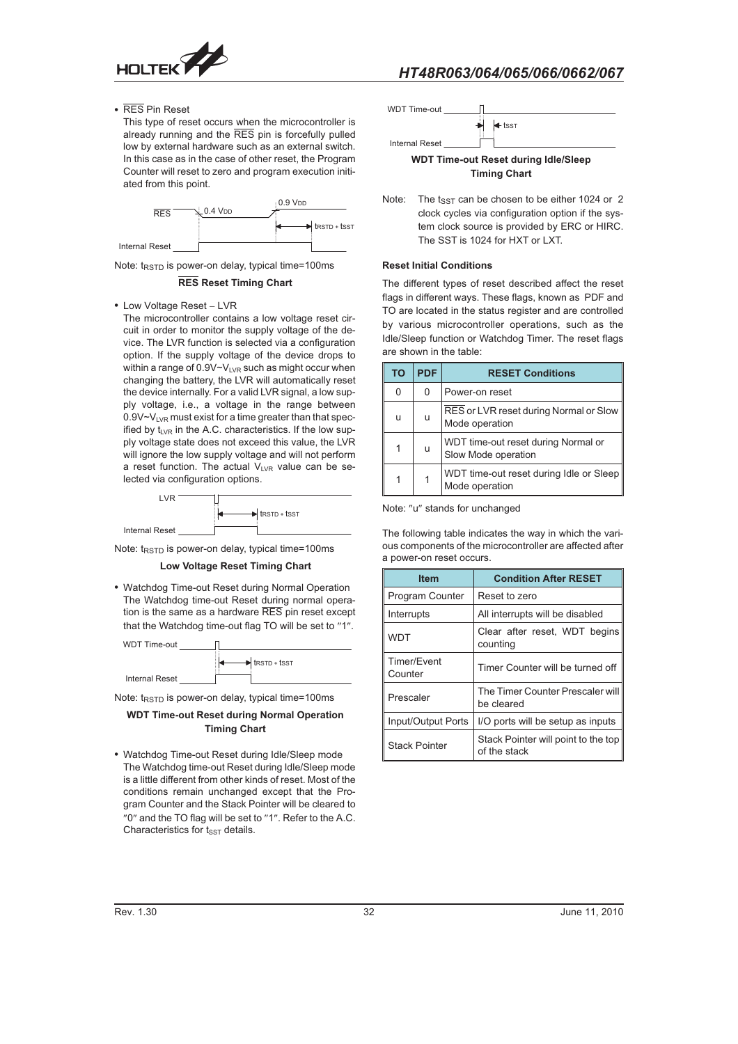

- RES Pin Reset

This type of reset occurs when the microcontroller is already running and the RES pin is forcefully pulled low by external hardware such as an external switch. In this case as in the case of other reset, the Program Counter will reset to zero and program execution initiated from this point.



Note:  $t_{\text{RSTD}}$  is power-on delay, typical time=100ms

#### **RES Reset Timing Chart**

• Low Voltage Reset - LVR

The microcontroller contains a low voltage reset circuit in order to monitor the supply voltage of the device. The LVR function is selected via a configuration option. If the supply voltage of the device drops to within a range of  $0.9V \sim V_{LVR}$  such as might occur when changing the battery, the LVR will automatically reset the device internally. For a valid LVR signal, a low supply voltage, i.e., a voltage in the range between  $0.9V-V<sub>LVR</sub>$  must exist for a time greater than that specified by  $t_{LVR}$  in the A.C. characteristics. If the low supply voltage state does not exceed this value, the LVR will ignore the low supply voltage and will not perform a reset function. The actual  $V_{LVR}$  value can be selected via configuration options.



Note:  $t_{RSTD}$  is power-on delay, typical time=100ms



• Watchdog Time-out Reset during Normal Operation The Watchdog time-out Reset during normal operation is the same as a hardware  $\overline{\text{RES}}$  pin reset except that the Watchdog time-out flag TO will be set to "1".



Note:  $t_{RSTD}$  is power-on delay, typical time=100ms

### **WDT Time-out Reset during Normal Operation Timing Chart**

- Watchdog Time-out Reset during Idle/Sleep mode The Watchdog time-out Reset during Idle/Sleep mode is a little different from other kinds of reset. Most of the conditions remain unchanged except that the Program Counter and the Stack Pointer will be cleared to "0" and the TO flag will be set to "1". Refer to the A.C. Characteristics for  $t_{SST}$  details.



Note: The  $t_{SST}$  can be chosen to be either 1024 or 2 clock cycles via configuration option if the system clock source is provided by ERC or HIRC. The SST is 1024 for HXT or LXT.

#### **Reset Initial Conditions**

The different types of reset described affect the reset flags in different ways. These flags, known as PDF and TO are located in the status register and are controlled by various microcontroller operations, such as the Idle/Sleep function or Watchdog Timer. The reset flags are shown in the table:

| ΤO | <b>PDF</b> | <b>RESET Conditions</b>                                    |
|----|------------|------------------------------------------------------------|
| 0  | 0          | Power-on reset                                             |
| u  | u          | RES or LVR reset during Normal or Slow<br>Mode operation   |
| 1  | u          | WDT time-out reset during Normal or<br>Slow Mode operation |
| 1  |            | WDT time-out reset during Idle or Sleep<br>Mode operation  |

Note: "u" stands for unchanged

The following table indicates the way in which the various components of the microcontroller are affected after a power-on reset occurs.

| <b>Item</b>            | <b>Condition After RESET</b>                        |  |  |  |  |  |
|------------------------|-----------------------------------------------------|--|--|--|--|--|
| <b>Program Counter</b> | Reset to zero                                       |  |  |  |  |  |
| Interrupts             | All interrupts will be disabled                     |  |  |  |  |  |
| <b>WDT</b>             | Clear after reset, WDT begins<br>counting           |  |  |  |  |  |
| Timer/Event<br>Counter | Timer Counter will be turned off                    |  |  |  |  |  |
| Prescaler              | The Timer Counter Prescaler will<br>be cleared      |  |  |  |  |  |
| Input/Output Ports     | I/O ports will be setup as inputs                   |  |  |  |  |  |
| <b>Stack Pointer</b>   | Stack Pointer will point to the top<br>of the stack |  |  |  |  |  |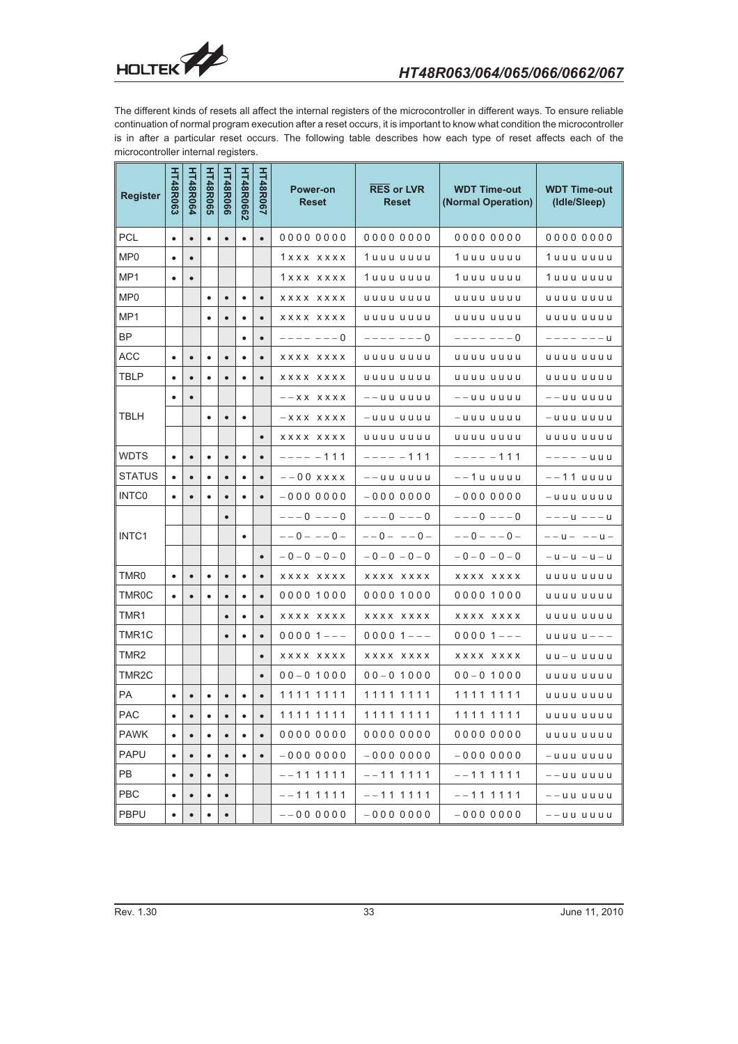

The different kinds of resets all affect the internal registers of the microcontroller in different ways. To ensure reliable continuation of normal program execution after a reset occurs, it is important to know what condition the microcontroller is in after a particular reset occurs. The following table describes how each type of reset affects each of the microcontroller internal registers.

| <b>Register</b>  | HT48R063  | <b>HT48R064</b> | <b>HT48R065</b> | <b>HT48R066</b> | <b>HT48R0662</b> | <b>HT48R067</b> | <b>Power-on</b><br><b>Reset</b> | <b>RES or LVR</b><br><b>Reset</b> | <b>WDT Time-out</b><br>(Normal Operation) | <b>WDT Time-out</b><br>(Idle/Sleep) |
|------------------|-----------|-----------------|-----------------|-----------------|------------------|-----------------|---------------------------------|-----------------------------------|-------------------------------------------|-------------------------------------|
| PCL              |           | $\bullet$       |                 | $\bullet$       | $\bullet$        | $\bullet$       | 00000000                        | 00000000                          | 00000000                                  | 00000000                            |
| MP <sub>0</sub>  |           | $\bullet$       |                 |                 |                  |                 | 1xxx xxxx                       | 1 uuu uuuu                        | 1 uuu uuuu                                | 1 uuu uuuu                          |
| MP1              | ٠         | $\bullet$       |                 |                 |                  |                 | 1xxx xxxx                       | 1 u u u u u u u                   | 1 uuu uuuu                                | 1 u u u u u u u                     |
| MP0              |           |                 |                 | $\bullet$       | ٠                | $\bullet$       | <b>XXXX XXXX</b>                | uuuu uuuu                         | uuuu uuuu                                 | uuuu uuuu                           |
| MP1              |           |                 |                 | $\bullet$       | ٠                | $\bullet$       | XXXX XXXX                       | uuuu uuuu                         | uuuu uuuu                                 | uuuu uuuu                           |
| ΒP               |           |                 |                 |                 | $\bullet$        | $\bullet$       | $--- - - - - 0$                 | $--- - - - - 0$                   | $--- - - - - 0$                           | $--- - - - -$                       |
| ACC              | ٠         | $\bullet$       | ٠               | $\bullet$       | ٠                | $\bullet$       | XXXX XXXX                       | uuuu uuuu                         | uuuu uuuu                                 | uuuu uuuu                           |
| TBLP             |           | $\bullet$       | ٠               | $\bullet$       | ٠                | $\bullet$       | xxxx xxxx                       | uuuu uuuu                         | uuuu uuuu                                 | uuuu uuuu                           |
|                  | ٠         | $\bullet$       |                 |                 |                  |                 | $--$ X X X X X X                | $--$ uu uuuu                      | $--$ uu uuuu                              | $--$ uu uuuu                        |
| TBLH             |           |                 |                 | $\bullet$       | ٠                |                 | $-$ X X X X X X X               | $-$ uuu uuuu                      | $-$ uuu uuuu                              | $-$ uuu uuuu                        |
|                  |           |                 |                 |                 |                  | $\bullet$       | XXXX XXXX                       | uuuu uuuu                         | uuuu uuuu                                 | uuuu uuuu                           |
| <b>WDTS</b>      | $\bullet$ | $\bullet$       | $\bullet$       | $\bullet$       | $\bullet$        | $\bullet$       | $--- 111$                       | $--- - 111$                       | $--- - 111$                               | $--     u$ $u$ $u$                  |
| STATUS           | ٠         | $\bullet$       | ٠               | $\bullet$       | ٠                | $\bullet$       | $--00$ x x x x                  | $--$ uu uuuu                      | --1u uuuu                                 | --11 uuuu                           |
| <b>INTCO</b>     | ٠         | $\bullet$       |                 | $\bullet$       | ٠                | $\bullet$       | $-0000000$                      | $-0000000$                        | $-0000000$                                | $-$ uuu uuuu                        |
|                  |           |                 |                 | $\bullet$       |                  |                 | $---0$ $---0$                   | $---0$ $---0$                     | $---0$ $---0$                             | $---U$ --- U                        |
| INTC1            |           |                 |                 |                 | $\bullet$        |                 | $--0---0$ -                     | $--0--0--$                        | $--0---0$ -                               | $--u--u--u-$                        |
|                  |           |                 |                 |                 |                  | $\bullet$       | $-0 - 0 - 0 - 0$                | $-0 - 0 - 0 - 0$                  | $-0 - 0 - 0 - 0$                          | $-$ u $-$ u $-$ u $-$ u             |
| TMR0             | ٠         | $\bullet$       | ٠               | $\bullet$       | $\bullet$        | $\bullet$       | XXXX XXXX                       | XXXX XXXX                         | XXXX XXXX                                 | uuuu uuuu                           |
| TMR0C            | $\bullet$ | $\bullet$       |                 | $\bullet$       | ٠                | $\bullet$       | 00001000                        | 00001000                          | 00001000                                  | uuuu uuuu                           |
| TMR1             |           |                 |                 | ٠               | ٠                | $\bullet$       | xxxx xxxx                       | xxxx xxxx                         | XXXX XXXX                                 | uuuu uuuu                           |
| TMR1C            |           |                 |                 | $\bullet$       | $\bullet$        | $\bullet$       | $00001--$                       | $00001--$                         | $00001--$                                 | $u$ uuu u $-$                       |
| TMR <sub>2</sub> |           |                 |                 |                 |                  | $\bullet$       | <b>XXXX XXXX</b>                | XXXX XXXX                         | XXXX XXXX                                 | $u u - u u u u$                     |
| TMR2C            |           |                 |                 |                 |                  | $\bullet$       | $00 - 01000$                    | $00 - 01000$                      | $00 - 01000$                              | uuuu uuuu                           |
| РA               |           | $\bullet$       |                 | $\bullet$       | $\bullet$        | $\bullet$       | 11111111                        | 11111111                          | 1111 1111                                 | uuuu uuuu                           |
| PAC              | ٠         | $\bullet$       | $\bullet$       | $\bullet$       | ٠                | $\bullet$       | 1111 1111                       | 1111 1111                         | 11111111                                  | uuuu uuuu                           |
| <b>PAWK</b>      | ٠         | $\bullet$       |                 | $\bullet$       | ٠                | $\bullet$       | 00000000                        | 00000000                          | 00000000                                  | uuuu uuuu                           |
| PAPU             | $\bullet$ | $\bullet$       | ٠               | $\bullet$       | ٠                | $\bullet$       | $-0000000$                      | $-0000000$                        | $-0000000$                                | $-$ uuu uuuu                        |
| РB               | ٠         | $\bullet$       | ٠               | $\bullet$       |                  |                 | --11 1111                       | $--1111111$                       | $--1111111$                               | $--$ uu uuuu                        |
| PBC              |           |                 |                 |                 |                  |                 | $--1111111$                     | $- - 1111111$                     | --11 1111                                 | $-$ -uu uuuu                        |
| <b>PBPU</b>      | $\bullet$ |                 |                 |                 |                  |                 | $--0000000$                     | $-0000000$                        | $-0000000$                                | $--$ uuuuu                          |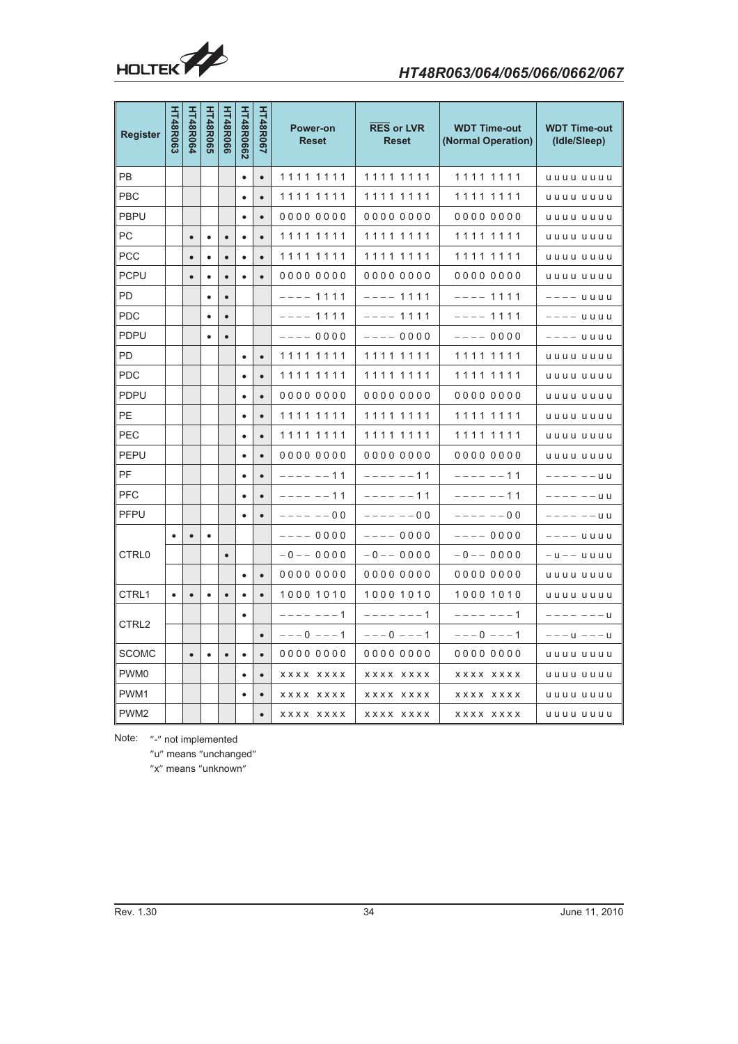

| <b>Register</b>   | <b>HT48R063</b>                                                     | <b>HT48R064</b> | <b>HT48R065</b> | <b>HT48R066</b> | <b>HT48R0662</b> | <b>HT48R067</b> | <b>Power-on</b><br><b>Reset</b> | <b>RES or LVR</b><br><b>Reset</b> | <b>WDT Time-out</b><br>(Normal Operation) | <b>WDT Time-out</b><br>(Idle/Sleep) |
|-------------------|---------------------------------------------------------------------|-----------------|-----------------|-----------------|------------------|-----------------|---------------------------------|-----------------------------------|-------------------------------------------|-------------------------------------|
| PB                |                                                                     |                 |                 |                 | $\bullet$        | $\bullet$       | 11111111                        | 11111111                          | 11111111                                  | uuuu uuuu                           |
| PBC               |                                                                     |                 |                 |                 |                  | $\bullet$       | 11111111                        | 1111 1111                         | 1111 1111                                 | uuuu uuuu                           |
| PBPU              |                                                                     |                 |                 |                 | $\bullet$        | $\bullet$       | 00000000                        | 00000000                          | 00000000                                  | uuuu uuuu                           |
| РC                |                                                                     | $\bullet$       |                 | $\bullet$       | ٠                | $\bullet$       | 11111111                        | 11111111                          | 1111 1111                                 | uuuu uuuu                           |
| PCC               |                                                                     |                 |                 |                 | ٠                | $\bullet$       | 11111111                        | 11111111                          | 1111 1111                                 | uuuu uuuu                           |
| PCPU              |                                                                     | $\bullet$       |                 | $\bullet$       | $\bullet$        | $\bullet$       | 00000000                        | 00000000                          | 00000000                                  | uuuu uuuu                           |
| PD                |                                                                     |                 |                 | $\bullet$       |                  |                 | $--- 1111$                      | $--- 1111$                        | $--- 1111$                                | $---$ uuuu                          |
| <b>PDC</b>        |                                                                     |                 |                 | $\bullet$       |                  |                 | $--- 1111$                      | $--- 1111$                        | $--- 1111$                                | $---$ uuuu                          |
| PDPU              |                                                                     |                 |                 | $\bullet$       |                  |                 | $--- 0000$                      | $--- 0000$                        | $--- 0000$                                | –––– uuuu                           |
| PD                |                                                                     |                 |                 |                 | $\bullet$        | $\bullet$       | 11111111                        | 11111111                          | 1111 1111                                 | uuuu uuuu                           |
| <b>PDC</b>        |                                                                     |                 |                 |                 |                  | $\bullet$       | 11111111                        | 11111111                          | 11111111                                  | uuuu uuuu                           |
| <b>PDPU</b>       |                                                                     |                 |                 |                 | $\bullet$        | $\bullet$       | 00000000                        | 00000000                          | 00000000                                  | uuuu uuuu                           |
| PE.               |                                                                     |                 |                 |                 | $\bullet$        | $\bullet$       | 11111111                        | 11111111                          | 1111 1111                                 | uuuu uuuu                           |
| PEC               |                                                                     |                 |                 |                 |                  | $\bullet$       | 11111111                        | 11111111                          | 1111 1111                                 | uuuu uuuu                           |
| PEPU              |                                                                     |                 |                 |                 | $\bullet$        | $\bullet$       | 00000000                        | 00000000                          | 00000000                                  | uuuu uuuu                           |
| PF.               |                                                                     |                 |                 |                 | $\bullet$        | $\bullet$       | $-----11$                       | $-----11$                         | $-----11$                                 | $--- - -$ UU                        |
| <b>PFC</b>        |                                                                     |                 |                 |                 | ٠                | $\bullet$       | $-----11$                       | ---- -- 11                        | ---- -- 11                                | $--- - - -$ uu                      |
| PFPU              |                                                                     |                 |                 |                 |                  | $\bullet$       | $--- - - - 00$                  | $--- - - - 00$                    | $--- - - - 00$                            | $- - - - - 00$                      |
|                   | $\bullet$                                                           | $\bullet$       | $\bullet$       |                 |                  |                 | $--- 0000$                      | $--- 0000$                        | $--- 0000$                                | $---$ uuuu                          |
| CTRL0             |                                                                     |                 |                 | $\bullet$       |                  |                 | $-0$ $-$ 0000                   | $-0$ $-$ 0000                     | $-0$ $-$ 0000                             | $-$ u $-$ uuuu                      |
|                   |                                                                     |                 |                 |                 | $\bullet$        | $\bullet$       | 00000000                        | 00000000                          | 00000000                                  | uuuu uuuu                           |
| CTRL1             | $\bullet$                                                           | $\bullet$       | ٠               | $\bullet$       | ٠                | $\bullet$       | 10001010                        | 10001010                          | 1000 1010                                 | uuuu uuuu                           |
| CTRL <sub>2</sub> |                                                                     |                 |                 |                 |                  |                 | $--- - - - - 1$                 | $------1$                         | ---- ---1                                 |                                     |
|                   |                                                                     |                 |                 |                 |                  | $\bullet$       | $---0$ $---1$                   | $---0$ $---1$                     | $---0 --- 1$                              | $---u$ $---u$                       |
| <b>SCOMC</b>      |                                                                     | $\bullet$       |                 |                 |                  | $\bullet$       | 00000000                        | 00000000                          | 00000000                                  | uuuu uuuu                           |
| PWM0              |                                                                     |                 |                 |                 | $\bullet$        | $\bullet$       | xxxx xxxx                       | xxxx xxxx                         | xxxx xxxx                                 | uuuu uuuu                           |
| PWM1              |                                                                     |                 |                 |                 | ٠                | $\bullet$       | <b>XXXX XXXX</b>                | xxxx xxxx                         | xxxx xxxx                                 | uuuu uuuu                           |
| PWM2              |                                                                     |                 |                 |                 |                  | $\bullet$       | xxxx xxxx                       | xxxx xxxx                         | xxxx xxxx                                 | uuuu uuuu                           |
| Note:             | "-" not implemented<br>"u" means "unchanged"<br>"x" means "unknown" |                 |                 |                 |                  |                 |                                 |                                   |                                           |                                     |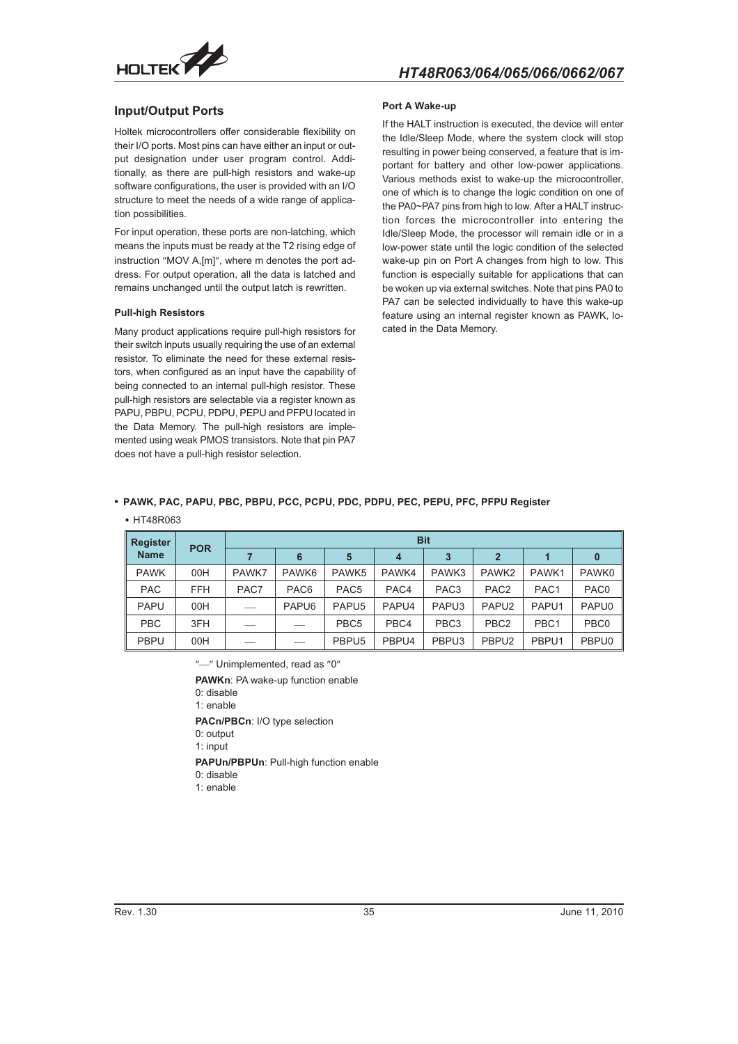

### **Input/Output Ports**

Holtek microcontrollers offer considerable flexibility on their I/O ports. Most pins can have either an input or output designation under user program control. Additionally, as there are pull-high resistors and wake-up software configurations, the user is provided with an I/O structure to meet the needs of a wide range of application possibilities.

For input operation, these ports are non-latching, which means the inputs must be ready at the T2 rising edge of instruction "MOV A,[m]", where m denotes the port address. For output operation, all the data is latched and remains unchanged until the output latch is rewritten.

#### **Pull-high Resistors**

Many product applications require pull-high resistors for their switch inputs usually requiring the use of an external resistor. To eliminate the need for these external resistors, when configured as an input have the capability of being connected to an internal pull-high resistor. These pull-high resistors are selectable via a register known as PAPU, PBPU, PCPU, PDPU, PEPU and PFPU located in the Data Memory. The pull-high resistors are implemented using weak PMOS transistors. Note that pin PA7 does not have a pull-high resistor selection.

#### **Port A Wake-up**

If the HALT instruction is executed, the device will enter the Idle/Sleep Mode, where the system clock will stop resulting in power being conserved, a feature that is important for battery and other low-power applications. Various methods exist to wake-up the microcontroller, one of which is to change the logic condition on one of the PA0~PA7 pins from high to low. After a HALT instruction forces the microcontroller into entering the Idle/Sleep Mode, the processor will remain idle or in a low-power state until the logic condition of the selected wake-up pin on Port A changes from high to low. This function is especially suitable for applications that can be woken up via external switches. Note that pins PA0 to PA7 can be selected individually to have this wake-up feature using an internal register known as PAWK, located in the Data Memory.

#### - **PAWK, PAC, PAPU, PBC, PBPU, PCC, PCPU, PDC, PDPU, PEC, PEPU, PFC, PFPU Register**

#### HT48R063

| <b>Register</b><br><b>Name</b> | <b>POR</b> | <b>Bit</b> |                   |                   |                |                  |                   |                  |                  |  |  |  |
|--------------------------------|------------|------------|-------------------|-------------------|----------------|------------------|-------------------|------------------|------------------|--|--|--|
|                                |            |            | 6                 | 5                 | $\overline{4}$ | 3                | $\mathbf{2}$      |                  | $\bf{0}$         |  |  |  |
| <b>PAWK</b>                    | 00H        | PAWK7      | PAWK <sub>6</sub> | PAWK <sub>5</sub> | PAWK4          | PAWK3            | PAWK <sub>2</sub> | PAWK1            | PAWK0            |  |  |  |
| <b>PAC</b>                     | <b>FFH</b> | PAC7       | PAC <sub>6</sub>  | PAC <sub>5</sub>  | PAC4           | PAC <sub>3</sub> | PAC <sub>2</sub>  | PAC <sub>1</sub> | PAC <sub>0</sub> |  |  |  |
| <b>PAPU</b>                    | 00H        | __         | PAPU <sub>6</sub> | PAPU <sub>5</sub> | PAPU4          | PAPU3            | PAPU <sub>2</sub> | PAPU1            | PAPU0            |  |  |  |
| <b>PBC</b>                     | 3FH        |            |                   | PBC <sub>5</sub>  | PBC4           | PBC <sub>3</sub> | PBC <sub>2</sub>  | PBC <sub>1</sub> | PBC <sub>0</sub> |  |  |  |
| <b>PBPU</b>                    | 00H        |            |                   | PBPU <sub>5</sub> | PBPU4          | PBPU3            | PBPU <sub>2</sub> | PBPU1            | PBPU0            |  |  |  |

 $"$ -" Unimplemented, read as "0"

**PAWKn**: PA wake-up function enable 0: disable

1: enable

**PACn/PBCn**: I/O type selection 0: output

1: input

**PAPUn/PBPUn**: Pull-high function enable

0: disable

1: enable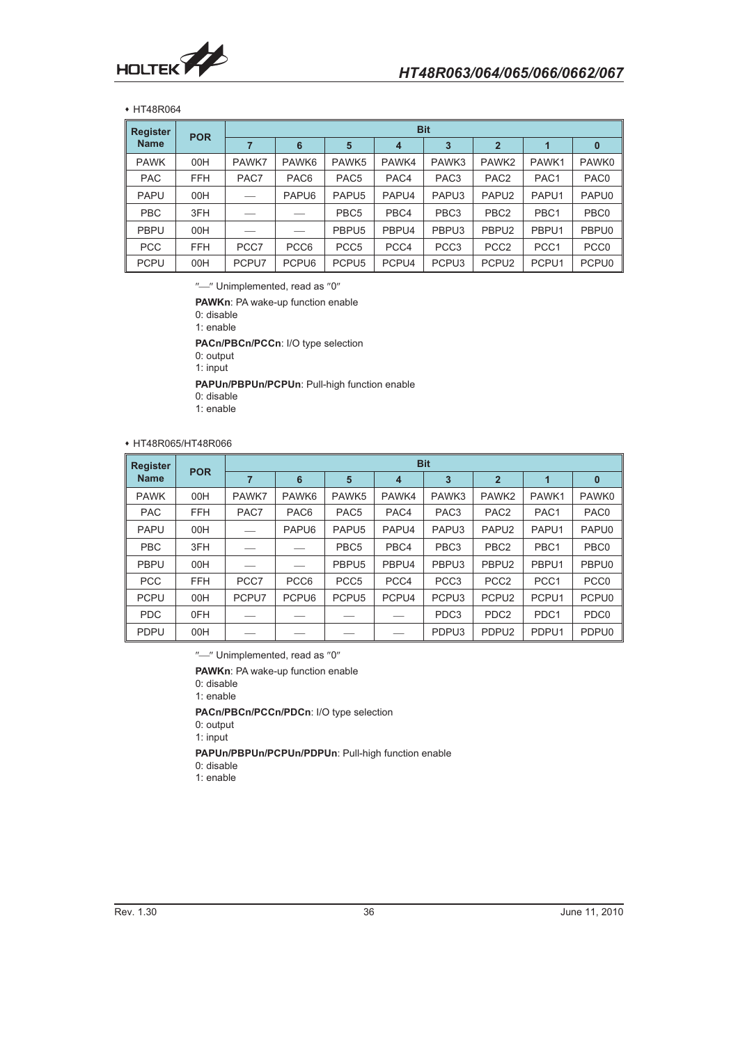

 HT48R064

| <b>Register</b> |            | <b>Bit</b> |                   |                   |                |                   |                   |                   |                  |  |  |
|-----------------|------------|------------|-------------------|-------------------|----------------|-------------------|-------------------|-------------------|------------------|--|--|
| <b>Name</b>     | <b>POR</b> |            | 6                 | 5                 | $\overline{4}$ | 3                 | $\overline{2}$    |                   | $\bf{0}$         |  |  |
| <b>PAWK</b>     | 00H        | PAWK7      | PAWK6             | PAWK <sub>5</sub> | PAWK4          | PAWK3             | PAWK <sub>2</sub> | PAWK1             | PAWK0            |  |  |
| <b>PAC</b>      | <b>FFH</b> | PAC7       | PAC <sub>6</sub>  | PAC <sub>5</sub>  | PAC4           | PAC <sub>3</sub>  | PAC <sub>2</sub>  | PAC <sub>1</sub>  | PAC <sub>0</sub> |  |  |
| <b>PAPU</b>     | 00H        |            | PAPU <sub>6</sub> | PAPU <sub>5</sub> | PAPU4          | PAPU3             | PAPU <sub>2</sub> | PAPU1             | PAPU0            |  |  |
| <b>PBC</b>      | 3FH        |            |                   | PBC <sub>5</sub>  | PBC4           | PBC <sub>3</sub>  | PBC <sub>2</sub>  | PBC <sub>1</sub>  | PBC <sub>0</sub> |  |  |
| <b>PBPU</b>     | 00H        |            |                   | PBPU <sub>5</sub> | PBPU4          | PBPU3             | PBPU <sub>2</sub> | PBPU1             | PBPU0            |  |  |
| <b>PCC</b>      | <b>FFH</b> | PCC7       | PCC <sub>6</sub>  | PCC <sub>5</sub>  | PCC4           | PCC <sub>3</sub>  | PCC <sub>2</sub>  | PCC <sub>1</sub>  | PCC <sub>0</sub> |  |  |
| <b>PCPU</b>     | 00H        | PCPU7      | PCPU6             | PCPU <sub>5</sub> | PCPU4          | PCPU <sub>3</sub> | PCPU <sub>2</sub> | PCPU <sub>1</sub> | PCPU0            |  |  |

"-" Unimplemented, read as "0"

**PAWKn: PA wake-up function enable** 

0: disable 1: enable

**PACn/PBCn/PCCn**: I/O type selection 0: output

1: input

**PAPUn/PBPUn/PCPUn**: Pull-high function enable

- 0: disable
- 1: enable

### HT48R065/HT48R066

| <b>Register</b> | <b>POR</b> | <b>Bit</b> |                   |                   |                |                   |                   |                  |                  |  |  |
|-----------------|------------|------------|-------------------|-------------------|----------------|-------------------|-------------------|------------------|------------------|--|--|
| <b>Name</b>     |            | 7          | 6                 | 5                 | $\overline{4}$ | 3                 | $\overline{2}$    | 1                | $\mathbf{0}$     |  |  |
| <b>PAWK</b>     | 00H        | PAWK7      | PAWK <sub>6</sub> | PAWK <sub>5</sub> | PAWK4          | PAWK3             | PAWK <sub>2</sub> | PAWK1            | PAWK0            |  |  |
| <b>PAC</b>      | <b>FFH</b> | PAC7       | PAC <sub>6</sub>  | PAC <sub>5</sub>  | PAC4           | PAC <sub>3</sub>  | PAC <sub>2</sub>  | PAC1             | PAC <sub>0</sub> |  |  |
| <b>PAPU</b>     | 00H        |            | PAPU <sub>6</sub> | PAPU <sub>5</sub> | PAPU4          | PAPU <sub>3</sub> | PAPU <sub>2</sub> | PAPU1            | PAPU0            |  |  |
| <b>PBC</b>      | 3FH        |            |                   | PBC <sub>5</sub>  | PBC4           | PBC <sub>3</sub>  | PBC <sub>2</sub>  | PBC <sub>1</sub> | PBC <sub>0</sub> |  |  |
| <b>PBPU</b>     | 00H        |            |                   | PBPU <sub>5</sub> | PBPU4          | PBPU3             | PBPU <sub>2</sub> | PBPU1            | PBPU0            |  |  |
| <b>PCC</b>      | <b>FFH</b> | PCC7       | PCC <sub>6</sub>  | PCC <sub>5</sub>  | PCC4           | PCC <sub>3</sub>  | PCC <sub>2</sub>  | PCC <sub>1</sub> | PCC <sub>0</sub> |  |  |
| <b>PCPU</b>     | 00H        | PCPU7      | PCPU6             | PCPU <sub>5</sub> | PCPU4          | PCPU <sub>3</sub> | PCPU <sub>2</sub> | PCPU1            | PCPU0            |  |  |
| <b>PDC</b>      | 0FH        |            |                   |                   |                | PDC <sub>3</sub>  | PDC <sub>2</sub>  | PDC1             | PDC <sub>0</sub> |  |  |
| <b>PDPU</b>     | 00H        |            |                   |                   |                | PDPU3             | PDPU <sub>2</sub> | PDPU1            | PDPU0            |  |  |

"-" Unimplemented, read as "0"

**PAWKn**: PA wake-up function enable

0: disable

1: enable

**PACn/PBCn/PCCn/PDCn**: I/O type selection

0: output

1: input

**PAPUn/PBPUn/PCPUn/PDPUn**: Pull-high function enable

0: disable

1: enable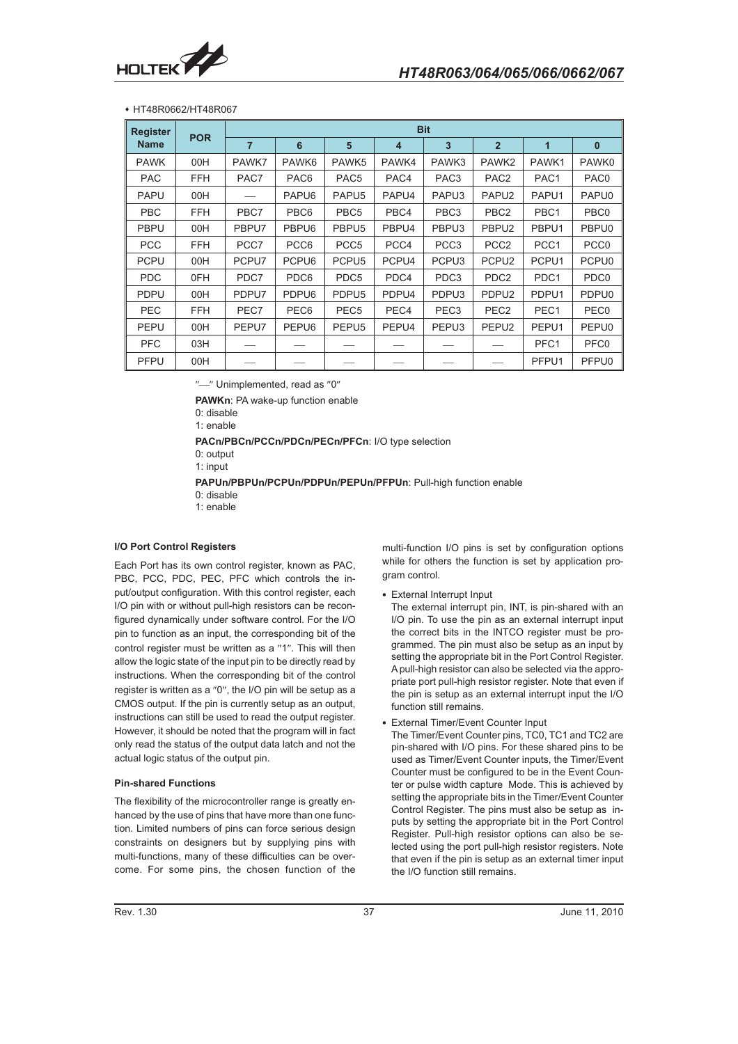

#### HT48R0662/HT48R067

| <b>Register</b> | <b>POR</b> | <b>Bit</b>     |                  |                   |                  |                   |                   |                  |                  |
|-----------------|------------|----------------|------------------|-------------------|------------------|-------------------|-------------------|------------------|------------------|
| <b>Name</b>     |            | $\overline{7}$ | $6\phantom{a}$   | 5                 | $\overline{4}$   | $\overline{3}$    | $\overline{2}$    | $\overline{1}$   | $\mathbf{0}$     |
| <b>PAWK</b>     | 00H        | PAWK7          | PAWK6            | PAWK5             | PAWK4            | PAWK3             | PAWK <sub>2</sub> | PAWK1            | PAWK0            |
| <b>PAC</b>      | <b>FFH</b> | PAC7           | PAC <sub>6</sub> | PAC <sub>5</sub>  | PAC4             | PAC <sub>3</sub>  | PAC <sub>2</sub>  | PAC1             | PAC <sub>0</sub> |
| <b>PAPU</b>     | 00H        |                | PAPU6            | PAPU <sub>5</sub> | PAPU4            | PAPU <sub>3</sub> | PAPU <sub>2</sub> | PAPU1            | PAPU0            |
| <b>PBC</b>      | <b>FFH</b> | PBC7           | PBC6             | PBC <sub>5</sub>  | PBC4             | PBC <sub>3</sub>  | PBC <sub>2</sub>  | PBC1             | PBC <sub>0</sub> |
| <b>PBPU</b>     | 00H        | PBPU7          | PBPU6            | PBPU <sub>5</sub> | PBPU4            | PBPU3             | PBPU <sub>2</sub> | PBPU1            | PBPU0            |
| <b>PCC</b>      | <b>FFH</b> | PCC7           | PCC <sub>6</sub> | PCC <sub>5</sub>  | PCC4             | PCC <sub>3</sub>  | PCC <sub>2</sub>  | PCC <sub>1</sub> | PCC <sub>0</sub> |
| <b>PCPU</b>     | 00H        | PCPU7          | PCPU6            | PCPU <sub>5</sub> | PCPU4            | PCPU <sub>3</sub> | PCPU <sub>2</sub> | PCPU1            | PCPU0            |
| <b>PDC</b>      | 0FH        | PDC7           | PDC6             | PDC <sub>5</sub>  | PDC4             | PDC <sub>3</sub>  | PDC <sub>2</sub>  | PDC1             | PDC <sub>0</sub> |
| <b>PDPU</b>     | 00H        | PDPU7          | PDPU6            | PDPU <sub>5</sub> | PDPU4            | PDPU3             | PDPU <sub>2</sub> | PDPU1            | PDPU0            |
| <b>PEC</b>      | <b>FFH</b> | PEC7           | PEC <sub>6</sub> | PEC <sub>5</sub>  | PEC <sub>4</sub> | PEC <sub>3</sub>  | PEC <sub>2</sub>  | PEC1             | PEC <sub>0</sub> |
| <b>PEPU</b>     | 00H        | PEPU7          | PEPU6            | PEPU <sub>5</sub> | PEPU4            | PEPU3             | PEPU <sub>2</sub> | PEPU1            | PEPU0            |
| <b>PFC</b>      | 03H        |                |                  |                   |                  |                   |                   | PFC1             | PFC <sub>0</sub> |
| <b>PFPU</b>     | 00H        |                |                  |                   |                  |                   |                   | PFPU1            | PFPU0            |

 $"$ -" Unimplemented, read as  $"0"$ 

**PAWKn**: PA wake-up function enable

0: disable

1: enable

**PACn/PBCn/PCCn/PDCn/PECn/PFCn**: I/O type selection

0: output

1: input

**PAPUn/PBPUn/PCPUn/PDPUn/PEPUn/PFPUn**: Pull-high function enable 0: disable

1: enable

#### **I/O Port Control Registers**

Each Port has its own control register, known as PAC, PBC, PCC, PDC, PEC, PFC which controls the input/output configuration. With this control register, each I/O pin with or without pull-high resistors can be reconfigured dynamically under software control. For the I/O pin to function as an input, the corresponding bit of the control register must be written as a "1". This will then allow the logic state of the input pin to be directly read by instructions. When the corresponding bit of the control register is written as a "0", the I/O pin will be setup as a CMOS output. If the pin is currently setup as an output, instructions can still be used to read the output register. However, it should be noted that the program will in fact only read the status of the output data latch and not the actual logic status of the output pin.

#### **Pin-shared Functions**

The flexibility of the microcontroller range is greatly enhanced by the use of pins that have more than one function. Limited numbers of pins can force serious design constraints on designers but by supplying pins with multi-functions, many of these difficulties can be overcome. For some pins, the chosen function of the

multi-function I/O pins is set by configuration options while for others the function is set by application program control.

- External Interrupt Input

The external interrupt pin, INT, is pin-shared with an I/O pin. To use the pin as an external interrupt input the correct bits in the INTCO register must be programmed. The pin must also be setup as an input by setting the appropriate bit in the Port Control Register. A pull-high resistor can also be selected via the appropriate port pull-high resistor register. Note that even if the pin is setup as an external interrupt input the I/O function still remains.

- External Timer/Event Counter Input

The Timer/Event Counter pins, TC0, TC1 and TC2 are pin-shared with I/O pins. For these shared pins to be used as Timer/Event Counter inputs, the Timer/Event Counter must be configured to be in the Event Counter or pulse width capture Mode. This is achieved by setting the appropriate bits in the Timer/Event Counter Control Register. The pins must also be setup as inputs by setting the appropriate bit in the Port Control Register. Pull-high resistor options can also be selected using the port pull-high resistor registers. Note that even if the pin is setup as an external timer input the I/O function still remains.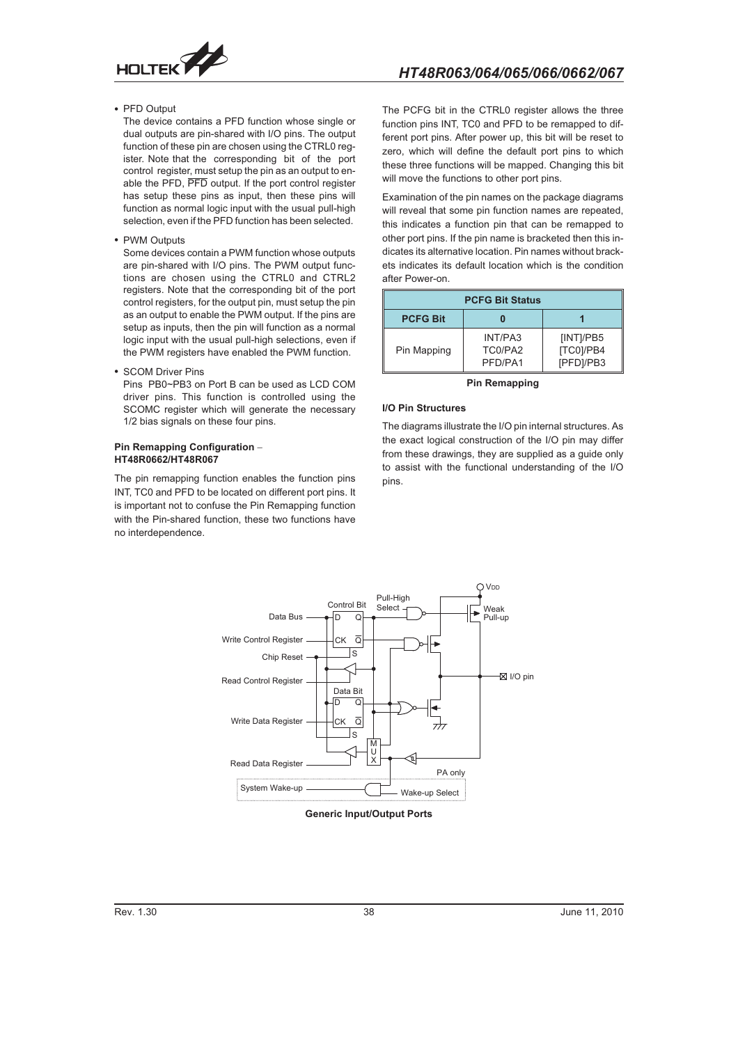

• PFD Output

The device contains a PFD function whose single or dual outputs are pin-shared with I/O pins. The output function of these pin are chosen using the CTRL0 register. Note that the corresponding bit of the port control register, must setup the pin as an output to enable the PFD, PFD output. If the port control register has setup these pins as input, then these pins will function as normal logic input with the usual pull-high selection, even if the PFD function has been selected.

• PWM Outputs

Some devices contain a PWM function whose outputs are pin-shared with I/O pins. The PWM output functions are chosen using the CTRL0 and CTRL2 registers. Note that the corresponding bit of the port control registers, for the output pin, must setup the pin as an output to enable the PWM output. If the pins are setup as inputs, then the pin will function as a normal logic input with the usual pull-high selections, even if the PWM registers have enabled the PWM function.

• SCOM Driver Pins

Pins PB0~PB3 on Port B can be used as LCD COM driver pins. This function is controlled using the SCOMC register which will generate the necessary 1/2 bias signals on these four pins.

### **Pin Remapping Configuration - HT48R0662/HT48R067**

The pin remapping function enables the function pins INT, TC0 and PFD to be located on different port pins. It is important not to confuse the Pin Remapping function with the Pin-shared function, these two functions have no interdependence.

The PCFG bit in the CTRL0 register allows the three function pins INT, TC0 and PFD to be remapped to different port pins. After power up, this bit will be reset to zero, which will define the default port pins to which these three functions will be mapped. Changing this bit will move the functions to other port pins.

Examination of the pin names on the package diagrams will reveal that some pin function names are repeated, this indicates a function pin that can be remapped to other port pins. If the pin name is bracketed then this indicates its alternative location. Pin names without brackets indicates its default location which is the condition after Power-on.

| <b>PCFG Bit Status</b> |                               |                                     |  |  |
|------------------------|-------------------------------|-------------------------------------|--|--|
| <b>PCFG Bit</b>        |                               |                                     |  |  |
| Pin Mapping            | INT/PA3<br>TC0/PA2<br>PFD/PA1 | [INT]/PB5<br>[TC0]/PB4<br>[PFD]/PB3 |  |  |

#### **Pin Remapping**

## **I/O Pin Structures**

The diagrams illustrate the I/O pin internal structures. As the exact logical construction of the I/O pin may differ from these drawings, they are supplied as a guide only to assist with the functional understanding of the I/O pins.



**Generic Input/Output Ports**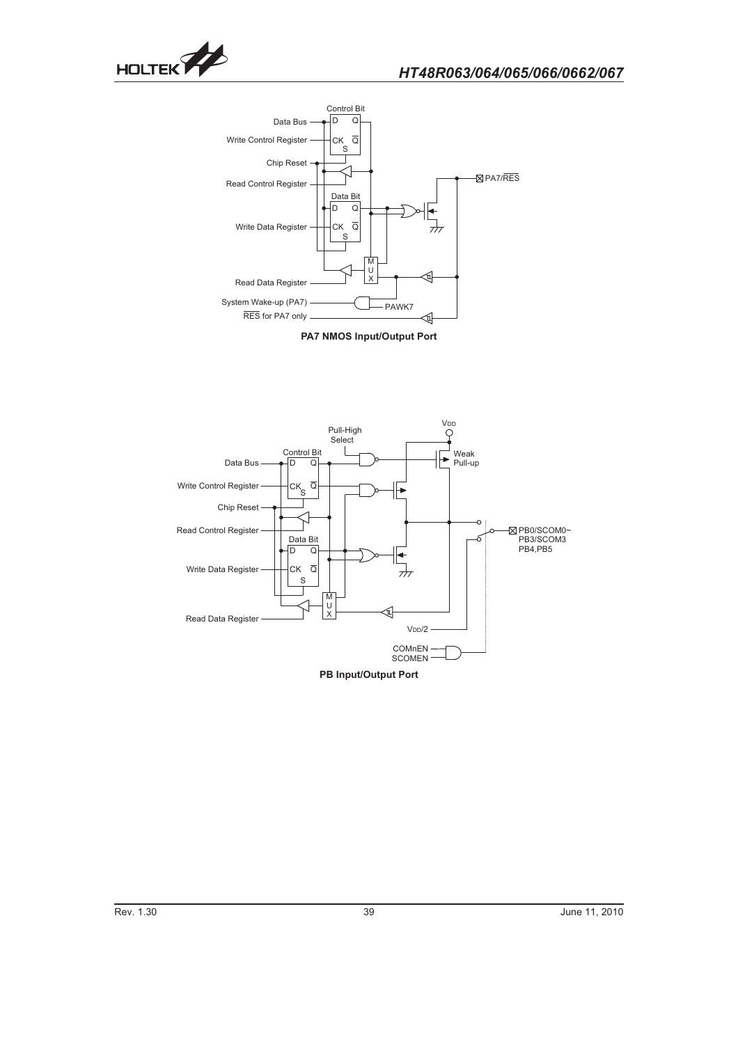



**PA7 NMOS Input/Output Port**

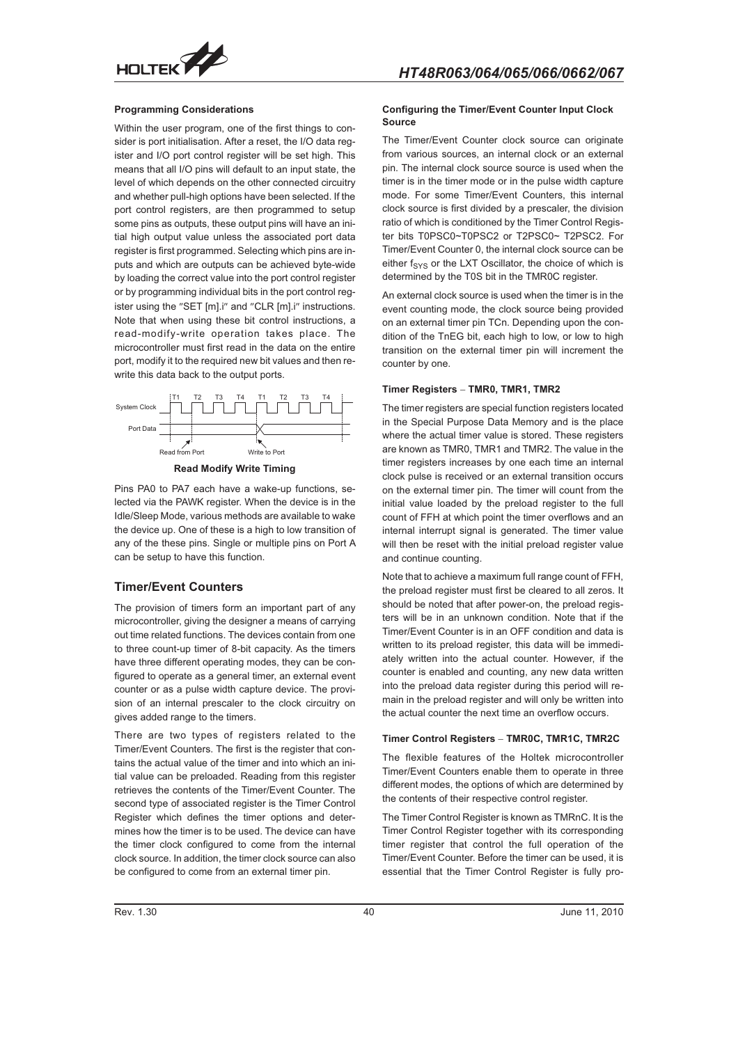

#### **Programming Considerations**

Within the user program, one of the first things to consider is port initialisation. After a reset, the I/O data register and I/O port control register will be set high. This means that all I/O pins will default to an input state, the level of which depends on the other connected circuitry and whether pull-high options have been selected. If the port control registers, are then programmed to setup some pins as outputs, these output pins will have an initial high output value unless the associated port data register is first programmed. Selecting which pins are inputs and which are outputs can be achieved byte-wide by loading the correct value into the port control register or by programming individual bits in the port control register using the "SET [m].i" and "CLR [m].i" instructions. Note that when using these bit control instructions, a read-modify-write operation takes place. The microcontroller must first read in the data on the entire port, modify it to the required new bit values and then rewrite this data back to the output ports.



**Read Modify Write Timing**

Pins PA0 to PA7 each have a wake-up functions, selected via the PAWK register. When the device is in the Idle/Sleep Mode, various methods are available to wake the device up. One of these is a high to low transition of any of the these pins. Single or multiple pins on Port A can be setup to have this function.

## **Timer/Event Counters**

The provision of timers form an important part of any microcontroller, giving the designer a means of carrying out time related functions. The devices contain from one to three count-up timer of 8-bit capacity. As the timers have three different operating modes, they can be configured to operate as a general timer, an external event counter or as a pulse width capture device. The provision of an internal prescaler to the clock circuitry on gives added range to the timers.

There are two types of registers related to the Timer/Event Counters. The first is the register that contains the actual value of the timer and into which an initial value can be preloaded. Reading from this register retrieves the contents of the Timer/Event Counter. The second type of associated register is the Timer Control Register which defines the timer options and determines how the timer is to be used. The device can have the timer clock configured to come from the internal clock source. In addition, the timer clock source can also be configured to come from an external timer pin.

#### **Configuring the Timer/Event Counter Input Clock Source**

The Timer/Event Counter clock source can originate from various sources, an internal clock or an external pin. The internal clock source source is used when the timer is in the timer mode or in the pulse width capture mode. For some Timer/Event Counters, this internal clock source is first divided by a prescaler, the division ratio of which is conditioned by the Timer Control Register bits T0PSC0~T0PSC2 or T2PSC0~ T2PSC2. For Timer/Event Counter 0, the internal clock source can be either  $f_{\text{SYS}}$  or the LXT Oscillator, the choice of which is determined by the T0S bit in the TMR0C register.

An external clock source is used when the timer is in the event counting mode, the clock source being provided on an external timer pin TCn. Depending upon the condition of the TnEG bit, each high to low, or low to high transition on the external timer pin will increment the counter by one.

## **Timer Registers - TMR0, TMR1, TMR2**

The timer registers are special function registers located in the Special Purpose Data Memory and is the place where the actual timer value is stored. These registers are known as TMR0, TMR1 and TMR2. The value in the timer registers increases by one each time an internal clock pulse is received or an external transition occurs on the external timer pin. The timer will count from the initial value loaded by the preload register to the full count of FFH at which point the timer overflows and an internal interrupt signal is generated. The timer value will then be reset with the initial preload register value and continue counting.

Note that to achieve a maximum full range count of FFH, the preload register must first be cleared to all zeros. It should be noted that after power-on, the preload registers will be in an unknown condition. Note that if the Timer/Event Counter is in an OFF condition and data is written to its preload register, this data will be immediately written into the actual counter. However, if the counter is enabled and counting, any new data written into the preload data register during this period will remain in the preload register and will only be written into the actual counter the next time an overflow occurs.

## **Timer Control Registers - TMR0C, TMR1C, TMR2C**

The flexible features of the Holtek microcontroller Timer/Event Counters enable them to operate in three different modes, the options of which are determined by the contents of their respective control register.

The Timer Control Register is known as TMRnC. It is the Timer Control Register together with its corresponding timer register that control the full operation of the Timer/Event Counter. Before the timer can be used, it is essential that the Timer Control Register is fully pro-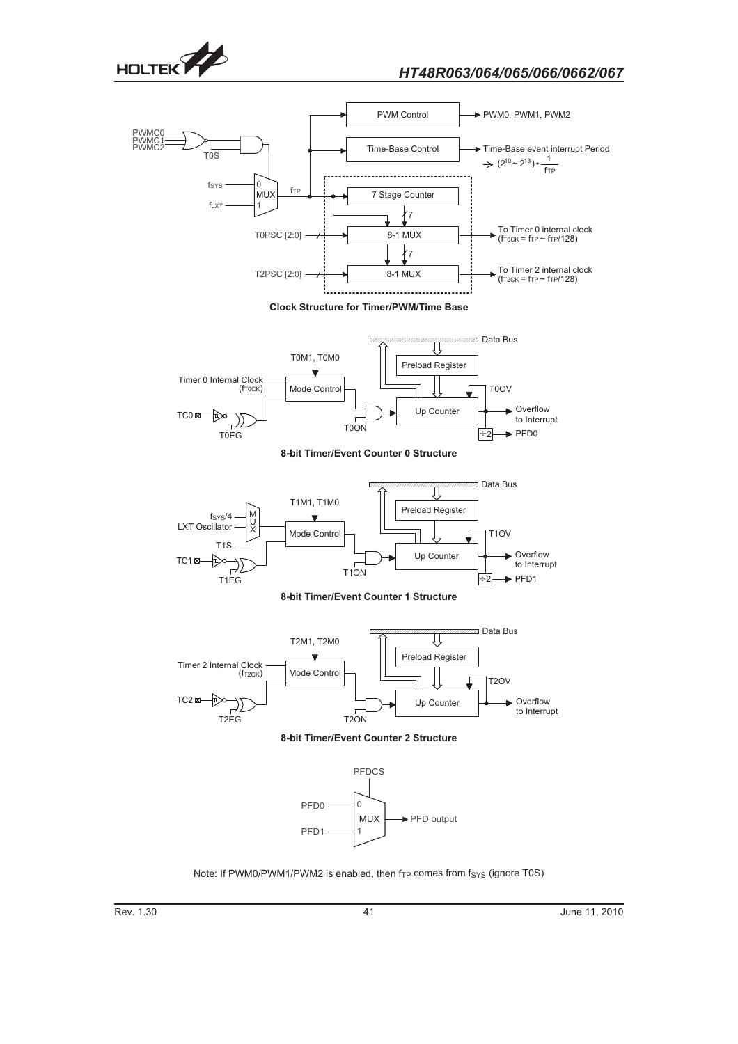









**8-bit Timer/Event Counter 0 Structure**



**8-bit Timer/Event Counter 1 Structure**







Note: If PWM0/PWM1/PWM2 is enabled, then  $f_{TP}$  comes from  $f_{SYS}$  (ignore T0S)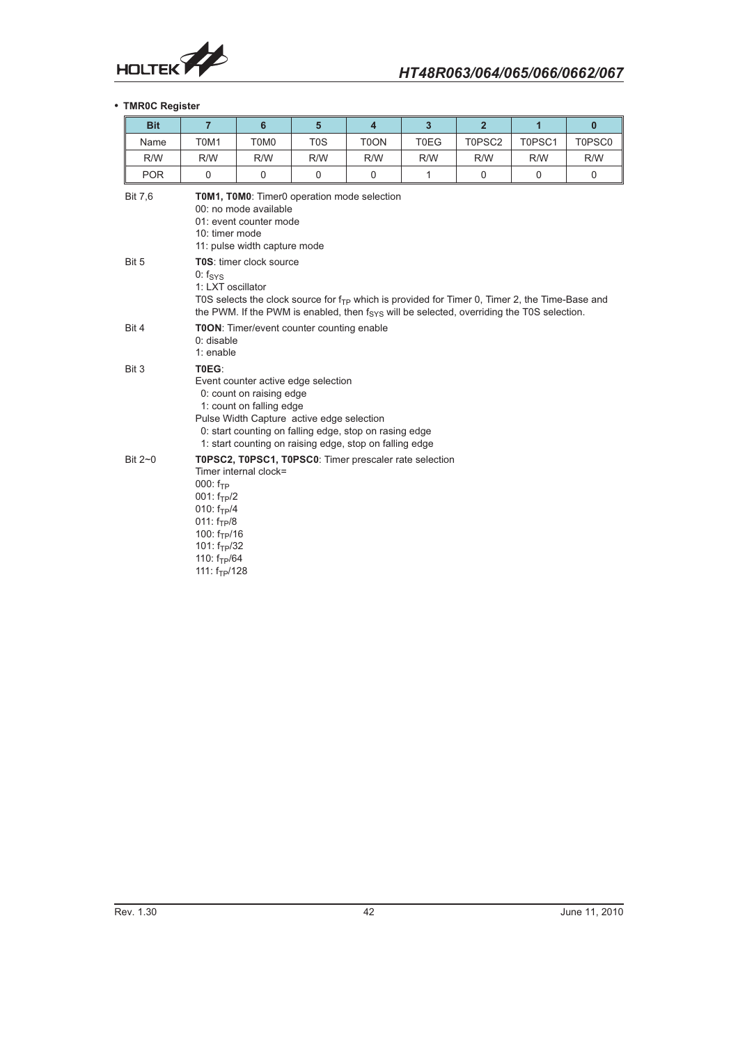

## - **TMR0C Register**

| <b>Bit</b>     | $\overline{7}$                                                                                                                                                                                                                                                         | $6\phantom{1}$        | $5\phantom{1}$                            | $\overline{4}$                                         | $\overline{3}$ | $\overline{2}$ | $\mathbf{1}$ | $\bf{0}$ |
|----------------|------------------------------------------------------------------------------------------------------------------------------------------------------------------------------------------------------------------------------------------------------------------------|-----------------------|-------------------------------------------|--------------------------------------------------------|----------------|----------------|--------------|----------|
| Name           | T0M1                                                                                                                                                                                                                                                                   | T0M0                  | T <sub>0</sub> S                          | T0ON                                                   | <b>T0EG</b>    | T0PSC2         | T0PSC1       | T0PSC0   |
| R/W            | R/W                                                                                                                                                                                                                                                                    | R/W                   | R/W                                       | R/W                                                    | R/W            | R/W            | R/W          | R/W      |
| <b>POR</b>     | 0                                                                                                                                                                                                                                                                      | 0                     | $\mathbf 0$                               | $\mathbf 0$                                            | $\mathbf{1}$   | $\mathbf 0$    | $\mathbf 0$  | 0        |
| <b>Bit 7,6</b> | TOM1, TOM0: Timer0 operation mode selection<br>00: no mode available<br>01: event counter mode<br>10: timer mode<br>11: pulse width capture mode                                                                                                                       |                       |                                           |                                                        |                |                |              |          |
| Bit 5          | T0S: timer clock source<br>$0: f_{SVS}$<br>1: LXT oscillator<br>TOS selects the clock source for $f_{TP}$ which is provided for Timer 0, Timer 2, the Time-Base and<br>the PWM. If the PWM is enabled, then $f_{SYS}$ will be selected, overriding the T0S selection.  |                       |                                           |                                                        |                |                |              |          |
| Bit 4          | 0: disable<br>1: enable                                                                                                                                                                                                                                                |                       | TOON: Timer/event counter counting enable |                                                        |                |                |              |          |
| Bit 3          | T0EG:<br>Event counter active edge selection<br>0: count on raising edge<br>1: count on falling edge<br>Pulse Width Capture active edge selection<br>0: start counting on falling edge, stop on rasing edge<br>1: start counting on raising edge, stop on falling edge |                       |                                           |                                                        |                |                |              |          |
| Bit 2~0        | $000: f_{TP}$<br>$001: f_{TP}/2$<br>010: $f_{TP}/4$<br>$011: f_{TP}/8$<br>100: $f_{TP}/16$<br>101: $f_{TP}/32$<br>110: $f_{TP}/64$<br>111: $f_{TP}/128$                                                                                                                | Timer internal clock= |                                           | T0PSC2, T0PSC1, T0PSC0: Timer prescaler rate selection |                |                |              |          |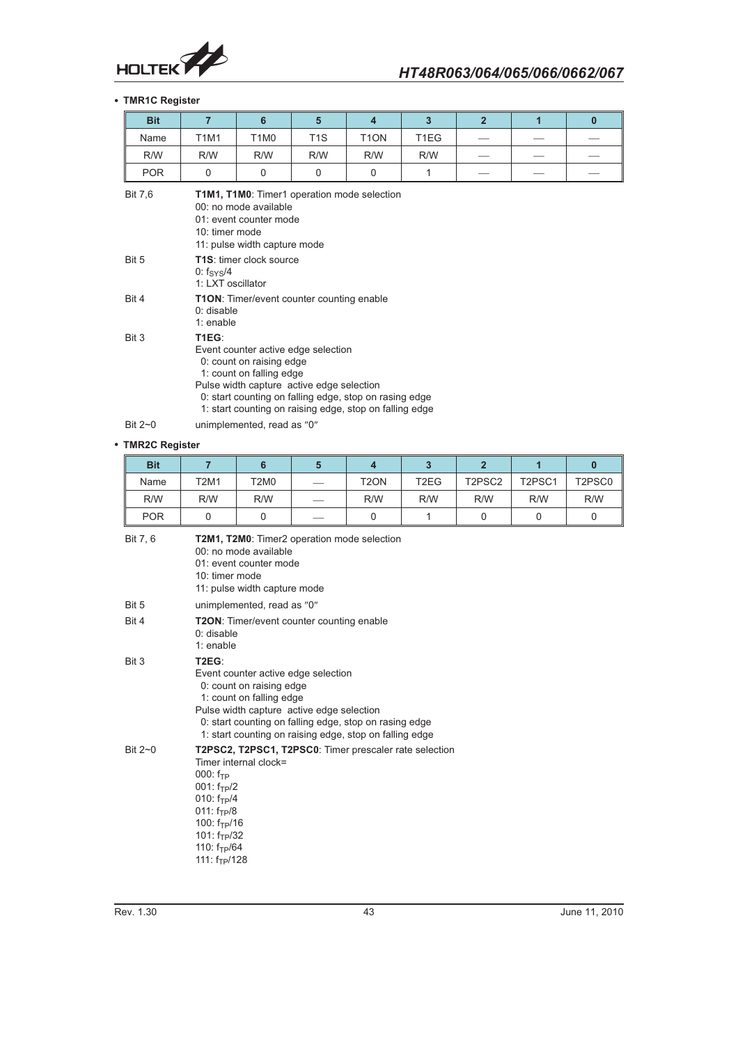

## - **TMR1C Register**

| <b>Bit</b>    | $\overline{7}$                                                                                                                                                                                                                                                         | 6                                                   | $5\phantom{1}$   | $\overline{\mathbf{4}}$ | $\overline{3}$ | $\overline{2}$ | 1 | $\bf{0}$ |
|---------------|------------------------------------------------------------------------------------------------------------------------------------------------------------------------------------------------------------------------------------------------------------------------|-----------------------------------------------------|------------------|-------------------------|----------------|----------------|---|----------|
| Name          | <b>T1M1</b>                                                                                                                                                                                                                                                            | <b>T1M0</b>                                         | T <sub>1</sub> S | T <sub>1</sub> ON       | T1EG           |                |   |          |
| R/W           | R/W                                                                                                                                                                                                                                                                    | R/W                                                 | R/W              | R/W                     | R/W            |                |   |          |
| <b>POR</b>    | $\mathbf 0$                                                                                                                                                                                                                                                            | $\mathbf 0$                                         | $\mathbf 0$      | $\mathbf 0$             | 1              |                |   |          |
| Bit 7,6       | T1M1, T1M0: Timer1 operation mode selection<br>00: no mode available<br>01: event counter mode<br>10: timer mode<br>11: pulse width capture mode                                                                                                                       |                                                     |                  |                         |                |                |   |          |
| Bit 5         | 0: $f_{\rm SYS}$ /4                                                                                                                                                                                                                                                    | <b>T1S:</b> timer clock source<br>1: LXT oscillator |                  |                         |                |                |   |          |
| Bit 4         | <b>T1ON:</b> Timer/event counter counting enable<br>$0:$ disable<br>$1:$ enable                                                                                                                                                                                        |                                                     |                  |                         |                |                |   |          |
| Bit 3         | T1EG:<br>Event counter active edge selection<br>0: count on raising edge<br>1: count on falling edge<br>Pulse width capture active edge selection<br>0: start counting on falling edge, stop on rasing edge<br>1: start counting on raising edge, stop on falling edge |                                                     |                  |                         |                |                |   |          |
| Bit $2\neg$ 0 |                                                                                                                                                                                                                                                                        | unimplemented, read as "0"                          |                  |                         |                |                |   |          |

#### - **TMR2C Register**

| <b>Bit</b>    | $\overline{7}$                                                                                                                                                                                                                                                                      | 6                                                                               | $5\phantom{.0}$ | $\overline{\mathbf{4}}$ | $\overline{3}$    | $\overline{2}$ | 1           | $\mathbf{0}$ |
|---------------|-------------------------------------------------------------------------------------------------------------------------------------------------------------------------------------------------------------------------------------------------------------------------------------|---------------------------------------------------------------------------------|-----------------|-------------------------|-------------------|----------------|-------------|--------------|
| Name          | <b>T2M1</b>                                                                                                                                                                                                                                                                         | <b>T2M0</b>                                                                     |                 | T <sub>2</sub> ON       | T <sub>2</sub> EG | T2PSC2         | T2PSC1      | T2PSC0       |
| R/W           | R/W                                                                                                                                                                                                                                                                                 | R/W                                                                             |                 | R/W                     | R/W               | R/W            | R/W         | R/W          |
| <b>POR</b>    | $\Omega$                                                                                                                                                                                                                                                                            | $\Omega$                                                                        |                 | 0                       | 1                 | 0              | $\mathbf 0$ | 0            |
| Bit 7, 6      | T2M1, T2M0: Timer2 operation mode selection<br>00: no mode available<br>01: event counter mode<br>10: timer mode<br>11: pulse width capture mode                                                                                                                                    |                                                                                 |                 |                         |                   |                |             |              |
| Bit 5         |                                                                                                                                                                                                                                                                                     | unimplemented, read as "0"                                                      |                 |                         |                   |                |             |              |
| Bit 4         | <b>T2ON:</b> Timer/event counter counting enable<br>$0:$ disable<br>$1:$ enable                                                                                                                                                                                                     |                                                                                 |                 |                         |                   |                |             |              |
| Bit 3         | T <sub>2</sub> EG:<br>Event counter active edge selection<br>0: count on raising edge<br>1: count on falling edge<br>Pulse width capture active edge selection<br>0: start counting on falling edge, stop on rasing edge<br>1: start counting on raising edge, stop on falling edge |                                                                                 |                 |                         |                   |                |             |              |
| Bit $2\neg$ 0 | $000: f_{TP}$<br>$001: f_{TP}/2$<br>010: $f_{TP}/4$<br>011: $f_{TP}/8$<br>100: $f_{TP}/16$<br>101: $f_{TP}/32$<br>110: $f_{TP}/64$<br>111: $f_{TP}/128$                                                                                                                             | T2PSC2, T2PSC1, T2PSC0: Timer prescaler rate selection<br>Timer internal clock= |                 |                         |                   |                |             |              |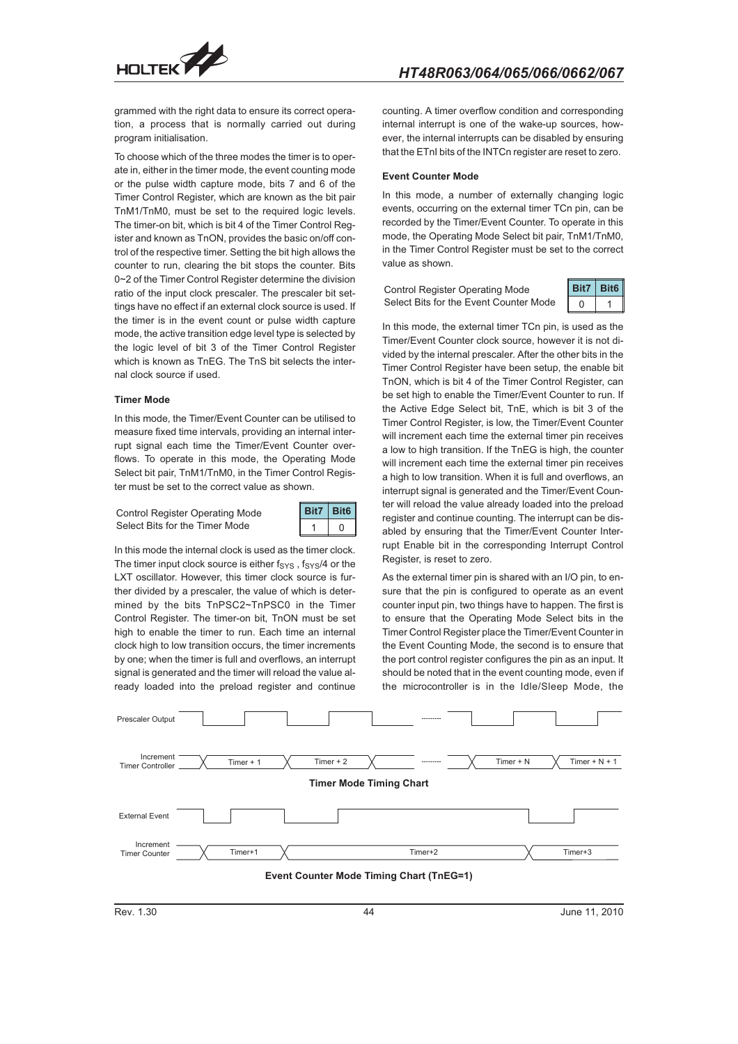

grammed with the right data to ensure its correct operation, a process that is normally carried out during program initialisation.

To choose which of the three modes the timer is to operate in, either in the timer mode, the event counting mode or the pulse width capture mode, bits 7 and 6 of the Timer Control Register, which are known as the bit pair TnM1/TnM0, must be set to the required logic levels. The timer-on bit, which is bit 4 of the Timer Control Register and known as TnON, provides the basic on/off control of the respective timer. Setting the bit high allows the counter to run, clearing the bit stops the counter. Bits 0~2 of the Timer Control Register determine the division ratio of the input clock prescaler. The prescaler bit settings have no effect if an external clock source is used. If the timer is in the event count or pulse width capture mode, the active transition edge level type is selected by the logic level of bit 3 of the Timer Control Register which is known as TnEG. The TnS bit selects the internal clock source if used.

#### **Timer Mode**

In this mode, the Timer/Event Counter can be utilised to measure fixed time intervals, providing an internal interrupt signal each time the Timer/Event Counter overflows. To operate in this mode, the Operating Mode Select bit pair, TnM1/TnM0, in the Timer Control Register must be set to the correct value as shown.

Control Register Operating Mode Select Bits for the Timer Mode



In this mode the internal clock is used as the timer clock. The timer input clock source is either  $f_{\text{SYS}}$ ,  $f_{\text{SYS}}/4$  or the LXT oscillator. However, this timer clock source is further divided by a prescaler, the value of which is determined by the bits TnPSC2~TnPSC0 in the Timer Control Register. The timer-on bit, TnON must be set high to enable the timer to run. Each time an internal clock high to low transition occurs, the timer increments by one; when the timer is full and overflows, an interrupt signal is generated and the timer will reload the value already loaded into the preload register and continue

counting. A timer overflow condition and corresponding internal interrupt is one of the wake-up sources, however, the internal interrupts can be disabled by ensuring that the ETnI bits of the INTCn register are reset to zero.

#### **Event Counter Mode**

In this mode, a number of externally changing logic events, occurring on the external timer TCn pin, can be recorded by the Timer/Event Counter. To operate in this mode, the Operating Mode Select bit pair, TnM1/TnM0, in the Timer Control Register must be set to the correct value as shown.

Control Register Operating Mode Select Bits for the Event Counter Mode



In this mode, the external timer TCn pin, is used as the Timer/Event Counter clock source, however it is not divided by the internal prescaler. After the other bits in the Timer Control Register have been setup, the enable bit TnON, which is bit 4 of the Timer Control Register, can be set high to enable the Timer/Event Counter to run. If the Active Edge Select bit, TnE, which is bit 3 of the Timer Control Register, is low, the Timer/Event Counter will increment each time the external timer pin receives a low to high transition. If the TnEG is high, the counter will increment each time the external timer pin receives a high to low transition. When it is full and overflows, an interrupt signal is generated and the Timer/Event Counter will reload the value already loaded into the preload register and continue counting. The interrupt can be disabled by ensuring that the Timer/Event Counter Interrupt Enable bit in the corresponding Interrupt Control Register, is reset to zero.

As the external timer pin is shared with an I/O pin, to ensure that the pin is configured to operate as an event counter input pin, two things have to happen. The first is to ensure that the Operating Mode Select bits in the Timer Control Register place the Timer/Event Counter in the Event Counting Mode, the second is to ensure that the port control register configures the pin as an input. It should be noted that in the event counting mode, even if the microcontroller is in the Idle/Sleep Mode, the

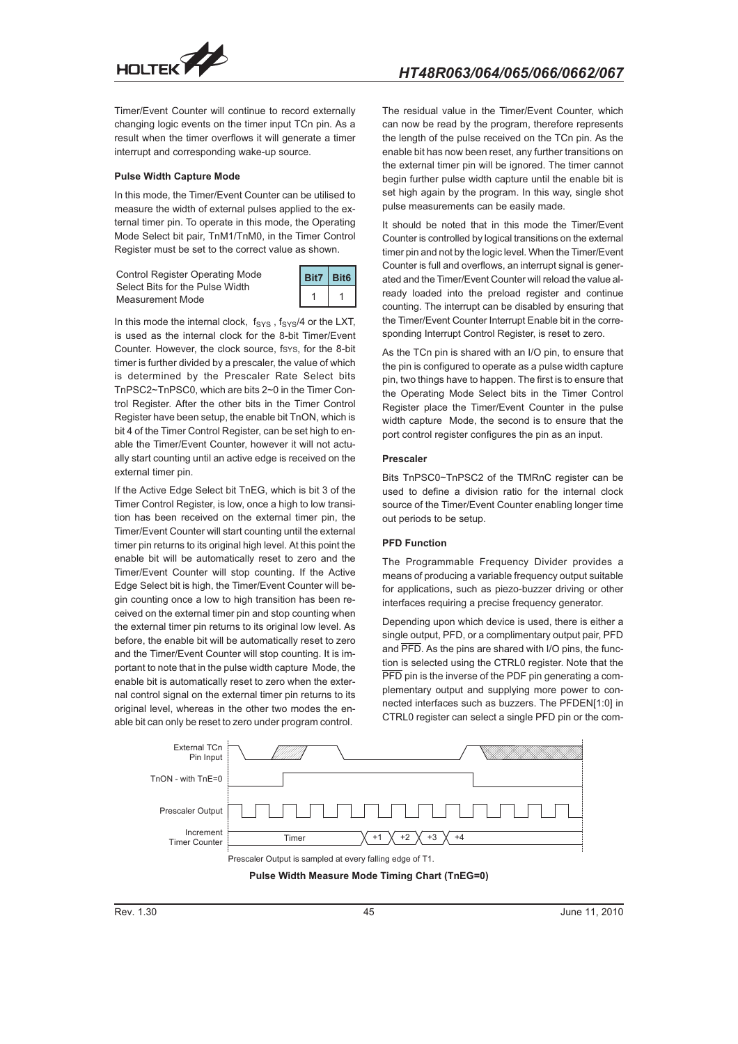

Timer/Event Counter will continue to record externally changing logic events on the timer input TCn pin. As a result when the timer overflows it will generate a timer interrupt and corresponding wake-up source.

#### **Pulse Width Capture Mode**

In this mode, the Timer/Event Counter can be utilised to measure the width of external pulses applied to the external timer pin. To operate in this mode, the Operating Mode Select bit pair, TnM1/TnM0, in the Timer Control Register must be set to the correct value as shown.

Control Register Operating Mode Select Bits for the Pulse Width Measurement Mode



In this mode the internal clock,  $f_{\text{SYS}}$ ,  $f_{\text{SYS}}/4$  or the LXT, is used as the internal clock for the 8-bit Timer/Event Counter. However, the clock source, fsys, for the 8-bit timer is further divided by a prescaler, the value of which is determined by the Prescaler Rate Select bits TnPSC2~TnPSC0, which are bits 2~0 in the Timer Control Register. After the other bits in the Timer Control Register have been setup, the enable bit TnON, which is bit 4 of the Timer Control Register, can be set high to enable the Timer/Event Counter, however it will not actually start counting until an active edge is received on the external timer pin.

If the Active Edge Select bit TnEG, which is bit 3 of the Timer Control Register, is low, once a high to low transition has been received on the external timer pin, the Timer/Event Counter will start counting until the external timer pin returns to its original high level. At this point the enable bit will be automatically reset to zero and the Timer/Event Counter will stop counting. If the Active Edge Select bit is high, the Timer/Event Counter will begin counting once a low to high transition has been received on the external timer pin and stop counting when the external timer pin returns to its original low level. As before, the enable bit will be automatically reset to zero and the Timer/Event Counter will stop counting. It is important to note that in the pulse width capture Mode, the enable bit is automatically reset to zero when the external control signal on the external timer pin returns to its original level, whereas in the other two modes the enable bit can only be reset to zero under program control.

The residual value in the Timer/Event Counter, which can now be read by the program, therefore represents the length of the pulse received on the TCn pin. As the enable bit has now been reset, any further transitions on the external timer pin will be ignored. The timer cannot begin further pulse width capture until the enable bit is set high again by the program. In this way, single shot pulse measurements can be easily made.

It should be noted that in this mode the Timer/Event Counter is controlled by logical transitions on the external timer pin and not by the logic level. When the Timer/Event Counter is full and overflows, an interrupt signal is generated and the Timer/Event Counter will reload the value already loaded into the preload register and continue counting. The interrupt can be disabled by ensuring that the Timer/Event Counter Interrupt Enable bit in the corresponding Interrupt Control Register, is reset to zero.

As the TCn pin is shared with an I/O pin, to ensure that the pin is configured to operate as a pulse width capture pin, two things have to happen. The first is to ensure that the Operating Mode Select bits in the Timer Control Register place the Timer/Event Counter in the pulse width capture Mode, the second is to ensure that the port control register configures the pin as an input.

#### **Prescaler**

Bits TnPSC0~TnPSC2 of the TMRnC register can be used to define a division ratio for the internal clock source of the Timer/Event Counter enabling longer time out periods to be setup.

#### **PFD Function**

The Programmable Frequency Divider provides a means of producing a variable frequency output suitable for applications, such as piezo-buzzer driving or other interfaces requiring a precise frequency generator.

Depending upon which device is used, there is either a single output, PFD, or a complimentary output pair, PFD and PFD. As the pins are shared with I/O pins, the function is selected using the CTRL0 register. Note that the PFD pin is the inverse of the PDF pin generating a complementary output and supplying more power to connected interfaces such as buzzers. The PFDEN[1:0] in CTRL0 register can select a single PFD pin or the com-



**Pulse Width Measure Mode Timing Chart (TnEG=0)**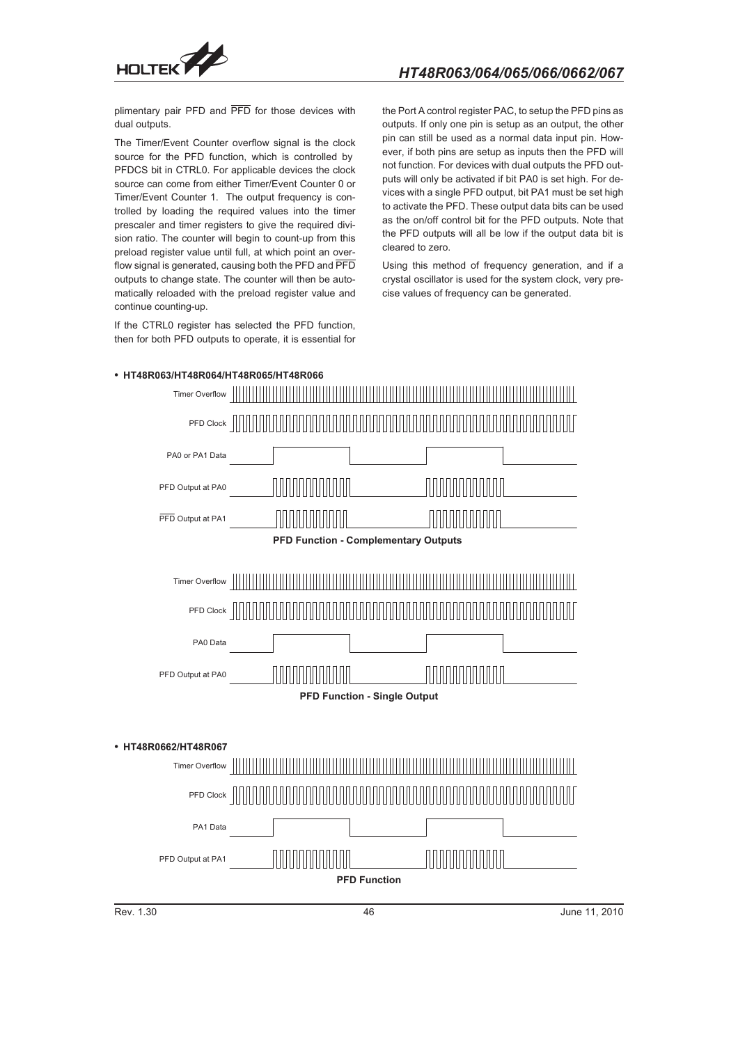

plimentary pair PFD and PFD for those devices with dual outputs.

The Timer/Event Counter overflow signal is the clock source for the PFD function, which is controlled by PFDCS bit in CTRL0. For applicable devices the clock source can come from either Timer/Event Counter 0 or Timer/Event Counter 1. The output frequency is controlled by loading the required values into the timer prescaler and timer registers to give the required division ratio. The counter will begin to count-up from this preload register value until full, at which point an overflow signal is generated, causing both the PFD and PFD outputs to change state. The counter will then be automatically reloaded with the preload register value and continue counting-up.

If the CTRL0 register has selected the PFD function, then for both PFD outputs to operate, it is essential for the Port A control register PAC, to setup the PFD pins as outputs. If only one pin is setup as an output, the other pin can still be used as a normal data input pin. However, if both pins are setup as inputs then the PFD will not function. For devices with dual outputs the PFD outputs will only be activated if bit PA0 is set high. For devices with a single PFD output, bit PA1 must be set high to activate the PFD. These output data bits can be used as the on/off control bit for the PFD outputs. Note that the PFD outputs will all be low if the output data bit is cleared to zero.

Using this method of frequency generation, and if a crystal oscillator is used for the system clock, very precise values of frequency can be generated.



- **HT48R063/HT48R064/HT48R065/HT48R066**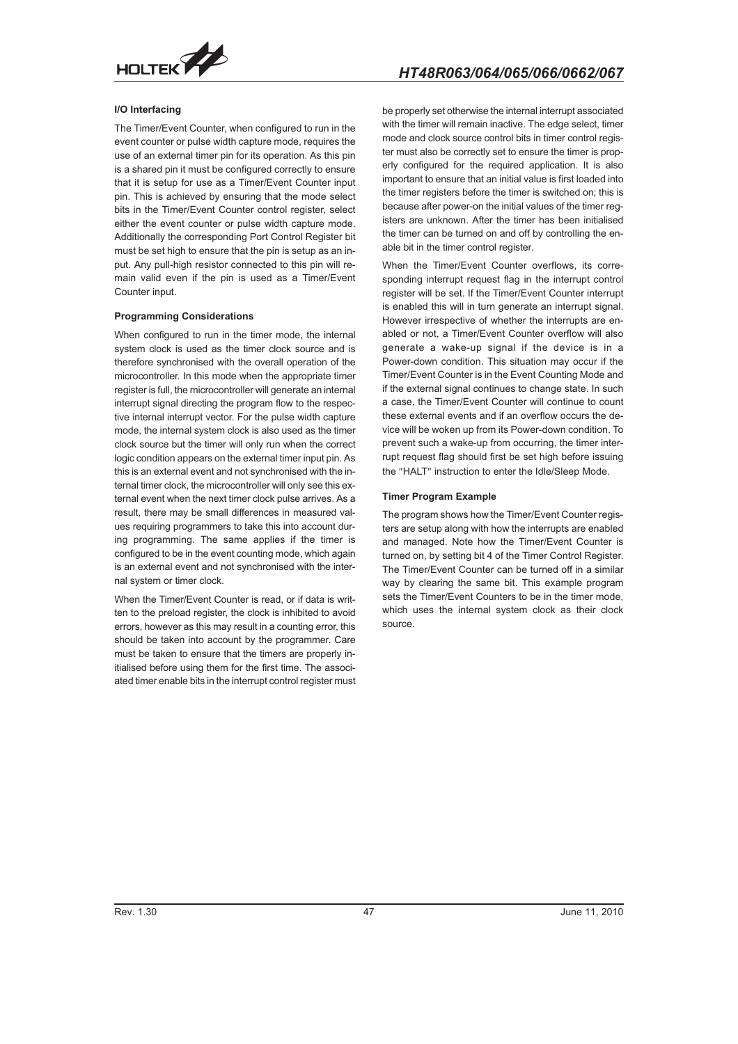

# *HT48R063/064/065/066/0662/067*

### **I/O Interfacing**

The Timer/Event Counter, when configured to run in the event counter or pulse width capture mode, requires the use of an external timer pin for its operation. As this pin is a shared pin it must be configured correctly to ensure that it is setup for use as a Timer/Event Counter input pin. This is achieved by ensuring that the mode select bits in the Timer/Event Counter control register, select either the event counter or pulse width capture mode. Additionally the corresponding Port Control Register bit must be set high to ensure that the pin is setup as an input. Any pull-high resistor connected to this pin will remain valid even if the pin is used as a Timer/Event Counter input.

#### **Programming Considerations**

When configured to run in the timer mode, the internal system clock is used as the timer clock source and is therefore synchronised with the overall operation of the microcontroller. In this mode when the appropriate timer register is full, the microcontroller will generate an internal interrupt signal directing the program flow to the respective internal interrupt vector. For the pulse width capture mode, the internal system clock is also used as the timer clock source but the timer will only run when the correct logic condition appears on the external timer input pin. As this is an external event and not synchronised with the internal timer clock, the microcontroller will only see this external event when the next timer clock pulse arrives. As a result, there may be small differences in measured values requiring programmers to take this into account during programming. The same applies if the timer is configured to be in the event counting mode, which again is an external event and not synchronised with the internal system or timer clock.

When the Timer/Event Counter is read, or if data is written to the preload register, the clock is inhibited to avoid errors, however as this may result in a counting error, this should be taken into account by the programmer. Care must be taken to ensure that the timers are properly initialised before using them for the first time. The associated timer enable bits in the interrupt control register must

be properly set otherwise the internal interrupt associated with the timer will remain inactive. The edge select, timer mode and clock source control bits in timer control register must also be correctly set to ensure the timer is properly configured for the required application. It is also important to ensure that an initial value is first loaded into the timer registers before the timer is switched on; this is because after power-on the initial values of the timer registers are unknown. After the timer has been initialised the timer can be turned on and off by controlling the enable bit in the timer control register.

When the Timer/Event Counter overflows, its corresponding interrupt request flag in the interrupt control register will be set. If the Timer/Event Counter interrupt is enabled this will in turn generate an interrupt signal. However irrespective of whether the interrupts are enabled or not, a Timer/Event Counter overflow will also generate a wake-up signal if the device is in a Power-down condition. This situation may occur if the Timer/Event Counter is in the Event Counting Mode and if the external signal continues to change state. In such a case, the Timer/Event Counter will continue to count these external events and if an overflow occurs the device will be woken up from its Power-down condition. To prevent such a wake-up from occurring, the timer interrupt request flag should first be set high before issuing the "HALT" instruction to enter the Idle/Sleep Mode.

#### **Timer Program Example**

The program shows how the Timer/Event Counter registers are setup along with how the interrupts are enabled and managed. Note how the Timer/Event Counter is turned on, by setting bit 4 of the Timer Control Register. The Timer/Event Counter can be turned off in a similar way by clearing the same bit. This example program sets the Timer/Event Counters to be in the timer mode, which uses the internal system clock as their clock source.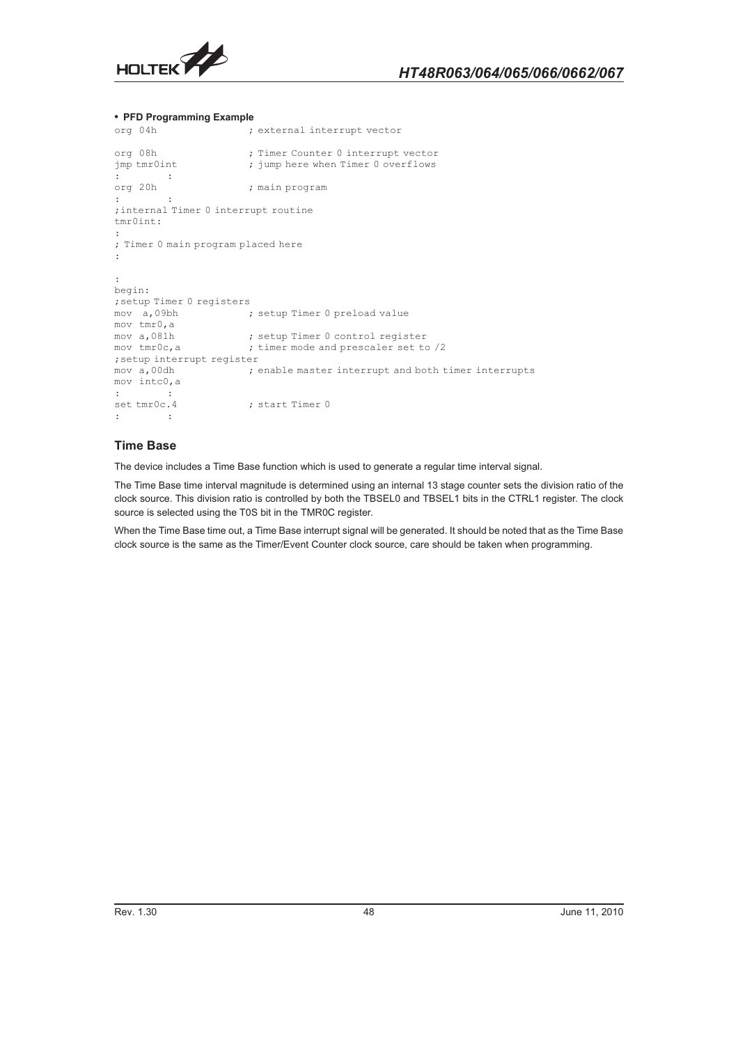

#### - **PFD Programming Example**

```
org 04h ; external interrupt vector
org 08h ; Timer Counter 0 interrupt vector<br>
; jump here when Timer 0 overflows
                       ; jump here when Timer 0 overflows
: :<br>org 20h :
                        ; main program
: :
;internal Timer 0 interrupt routine
tmr0int:
:
; Timer 0 main program placed here
:
:
begin:
;setup Timer 0 registers
mov a,09bh ; setup Timer 0 preload value
mov tmr0, a<br>mov a, 081h
mov a,081h             ; setup Timer 0 control register
mov tmr0c, a \qquad \qquad ; timer mode and prescaler set to /2
;setup interrupt register
\mod n , 00dh \mod n ; enable master interrupt and both timer interrupts
mov intc0,a
: :<br>set tmr0c.4
                     ; start Timer 0
: :
```
## **Time Base**

The device includes a Time Base function which is used to generate a regular time interval signal.

The Time Base time interval magnitude is determined using an internal 13 stage counter sets the division ratio of the clock source. This division ratio is controlled by both the TBSEL0 and TBSEL1 bits in the CTRL1 register. The clock source is selected using the T0S bit in the TMR0C register.

When the Time Base time out, a Time Base interrupt signal will be generated. It should be noted that as the Time Base clock source is the same as the Timer/Event Counter clock source, care should be taken when programming.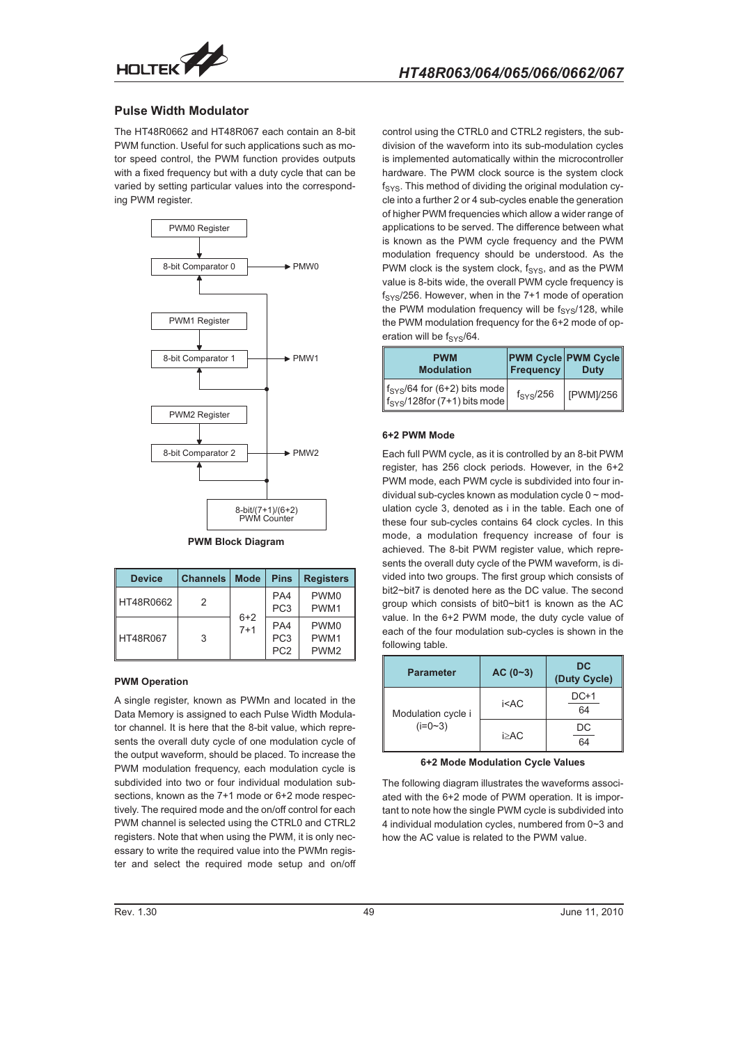

## **Pulse Width Modulator**

The HT48R0662 and HT48R067 each contain an 8-bit PWM function. Useful for such applications such as motor speed control, the PWM function provides outputs with a fixed frequency but with a duty cycle that can be varied by setting particular values into the corresponding PWM register.



#### **PWM Block Diagram**

| <b>Device</b> | Channels | <b>Mode</b>      | <b>Pins</b>                               | <b>Registers</b>                                         |
|---------------|----------|------------------|-------------------------------------------|----------------------------------------------------------|
| HT48R0662     | 2        |                  | PA4<br>PC <sub>3</sub>                    | PWM <sub>0</sub><br>PWM <sub>1</sub>                     |
| HT48R067      | 3        | $6+2$<br>$7 + 1$ | PA4<br>PC <sub>3</sub><br>PC <sub>2</sub> | PWM <sub>0</sub><br>PWM <sub>1</sub><br>PWM <sub>2</sub> |

#### **PWM Operation**

A single register, known as PWMn and located in the Data Memory is assigned to each Pulse Width Modulator channel. It is here that the 8-bit value, which represents the overall duty cycle of one modulation cycle of the output waveform, should be placed. To increase the PWM modulation frequency, each modulation cycle is subdivided into two or four individual modulation subsections, known as the 7+1 mode or 6+2 mode respectively. The required mode and the on/off control for each PWM channel is selected using the CTRL0 and CTRL2 registers. Note that when using the PWM, it is only necessary to write the required value into the PWMn register and select the required mode setup and on/off

control using the CTRL0 and CTRL2 registers, the subdivision of the waveform into its sub-modulation cycles is implemented automatically within the microcontroller hardware. The PWM clock source is the system clock  $f_{\text{SYS}}$ . This method of dividing the original modulation cycle into a further 2 or 4 sub-cycles enable the generation of higher PWM frequencies which allow a wider range of applications to be served. The difference between what is known as the PWM cycle frequency and the PWM modulation frequency should be understood. As the PWM clock is the system clock,  $f_{SYS}$ , and as the PWM value is 8-bits wide, the overall PWM cycle frequency is  $f_{\text{SYS}}/256$ . However, when in the 7+1 mode of operation the PWM modulation frequency will be  $f_{SYS}/128$ , while the PWM modulation frequency for the 6+2 mode of operation will be  $f_{\text{SYS}}/64$ .

| <b>PWM</b><br><b>Modulation</b>                                                     | <b>Frequency</b>   | <b>PWM Cycle PWM Cycle</b><br><b>Duty</b> |
|-------------------------------------------------------------------------------------|--------------------|-------------------------------------------|
| $f_{\text{SYS}}/64$ for (6+2) bits mode<br>$f_{\text{SYS}}/128$ for (7+1) bits mode | $f_{\rm{SYS}}/256$ | [PWM]/256                                 |

## **6+2 PWM Mode**

Each full PWM cycle, as it is controlled by an 8-bit PWM register, has 256 clock periods. However, in the 6+2 PWM mode, each PWM cycle is subdivided into four individual sub-cycles known as modulation cycle  $0 \sim$  modulation cycle 3, denoted as i in the table. Each one of these four sub-cycles contains 64 clock cycles. In this mode, a modulation frequency increase of four is achieved. The 8-bit PWM register value, which represents the overall duty cycle of the PWM waveform, is divided into two groups. The first group which consists of bit2~bit7 is denoted here as the DC value. The second group which consists of bit0~bit1 is known as the AC value. In the 6+2 PWM mode, the duty cycle value of each of the four modulation sub-cycles is shown in the following table.

| <b>Parameter</b>                | $AC (0-3)$                                           | DC<br>(Duty Cycle) |
|---------------------------------|------------------------------------------------------|--------------------|
| Modulation cycle i<br>$(i=0-3)$ | i <ac< td=""><td><math>DC+1</math><br/>64</td></ac<> | $DC+1$<br>64       |
|                                 | i>AC                                                 | DC<br>64           |

#### **6+2 Mode Modulation Cycle Values**

The following diagram illustrates the waveforms associated with the 6+2 mode of PWM operation. It is important to note how the single PWM cycle is subdivided into 4 individual modulation cycles, numbered from 0~3 and how the AC value is related to the PWM value.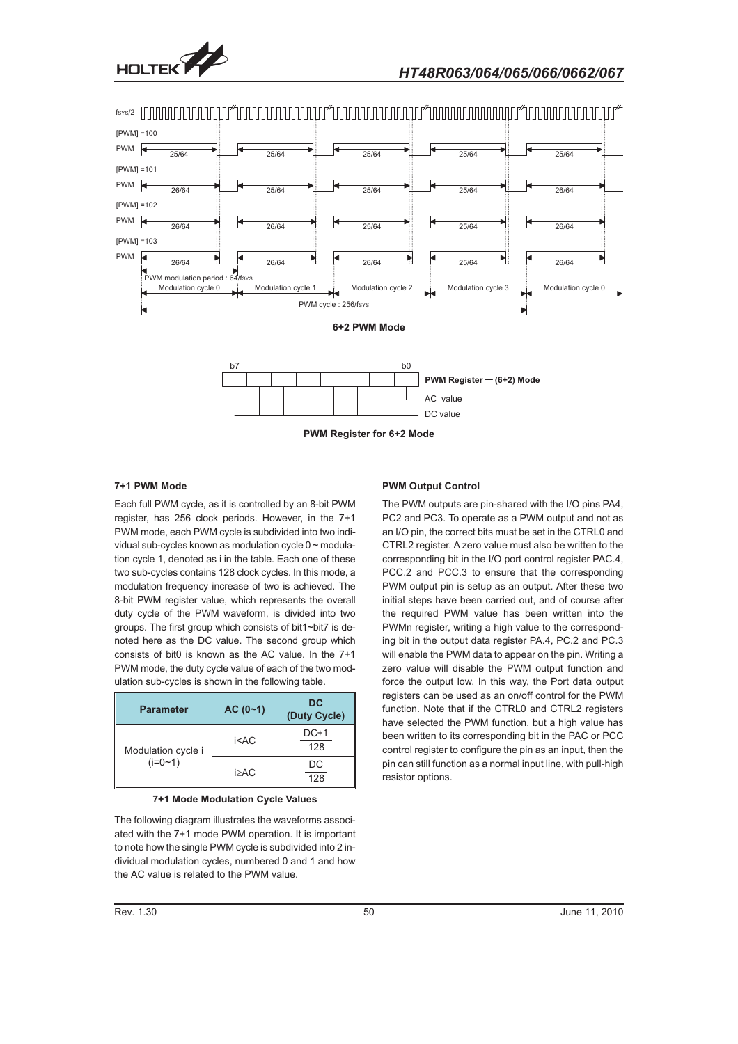





## **7+1 PWM Mode**

Each full PWM cycle, as it is controlled by an 8-bit PWM register, has 256 clock periods. However, in the 7+1 PWM mode, each PWM cycle is subdivided into two individual sub-cycles known as modulation cycle 0 ~ modulation cycle 1, denoted as i in the table. Each one of these two sub-cycles contains 128 clock cycles. In this mode, a modulation frequency increase of two is achieved. The 8-bit PWM register value, which represents the overall duty cycle of the PWM waveform, is divided into two groups. The first group which consists of bit1~bit7 is denoted here as the DC value. The second group which consists of bit0 is known as the AC value. In the 7+1 PWM mode, the duty cycle value of each of the two modulation sub-cycles is shown in the following table.

| <b>Parameter</b>                | $AC (0-1)$ | <b>DC</b><br>(Duty Cycle) |
|---------------------------------|------------|---------------------------|
| Modulation cycle i<br>$(i=0-1)$ | $i<$ AC    | $DC+1$<br>128             |
|                                 | $i>A$ C    | DC<br>128                 |

**7+1 Mode Modulation Cycle Values**

The following diagram illustrates the waveforms associated with the 7+1 mode PWM operation. It is important to note how the single PWM cycle is subdivided into 2 individual modulation cycles, numbered 0 and 1 and how the AC value is related to the PWM value.

#### **PWM Output Control**

The PWM outputs are pin-shared with the I/O pins PA4, PC2 and PC3. To operate as a PWM output and not as an I/O pin, the correct bits must be set in the CTRL0 and CTRL2 register. A zero value must also be written to the corresponding bit in the I/O port control register PAC.4, PCC.2 and PCC.3 to ensure that the corresponding PWM output pin is setup as an output. After these two initial steps have been carried out, and of course after the required PWM value has been written into the PWMn register, writing a high value to the corresponding bit in the output data register PA.4, PC.2 and PC.3 will enable the PWM data to appear on the pin. Writing a zero value will disable the PWM output function and force the output low. In this way, the Port data output registers can be used as an on/off control for the PWM function. Note that if the CTRL0 and CTRL2 registers have selected the PWM function, but a high value has been written to its corresponding bit in the PAC or PCC control register to configure the pin as an input, then the pin can still function as a normal input line, with pull-high resistor options.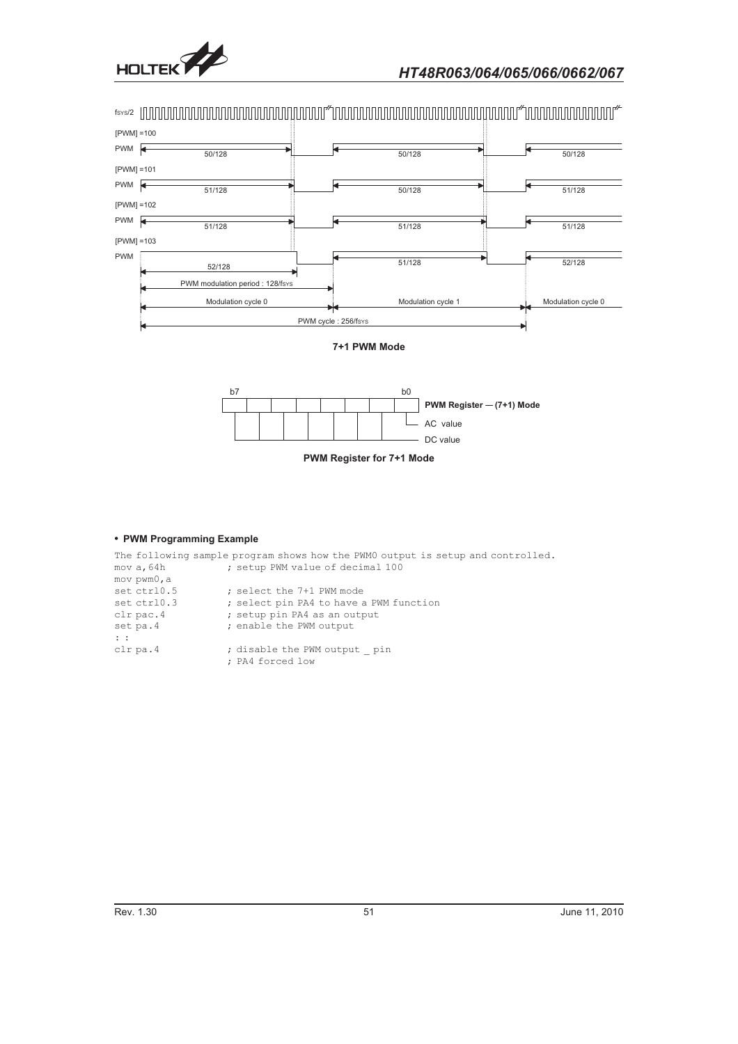



**PWM Register for 7+1 Mode**

## - **PWM Programming Example**

|                | The following sample program shows how the PWMO output is setup and controlled. |
|----------------|---------------------------------------------------------------------------------|
| mov a, 64h     | ; setup PWM value of decimal 100                                                |
| mov pwm0, a    |                                                                                 |
| set ctrl0.5    | ; select the 7+1 PWM mode                                                       |
| set ctrl0.3    | ; select pin PA4 to have a PWM function                                         |
| $clr$ pac. $4$ | ; setup pin PA4 as an output                                                    |
| set pa.4       | ; enable the PWM output                                                         |
| $\mathbf{1}$   |                                                                                 |
| $clr$ pa. 4    | ; disable the PWM output pin                                                    |
|                | ; PA4 forced low                                                                |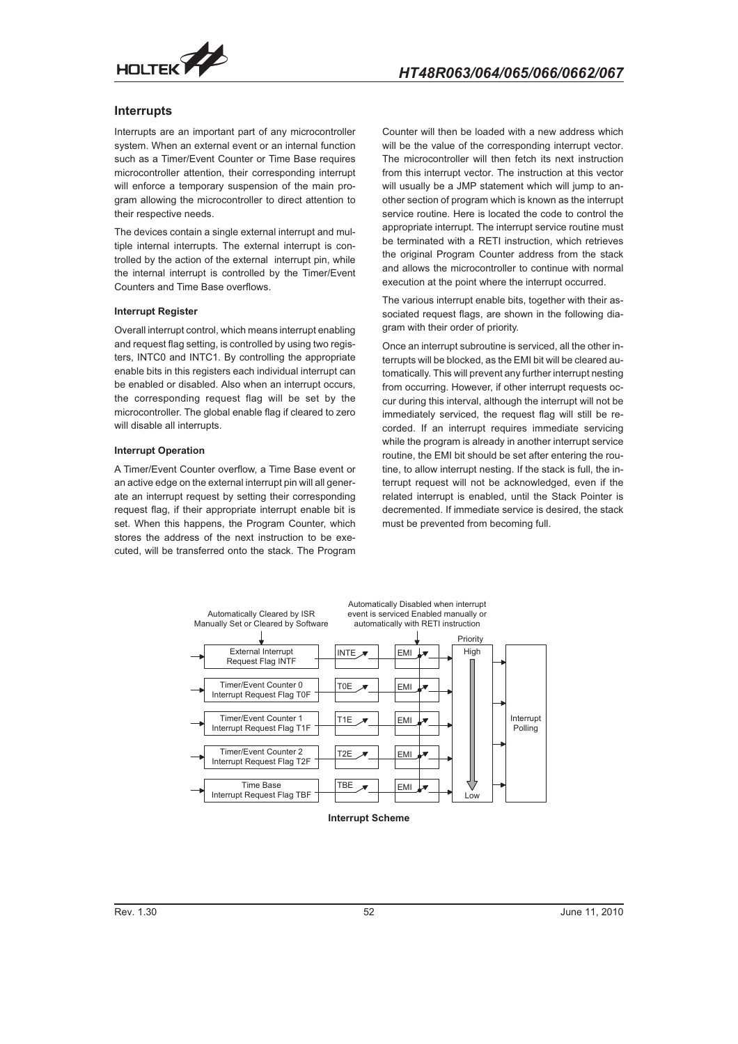

## **Interrupts**

Interrupts are an important part of any microcontroller system. When an external event or an internal function such as a Timer/Event Counter or Time Base requires microcontroller attention, their corresponding interrupt will enforce a temporary suspension of the main program allowing the microcontroller to direct attention to their respective needs.

The devices contain a single external interrupt and multiple internal interrupts. The external interrupt is controlled by the action of the external interrupt pin, while the internal interrupt is controlled by the Timer/Event Counters and Time Base overflows.

#### **Interrupt Register**

Overall interrupt control, which means interrupt enabling and request flag setting, is controlled by using two registers, INTC0 and INTC1. By controlling the appropriate enable bits in this registers each individual interrupt can be enabled or disabled. Also when an interrupt occurs, the corresponding request flag will be set by the microcontroller. The global enable flag if cleared to zero will disable all interrupts.

#### **Interrupt Operation**

A Timer/Event Counter overflow, a Time Base event or an active edge on the external interrupt pin will all generate an interrupt request by setting their corresponding request flag, if their appropriate interrupt enable bit is set. When this happens, the Program Counter, which stores the address of the next instruction to be executed, will be transferred onto the stack. The Program

Counter will then be loaded with a new address which will be the value of the corresponding interrupt vector. The microcontroller will then fetch its next instruction from this interrupt vector. The instruction at this vector will usually be a JMP statement which will jump to another section of program which is known as the interrupt service routine. Here is located the code to control the appropriate interrupt. The interrupt service routine must be terminated with a RETI instruction, which retrieves the original Program Counter address from the stack and allows the microcontroller to continue with normal execution at the point where the interrupt occurred.

The various interrupt enable bits, together with their associated request flags, are shown in the following diagram with their order of priority.

Once an interrupt subroutine is serviced, all the other interrupts will be blocked, as the EMI bit will be cleared automatically. This will prevent any further interrupt nesting from occurring. However, if other interrupt requests occur during this interval, although the interrupt will not be immediately serviced, the request flag will still be recorded. If an interrupt requires immediate servicing while the program is already in another interrupt service routine, the EMI bit should be set after entering the routine, to allow interrupt nesting. If the stack is full, the interrupt request will not be acknowledged, even if the related interrupt is enabled, until the Stack Pointer is decremented. If immediate service is desired, the stack must be prevented from becoming full.



**Interrupt Scheme**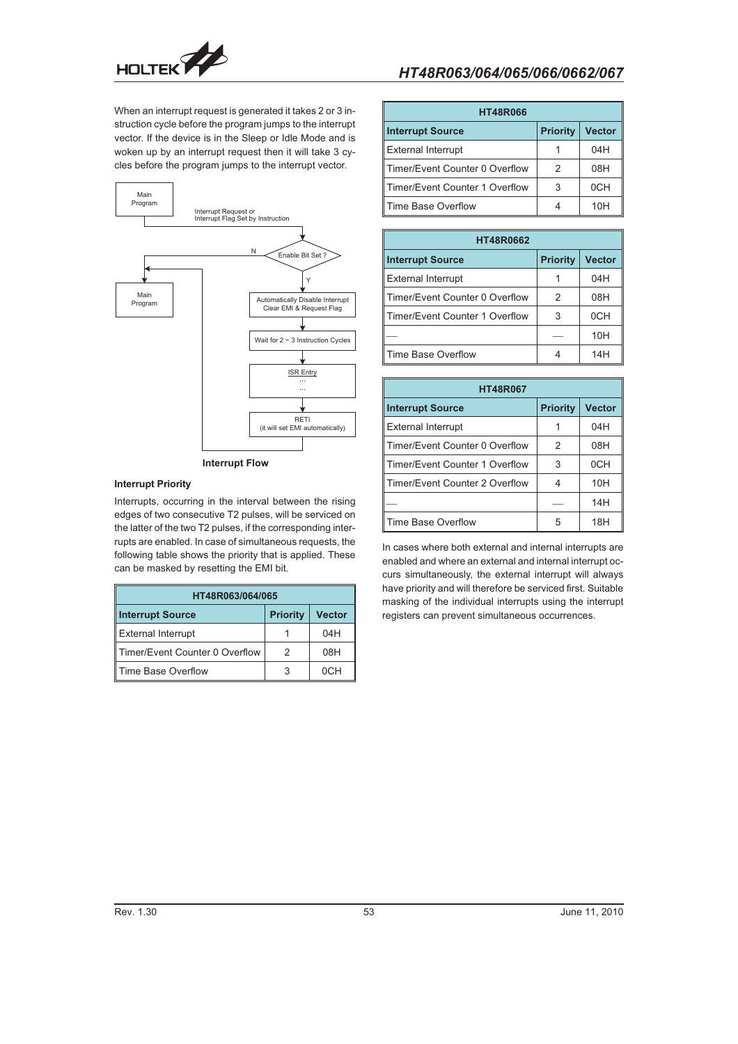

When an interrupt request is generated it takes 2 or 3 instruction cycle before the program jumps to the interrupt vector. If the device is in the Sleep or Idle Mode and is woken up by an interrupt request then it will take 3 cycles before the program jumps to the interrupt vector.



## **Interrupt Priority**

Interrupts, occurring in the interval between the rising edges of two consecutive T2 pulses, will be serviced on the latter of the two T2 pulses, if the corresponding interrupts are enabled. In case of simultaneous requests, the following table shows the priority that is applied. These can be masked by resetting the EMI bit.

| HT48R063/064/065                                            |   |     |  |  |  |
|-------------------------------------------------------------|---|-----|--|--|--|
| <b>Interrupt Source</b><br><b>Vector</b><br><b>Priority</b> |   |     |  |  |  |
| External Interrupt                                          |   | 04H |  |  |  |
| ∥Timer/Event Counter 0 Overflow                             | 2 | 08H |  |  |  |
| ∥ Time Base Overflow                                        |   | 0CH |  |  |  |

| <b>HT48R066</b>                 |                 |               |  |  |  |
|---------------------------------|-----------------|---------------|--|--|--|
| <b>Interrupt Source</b>         | <b>Priority</b> | <b>Vector</b> |  |  |  |
| <b>External Interrupt</b>       |                 | 04H           |  |  |  |
| ∥Timer/Event Counter 0 Overflow | 2               | 08H           |  |  |  |
| ∥Timer/Event Counter 1 Overflow | 3               | 0CH           |  |  |  |
| ∥Time Base Overflow             |                 | 10H           |  |  |  |

| <b>HT48R0662</b>               |                 |               |  |  |  |  |  |  |
|--------------------------------|-----------------|---------------|--|--|--|--|--|--|
| <b>Interrupt Source</b>        | <b>Priority</b> | <b>Vector</b> |  |  |  |  |  |  |
| <b>External Interrupt</b>      |                 | 04H           |  |  |  |  |  |  |
| Timer/Event Counter 0 Overflow | 2               | 08H           |  |  |  |  |  |  |
| Timer/Event Counter 1 Overflow | 3               | 0CH           |  |  |  |  |  |  |
|                                |                 | 10H           |  |  |  |  |  |  |
| Time Base Overflow             |                 | 14H           |  |  |  |  |  |  |

| <b>HT48R067</b>                |                 |                 |  |  |  |  |  |  |
|--------------------------------|-----------------|-----------------|--|--|--|--|--|--|
| <b>Interrupt Source</b>        | <b>Priority</b> | <b>Vector</b>   |  |  |  |  |  |  |
| <b>External Interrupt</b>      | 1               | 04H             |  |  |  |  |  |  |
| Timer/Fyent Counter 0 Overflow | 2               | 08H             |  |  |  |  |  |  |
| Timer/Event Counter 1 Overflow | 3               | 0 <sub>CH</sub> |  |  |  |  |  |  |
| Timer/Event Counter 2 Overflow | 4               | 10H             |  |  |  |  |  |  |
|                                |                 | 14H             |  |  |  |  |  |  |
| Time Base Overflow             | 5               | 18H             |  |  |  |  |  |  |

In cases where both external and internal interrupts are enabled and where an external and internal interrupt occurs simultaneously, the external interrupt will always have priority and will therefore be serviced first. Suitable masking of the individual interrupts using the interrupt registers can prevent simultaneous occurrences.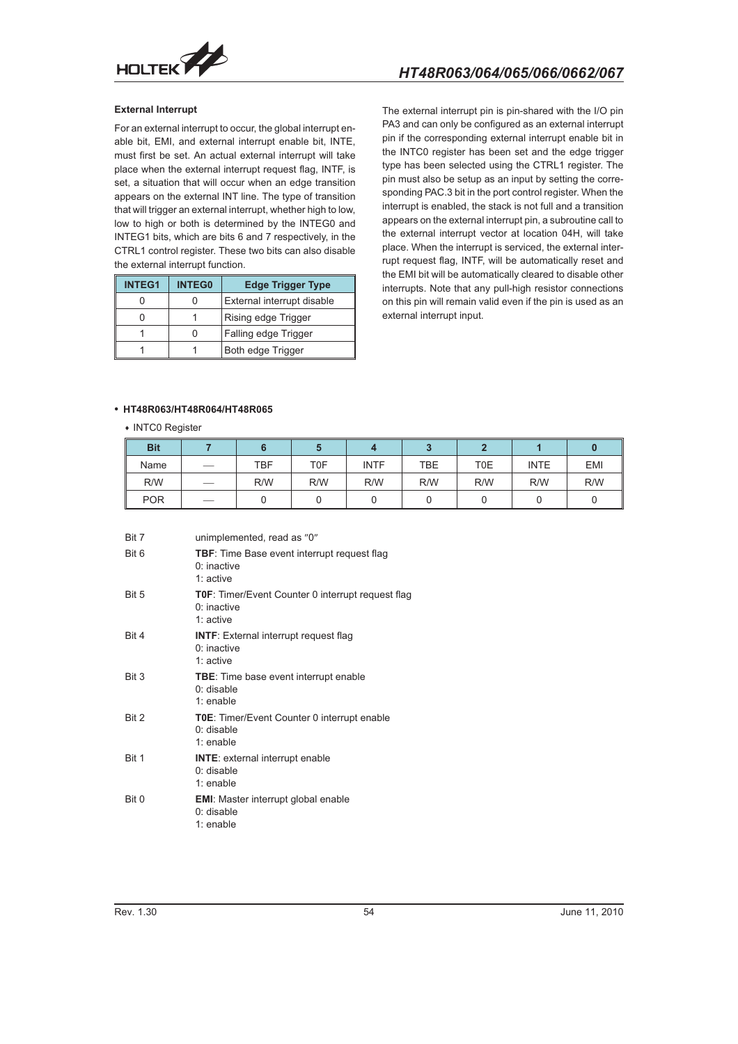

## **External Interrupt**

For an external interrupt to occur, the global interrupt enable bit, EMI, and external interrupt enable bit, INTE, must first be set. An actual external interrupt will take place when the external interrupt request flag, INTF, is set, a situation that will occur when an edge transition appears on the external INT line. The type of transition that will trigger an external interrupt, whether high to low, low to high or both is determined by the INTEG0 and INTEG1 bits, which are bits 6 and 7 respectively, in the CTRL1 control register. These two bits can also disable the external interrupt function.

| <b>INTEG1</b> | <b>INTEG0</b> | <b>Edge Trigger Type</b>   |
|---------------|---------------|----------------------------|
|               |               | External interrupt disable |
|               |               | Rising edge Trigger        |
|               |               | Falling edge Trigger       |
|               |               | Both edge Trigger          |

The external interrupt pin is pin-shared with the I/O pin PA3 and can only be configured as an external interrupt pin if the corresponding external interrupt enable bit in the INTC0 register has been set and the edge trigger type has been selected using the CTRL1 register. The pin must also be setup as an input by setting the corresponding PAC.3 bit in the port control register. When the interrupt is enabled, the stack is not full and a transition appears on the external interrupt pin, a subroutine call to the external interrupt vector at location 04H, will take place. When the interrupt is serviced, the external interrupt request flag, INTF, will be automatically reset and the EMI bit will be automatically cleared to disable other interrupts. Note that any pull-high resistor connections on this pin will remain valid even if the pin is used as an external interrupt input.

## - **HT48R063/HT48R064/HT48R065**

#### • INTC0 Register

| <b>Bit</b> |                          |     |     |             |     |     |             |            |
|------------|--------------------------|-----|-----|-------------|-----|-----|-------------|------------|
| Name       | $\overline{\phantom{a}}$ | TBF | T0F | <b>INTF</b> | TBE | T0E | <b>INTE</b> | <b>EMI</b> |
| R/W        |                          | R/W | R/W | R/W         | R/W | R/W | R/W         | R/W        |
| <b>POR</b> | $\overline{\phantom{a}}$ |     |     |             |     |     |             |            |

| Bit 7 | unimplemented, read as "0"                                                         |
|-------|------------------------------------------------------------------------------------|
| Bit 6 | <b>TBF:</b> Time Base event interrupt request flag<br>$0:$ inactive<br>$1:$ active |
| Bit 5 | TOF: Timer/Event Counter 0 interrupt request flag<br>$0:$ inactive<br>$1:$ active  |
| Bit 4 | <b>INTF:</b> External interrupt request flag<br>$0:$ inactive<br>$1:$ active       |
| Bit 3 | <b>TBE:</b> Time base event interrupt enable<br>$0:$ disable<br>$1:$ enable        |
| Bit 2 | <b>T0E:</b> Timer/Event Counter 0 interrupt enable<br>$0:$ disable<br>1: enable    |
| Bit 1 | <b>INTE:</b> external interrupt enable<br>$0:$ disable<br>$1:$ enable              |
| Bit 0 | <b>EMI:</b> Master interrupt global enable<br>$0:$ disable<br>1: enable            |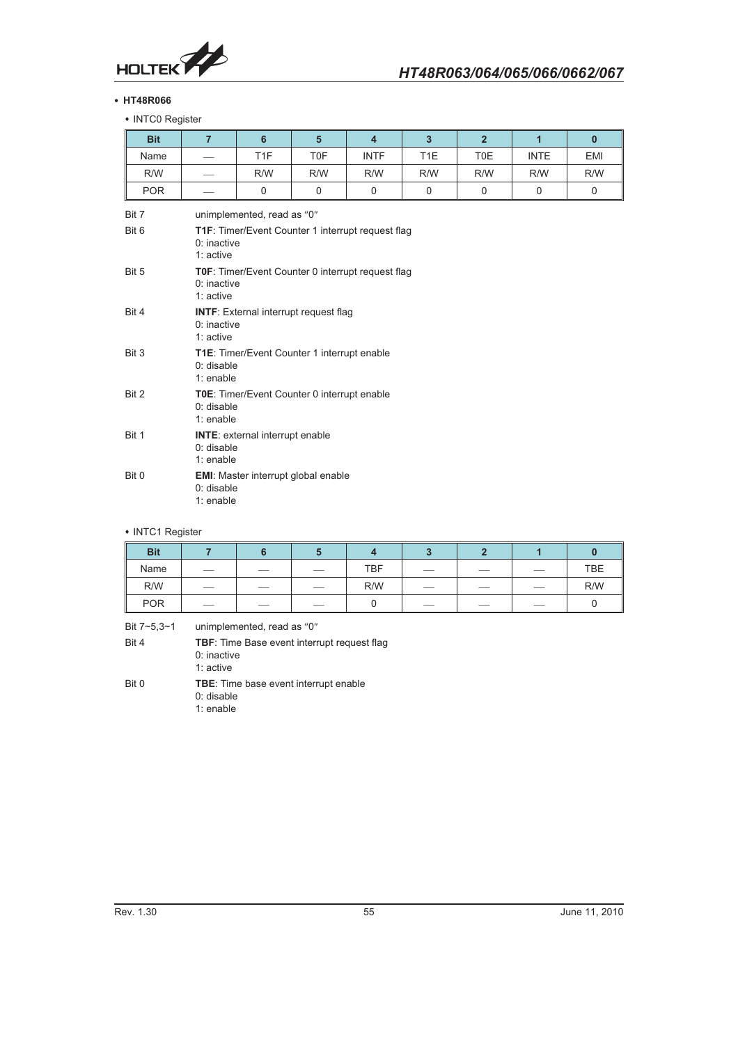

## - **HT48R066**

• INTC0 Register

| <b>Bit</b>     | $\overline{7}$             | 6                                                                   | $5\phantom{1}$                                     | $\overline{4}$ | $\overline{3}$   | $\overline{2}$ | $\overline{1}$ | $\mathbf{0}$ |
|----------------|----------------------------|---------------------------------------------------------------------|----------------------------------------------------|----------------|------------------|----------------|----------------|--------------|
| Name           |                            | T <sub>1F</sub>                                                     | <b>TOF</b>                                         | <b>INTF</b>    | T <sub>1</sub> E | <b>TOE</b>     | <b>INTE</b>    | <b>EMI</b>   |
| R/W            |                            | R/W                                                                 | R/W                                                | R/W            | R/W              | R/W            | R/W            | R/W          |
| <b>POR</b>     |                            | $\mathbf 0$                                                         | $\mathbf 0$                                        | $\mathbf 0$    | $\mathbf 0$      | $\mathbf 0$    | $\mathbf 0$    | $\mathbf 0$  |
| Bit 7<br>Bit 6 |                            | unimplemented, read as "0"                                          | T1F: Timer/Event Counter 1 interrupt request flag  |                |                  |                |                |              |
|                | $0:$ inactive<br>1: active |                                                                     |                                                    |                |                  |                |                |              |
| Bit 5          | $0:$ inactive<br>1: active |                                                                     | TOF: Timer/Event Counter 0 interrupt request flag  |                |                  |                |                |              |
| Bit 4          | 0: inactive<br>1: active   |                                                                     | <b>INTF:</b> External interrupt request flag       |                |                  |                |                |              |
| Bit 3          | 0: disable<br>1: enable    |                                                                     | T1E: Timer/Event Counter 1 interrupt enable        |                |                  |                |                |              |
| Bit 2          | 0: disable<br>1: enable    |                                                                     | <b>T0E:</b> Timer/Event Counter 0 interrupt enable |                |                  |                |                |              |
| Bit 1          |                            | <b>INTE:</b> external interrupt enable<br>$0:$ disable<br>1: enable |                                                    |                |                  |                |                |              |
| Bit 0          | $0:$ disable<br>1: enable  |                                                                     | <b>EMI:</b> Master interrupt global enable         |                |                  |                |                |              |

## • INTC1 Register

| <b>Bit</b> |     |      |     |            |                          |                          |                          |            |
|------------|-----|------|-----|------------|--------------------------|--------------------------|--------------------------|------------|
| Name       |     | __   | __  | <b>TBF</b> | $\overline{\phantom{a}}$ | __                       |                          | <b>TBE</b> |
| R/W        |     | $ -$ | ___ | R/W        | $\overline{\phantom{a}}$ | $\overline{\phantom{a}}$ | $\overline{\phantom{a}}$ | R/W        |
| <b>POR</b> | $-$ | __   | ___ |            | _                        |                          | _                        |            |

| Bit 7~5,3~1 | unimplemented, read as "0"                                                         |
|-------------|------------------------------------------------------------------------------------|
| Bit 4       | <b>TBF:</b> Time Base event interrupt request flag<br>$0:$ inactive<br>1: $active$ |
| Bit 0       | <b>TBE:</b> Time base event interrupt enable<br>0: disable                         |

1: enable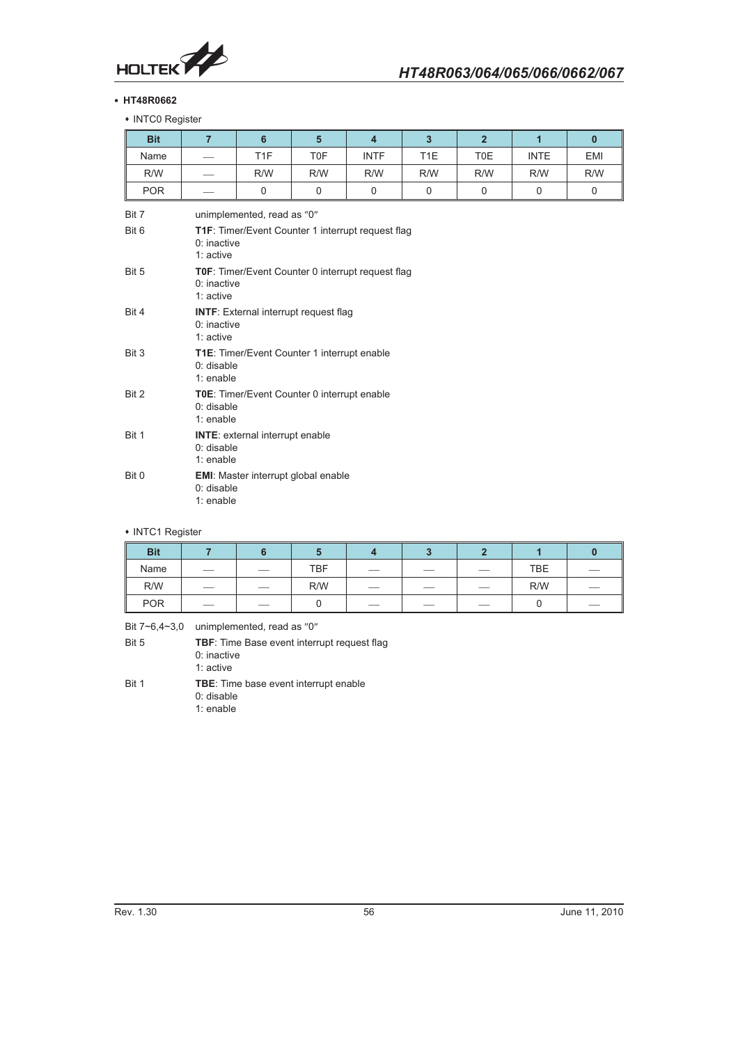

## - **HT48R0662**

• INTC0 Register

| <b>Bit</b>     | $\overline{7}$               | 6                                                                   | $5\phantom{1}$                                           | $\overline{4}$ | $\overline{3}$   | $\overline{2}$ | $\mathbf{1}$ | $\mathbf{0}$ |  |
|----------------|------------------------------|---------------------------------------------------------------------|----------------------------------------------------------|----------------|------------------|----------------|--------------|--------------|--|
| Name           |                              | T <sub>1F</sub>                                                     | <b>TOF</b>                                               | <b>INTF</b>    | T <sub>1</sub> E | <b>TOE</b>     | <b>INTE</b>  | <b>EMI</b>   |  |
| R/W            |                              | R/W                                                                 | R/W                                                      | R/W            | R/W              | R/W            | R/W          | R/W          |  |
| <b>POR</b>     |                              | $\mathbf 0$                                                         | $\mathbf 0$                                              | $\Omega$       | $\Omega$         | $\mathbf 0$    | $\mathbf 0$  | $\mathbf 0$  |  |
| Bit 7<br>Bit 6 |                              | unimplemented, read as "0"                                          | <b>T1F:</b> Timer/Event Counter 1 interrupt request flag |                |                  |                |              |              |  |
|                | $0:$ inactive<br>1: active   |                                                                     |                                                          |                |                  |                |              |              |  |
| Bit 5          | $0:$ inactive<br>1: active   |                                                                     | TOF: Timer/Event Counter 0 interrupt request flag        |                |                  |                |              |              |  |
| Bit 4          | $0:$ inactive<br>$1:$ active |                                                                     | <b>INTF:</b> External interrupt request flag             |                |                  |                |              |              |  |
| Bit 3          | 0: disable<br>1: enable      |                                                                     | T1E: Timer/Event Counter 1 interrupt enable              |                |                  |                |              |              |  |
| Bit 2          | 1: enable                    | TOE: Timer/Event Counter 0 interrupt enable<br>$0:$ disable         |                                                          |                |                  |                |              |              |  |
| Bit 1          |                              | <b>INTE:</b> external interrupt enable<br>$0:$ disable<br>1: enable |                                                          |                |                  |                |              |              |  |
| Bit 0          | $0:$ disable<br>1: enable    |                                                                     | <b>EMI:</b> Master interrupt global enable               |                |                  |                |              |              |  |

## • INTC1 Register

| <b>Bit</b> |                                 |                          |            |                          |     |                          |            |  |
|------------|---------------------------------|--------------------------|------------|--------------------------|-----|--------------------------|------------|--|
| Name       |                                 | $\overline{\phantom{a}}$ | <b>TBF</b> | $\overline{\phantom{a}}$ | $-$ | $\overline{\phantom{a}}$ | <b>TBE</b> |  |
| R/W        |                                 |                          | R/W        | $\overline{\phantom{a}}$ |     |                          | R/W        |  |
| <b>POR</b> | $\hspace{0.1mm}-\hspace{0.1mm}$ | $\overline{\phantom{a}}$ |            | $\overline{\phantom{a}}$ | $-$ |                          |            |  |

Bit  $7~6,4~3,0$  unimplemented, read as "0"

| Bit 5 | <b>TBF:</b> Time Base event interrupt request flag |
|-------|----------------------------------------------------|
|       | $0:$ inactive                                      |
|       | 1: active                                          |
| Di+ 1 | TDE. Time hose ovent interrunt enable              |

Bit 1 **TBE**: Time base event interrupt enable 0: disable

1: enable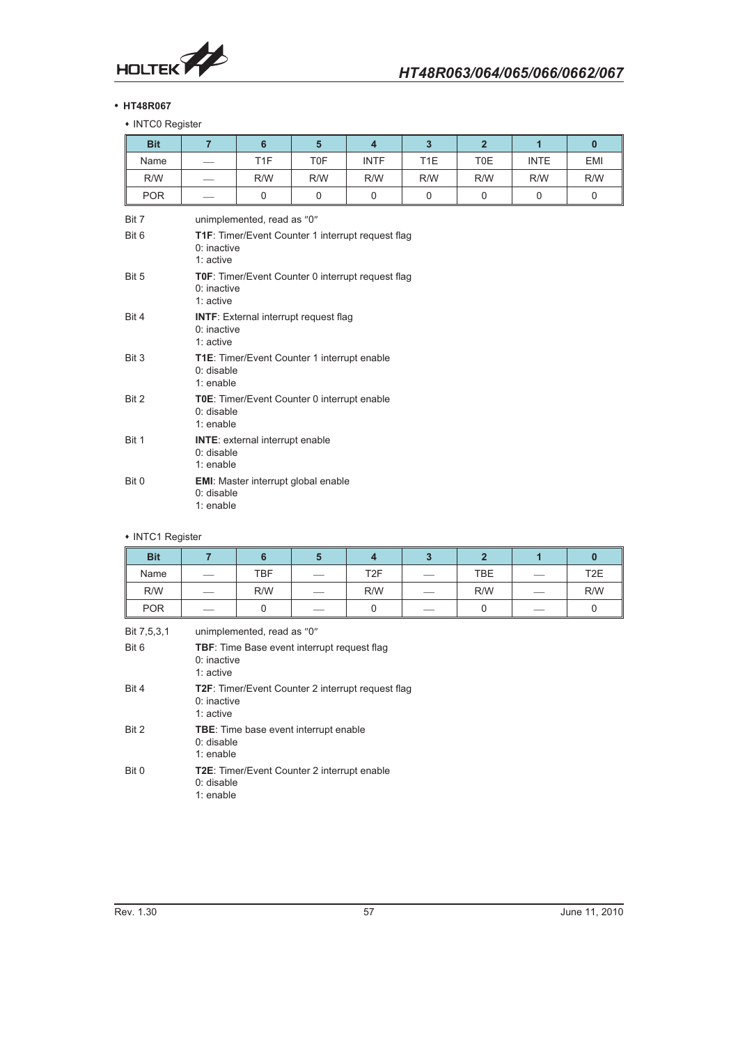

## - **HT48R067**

 INTC0 Register

| <b>Bit</b> | $\overline{7}$            | $6\phantom{1}6$                                                           | 5           | $\overline{4}$ | $\overline{3}$   | 2 <sup>1</sup> | $\overline{1}$ | $\mathbf{0}$ |  |  |
|------------|---------------------------|---------------------------------------------------------------------------|-------------|----------------|------------------|----------------|----------------|--------------|--|--|
| Name       |                           | T <sub>1F</sub>                                                           | <b>TOF</b>  | <b>INTF</b>    | T <sub>1</sub> E | T0E            | <b>INTE</b>    | <b>EMI</b>   |  |  |
| R/W        |                           | R/W                                                                       | R/W         | R/W            | R/W              | R/W            | R/W            | R/W          |  |  |
| <b>POR</b> |                           | $\mathbf 0$                                                               | $\mathbf 0$ | $\mathbf 0$    | $\mathbf 0$      | 0              | $\mathbf 0$    | $\mathbf 0$  |  |  |
| Bit 7      |                           | unimplemented, read as "0"                                                |             |                |                  |                |                |              |  |  |
| Bit 6      | 1: active                 | T1F: Timer/Event Counter 1 interrupt request flag<br>$0:$ inactive        |             |                |                  |                |                |              |  |  |
| Bit 5      | 1: active                 | <b>T0F:</b> Timer/Event Counter 0 interrupt request flag<br>$0:$ inactive |             |                |                  |                |                |              |  |  |
| Bit 4      | 1: active                 | <b>INTF:</b> External interrupt request flag<br>$0:$ inactive             |             |                |                  |                |                |              |  |  |
| Bit 3      | 1: enable                 | <b>T1E:</b> Timer/Event Counter 1 interrupt enable<br>$0:$ disable        |             |                |                  |                |                |              |  |  |
| Bit 2      |                           | TOE: Timer/Event Counter 0 interrupt enable<br>$0:$ disable<br>1: enable  |             |                |                  |                |                |              |  |  |
| Bit 1      |                           | <b>INTE:</b> external interrupt enable<br>$0:$ disable<br>1: enable       |             |                |                  |                |                |              |  |  |
| Bit 0      | $0:$ disable<br>1: enable | <b>EMI:</b> Master interrupt global enable                                |             |                |                  |                |                |              |  |  |

# • INTC1 Register

| <b>Bit</b> |                                 |     |                          |                 |                          |            |                                |                  |
|------------|---------------------------------|-----|--------------------------|-----------------|--------------------------|------------|--------------------------------|------------------|
| Name       | $\hspace{0.1mm}-\hspace{0.1mm}$ | TBF | $-$                      | T <sub>2F</sub> |                          | <b>TBE</b> | $\overbrace{\hspace{25mm}}^{}$ | T <sub>2</sub> E |
| R/W        |                                 | R/W | ___                      | R/W             | $\overline{\phantom{a}}$ | R/W        |                                | R/W              |
| <b>POR</b> |                                 |     | $\overline{\phantom{a}}$ |                 |                          |            |                                |                  |

| Bit 6<br><b>TBF:</b> Time Base event interrupt request flag<br>$0:$ inactive<br>1: $active$<br>Bit 4<br>$0:$ inactive<br>1: active<br>Bit 2<br><b>TBE:</b> Time base event interrupt enable<br>$0:$ disable<br>1: enable<br>Bit 0<br><b>T2E:</b> Timer/Event Counter 2 interrupt enable<br>$0:$ disable | Bit 7,5,3,1 | unimplemented, read as "0"                               |
|---------------------------------------------------------------------------------------------------------------------------------------------------------------------------------------------------------------------------------------------------------------------------------------------------------|-------------|----------------------------------------------------------|
|                                                                                                                                                                                                                                                                                                         |             |                                                          |
|                                                                                                                                                                                                                                                                                                         |             | <b>T2F:</b> Timer/Event Counter 2 interrupt request flag |
|                                                                                                                                                                                                                                                                                                         |             |                                                          |
|                                                                                                                                                                                                                                                                                                         |             | 1: enable                                                |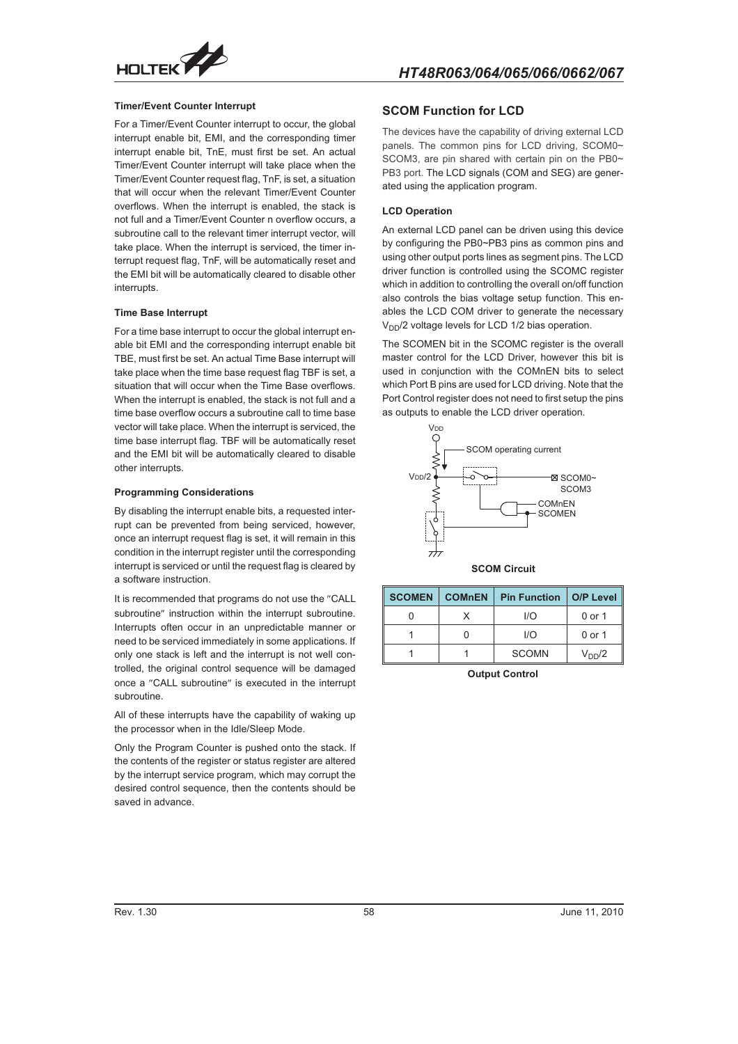

# *HT48R063/064/065/066/0662/067*

## **Timer/Event Counter Interrupt**

For a Timer/Event Counter interrupt to occur, the global interrupt enable bit, EMI, and the corresponding timer interrupt enable bit, TnE, must first be set. An actual Timer/Event Counter interrupt will take place when the Timer/Event Counter request flag, TnF, is set, a situation that will occur when the relevant Timer/Event Counter overflows. When the interrupt is enabled, the stack is not full and a Timer/Event Counter n overflow occurs, a subroutine call to the relevant timer interrupt vector, will take place. When the interrupt is serviced, the timer interrupt request flag, TnF, will be automatically reset and the EMI bit will be automatically cleared to disable other interrupts.

#### **Time Base Interrupt**

For a time base interrupt to occur the global interrupt enable bit EMI and the corresponding interrupt enable bit TBE, must first be set. An actual Time Base interrupt will take place when the time base request flag TBF is set, a situation that will occur when the Time Base overflows. When the interrupt is enabled, the stack is not full and a time base overflow occurs a subroutine call to time base vector will take place. When the interrupt is serviced, the time base interrupt flag. TBF will be automatically reset and the EMI bit will be automatically cleared to disable other interrupts.

#### **Programming Considerations**

By disabling the interrupt enable bits, a requested interrupt can be prevented from being serviced, however, once an interrupt request flag is set, it will remain in this condition in the interrupt register until the corresponding interrupt is serviced or until the request flag is cleared by a software instruction.

It is recommended that programs do not use the "CALL subroutine" instruction within the interrupt subroutine. Interrupts often occur in an unpredictable manner or need to be serviced immediately in some applications. If only one stack is left and the interrupt is not well controlled, the original control sequence will be damaged once a "CALL subroutine" is executed in the interrupt subroutine.

All of these interrupts have the capability of waking up the processor when in the Idle/Sleep Mode.

Only the Program Counter is pushed onto the stack. If the contents of the register or status register are altered by the interrupt service program, which may corrupt the desired control sequence, then the contents should be saved in advance.

## **SCOM Function for LCD**

The devices have the capability of driving external LCD panels. The common pins for LCD driving, SCOM0~ SCOM3, are pin shared with certain pin on the PB0~ PB3 port. The LCD signals (COM and SEG) are generated using the application program.

#### **LCD Operation**

An external LCD panel can be driven using this device by configuring the PB0~PB3 pins as common pins and using other output ports lines as segment pins. The LCD driver function is controlled using the SCOMC register which in addition to controlling the overall on/off function also controls the bias voltage setup function. This enables the LCD COM driver to generate the necessary  $V_{DD}/2$  voltage levels for LCD 1/2 bias operation.

The SCOMEN bit in the SCOMC register is the overall master control for the LCD Driver, however this bit is used in conjunction with the COMnEN bits to select which Port B pins are used for LCD driving. Note that the Port Control register does not need to first setup the pins as outputs to enable the LCD driver operation.



**SCOM Circuit**

| <b>SCOMEN   COMnEN</b><br><b>Pin Function   O/P Level</b> |              |                    |
|-----------------------------------------------------------|--------------|--------------------|
|                                                           | 1/O          | 0 or 1             |
|                                                           | 1/O          | 0 or 1             |
|                                                           | <b>SCOMN</b> | V <sub>DD</sub> /2 |

**Output Control**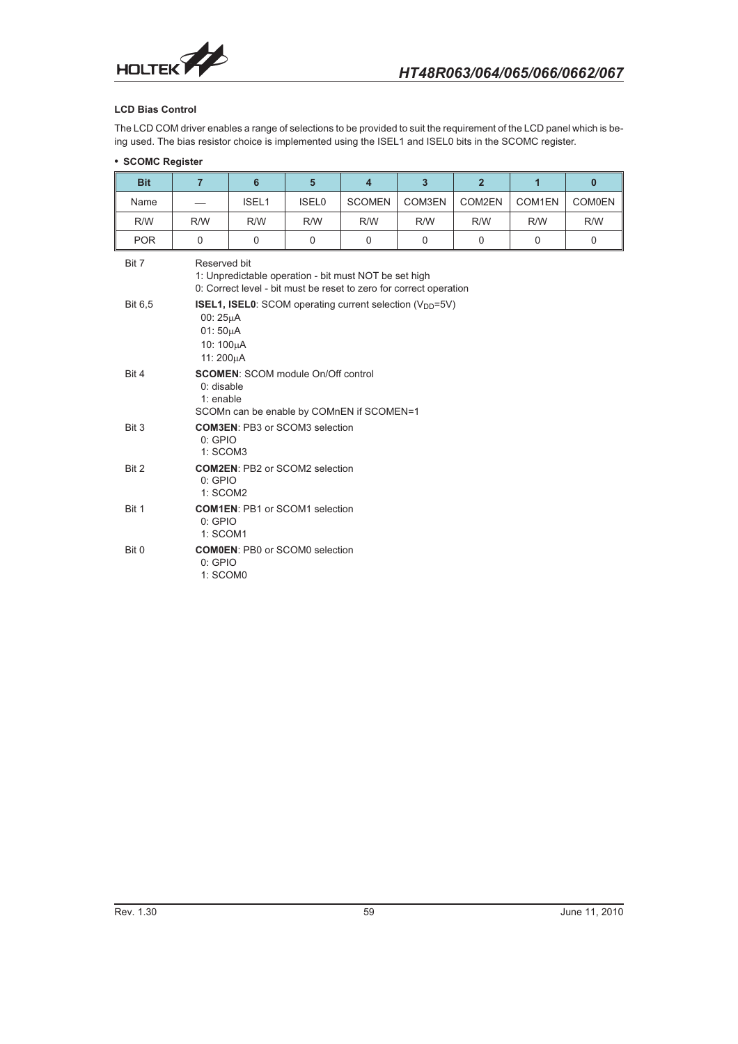

# **LCD Bias Control**

The LCD COM driver enables a range of selections to be provided to suit the requirement of the LCD panel which is being used. The bias resistor choice is implemented using the ISEL1 and ISEL0 bits in the SCOMC register.

## - **SCOMC Register**

| <b>Bit</b>     | $\overline{7}$                                                                                                                              | 6        | $5\phantom{1}$ | $\overline{\mathbf{4}}$ | 3           | $\overline{2}$ | $\overline{1}$ | $\mathbf{0}$  |
|----------------|---------------------------------------------------------------------------------------------------------------------------------------------|----------|----------------|-------------------------|-------------|----------------|----------------|---------------|
| Name           |                                                                                                                                             | ISEL1    | ISEL0          | <b>SCOMEN</b>           | COM3EN      | COM2EN         | COM1EN         | <b>COM0EN</b> |
| R/W            | R/W                                                                                                                                         | R/W      | R/W            | R/W                     | R/W         | R/W            | R/W            | R/W           |
| <b>POR</b>     | $\Omega$                                                                                                                                    | $\Omega$ | $\Omega$       | $\Omega$                | $\mathbf 0$ | 0              | 0              | $\Omega$      |
| Bit 7          | Reserved bit<br>1: Unpredictable operation - bit must NOT be set high<br>0: Correct level - bit must be reset to zero for correct operation |          |                |                         |             |                |                |               |
| <b>Bit 6.5</b> | <b>ISEL1, ISEL0:</b> SCOM operating current selection $(V_{DD} = 5V)$<br>00: 25µA<br>$01:50\mu A$<br>10: 100µA<br>11: 200µA                 |          |                |                         |             |                |                |               |
| Bit 4          | <b>SCOMEN:</b> SCOM module On/Off control<br>$0:$ disable<br>1: enable<br>SCOMn can be enable by COMnEN if SCOMEN=1                         |          |                |                         |             |                |                |               |
| Bit 3          | <b>COM3EN: PB3 or SCOM3 selection</b><br>$0:$ GPIO<br>1: SCOM3                                                                              |          |                |                         |             |                |                |               |
| Bit 2          | <b>COM2EN: PB2 or SCOM2 selection</b><br>$0:$ GPIO<br>1: SCOM2                                                                              |          |                |                         |             |                |                |               |
| Bit 1          | <b>COM1EN: PB1 or SCOM1 selection</b><br>$0:$ GPIO<br>1: SCOM1                                                                              |          |                |                         |             |                |                |               |
| Bit 0          | <b>COM0EN: PB0 or SCOM0 selection</b><br>0:GPIO<br>1: SCOM0                                                                                 |          |                |                         |             |                |                |               |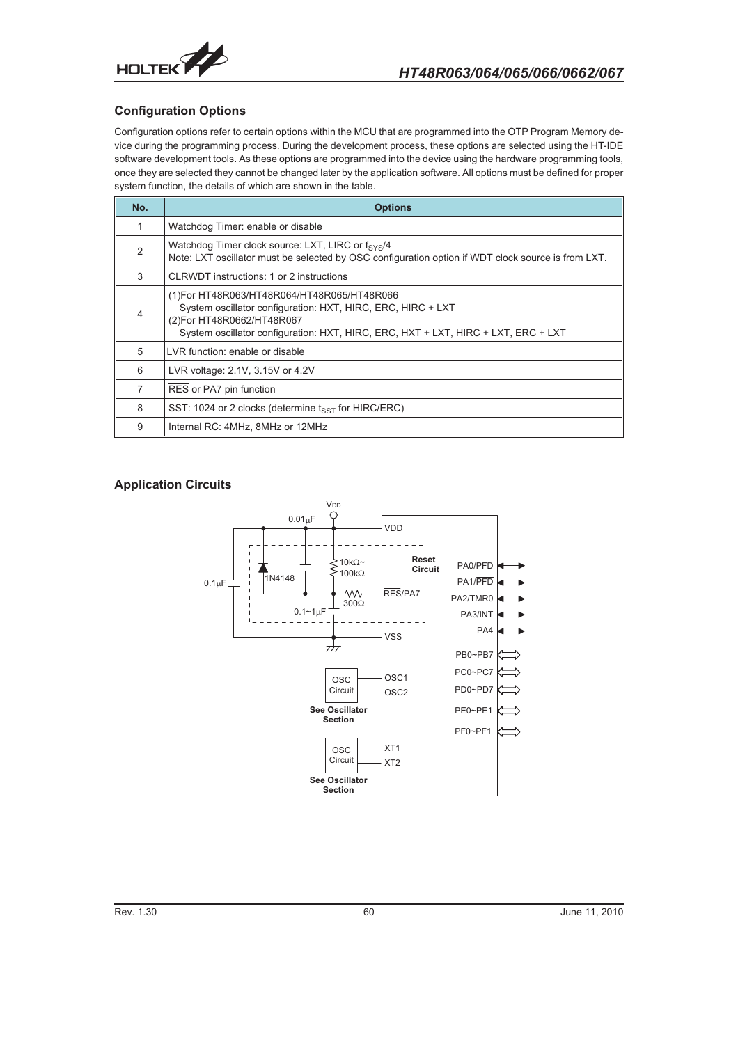

# **Configuration Options**

Configuration options refer to certain options within the MCU that are programmed into the OTP Program Memory device during the programming process. During the development process, these options are selected using the HT-IDE software development tools. As these options are programmed into the device using the hardware programming tools, once they are selected they cannot be changed later by the application software. All options must be defined for proper system function, the details of which are shown in the table.

| No.            | <b>Options</b>                                                                                                                                                                                                                |
|----------------|-------------------------------------------------------------------------------------------------------------------------------------------------------------------------------------------------------------------------------|
| 1.             | Watchdog Timer: enable or disable                                                                                                                                                                                             |
| $\mathfrak{p}$ | Watchdog Timer clock source: LXT, LIRC or $f_{\rm sys}/4$<br>Note: LXT oscillator must be selected by OSC configuration option if WDT clock source is from LXT.                                                               |
| 3              | CLRWDT instructions: 1 or 2 instructions                                                                                                                                                                                      |
| 4              | (1) For HT48R063/HT48R064/HT48R065/HT48R066<br>System oscillator configuration: HXT, HIRC, ERC, HIRC + LXT<br>(2) For HT48R0662/HT48R067<br>System oscillator configuration: HXT, HIRC, ERC, HXT + LXT, HIRC + LXT, ERC + LXT |
| 5              | LVR function: enable or disable                                                                                                                                                                                               |
| 6              | LVR voltage: 2.1V, 3.15V or 4.2V                                                                                                                                                                                              |
| 7              | RES or PA7 pin function                                                                                                                                                                                                       |
| 8              | SST: 1024 or 2 clocks (determine $t_{SST}$ for HIRC/ERC)                                                                                                                                                                      |
| 9              | Internal RC: 4MHz, 8MHz or 12MHz                                                                                                                                                                                              |

# **Application Circuits**

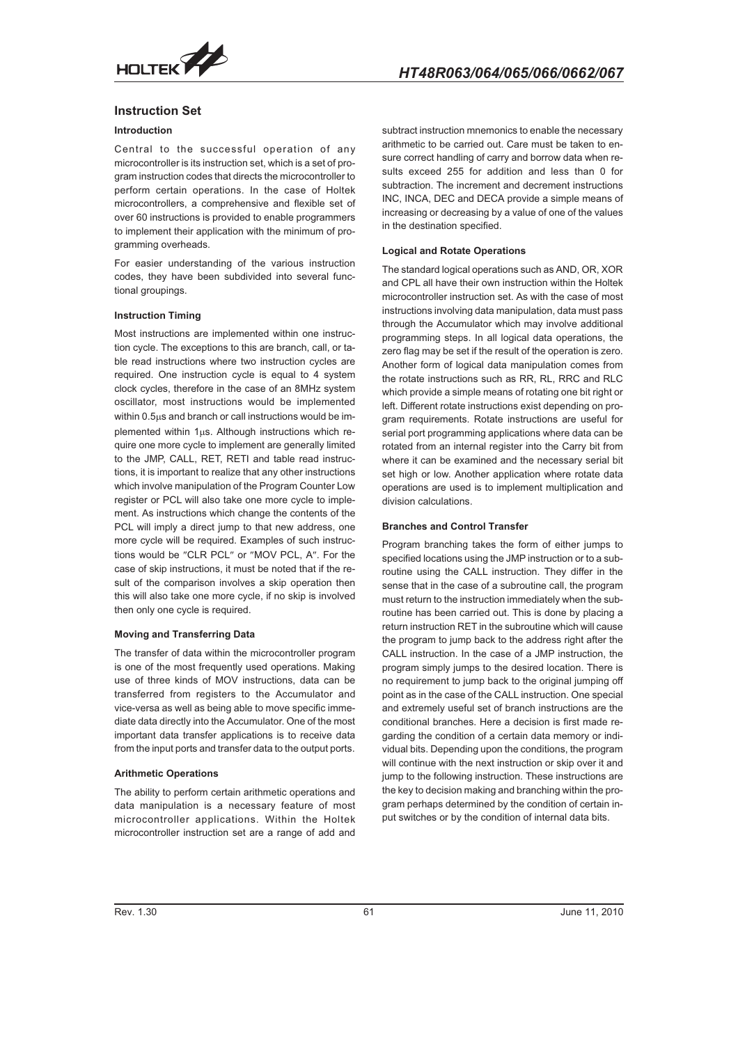

## **Instruction Set**

## **Introduction**

Central to the successful operation of any microcontroller is its instruction set, which is a set of program instruction codes that directs the microcontroller to perform certain operations. In the case of Holtek microcontrollers, a comprehensive and flexible set of over 60 instructions is provided to enable programmers to implement their application with the minimum of programming overheads.

For easier understanding of the various instruction codes, they have been subdivided into several functional groupings.

## **Instruction Timing**

Most instructions are implemented within one instruction cycle. The exceptions to this are branch, call, or table read instructions where two instruction cycles are required. One instruction cycle is equal to 4 system clock cycles, therefore in the case of an 8MHz system oscillator, most instructions would be implemented within 0.5 $\mu$ s and branch or call instructions would be implemented within  $1\mu s$ . Although instructions which require one more cycle to implement are generally limited to the JMP, CALL, RET, RETI and table read instructions, it is important to realize that any other instructions which involve manipulation of the Program Counter Low register or PCL will also take one more cycle to implement. As instructions which change the contents of the PCL will imply a direct jump to that new address, one more cycle will be required. Examples of such instructions would be "CLR PCL" or "MOV PCL, A". For the case of skip instructions, it must be noted that if the result of the comparison involves a skip operation then this will also take one more cycle, if no skip is involved then only one cycle is required.

## **Moving and Transferring Data**

The transfer of data within the microcontroller program is one of the most frequently used operations. Making use of three kinds of MOV instructions, data can be transferred from registers to the Accumulator and vice-versa as well as being able to move specific immediate data directly into the Accumulator. One of the most important data transfer applications is to receive data from the input ports and transfer data to the output ports.

#### **Arithmetic Operations**

The ability to perform certain arithmetic operations and data manipulation is a necessary feature of most microcontroller applications. Within the Holtek microcontroller instruction set are a range of add and

subtract instruction mnemonics to enable the necessary arithmetic to be carried out. Care must be taken to ensure correct handling of carry and borrow data when results exceed 255 for addition and less than 0 for subtraction. The increment and decrement instructions INC, INCA, DEC and DECA provide a simple means of increasing or decreasing by a value of one of the values in the destination specified.

## **Logical and Rotate Operations**

The standard logical operations such as AND, OR, XOR and CPL all have their own instruction within the Holtek microcontroller instruction set. As with the case of most instructions involving data manipulation, data must pass through the Accumulator which may involve additional programming steps. In all logical data operations, the zero flag may be set if the result of the operation is zero. Another form of logical data manipulation comes from the rotate instructions such as RR, RL, RRC and RLC which provide a simple means of rotating one bit right or left. Different rotate instructions exist depending on program requirements. Rotate instructions are useful for serial port programming applications where data can be rotated from an internal register into the Carry bit from where it can be examined and the necessary serial bit set high or low. Another application where rotate data operations are used is to implement multiplication and division calculations.

#### **Branches and Control Transfer**

Program branching takes the form of either jumps to specified locations using the JMP instruction or to a subroutine using the CALL instruction. They differ in the sense that in the case of a subroutine call, the program must return to the instruction immediately when the subroutine has been carried out. This is done by placing a return instruction RET in the subroutine which will cause the program to jump back to the address right after the CALL instruction. In the case of a JMP instruction, the program simply jumps to the desired location. There is no requirement to jump back to the original jumping off point as in the case of the CALL instruction. One special and extremely useful set of branch instructions are the conditional branches. Here a decision is first made regarding the condition of a certain data memory or individual bits. Depending upon the conditions, the program will continue with the next instruction or skip over it and jump to the following instruction. These instructions are the key to decision making and branching within the program perhaps determined by the condition of certain input switches or by the condition of internal data bits.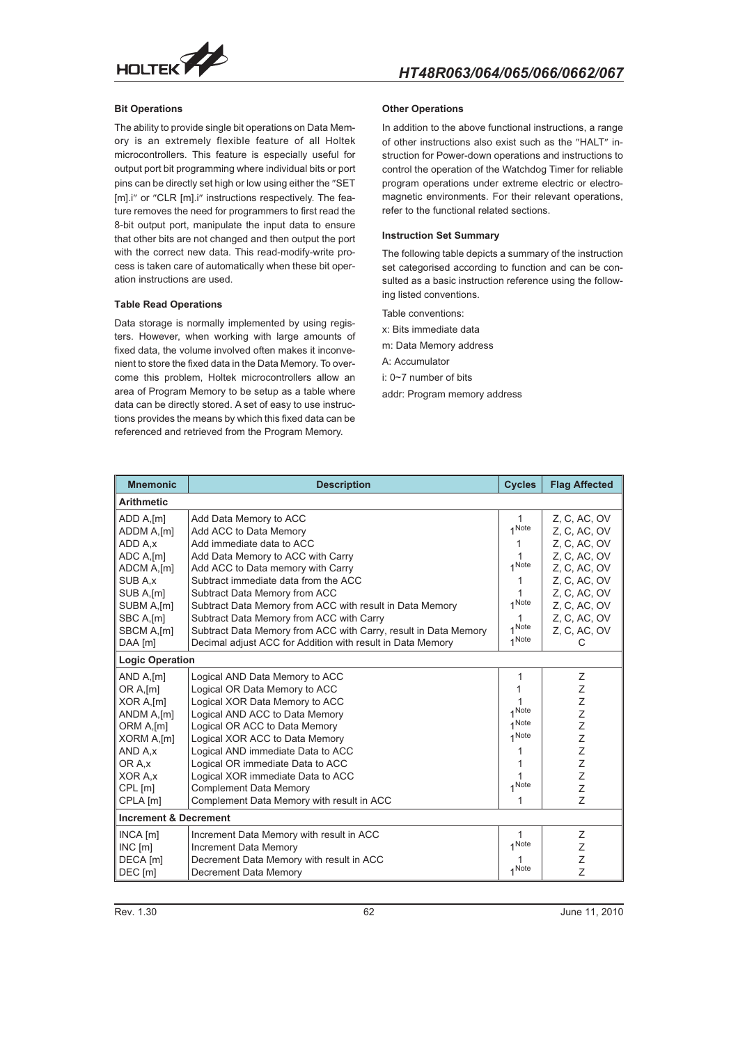

## **Bit Operations**

The ability to provide single bit operations on Data Memory is an extremely flexible feature of all Holtek microcontrollers. This feature is especially useful for output port bit programming where individual bits or port pins can be directly set high or low using either the "SET [m].i" or "CLR [m].i" instructions respectively. The feature removes the need for programmers to first read the 8-bit output port, manipulate the input data to ensure that other bits are not changed and then output the port with the correct new data. This read-modify-write process is taken care of automatically when these bit operation instructions are used.

## **Table Read Operations**

Data storage is normally implemented by using registers. However, when working with large amounts of fixed data, the volume involved often makes it inconvenient to store the fixed data in the Data Memory. To overcome this problem, Holtek microcontrollers allow an area of Program Memory to be setup as a table where data can be directly stored. A set of easy to use instructions provides the means by which this fixed data can be referenced and retrieved from the Program Memory.

## **Other Operations**

In addition to the above functional instructions, a range of other instructions also exist such as the "HALT" instruction for Power-down operations and instructions to control the operation of the Watchdog Timer for reliable program operations under extreme electric or electromagnetic environments. For their relevant operations, refer to the functional related sections.

#### **Instruction Set Summary**

The following table depicts a summary of the instruction set categorised according to function and can be consulted as a basic instruction reference using the following listed conventions.

Table conventions:

x: Bits immediate data

m: Data Memory address

A: Accumulator

i: 0~7 number of bits

addr: Program memory address

| <b>Mnemonic</b>                  | <b>Description</b>                                              | <b>Cycles</b> | <b>Flag Affected</b> |
|----------------------------------|-----------------------------------------------------------------|---------------|----------------------|
| <b>Arithmetic</b>                |                                                                 |               |                      |
| ADD A, [m]                       | Add Data Memory to ACC                                          | 1             | Z, C, AC, OV         |
| ADDM A,[m]                       | Add ACC to Data Memory                                          | 1 Note        | Z, C, AC, OV         |
| ADD A,x                          | Add immediate data to ACC                                       |               | Z, C, AC, OV         |
| ADC A, [m]                       | Add Data Memory to ACC with Carry                               |               | Z, C, AC, OV         |
| ADCM A,[m]                       | Add ACC to Data memory with Carry                               | 1 Note        | Z, C, AC, OV         |
| SUB A,x                          | Subtract immediate data from the ACC                            | 1             | Z, C, AC, OV         |
| SUB A,[m]                        | Subtract Data Memory from ACC                                   | $\mathbf{1}$  | Z, C, AC, OV         |
| SUBM A,[m]                       | Subtract Data Memory from ACC with result in Data Memory        | 1 Note        | Z, C, AC, OV         |
| SBC A,[m]                        | Subtract Data Memory from ACC with Carry                        | 1             | Z, C, AC, OV         |
| SBCM A,[m]                       | Subtract Data Memory from ACC with Carry, result in Data Memory | 1 Note        | Z, C, AC, OV         |
| DAA [m]                          | Decimal adjust ACC for Addition with result in Data Memory      | 1 Note        | C                    |
| <b>Logic Operation</b>           |                                                                 |               |                      |
| AND A, [m]                       | Logical AND Data Memory to ACC                                  | 1             | Ζ                    |
| OR A.[m]                         | Logical OR Data Memory to ACC                                   |               | Ζ                    |
| XOR A,[m]                        | Logical XOR Data Memory to ACC                                  |               | Z                    |
| ANDM A,[m]                       | Logical AND ACC to Data Memory                                  | 1 Note        | Z                    |
| ORM A,[m]                        | Logical OR ACC to Data Memory                                   | 1 Note        | Ζ                    |
| XORM A.[m]                       | Logical XOR ACC to Data Memory                                  | 1 Note        | Z                    |
| AND A.x                          | Logical AND immediate Data to ACC                               |               | Z                    |
| OR A.x                           | Logical OR immediate Data to ACC                                |               | Z                    |
| XOR A.x                          | Logical XOR immediate Data to ACC                               |               | Z                    |
| CPL [m]                          | <b>Complement Data Memory</b>                                   | 1 Note        | Z                    |
| CPLA [m]                         | Complement Data Memory with result in ACC                       | 1             | Z                    |
| <b>Increment &amp; Decrement</b> |                                                                 |               |                      |
| $INCA$ $[m]$                     | Increment Data Memory with result in ACC                        |               | Z                    |
| INC[m]                           | Increment Data Memory                                           | 1 Note        | Z                    |
| DECA [m]                         | Decrement Data Memory with result in ACC                        |               | Ζ                    |
| DEC [m]                          | <b>Decrement Data Memory</b>                                    | 1 Note        | Z                    |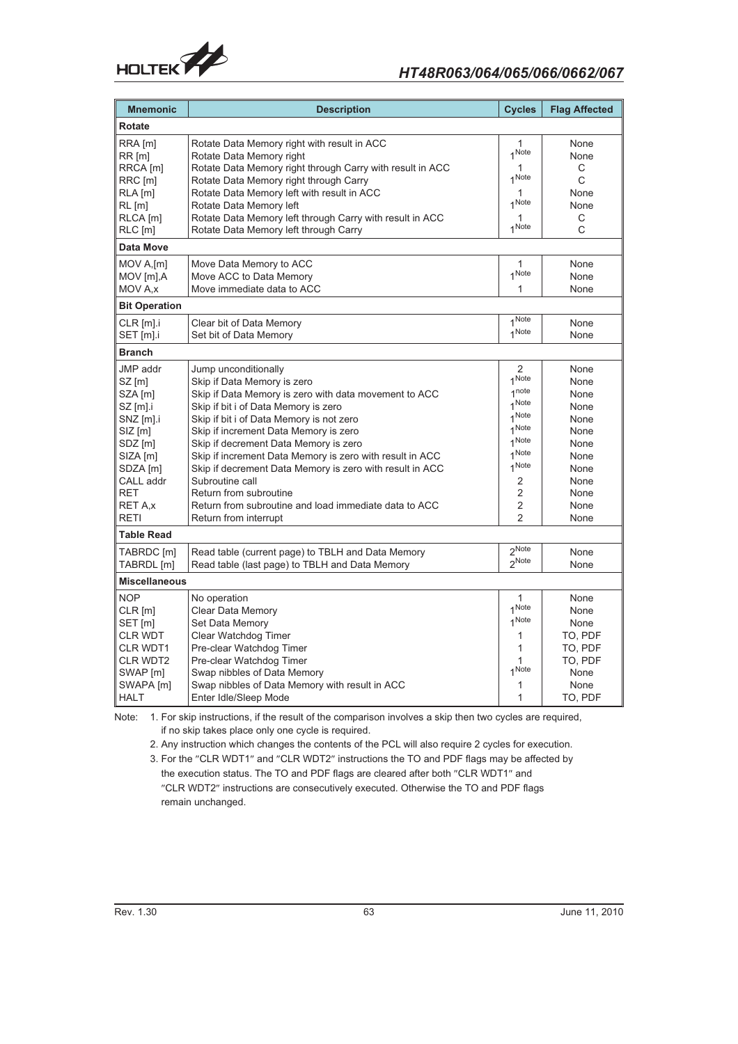

# *HT48R063/064/065/066/0662/067*

| <b>Mnemonic</b>                                                                                                                                                                                    | <b>Description</b>                                                                                                                                                                                                                                                                                                                                                                                                                                                                                                                        | <b>Cycles</b>                                                                                                                                          | <b>Flag Affected</b>                                                                                 |
|----------------------------------------------------------------------------------------------------------------------------------------------------------------------------------------------------|-------------------------------------------------------------------------------------------------------------------------------------------------------------------------------------------------------------------------------------------------------------------------------------------------------------------------------------------------------------------------------------------------------------------------------------------------------------------------------------------------------------------------------------------|--------------------------------------------------------------------------------------------------------------------------------------------------------|------------------------------------------------------------------------------------------------------|
| <b>Rotate</b>                                                                                                                                                                                      |                                                                                                                                                                                                                                                                                                                                                                                                                                                                                                                                           |                                                                                                                                                        |                                                                                                      |
| RRA [m]<br>$RR$ [m]                                                                                                                                                                                | Rotate Data Memory right with result in ACC<br>Rotate Data Memory right                                                                                                                                                                                                                                                                                                                                                                                                                                                                   | 1<br>1 Note                                                                                                                                            | None<br>None                                                                                         |
| RRCA [m]<br>RRC [m]<br>RLA [m]                                                                                                                                                                     | Rotate Data Memory right through Carry with result in ACC<br>Rotate Data Memory right through Carry<br>Rotate Data Memory left with result in ACC                                                                                                                                                                                                                                                                                                                                                                                         | 1<br>1 Note<br>1                                                                                                                                       | С<br>C<br>None                                                                                       |
| $RL$ [m]<br>RLCA [m]                                                                                                                                                                               | Rotate Data Memory left<br>Rotate Data Memory left through Carry with result in ACC                                                                                                                                                                                                                                                                                                                                                                                                                                                       | 1 Note<br>1                                                                                                                                            | None<br>С                                                                                            |
| RLC [m]                                                                                                                                                                                            | Rotate Data Memory left through Carry                                                                                                                                                                                                                                                                                                                                                                                                                                                                                                     | 1 Note                                                                                                                                                 | C                                                                                                    |
| Data Move                                                                                                                                                                                          |                                                                                                                                                                                                                                                                                                                                                                                                                                                                                                                                           |                                                                                                                                                        |                                                                                                      |
| MOV A,[m]<br>MOV [m], A<br>MOV A.x                                                                                                                                                                 | Move Data Memory to ACC<br>Move ACC to Data Memory<br>Move immediate data to ACC                                                                                                                                                                                                                                                                                                                                                                                                                                                          | $\mathbf{1}$<br>1 Note<br>1                                                                                                                            | None<br>None<br>None                                                                                 |
| <b>Bit Operation</b>                                                                                                                                                                               |                                                                                                                                                                                                                                                                                                                                                                                                                                                                                                                                           |                                                                                                                                                        |                                                                                                      |
| CLR [m].i<br>SET [m].i                                                                                                                                                                             | Clear bit of Data Memory<br>Set bit of Data Memory                                                                                                                                                                                                                                                                                                                                                                                                                                                                                        | 1 Note<br>1 Note                                                                                                                                       | None<br>None                                                                                         |
| <b>Branch</b>                                                                                                                                                                                      |                                                                                                                                                                                                                                                                                                                                                                                                                                                                                                                                           |                                                                                                                                                        |                                                                                                      |
| <b>JMP</b> addr<br>$SZ$ [m]<br>SZA [m]<br>$SZ$ [m].i<br>SNZ [m].i<br>$SIZ$ [m]<br>SDZ [m]<br>SIZA [m]<br>SDZA [m]<br>CALL addr<br><b>RET</b><br><b>RET A.x</b><br><b>RETI</b><br><b>Table Read</b> | Jump unconditionally<br>Skip if Data Memory is zero<br>Skip if Data Memory is zero with data movement to ACC<br>Skip if bit i of Data Memory is zero<br>Skip if bit i of Data Memory is not zero<br>Skip if increment Data Memory is zero<br>Skip if decrement Data Memory is zero<br>Skip if increment Data Memory is zero with result in ACC<br>Skip if decrement Data Memory is zero with result in ACC<br>Subroutine call<br>Return from subroutine<br>Return from subroutine and load immediate data to ACC<br>Return from interrupt | 2<br>1 Note<br>1 <sup>note</sup><br>1 Note<br>1 Note<br>1Note<br>1 Note<br>1 Note<br>1 Note<br>2<br>$\overline{2}$<br>$\overline{2}$<br>$\mathfrak{p}$ | None<br>None<br>None<br>None<br>None<br>None<br>None<br>None<br>None<br>None<br>None<br>None<br>None |
| TABRDC [m]                                                                                                                                                                                         | Read table (current page) to TBLH and Data Memory                                                                                                                                                                                                                                                                                                                                                                                                                                                                                         | 2Note                                                                                                                                                  | None                                                                                                 |
| TABRDL [m]                                                                                                                                                                                         | Read table (last page) to TBLH and Data Memory                                                                                                                                                                                                                                                                                                                                                                                                                                                                                            | oNote                                                                                                                                                  | None                                                                                                 |
| <b>Miscellaneous</b>                                                                                                                                                                               |                                                                                                                                                                                                                                                                                                                                                                                                                                                                                                                                           |                                                                                                                                                        |                                                                                                      |
| <b>NOP</b><br>$CLR$ [m]<br>SET [m]<br><b>CLR WDT</b><br><b>CLR WDT1</b><br><b>CLR WDT2</b><br>SWAP [m]<br>SWAPA [m]<br><b>HALT</b>                                                                 | No operation<br>Clear Data Memory<br>Set Data Memory<br>Clear Watchdog Timer<br>Pre-clear Watchdog Timer<br>Pre-clear Watchdog Timer<br>Swap nibbles of Data Memory<br>Swap nibbles of Data Memory with result in ACC<br>Enter Idle/Sleep Mode                                                                                                                                                                                                                                                                                            | 1<br>1 Note<br>1 Note<br>1<br>1<br>1<br>1 Note<br>1<br>1                                                                                               | None<br>None<br>None<br>TO, PDF<br>TO, PDF<br>TO, PDF<br>None<br>None<br>TO, PDF                     |

Note: 1. For skip instructions, if the result of the comparison involves a skip then two cycles are required, if no skip takes place only one cycle is required.

2. Any instruction which changes the contents of the PCL will also require 2 cycles for execution.

3. For the "CLR WDT1" and "CLR WDT2" instructions the TO and PDF flags may be affected by the execution status. The TO and PDF flags are cleared after both "CLR WDT1" and "CLR WDT2" instructions are consecutively executed. Otherwise the TO and PDF flags

remain unchanged.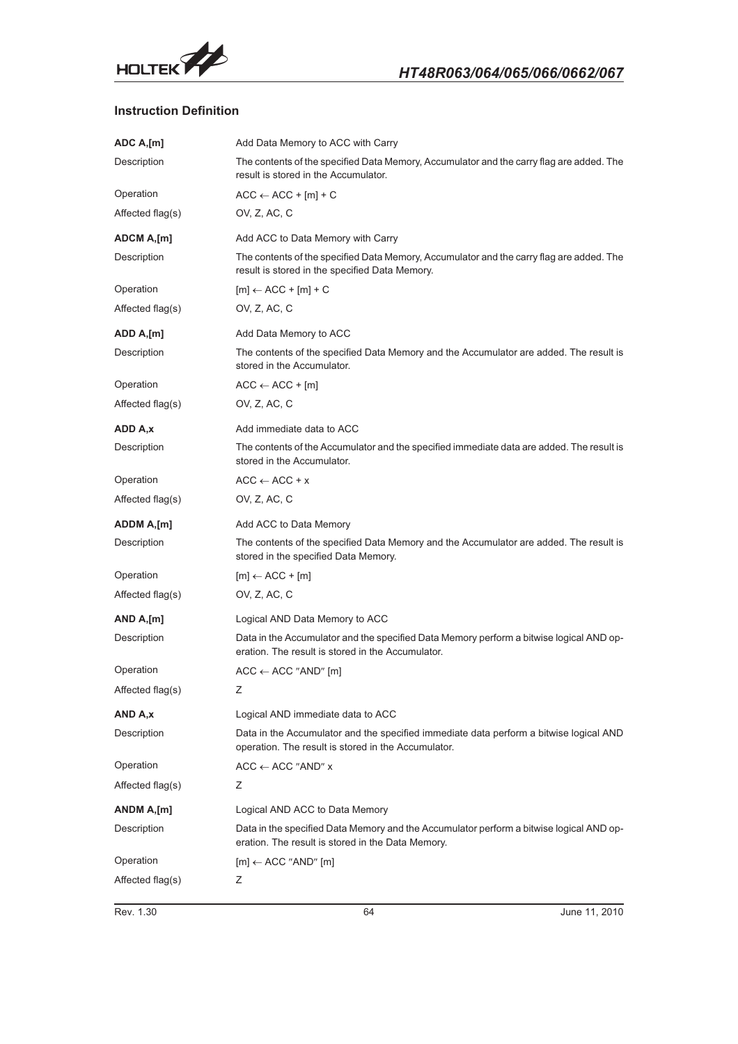

# **Instruction Definition**

| ADC A,[m]         | Add Data Memory to ACC with Carry                                                                                                             |
|-------------------|-----------------------------------------------------------------------------------------------------------------------------------------------|
| Description       | The contents of the specified Data Memory, Accumulator and the carry flag are added. The<br>result is stored in the Accumulator.              |
| Operation         | $ACC \leftarrow ACC + [m] + C$                                                                                                                |
| Affected flag(s)  | OV, Z, AC, C                                                                                                                                  |
| <b>ADCM A,[m]</b> | Add ACC to Data Memory with Carry                                                                                                             |
| Description       | The contents of the specified Data Memory, Accumulator and the carry flag are added. The<br>result is stored in the specified Data Memory.    |
| Operation         | $[m] \leftarrow ACC + [m] + C$                                                                                                                |
| Affected flag(s)  | OV, Z, AC, C                                                                                                                                  |
| ADD A,[m]         | Add Data Memory to ACC                                                                                                                        |
| Description       | The contents of the specified Data Memory and the Accumulator are added. The result is<br>stored in the Accumulator.                          |
| Operation         | $ACC \leftarrow ACC + [m]$                                                                                                                    |
| Affected flag(s)  | OV, Z, AC, C                                                                                                                                  |
| ADD A,x           | Add immediate data to ACC                                                                                                                     |
| Description       | The contents of the Accumulator and the specified immediate data are added. The result is<br>stored in the Accumulator.                       |
| Operation         | $ACC \leftarrow ACC + x$                                                                                                                      |
| Affected flag(s)  | OV, Z, AC, C                                                                                                                                  |
| <b>ADDM A,[m]</b> | Add ACC to Data Memory                                                                                                                        |
| Description       | The contents of the specified Data Memory and the Accumulator are added. The result is<br>stored in the specified Data Memory.                |
| Operation         | $[m] \leftarrow ACC + [m]$                                                                                                                    |
| Affected flag(s)  | OV, Z, AC, C                                                                                                                                  |
| AND A,[m]         | Logical AND Data Memory to ACC                                                                                                                |
| Description       | Data in the Accumulator and the specified Data Memory perform a bitwise logical AND op-<br>eration. The result is stored in the Accumulator.  |
| Operation         | $ACC \leftarrow ACC$ "AND" [m]                                                                                                                |
| Affected flag(s)  | Ζ                                                                                                                                             |
| AND A.x           | Logical AND immediate data to ACC                                                                                                             |
| Description       | Data in the Accumulator and the specified immediate data perform a bitwise logical AND<br>operation. The result is stored in the Accumulator. |
| Operation         | $ACC \leftarrow ACC$ "AND" x                                                                                                                  |
| Affected flag(s)  | Ζ                                                                                                                                             |
| ANDM A,[m]        | Logical AND ACC to Data Memory                                                                                                                |
| Description       | Data in the specified Data Memory and the Accumulator perform a bitwise logical AND op-<br>eration. The result is stored in the Data Memory.  |
| Operation         | $[m] \leftarrow ACC$ "AND" $[m]$                                                                                                              |
| Affected flag(s)  | Ζ                                                                                                                                             |
|                   |                                                                                                                                               |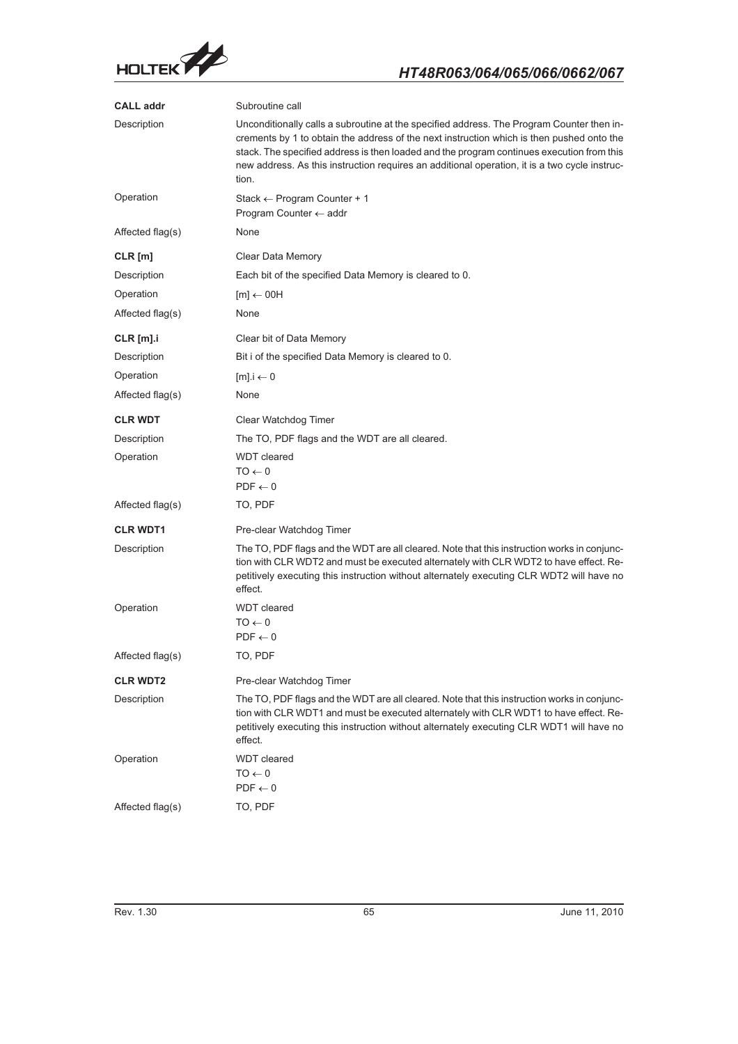

| <b>CALL addr</b> | Subroutine call                                                                                                                                                                                                                                                                                                                                                                               |
|------------------|-----------------------------------------------------------------------------------------------------------------------------------------------------------------------------------------------------------------------------------------------------------------------------------------------------------------------------------------------------------------------------------------------|
| Description      | Unconditionally calls a subroutine at the specified address. The Program Counter then in-<br>crements by 1 to obtain the address of the next instruction which is then pushed onto the<br>stack. The specified address is then loaded and the program continues execution from this<br>new address. As this instruction requires an additional operation, it is a two cycle instruc-<br>tion. |
| Operation        | Stack $\leftarrow$ Program Counter + 1<br>Program Counter $\leftarrow$ addr                                                                                                                                                                                                                                                                                                                   |
| Affected flag(s) | None                                                                                                                                                                                                                                                                                                                                                                                          |
| $CLR$ [m]        | Clear Data Memory                                                                                                                                                                                                                                                                                                                                                                             |
| Description      | Each bit of the specified Data Memory is cleared to 0.                                                                                                                                                                                                                                                                                                                                        |
| Operation        | $[m] \leftarrow 00H$                                                                                                                                                                                                                                                                                                                                                                          |
| Affected flag(s) | None                                                                                                                                                                                                                                                                                                                                                                                          |
| $CLR$ [m].i      | Clear bit of Data Memory                                                                                                                                                                                                                                                                                                                                                                      |
| Description      | Bit i of the specified Data Memory is cleared to 0.                                                                                                                                                                                                                                                                                                                                           |
| Operation        | $[m]$ .i $\leftarrow$ 0                                                                                                                                                                                                                                                                                                                                                                       |
| Affected flag(s) | None                                                                                                                                                                                                                                                                                                                                                                                          |
| <b>CLR WDT</b>   | Clear Watchdog Timer                                                                                                                                                                                                                                                                                                                                                                          |
| Description      | The TO, PDF flags and the WDT are all cleared.                                                                                                                                                                                                                                                                                                                                                |
| Operation        | <b>WDT</b> cleared<br>$0 \rightarrow$ OT<br>$PDF \leftarrow 0$                                                                                                                                                                                                                                                                                                                                |
| Affected flag(s) | TO, PDF                                                                                                                                                                                                                                                                                                                                                                                       |
| <b>CLR WDT1</b>  | Pre-clear Watchdog Timer                                                                                                                                                                                                                                                                                                                                                                      |
| Description      | The TO, PDF flags and the WDT are all cleared. Note that this instruction works in conjunc-<br>tion with CLR WDT2 and must be executed alternately with CLR WDT2 to have effect. Re-<br>petitively executing this instruction without alternately executing CLR WDT2 will have no<br>effect.                                                                                                  |
| Operation        | <b>WDT</b> cleared<br>$TO \leftarrow 0$<br>$PDF \leftarrow 0$                                                                                                                                                                                                                                                                                                                                 |
| Affected flag(s) | TO, PDF                                                                                                                                                                                                                                                                                                                                                                                       |
| <b>CLR WDT2</b>  | Pre-clear Watchdog Timer                                                                                                                                                                                                                                                                                                                                                                      |
| Description      | The TO, PDF flags and the WDT are all cleared. Note that this instruction works in conjunc-<br>tion with CLR WDT1 and must be executed alternately with CLR WDT1 to have effect. Re-<br>petitively executing this instruction without alternately executing CLR WDT1 will have no<br>effect.                                                                                                  |
| Operation        | <b>WDT</b> cleared<br>$0 \rightarrow$ OT<br>$PDF \leftarrow 0$                                                                                                                                                                                                                                                                                                                                |
| Affected flag(s) | TO, PDF                                                                                                                                                                                                                                                                                                                                                                                       |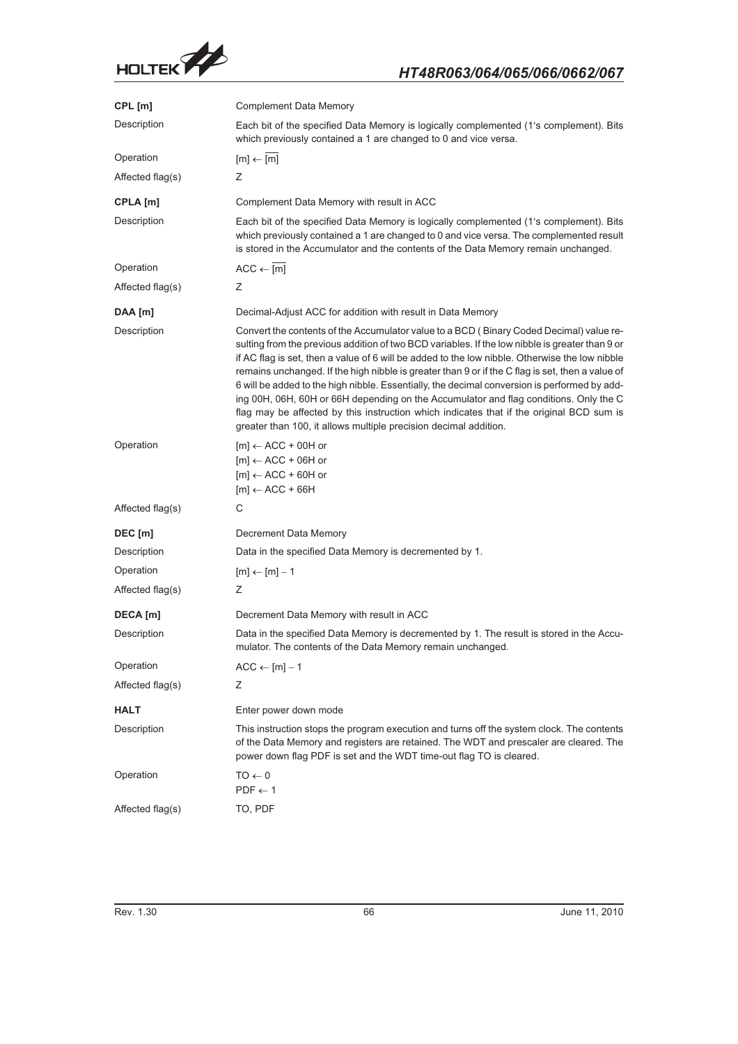

| CPL [m]          | <b>Complement Data Memory</b>                                                                                                                                                                                                                                                                                                                                                                                                                                                                                                                                                                                                                                                                                                                             |
|------------------|-----------------------------------------------------------------------------------------------------------------------------------------------------------------------------------------------------------------------------------------------------------------------------------------------------------------------------------------------------------------------------------------------------------------------------------------------------------------------------------------------------------------------------------------------------------------------------------------------------------------------------------------------------------------------------------------------------------------------------------------------------------|
| Description      | Each bit of the specified Data Memory is logically complemented (1's complement). Bits<br>which previously contained a 1 are changed to 0 and vice versa.                                                                                                                                                                                                                                                                                                                                                                                                                                                                                                                                                                                                 |
| Operation        | $[m] \leftarrow \overline{[m]}$                                                                                                                                                                                                                                                                                                                                                                                                                                                                                                                                                                                                                                                                                                                           |
| Affected flag(s) | Ζ                                                                                                                                                                                                                                                                                                                                                                                                                                                                                                                                                                                                                                                                                                                                                         |
| CPLA [m]         | Complement Data Memory with result in ACC                                                                                                                                                                                                                                                                                                                                                                                                                                                                                                                                                                                                                                                                                                                 |
| Description      | Each bit of the specified Data Memory is logically complemented (1's complement). Bits<br>which previously contained a 1 are changed to 0 and vice versa. The complemented result<br>is stored in the Accumulator and the contents of the Data Memory remain unchanged.                                                                                                                                                                                                                                                                                                                                                                                                                                                                                   |
| Operation        | $ACC \leftarrow [m]$                                                                                                                                                                                                                                                                                                                                                                                                                                                                                                                                                                                                                                                                                                                                      |
| Affected flag(s) | Ζ                                                                                                                                                                                                                                                                                                                                                                                                                                                                                                                                                                                                                                                                                                                                                         |
| DAA [m]          | Decimal-Adjust ACC for addition with result in Data Memory                                                                                                                                                                                                                                                                                                                                                                                                                                                                                                                                                                                                                                                                                                |
| Description      | Convert the contents of the Accumulator value to a BCD (Binary Coded Decimal) value re-<br>sulting from the previous addition of two BCD variables. If the low nibble is greater than 9 or<br>if AC flag is set, then a value of 6 will be added to the low nibble. Otherwise the low nibble<br>remains unchanged. If the high nibble is greater than 9 or if the C flag is set, then a value of<br>6 will be added to the high nibble. Essentially, the decimal conversion is performed by add-<br>ing 00H, 06H, 60H or 66H depending on the Accumulator and flag conditions. Only the C<br>flag may be affected by this instruction which indicates that if the original BCD sum is<br>greater than 100, it allows multiple precision decimal addition. |
| Operation        | $[m] \leftarrow ACC + 00H$ or<br>$[m] \leftarrow ACC + 06H$ or<br>$[m] \leftarrow ACC + 60H$ or<br>$[m] \leftarrow ACC + 66H$                                                                                                                                                                                                                                                                                                                                                                                                                                                                                                                                                                                                                             |
| Affected flag(s) | С                                                                                                                                                                                                                                                                                                                                                                                                                                                                                                                                                                                                                                                                                                                                                         |
| DEC [m]          | Decrement Data Memory                                                                                                                                                                                                                                                                                                                                                                                                                                                                                                                                                                                                                                                                                                                                     |
| Description      | Data in the specified Data Memory is decremented by 1.                                                                                                                                                                                                                                                                                                                                                                                                                                                                                                                                                                                                                                                                                                    |
| Operation        | $[m] \leftarrow [m] - 1$                                                                                                                                                                                                                                                                                                                                                                                                                                                                                                                                                                                                                                                                                                                                  |
| Affected flag(s) | Ζ                                                                                                                                                                                                                                                                                                                                                                                                                                                                                                                                                                                                                                                                                                                                                         |
| DECA [m]         | Decrement Data Memory with result in ACC                                                                                                                                                                                                                                                                                                                                                                                                                                                                                                                                                                                                                                                                                                                  |
| Description      | Data in the specified Data Memory is decremented by 1. The result is stored in the Accu-<br>mulator. The contents of the Data Memory remain unchanged.                                                                                                                                                                                                                                                                                                                                                                                                                                                                                                                                                                                                    |
| Operation        | $ACC \leftarrow [m] - 1$                                                                                                                                                                                                                                                                                                                                                                                                                                                                                                                                                                                                                                                                                                                                  |
| Affected flag(s) | Ζ                                                                                                                                                                                                                                                                                                                                                                                                                                                                                                                                                                                                                                                                                                                                                         |
| HALT             | Enter power down mode                                                                                                                                                                                                                                                                                                                                                                                                                                                                                                                                                                                                                                                                                                                                     |
| Description      | This instruction stops the program execution and turns off the system clock. The contents<br>of the Data Memory and registers are retained. The WDT and prescaler are cleared. The<br>power down flag PDF is set and the WDT time-out flag TO is cleared.                                                                                                                                                                                                                                                                                                                                                                                                                                                                                                 |
| Operation        | $0 \rightarrow$ OT<br>$PDF \leftarrow 1$                                                                                                                                                                                                                                                                                                                                                                                                                                                                                                                                                                                                                                                                                                                  |
| Affected flag(s) | TO, PDF                                                                                                                                                                                                                                                                                                                                                                                                                                                                                                                                                                                                                                                                                                                                                   |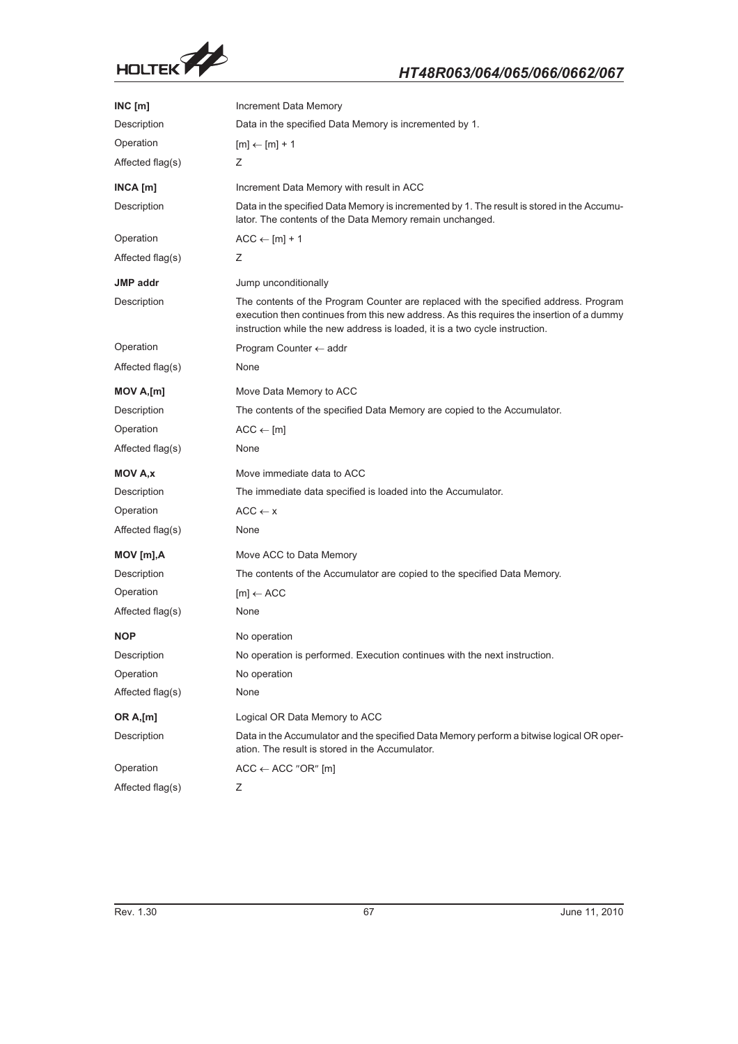

| INC[m]           | <b>Increment Data Memory</b>                                                                                                                                                                                                                                     |
|------------------|------------------------------------------------------------------------------------------------------------------------------------------------------------------------------------------------------------------------------------------------------------------|
| Description      | Data in the specified Data Memory is incremented by 1.                                                                                                                                                                                                           |
| Operation        | $[m] \leftarrow [m] + 1$                                                                                                                                                                                                                                         |
| Affected flag(s) | Z                                                                                                                                                                                                                                                                |
| $INCA$ [m]       | Increment Data Memory with result in ACC                                                                                                                                                                                                                         |
| Description      | Data in the specified Data Memory is incremented by 1. The result is stored in the Accumu-<br>lator. The contents of the Data Memory remain unchanged.                                                                                                           |
| Operation        | $ACC \leftarrow [m] + 1$                                                                                                                                                                                                                                         |
| Affected flag(s) | Z.                                                                                                                                                                                                                                                               |
| JMP addr         | Jump unconditionally                                                                                                                                                                                                                                             |
| Description      | The contents of the Program Counter are replaced with the specified address. Program<br>execution then continues from this new address. As this requires the insertion of a dummy<br>instruction while the new address is loaded, it is a two cycle instruction. |
| Operation        | Program Counter $\leftarrow$ addr                                                                                                                                                                                                                                |
| Affected flag(s) | None                                                                                                                                                                                                                                                             |
| $MOV A$ , $[m]$  | Move Data Memory to ACC                                                                                                                                                                                                                                          |
| Description      | The contents of the specified Data Memory are copied to the Accumulator.                                                                                                                                                                                         |
| Operation        | $ACC \leftarrow [m]$                                                                                                                                                                                                                                             |
| Affected flag(s) | None                                                                                                                                                                                                                                                             |
| <b>MOV A,x</b>   | Move immediate data to ACC                                                                                                                                                                                                                                       |
| Description      | The immediate data specified is loaded into the Accumulator.                                                                                                                                                                                                     |
| Operation        | $ACC \leftarrow x$                                                                                                                                                                                                                                               |
| Affected flag(s) | None                                                                                                                                                                                                                                                             |
| $MOV$ [m], $A$   | Move ACC to Data Memory                                                                                                                                                                                                                                          |
| Description      | The contents of the Accumulator are copied to the specified Data Memory.                                                                                                                                                                                         |
| Operation        | $[m] \leftarrow ACC$                                                                                                                                                                                                                                             |
| Affected flag(s) | None                                                                                                                                                                                                                                                             |
| <b>NOP</b>       | No operation                                                                                                                                                                                                                                                     |
| Description      | No operation is performed. Execution continues with the next instruction.                                                                                                                                                                                        |
| Operation        | No operation                                                                                                                                                                                                                                                     |
| Affected flag(s) | None                                                                                                                                                                                                                                                             |
| <b>OR A,[m]</b>  | Logical OR Data Memory to ACC                                                                                                                                                                                                                                    |
| Description      | Data in the Accumulator and the specified Data Memory perform a bitwise logical OR oper-<br>ation. The result is stored in the Accumulator.                                                                                                                      |
| Operation        | $ACC \leftarrow ACC$ "OR" [m]                                                                                                                                                                                                                                    |
| Affected flag(s) | Ζ                                                                                                                                                                                                                                                                |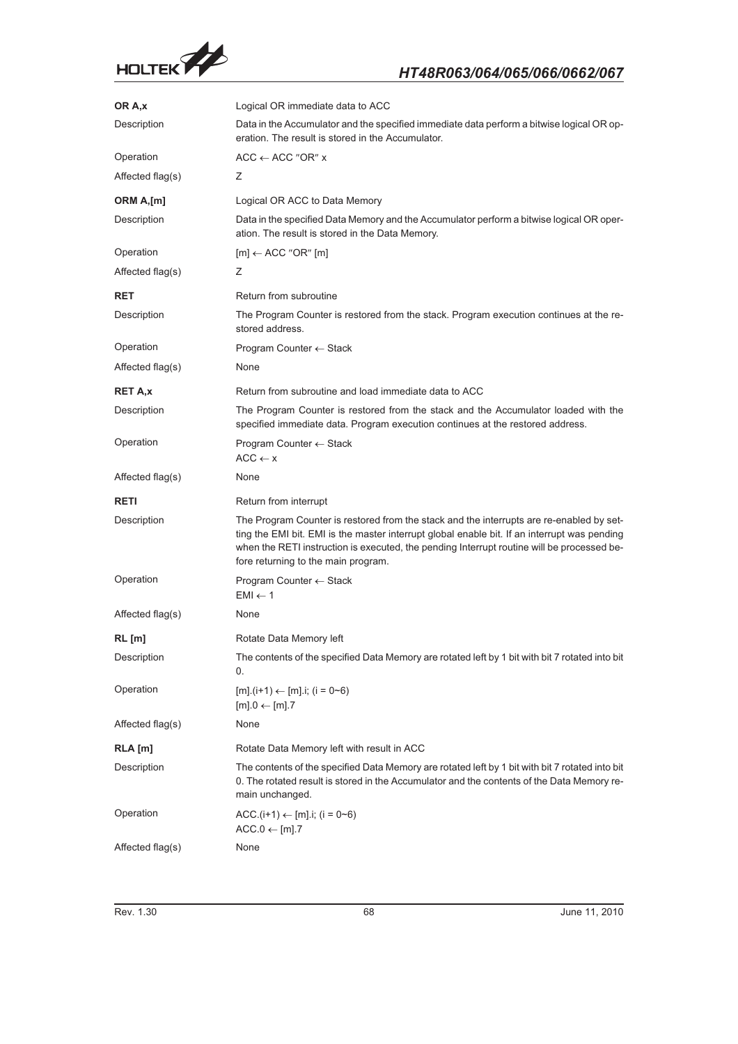

| OR A,x           | Logical OR immediate data to ACC                                                                                                                                                                                                                                                                                              |
|------------------|-------------------------------------------------------------------------------------------------------------------------------------------------------------------------------------------------------------------------------------------------------------------------------------------------------------------------------|
| Description      | Data in the Accumulator and the specified immediate data perform a bitwise logical OR op-<br>eration. The result is stored in the Accumulator.                                                                                                                                                                                |
| Operation        | $ACC \leftarrow ACC$ "OR" x                                                                                                                                                                                                                                                                                                   |
| Affected flag(s) | Z                                                                                                                                                                                                                                                                                                                             |
| ORM A,[m]        | Logical OR ACC to Data Memory                                                                                                                                                                                                                                                                                                 |
| Description      | Data in the specified Data Memory and the Accumulator perform a bitwise logical OR oper-<br>ation. The result is stored in the Data Memory.                                                                                                                                                                                   |
| Operation        | $[m] \leftarrow ACC$ "OR" $[m]$                                                                                                                                                                                                                                                                                               |
| Affected flag(s) | Ζ                                                                                                                                                                                                                                                                                                                             |
| <b>RET</b>       | Return from subroutine                                                                                                                                                                                                                                                                                                        |
| Description      | The Program Counter is restored from the stack. Program execution continues at the re-<br>stored address.                                                                                                                                                                                                                     |
| Operation        | Program Counter $\leftarrow$ Stack                                                                                                                                                                                                                                                                                            |
| Affected flag(s) | None                                                                                                                                                                                                                                                                                                                          |
| <b>RET A,x</b>   | Return from subroutine and load immediate data to ACC                                                                                                                                                                                                                                                                         |
| Description      | The Program Counter is restored from the stack and the Accumulator loaded with the<br>specified immediate data. Program execution continues at the restored address.                                                                                                                                                          |
| Operation        | Program Counter $\leftarrow$ Stack<br>$ACC \leftarrow x$                                                                                                                                                                                                                                                                      |
| Affected flag(s) | None                                                                                                                                                                                                                                                                                                                          |
| <b>RETI</b>      | Return from interrupt                                                                                                                                                                                                                                                                                                         |
| Description      | The Program Counter is restored from the stack and the interrupts are re-enabled by set-<br>ting the EMI bit. EMI is the master interrupt global enable bit. If an interrupt was pending<br>when the RETI instruction is executed, the pending Interrupt routine will be processed be-<br>fore returning to the main program. |
| Operation        | Program Counter $\leftarrow$ Stack<br>$EMI \leftarrow 1$                                                                                                                                                                                                                                                                      |
| Affected flag(s) | None                                                                                                                                                                                                                                                                                                                          |
| RL[m]            | Rotate Data Memory left                                                                                                                                                                                                                                                                                                       |
| Description      | The contents of the specified Data Memory are rotated left by 1 bit with bit 7 rotated into bit<br>0.                                                                                                                                                                                                                         |
| Operation        | $[m].(i+1) \leftarrow [m]$ .i; (i = 0~6)<br>$[m]$ .0 $\leftarrow$ [m].7                                                                                                                                                                                                                                                       |
| Affected flag(s) | None                                                                                                                                                                                                                                                                                                                          |
| $RLA$ [m]        | Rotate Data Memory left with result in ACC                                                                                                                                                                                                                                                                                    |
| Description      | The contents of the specified Data Memory are rotated left by 1 bit with bit 7 rotated into bit<br>0. The rotated result is stored in the Accumulator and the contents of the Data Memory re-<br>main unchanged.                                                                                                              |
| Operation        | ACC.(i+1) $\leftarrow$ [m].i; (i = 0~6)<br>$ACC.0 \leftarrow [m].7$                                                                                                                                                                                                                                                           |
| Affected flag(s) | None                                                                                                                                                                                                                                                                                                                          |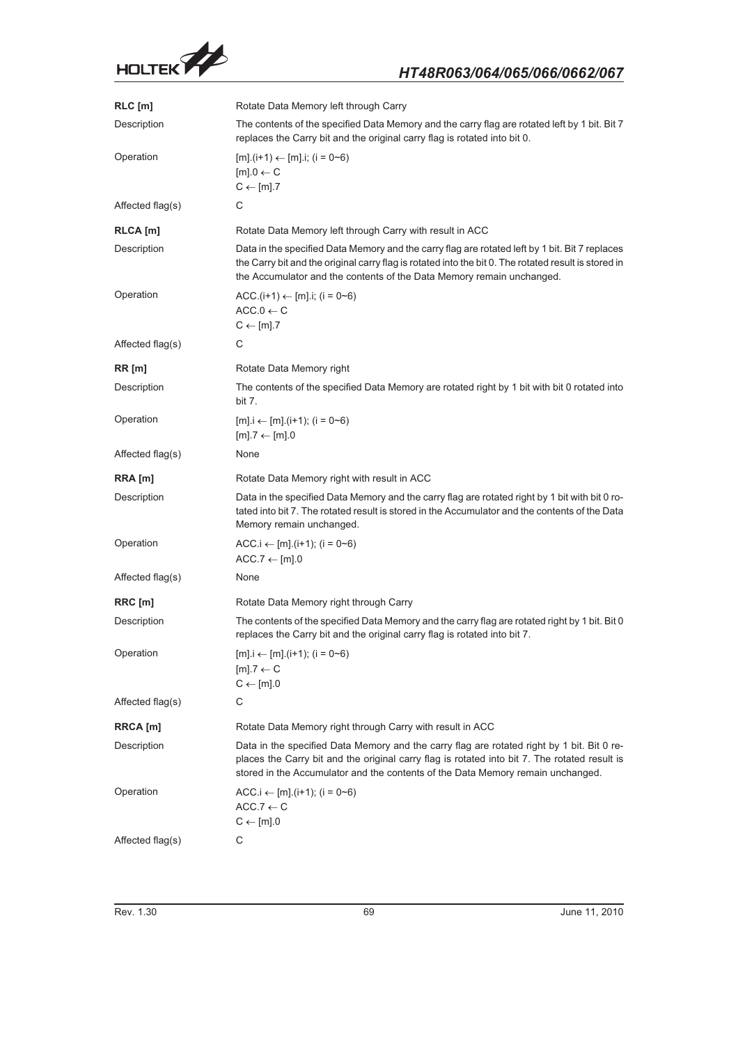

| $RLC$ [m]        | Rotate Data Memory left through Carry                                                                                                                                                                                                                                           |
|------------------|---------------------------------------------------------------------------------------------------------------------------------------------------------------------------------------------------------------------------------------------------------------------------------|
| Description      | The contents of the specified Data Memory and the carry flag are rotated left by 1 bit. Bit 7<br>replaces the Carry bit and the original carry flag is rotated into bit 0.                                                                                                      |
| Operation        | $[m].(i+1) \leftarrow [m] .i; (i = 0 \sim 6)$<br>$[m].0 \leftarrow C$<br>$C \leftarrow [m].7$                                                                                                                                                                                   |
| Affected flag(s) | С                                                                                                                                                                                                                                                                               |
| RLCA [m]         | Rotate Data Memory left through Carry with result in ACC                                                                                                                                                                                                                        |
| Description      | Data in the specified Data Memory and the carry flag are rotated left by 1 bit. Bit 7 replaces<br>the Carry bit and the original carry flag is rotated into the bit 0. The rotated result is stored in<br>the Accumulator and the contents of the Data Memory remain unchanged. |
| Operation        | ACC.(i+1) $\leftarrow$ [m].i; (i = 0~6)<br>$ACC.0 \leftarrow C$<br>$C \leftarrow [m].7$                                                                                                                                                                                         |
| Affected flag(s) | С                                                                                                                                                                                                                                                                               |
| RR[m]            | Rotate Data Memory right                                                                                                                                                                                                                                                        |
| Description      | The contents of the specified Data Memory are rotated right by 1 bit with bit 0 rotated into<br>bit 7.                                                                                                                                                                          |
| Operation        | $[m]$ . $i \leftarrow [m]$ . ( $i+1$ ); ( $i = 0$ ~6)<br>$[m].7 \leftarrow [m].0$                                                                                                                                                                                               |
| Affected flag(s) | None                                                                                                                                                                                                                                                                            |
| RRA [m]          | Rotate Data Memory right with result in ACC                                                                                                                                                                                                                                     |
| Description      | Data in the specified Data Memory and the carry flag are rotated right by 1 bit with bit 0 ro-<br>tated into bit 7. The rotated result is stored in the Accumulator and the contents of the Data<br>Memory remain unchanged.                                                    |
| Operation        | ACC.i $\leftarrow$ [m].(i+1); (i = 0~6)<br>$ACC.7 \leftarrow [m] .0$                                                                                                                                                                                                            |
| Affected flag(s) | None                                                                                                                                                                                                                                                                            |
| RRC [m]          | Rotate Data Memory right through Carry                                                                                                                                                                                                                                          |
| Description      | The contents of the specified Data Memory and the carry flag are rotated right by 1 bit. Bit 0<br>replaces the Carry bit and the original carry flag is rotated into bit 7.                                                                                                     |
| Operation        | $[m]$ . $i \leftarrow [m]$ . $(i+1)$ ; $(i = 0\neg 6)$<br>$[m].7 \leftarrow C$<br>$C \leftarrow [m].0$                                                                                                                                                                          |
| Affected flag(s) | С                                                                                                                                                                                                                                                                               |
| RRCA [m]         | Rotate Data Memory right through Carry with result in ACC                                                                                                                                                                                                                       |
| Description      | Data in the specified Data Memory and the carry flag are rotated right by 1 bit. Bit 0 re-<br>places the Carry bit and the original carry flag is rotated into bit 7. The rotated result is<br>stored in the Accumulator and the contents of the Data Memory remain unchanged.  |
| Operation        | ACC.i $\leftarrow$ [m].(i+1); (i = 0~6)<br>$ACC.7 \leftarrow C$<br>$C \leftarrow [m] . 0$                                                                                                                                                                                       |
| Affected flag(s) | С                                                                                                                                                                                                                                                                               |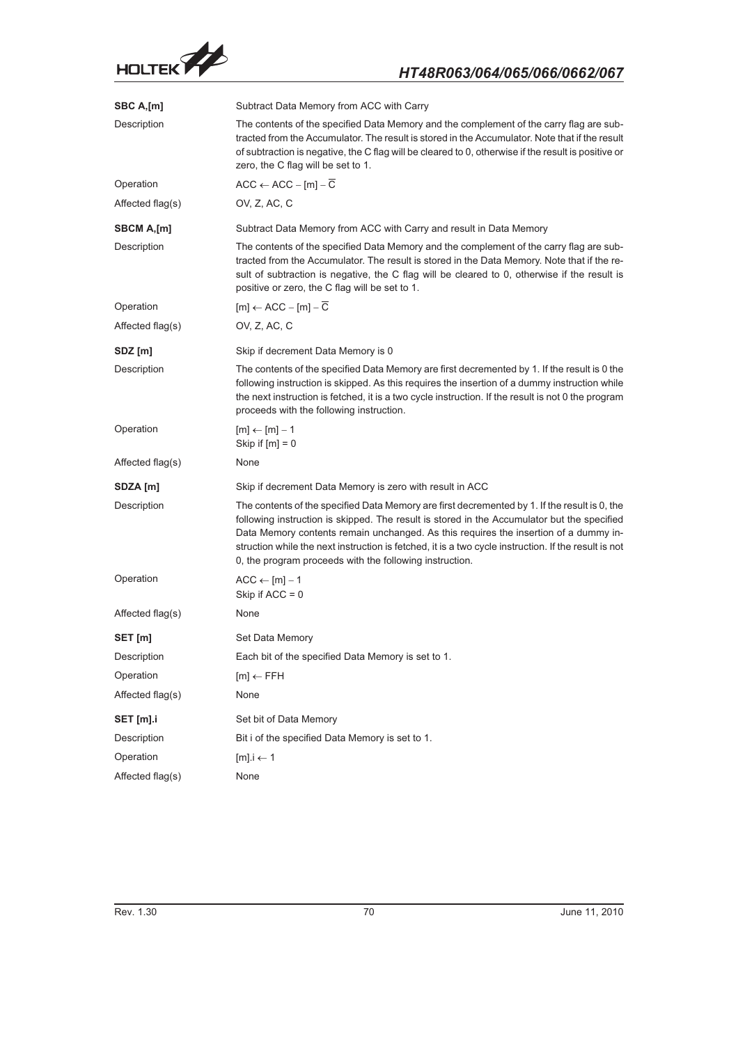

| SBC A,[m]        | Subtract Data Memory from ACC with Carry                                                                                                                                                                                                                                                                                                                                                                                                                |
|------------------|---------------------------------------------------------------------------------------------------------------------------------------------------------------------------------------------------------------------------------------------------------------------------------------------------------------------------------------------------------------------------------------------------------------------------------------------------------|
| Description      | The contents of the specified Data Memory and the complement of the carry flag are sub-<br>tracted from the Accumulator. The result is stored in the Accumulator. Note that if the result<br>of subtraction is negative, the C flag will be cleared to 0, otherwise if the result is positive or<br>zero, the C flag will be set to 1.                                                                                                                  |
| Operation        | $ACC \leftarrow ACC - [m] - \overline{C}$                                                                                                                                                                                                                                                                                                                                                                                                               |
| Affected flag(s) | OV, Z, AC, C                                                                                                                                                                                                                                                                                                                                                                                                                                            |
| SBCM A,[m]       | Subtract Data Memory from ACC with Carry and result in Data Memory                                                                                                                                                                                                                                                                                                                                                                                      |
| Description      | The contents of the specified Data Memory and the complement of the carry flag are sub-<br>tracted from the Accumulator. The result is stored in the Data Memory. Note that if the re-<br>sult of subtraction is negative, the C flag will be cleared to 0, otherwise if the result is<br>positive or zero, the C flag will be set to 1.                                                                                                                |
| Operation        | $[m] \leftarrow ACC - [m] - \overline{C}$                                                                                                                                                                                                                                                                                                                                                                                                               |
| Affected flag(s) | OV, Z, AC, C                                                                                                                                                                                                                                                                                                                                                                                                                                            |
| SDZ [m]          | Skip if decrement Data Memory is 0                                                                                                                                                                                                                                                                                                                                                                                                                      |
| Description      | The contents of the specified Data Memory are first decremented by 1. If the result is 0 the<br>following instruction is skipped. As this requires the insertion of a dummy instruction while<br>the next instruction is fetched, it is a two cycle instruction. If the result is not 0 the program<br>proceeds with the following instruction.                                                                                                         |
| Operation        | $[m] \leftarrow [m] - 1$<br>Skip if $[m] = 0$                                                                                                                                                                                                                                                                                                                                                                                                           |
| Affected flag(s) | None                                                                                                                                                                                                                                                                                                                                                                                                                                                    |
| SDZA [m]         | Skip if decrement Data Memory is zero with result in ACC                                                                                                                                                                                                                                                                                                                                                                                                |
| Description      | The contents of the specified Data Memory are first decremented by 1. If the result is 0, the<br>following instruction is skipped. The result is stored in the Accumulator but the specified<br>Data Memory contents remain unchanged. As this requires the insertion of a dummy in-<br>struction while the next instruction is fetched, it is a two cycle instruction. If the result is not<br>0, the program proceeds with the following instruction. |
| Operation        | $ACC \leftarrow [m] - 1$<br>Skip if $ACC = 0$                                                                                                                                                                                                                                                                                                                                                                                                           |
| Affected flag(s) | None                                                                                                                                                                                                                                                                                                                                                                                                                                                    |
| SET [m]          | Set Data Memory                                                                                                                                                                                                                                                                                                                                                                                                                                         |
| Description      | Each bit of the specified Data Memory is set to 1.                                                                                                                                                                                                                                                                                                                                                                                                      |
| Operation        | $[m] \leftarrow$ FFH                                                                                                                                                                                                                                                                                                                                                                                                                                    |
| Affected flag(s) | None                                                                                                                                                                                                                                                                                                                                                                                                                                                    |
| SET [m].i        | Set bit of Data Memory                                                                                                                                                                                                                                                                                                                                                                                                                                  |
| Description      | Bit i of the specified Data Memory is set to 1.                                                                                                                                                                                                                                                                                                                                                                                                         |
| Operation        | $[m]$ . $i \leftarrow 1$                                                                                                                                                                                                                                                                                                                                                                                                                                |
| Affected flag(s) | None                                                                                                                                                                                                                                                                                                                                                                                                                                                    |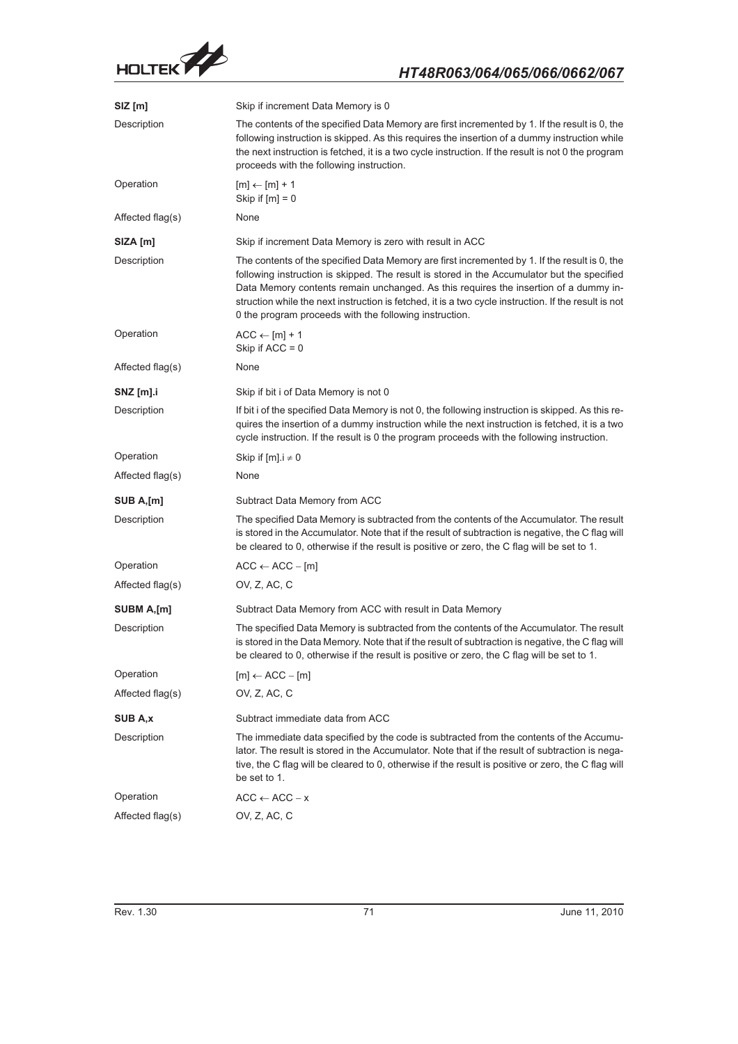

| SIZ [m]          | Skip if increment Data Memory is 0                                                                                                                                                                                                                                                                                                                                                                                                                     |
|------------------|--------------------------------------------------------------------------------------------------------------------------------------------------------------------------------------------------------------------------------------------------------------------------------------------------------------------------------------------------------------------------------------------------------------------------------------------------------|
| Description      | The contents of the specified Data Memory are first incremented by 1. If the result is 0, the<br>following instruction is skipped. As this requires the insertion of a dummy instruction while<br>the next instruction is fetched, it is a two cycle instruction. If the result is not 0 the program<br>proceeds with the following instruction.                                                                                                       |
| Operation        | $[m] \leftarrow [m] + 1$<br>Skip if $[m] = 0$                                                                                                                                                                                                                                                                                                                                                                                                          |
| Affected flag(s) | None                                                                                                                                                                                                                                                                                                                                                                                                                                                   |
| SIZA [m]         | Skip if increment Data Memory is zero with result in ACC                                                                                                                                                                                                                                                                                                                                                                                               |
| Description      | The contents of the specified Data Memory are first incremented by 1. If the result is 0, the<br>following instruction is skipped. The result is stored in the Accumulator but the specified<br>Data Memory contents remain unchanged. As this requires the insertion of a dummy in-<br>struction while the next instruction is fetched, it is a two cycle instruction. If the result is not<br>0 the program proceeds with the following instruction. |
| Operation        | $ACC \leftarrow [m] + 1$<br>Skip if $ACC = 0$                                                                                                                                                                                                                                                                                                                                                                                                          |
| Affected flag(s) | None                                                                                                                                                                                                                                                                                                                                                                                                                                                   |
| SNZ [m].i        | Skip if bit i of Data Memory is not 0                                                                                                                                                                                                                                                                                                                                                                                                                  |
| Description      | If bit i of the specified Data Memory is not 0, the following instruction is skipped. As this re-<br>quires the insertion of a dummy instruction while the next instruction is fetched, it is a two<br>cycle instruction. If the result is 0 the program proceeds with the following instruction.                                                                                                                                                      |
| Operation        | Skip if $[m]$ . $i \neq 0$                                                                                                                                                                                                                                                                                                                                                                                                                             |
| Affected flag(s) | None                                                                                                                                                                                                                                                                                                                                                                                                                                                   |
| SUB A,[m]        | Subtract Data Memory from ACC                                                                                                                                                                                                                                                                                                                                                                                                                          |
| Description      | The specified Data Memory is subtracted from the contents of the Accumulator. The result<br>is stored in the Accumulator. Note that if the result of subtraction is negative, the C flag will<br>be cleared to 0, otherwise if the result is positive or zero, the C flag will be set to 1.                                                                                                                                                            |
| Operation        | $ACC \leftarrow ACC - [m]$                                                                                                                                                                                                                                                                                                                                                                                                                             |
| Affected flag(s) | OV, Z, AC, C                                                                                                                                                                                                                                                                                                                                                                                                                                           |
| SUBM A,[m]       | Subtract Data Memory from ACC with result in Data Memory                                                                                                                                                                                                                                                                                                                                                                                               |
| Description      | The specified Data Memory is subtracted from the contents of the Accumulator. The result<br>is stored in the Data Memory. Note that if the result of subtraction is negative, the C flag will<br>be cleared to 0, otherwise if the result is positive or zero, the C flag will be set to 1.                                                                                                                                                            |
| Operation        | $[m] \leftarrow ACC - [m]$                                                                                                                                                                                                                                                                                                                                                                                                                             |
| Affected flag(s) | OV, Z, AC, C                                                                                                                                                                                                                                                                                                                                                                                                                                           |
| SUB A,x          | Subtract immediate data from ACC                                                                                                                                                                                                                                                                                                                                                                                                                       |
| Description      | The immediate data specified by the code is subtracted from the contents of the Accumu-<br>lator. The result is stored in the Accumulator. Note that if the result of subtraction is nega-<br>tive, the C flag will be cleared to 0, otherwise if the result is positive or zero, the C flag will<br>be set to 1.                                                                                                                                      |
| Operation        | $ACC \leftarrow ACC - x$                                                                                                                                                                                                                                                                                                                                                                                                                               |
| Affected flag(s) | OV, Z, AC, C                                                                                                                                                                                                                                                                                                                                                                                                                                           |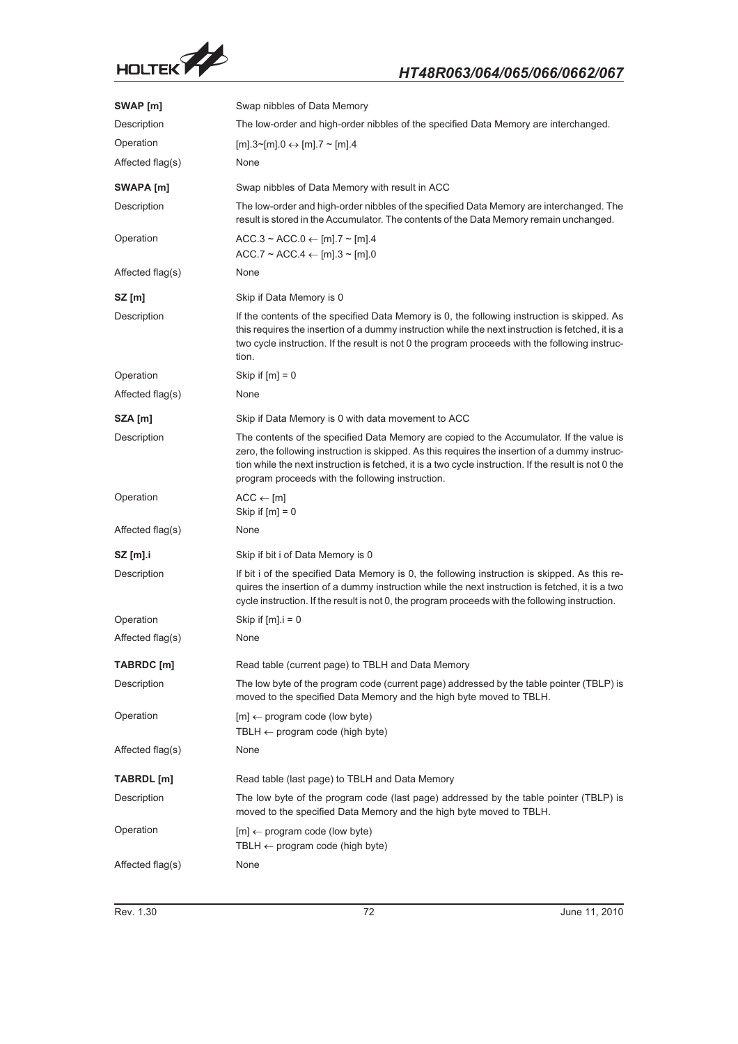

| SWAP [m]         | Swap nibbles of Data Memory                                                                                                                                                                                                                                                                                                                             |
|------------------|---------------------------------------------------------------------------------------------------------------------------------------------------------------------------------------------------------------------------------------------------------------------------------------------------------------------------------------------------------|
| Description      | The low-order and high-order nibbles of the specified Data Memory are interchanged.                                                                                                                                                                                                                                                                     |
| Operation        | $[m].3~[m].0 \leftrightarrow [m].7~[m].4$                                                                                                                                                                                                                                                                                                               |
| Affected flag(s) | None                                                                                                                                                                                                                                                                                                                                                    |
| SWAPA [m]        | Swap nibbles of Data Memory with result in ACC                                                                                                                                                                                                                                                                                                          |
| Description      | The low-order and high-order nibbles of the specified Data Memory are interchanged. The<br>result is stored in the Accumulator. The contents of the Data Memory remain unchanged.                                                                                                                                                                       |
| Operation        | $ACC.3 \sim ACC.0 \leftarrow [m]$ .7 ~ [m].4<br>$ACC.7 \sim ACC.4 \leftarrow [m].3 \sim [m].0$                                                                                                                                                                                                                                                          |
| Affected flag(s) | None                                                                                                                                                                                                                                                                                                                                                    |
| $SZ$ [m]         | Skip if Data Memory is 0                                                                                                                                                                                                                                                                                                                                |
| Description      | If the contents of the specified Data Memory is 0, the following instruction is skipped. As<br>this requires the insertion of a dummy instruction while the next instruction is fetched, it is a<br>two cycle instruction. If the result is not 0 the program proceeds with the following instruc-<br>tion.                                             |
| Operation        | Skip if $[m] = 0$                                                                                                                                                                                                                                                                                                                                       |
| Affected flag(s) | None                                                                                                                                                                                                                                                                                                                                                    |
| SZA [m]          | Skip if Data Memory is 0 with data movement to ACC                                                                                                                                                                                                                                                                                                      |
| Description      | The contents of the specified Data Memory are copied to the Accumulator. If the value is<br>zero, the following instruction is skipped. As this requires the insertion of a dummy instruc-<br>tion while the next instruction is fetched, it is a two cycle instruction. If the result is not 0 the<br>program proceeds with the following instruction. |
| Operation        | $ACC \leftarrow [m]$<br>Skip if $[m] = 0$                                                                                                                                                                                                                                                                                                               |
| Affected flag(s) | None                                                                                                                                                                                                                                                                                                                                                    |
| $SZ$ [m].i       | Skip if bit i of Data Memory is 0                                                                                                                                                                                                                                                                                                                       |
| Description      | If bit i of the specified Data Memory is 0, the following instruction is skipped. As this re-<br>quires the insertion of a dummy instruction while the next instruction is fetched, it is a two<br>cycle instruction. If the result is not 0, the program proceeds with the following instruction.                                                      |
| Operation        | Skip if $[m]$ . $i = 0$                                                                                                                                                                                                                                                                                                                                 |
| Affected flag(s) | None                                                                                                                                                                                                                                                                                                                                                    |
| TABRDC [m]       | Read table (current page) to TBLH and Data Memory                                                                                                                                                                                                                                                                                                       |
| Description      | The low byte of the program code (current page) addressed by the table pointer (TBLP) is<br>moved to the specified Data Memory and the high byte moved to TBLH.                                                                                                                                                                                         |
| Operation        | $[m] \leftarrow$ program code (low byte)<br>TBLH $\leftarrow$ program code (high byte)                                                                                                                                                                                                                                                                  |
| Affected flag(s) | None                                                                                                                                                                                                                                                                                                                                                    |
| TABRDL [m]       | Read table (last page) to TBLH and Data Memory                                                                                                                                                                                                                                                                                                          |
| Description      | The low byte of the program code (last page) addressed by the table pointer (TBLP) is<br>moved to the specified Data Memory and the high byte moved to TBLH.                                                                                                                                                                                            |
| Operation        | $[m] \leftarrow$ program code (low byte)<br>TBLH $\leftarrow$ program code (high byte)                                                                                                                                                                                                                                                                  |
| Affected flag(s) | None                                                                                                                                                                                                                                                                                                                                                    |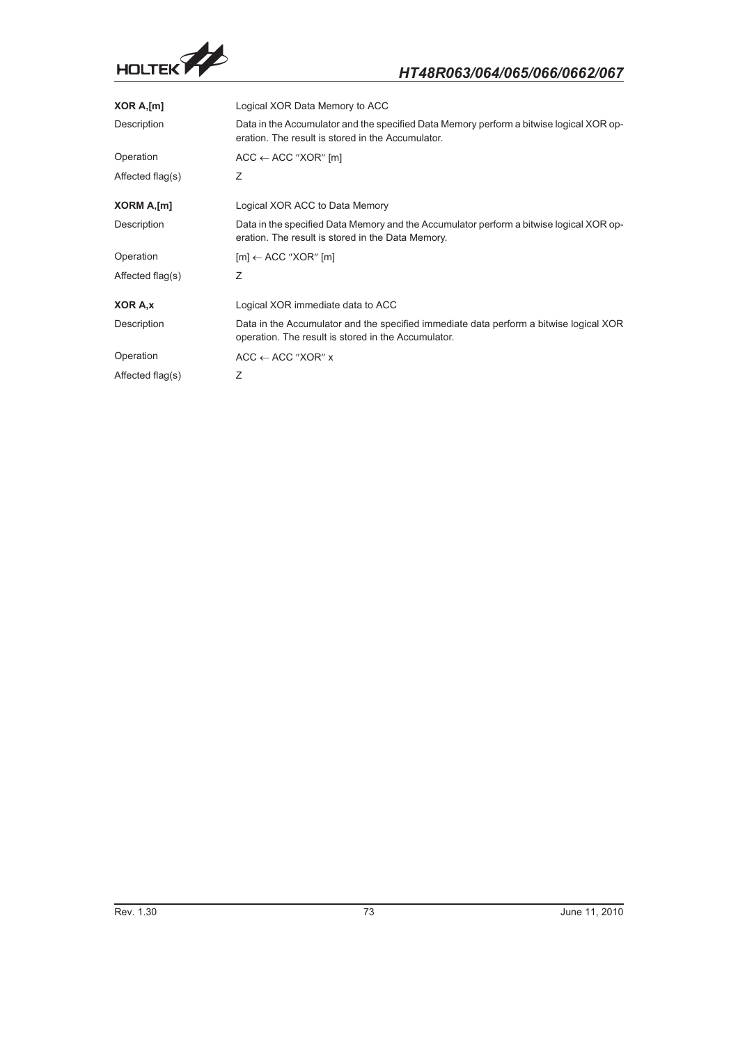

| XOR A, [m]       | Logical XOR Data Memory to ACC                                                                                                                |
|------------------|-----------------------------------------------------------------------------------------------------------------------------------------------|
| Description      | Data in the Accumulator and the specified Data Memory perform a bitwise logical XOR op-<br>eration. The result is stored in the Accumulator.  |
| Operation        | $ACC \leftarrow ACC$ "XOR" [m]                                                                                                                |
| Affected flag(s) | Ζ                                                                                                                                             |
| XORM A,[m]       | Logical XOR ACC to Data Memory                                                                                                                |
| Description      | Data in the specified Data Memory and the Accumulator perform a bitwise logical XOR op-<br>eration. The result is stored in the Data Memory.  |
| Operation        | $[m] \leftarrow ACC$ "XOR" $[m]$                                                                                                              |
| Affected flag(s) | Ζ                                                                                                                                             |
| XOR A.x          | Logical XOR immediate data to ACC                                                                                                             |
| Description      | Data in the Accumulator and the specified immediate data perform a bitwise logical XOR<br>operation. The result is stored in the Accumulator. |
| Operation        | $ACC \leftarrow ACC$ "XOR" x                                                                                                                  |
| Affected flag(s) | Ζ                                                                                                                                             |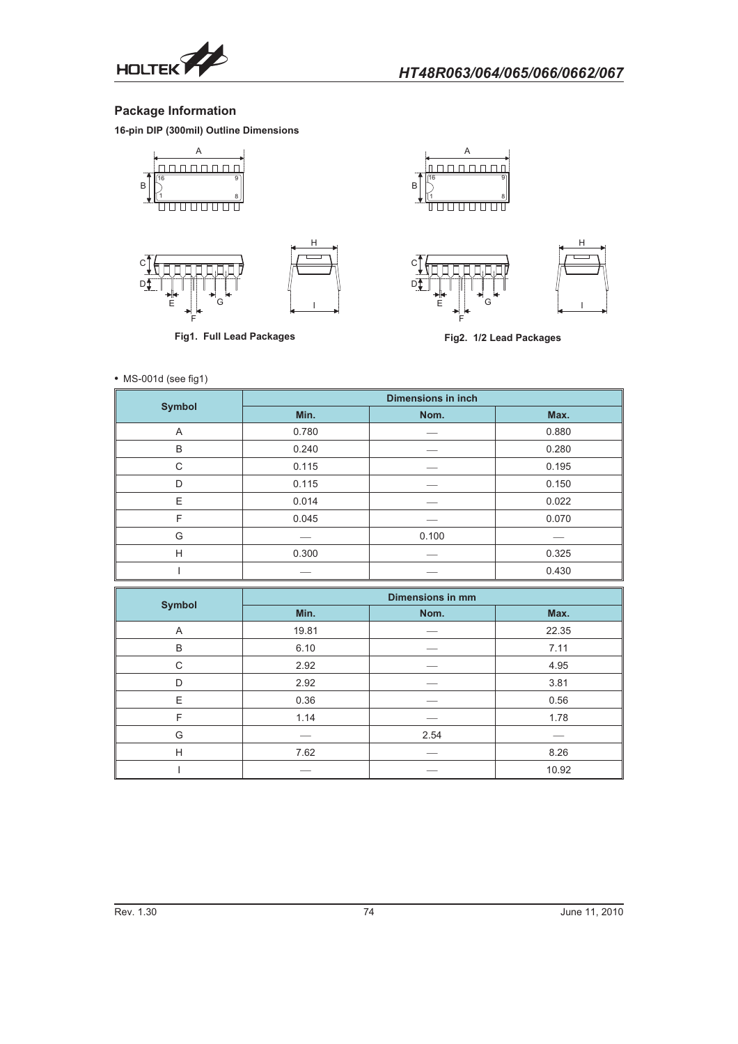

## **Package Information**

**16-pin DIP (300mil) Outline Dimensions**







**Fig1. Full Lead Packages**







**Fig2. 1/2 Lead Packages**

|  |  | • MS-001d (see fig1) |
|--|--|----------------------|
|--|--|----------------------|

|               | <b>Dimensions in inch</b> |       |       |
|---------------|---------------------------|-------|-------|
| <b>Symbol</b> | Min.                      | Nom.  | Max.  |
| A             | 0.780                     |       | 0.880 |
| B             | 0.240                     |       | 0.280 |
| C             | 0.115                     |       | 0.195 |
| D             | 0.115                     |       | 0.150 |
| E             | 0.014                     |       | 0.022 |
| F             | 0.045                     |       | 0.070 |
| G             |                           | 0.100 |       |
| H             | 0.300                     |       | 0.325 |
|               |                           |       | 0.430 |

|               | <b>Dimensions in mm</b> |      |       |
|---------------|-------------------------|------|-------|
| <b>Symbol</b> | Min.                    | Nom. | Max.  |
| A             | 19.81                   |      | 22.35 |
| B             | 6.10                    |      | 7.11  |
| C             | 2.92                    |      | 4.95  |
| D             | 2.92                    |      | 3.81  |
| E             | 0.36                    |      | 0.56  |
| F             | 1.14                    |      | 1.78  |
| G             |                         | 2.54 |       |
| H             | 7.62                    |      | 8.26  |
|               |                         |      | 10.92 |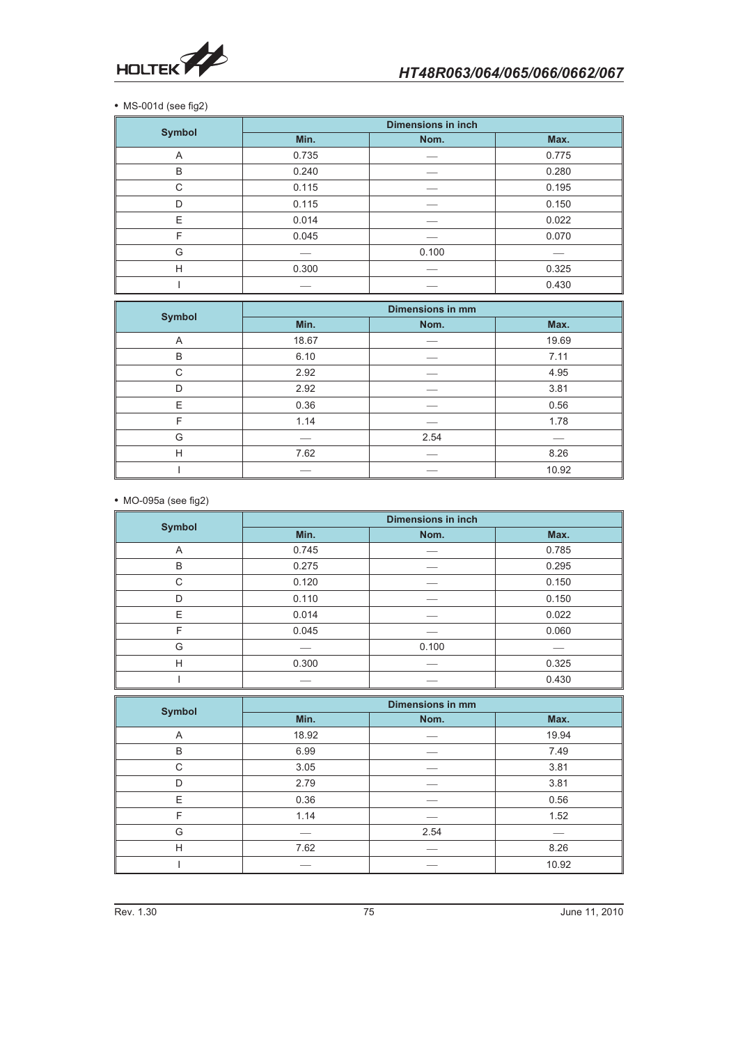

• MS-001d (see fig2)

|               | <b>Dimensions in inch</b> |       |       |
|---------------|---------------------------|-------|-------|
| <b>Symbol</b> | Min.                      | Nom.  | Max.  |
| A             | 0.735                     |       | 0.775 |
| B             | 0.240                     |       | 0.280 |
| C             | 0.115                     |       | 0.195 |
| D             | 0.115                     |       | 0.150 |
| E             | 0.014                     |       | 0.022 |
| F             | 0.045                     |       | 0.070 |
| G             |                           | 0.100 |       |
| H             | 0.300                     |       | 0.325 |
|               |                           |       | 0.430 |

|               | <b>Dimensions in mm</b> |      |       |
|---------------|-------------------------|------|-------|
| <b>Symbol</b> | Min.                    | Nom. | Max.  |
| A             | 18.67                   |      | 19.69 |
| B             | 6.10                    |      | 7.11  |
| C             | 2.92                    |      | 4.95  |
| D             | 2.92                    |      | 3.81  |
| E             | 0.36                    |      | 0.56  |
| F             | 1.14                    |      | 1.78  |
| G             |                         | 2.54 |       |
| H             | 7.62                    |      | 8.26  |
|               |                         |      | 10.92 |

- MO-095a (see fig2)

|               | <b>Dimensions in inch</b> |       |       |
|---------------|---------------------------|-------|-------|
| <b>Symbol</b> | Min.                      | Nom.  | Max.  |
| A             | 0.745                     |       | 0.785 |
| B             | 0.275                     |       | 0.295 |
| C             | 0.120                     |       | 0.150 |
| D             | 0.110                     |       | 0.150 |
| E             | 0.014                     |       | 0.022 |
| F             | 0.045                     |       | 0.060 |
| G             |                           | 0.100 |       |
| H             | 0.300                     |       | 0.325 |
|               |                           |       | 0.430 |

|               | <b>Dimensions in mm</b> |      |       |
|---------------|-------------------------|------|-------|
| <b>Symbol</b> | Min.                    | Nom. | Max.  |
| A             | 18.92                   |      | 19.94 |
| B             | 6.99                    |      | 7.49  |
| C             | 3.05                    |      | 3.81  |
| D             | 2.79                    |      | 3.81  |
| E             | 0.36                    |      | 0.56  |
| F             | 1.14                    |      | 1.52  |
| G             |                         | 2.54 |       |
| H             | 7.62                    |      | 8.26  |
|               |                         |      | 10.92 |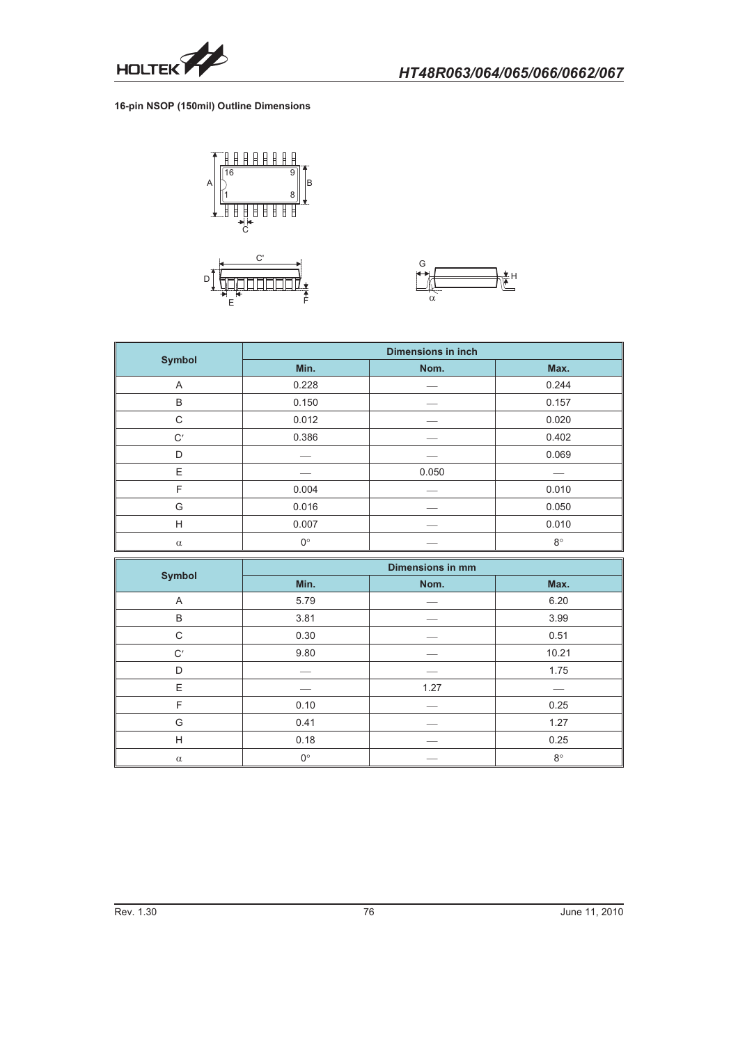

#### **16-pin NSOP (150mil) Outline Dimensions**





|               | <b>Dimensions in inch</b> |       |             |
|---------------|---------------------------|-------|-------------|
| <b>Symbol</b> | Min.                      | Nom.  | Max.        |
| A             | 0.228                     |       | 0.244       |
| B             | 0.150                     |       | 0.157       |
| C             | 0.012                     |       | 0.020       |
| C'            | 0.386                     |       | 0.402       |
| D             |                           |       | 0.069       |
| E             |                           | 0.050 |             |
| F             | 0.004                     |       | 0.010       |
| G             | 0.016                     |       | 0.050       |
| H             | 0.007                     |       | 0.010       |
| $\alpha$      | $0^{\circ}$               |       | $8^{\circ}$ |

|               | <b>Dimensions in mm</b> |      |             |
|---------------|-------------------------|------|-------------|
| <b>Symbol</b> | Min.                    | Nom. | Max.        |
| A             | 5.79                    |      | 6.20        |
| B             | 3.81                    |      | 3.99        |
| C             | 0.30                    |      | 0.51        |
| C'            | 9.80                    |      | 10.21       |
| D             |                         |      | 1.75        |
| E             |                         | 1.27 |             |
| F             | 0.10                    |      | 0.25        |
| G             | 0.41                    |      | 1.27        |
| H             | 0.18                    |      | 0.25        |
| $\alpha$      | $0^{\circ}$             |      | $8^{\circ}$ |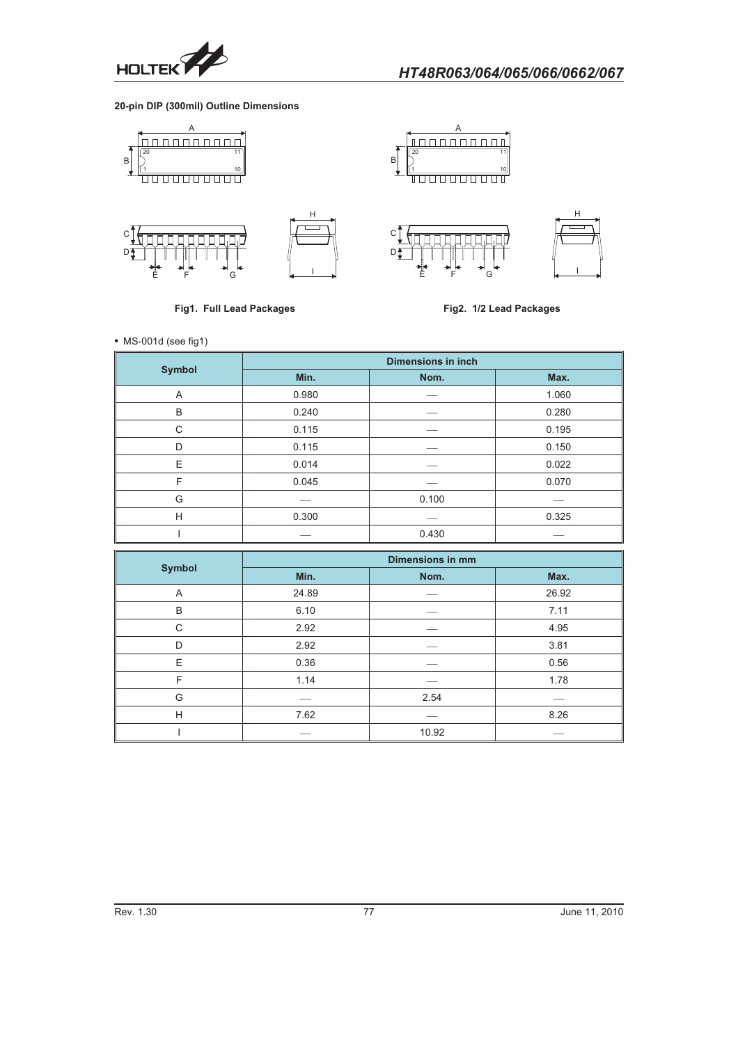

**20-pin DIP (300mil) Outline Dimensions**



**Fig1. Full Lead Packages**

**Fig2. 1/2 Lead Packages**

- MS-001d (see fig1)

|               | <b>Dimensions in inch</b> |       |       |
|---------------|---------------------------|-------|-------|
| <b>Symbol</b> | Min.                      | Nom.  | Max.  |
| A             | 0.980                     |       | 1.060 |
| B             | 0.240                     |       | 0.280 |
| C             | 0.115                     |       | 0.195 |
| D             | 0.115                     |       | 0.150 |
| E             | 0.014                     |       | 0.022 |
| F             | 0.045                     |       | 0.070 |
| G             |                           | 0.100 |       |
| H             | 0.300                     |       | 0.325 |
|               |                           | 0.430 |       |

|               | <b>Dimensions in mm</b> |       |       |
|---------------|-------------------------|-------|-------|
| <b>Symbol</b> | Min.                    | Nom.  | Max.  |
| Α             | 24.89                   |       | 26.92 |
| B             | 6.10                    |       | 7.11  |
| C             | 2.92                    |       | 4.95  |
| D             | 2.92                    |       | 3.81  |
| E             | 0.36                    |       | 0.56  |
| F             | 1.14                    |       | 1.78  |
| G             |                         | 2.54  |       |
| H             | 7.62                    |       | 8.26  |
|               |                         | 10.92 |       |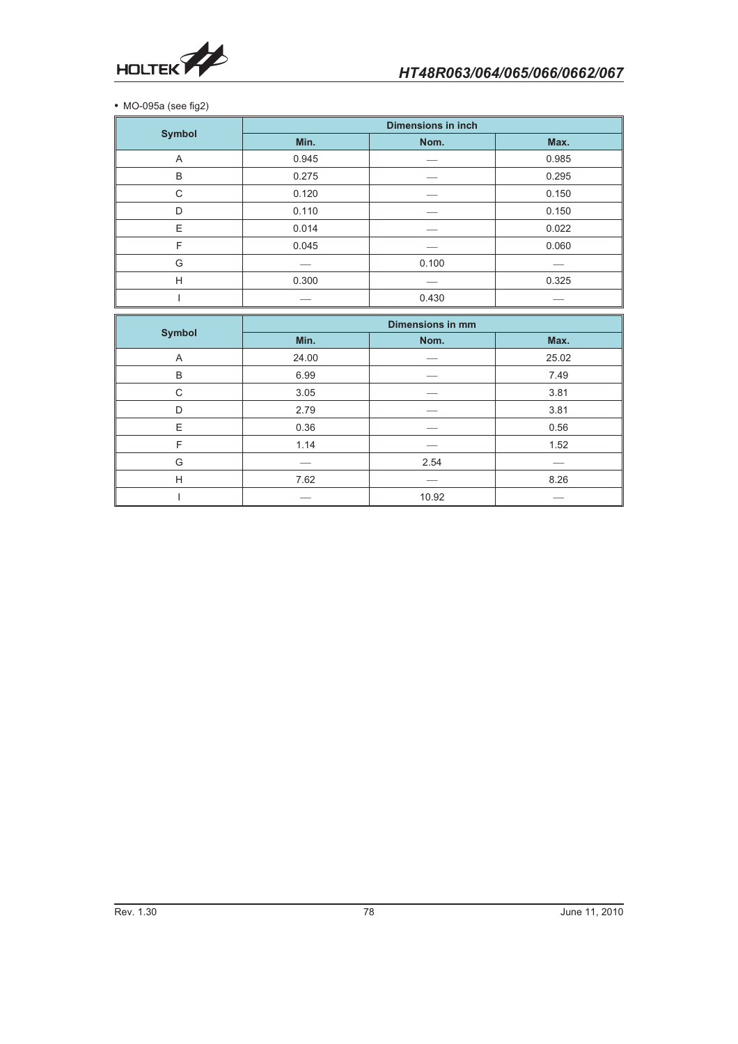

- MO-095a (see fig2)

|                | <b>Dimensions in inch</b> |       |       |
|----------------|---------------------------|-------|-------|
| <b>Symbol</b>  | Min.                      | Nom.  | Max.  |
| $\overline{A}$ | 0.945                     |       | 0.985 |
| B              | 0.275                     |       | 0.295 |
| $\mathsf{C}$   | 0.120                     |       | 0.150 |
| D              | 0.110                     |       | 0.150 |
| E              | 0.014                     |       | 0.022 |
| F              | 0.045                     |       | 0.060 |
| G              |                           | 0.100 |       |
| H              | 0.300                     |       | 0.325 |
|                |                           | 0.430 |       |

|               | <b>Dimensions in mm</b> |       |       |
|---------------|-------------------------|-------|-------|
| <b>Symbol</b> | Min.                    | Nom.  | Max.  |
| Α             | 24.00                   |       | 25.02 |
| B             | 6.99                    |       | 7.49  |
| C             | 3.05                    |       | 3.81  |
| D.            | 2.79                    |       | 3.81  |
| E             | 0.36                    |       | 0.56  |
| F             | 1.14                    |       | 1.52  |
| G             |                         | 2.54  |       |
| H             | 7.62                    |       | 8.26  |
|               |                         | 10.92 |       |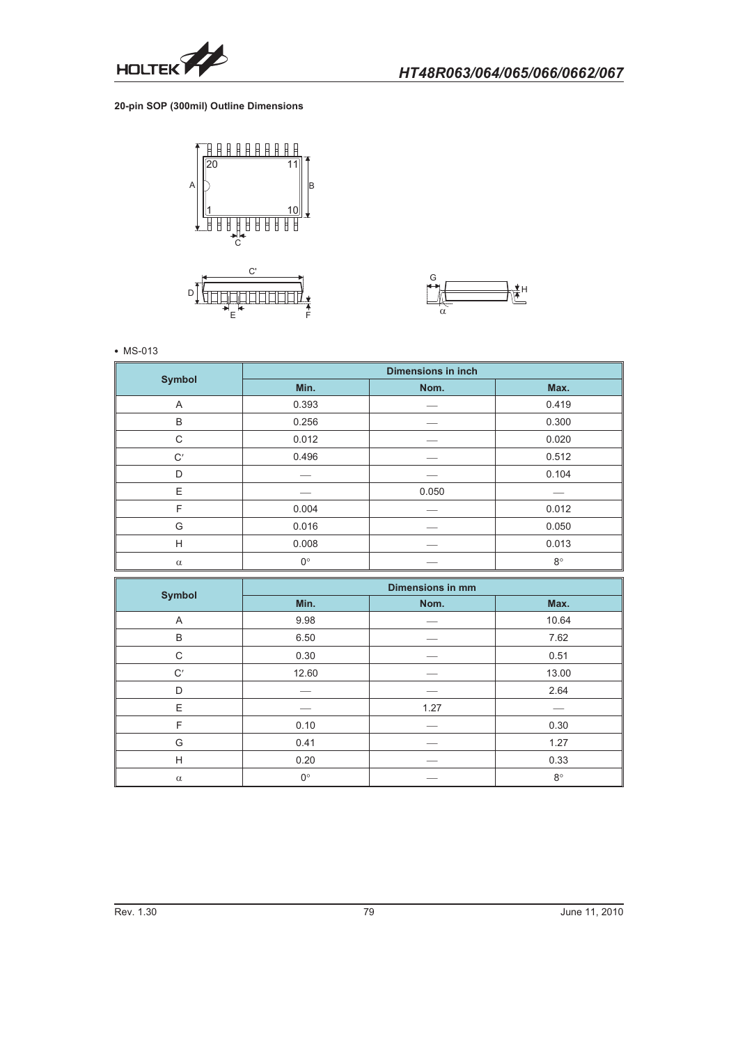

**20-pin SOP (300mil) Outline Dimensions**





#### - MS-013

|               | <b>Dimensions in inch</b> |       |             |
|---------------|---------------------------|-------|-------------|
| <b>Symbol</b> | Min.                      | Nom.  | Max.        |
| A             | 0.393                     |       | 0.419       |
| B             | 0.256                     |       | 0.300       |
| C             | 0.012                     |       | 0.020       |
| C'            | 0.496                     |       | 0.512       |
| D             |                           |       | 0.104       |
| E             |                           | 0.050 |             |
| F             | 0.004                     |       | 0.012       |
| G             | 0.016                     |       | 0.050       |
| H             | 0.008                     |       | 0.013       |
| $\alpha$      | $0^{\circ}$               |       | $8^{\circ}$ |

| <b>Symbol</b> | <b>Dimensions in mm</b> |      |             |
|---------------|-------------------------|------|-------------|
|               | Min.                    | Nom. | Max.        |
| Α             | 9.98                    |      | 10.64       |
| B             | 6.50                    |      | 7.62        |
| C             | 0.30                    |      | 0.51        |
| C'            | 12.60                   |      | 13.00       |
| D             |                         |      | 2.64        |
| E             |                         | 1.27 |             |
| F             | 0.10                    |      | 0.30        |
| G             | 0.41                    |      | 1.27        |
| H             | 0.20                    |      | 0.33        |
| $\alpha$      | $0^{\circ}$             |      | $8^{\circ}$ |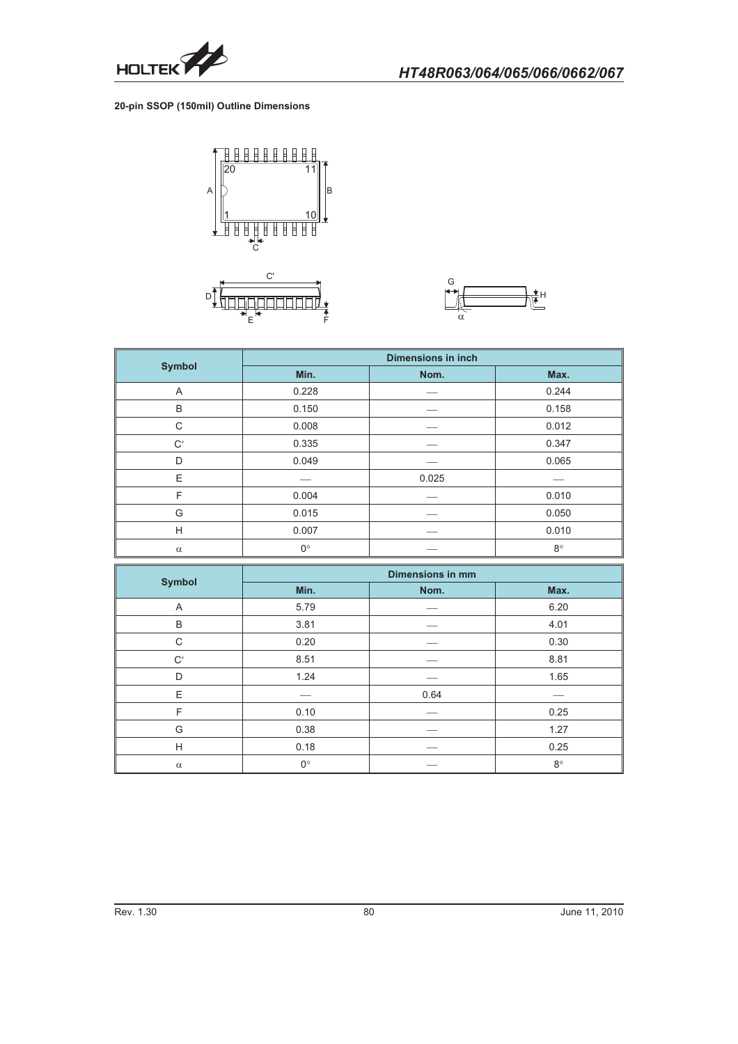

#### **20-pin SSOP (150mil) Outline Dimensions**



 $-$ 



|               | <b>Dimensions in inch</b> |       |             |
|---------------|---------------------------|-------|-------------|
| <b>Symbol</b> | Min.                      | Nom.  | Max.        |
| A             | 0.228                     |       | 0.244       |
| B             | 0.150                     |       | 0.158       |
| C             | 0.008                     |       | 0.012       |
| C'            | 0.335                     |       | 0.347       |
| D             | 0.049                     |       | 0.065       |
| E             |                           | 0.025 |             |
| F             | 0.004                     |       | 0.010       |
| G             | 0.015                     |       | 0.050       |
| H             | 0.007                     |       | 0.010       |
| $\alpha$      | $0^{\circ}$               |       | $8^{\circ}$ |

|               | <b>Dimensions in mm</b> |      |             |
|---------------|-------------------------|------|-------------|
| <b>Symbol</b> | Min.                    | Nom. | Max.        |
| A             | 5.79                    |      | 6.20        |
| B             | 3.81                    |      | 4.01        |
| C             | 0.20                    |      | 0.30        |
| C'            | 8.51                    |      | 8.81        |
| D             | 1.24                    |      | 1.65        |
| E             |                         | 0.64 |             |
| F             | 0.10                    |      | 0.25        |
| G             | 0.38                    |      | 1.27        |
| H             | 0.18                    |      | 0.25        |
| $\alpha$      | $0^{\circ}$             |      | $8^{\circ}$ |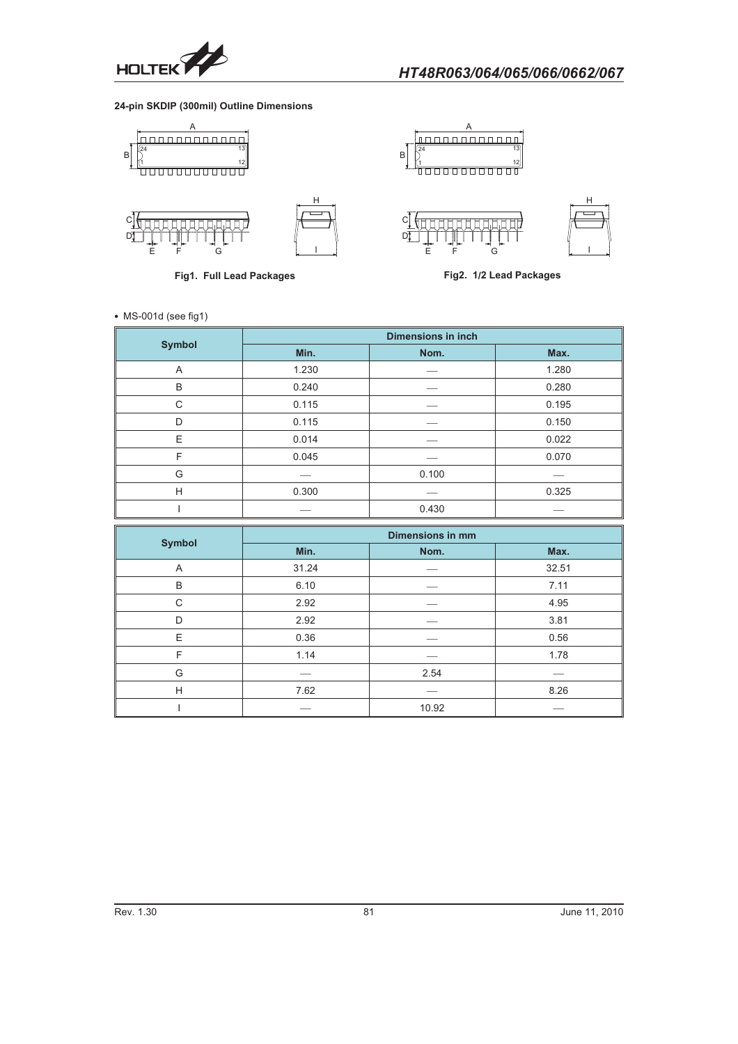

## **24-pin SKDIP (300mil) Outline Dimensions**



**Fig1. Full Lead Packages**

**Fig2. 1/2 Lead Packages**

• MS-001d (see fig1)

|               | <b>Dimensions in inch</b> |       |       |
|---------------|---------------------------|-------|-------|
| <b>Symbol</b> | Min.                      | Nom.  | Max.  |
| A             | 1.230                     |       | 1.280 |
| B             | 0.240                     |       | 0.280 |
| C             | 0.115                     |       | 0.195 |
| D             | 0.115                     |       | 0.150 |
| E             | 0.014                     |       | 0.022 |
| F             | 0.045                     |       | 0.070 |
| G             |                           | 0.100 |       |
| H             | 0.300                     |       | 0.325 |
|               |                           | 0.430 |       |

|               | <b>Dimensions in mm</b> |       |       |
|---------------|-------------------------|-------|-------|
| <b>Symbol</b> | Min.                    | Nom.  | Max.  |
| A             | 31.24                   |       | 32.51 |
| B             | 6.10                    |       | 7.11  |
| C             | 2.92                    |       | 4.95  |
| D             | 2.92                    |       | 3.81  |
| E             | 0.36                    |       | 0.56  |
| F             | 1.14                    |       | 1.78  |
| G             |                         | 2.54  |       |
| H             | 7.62                    |       | 8.26  |
|               |                         | 10.92 |       |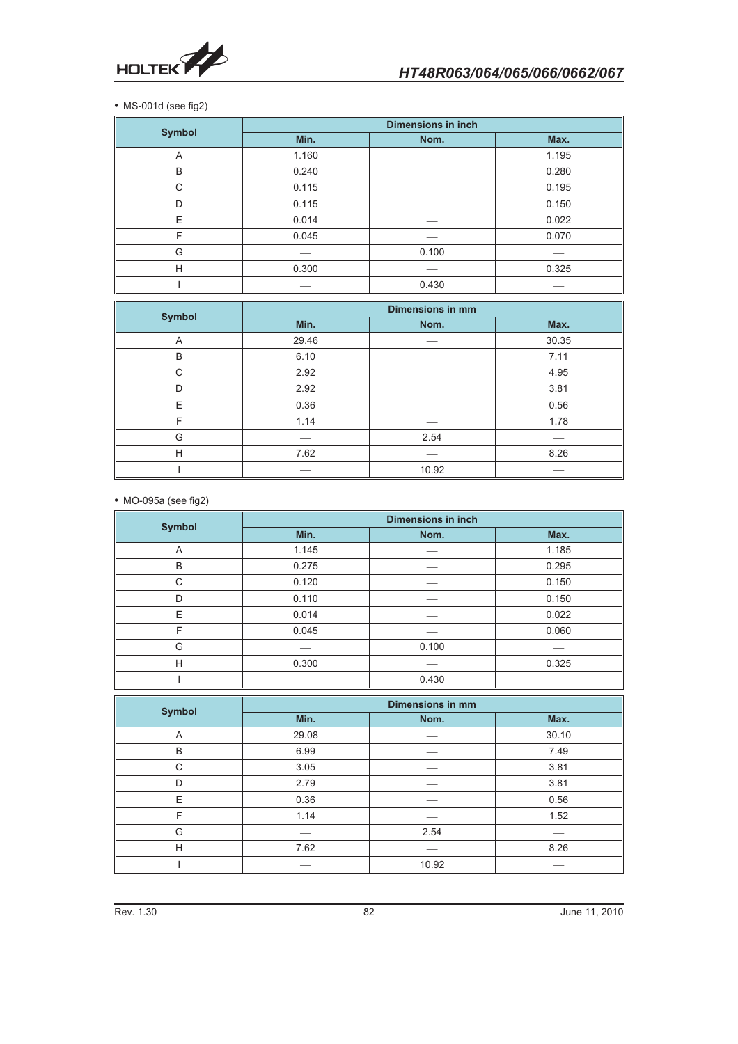

• MS-001d (see fig2)

|               | <b>Dimensions in inch</b> |       |       |
|---------------|---------------------------|-------|-------|
| <b>Symbol</b> | Min.                      | Nom.  | Max.  |
| A             | 1.160                     |       | 1.195 |
| B             | 0.240                     |       | 0.280 |
| C             | 0.115                     |       | 0.195 |
| D             | 0.115                     |       | 0.150 |
| E             | 0.014                     |       | 0.022 |
| F             | 0.045                     |       | 0.070 |
| G             |                           | 0.100 |       |
| H             | 0.300                     |       | 0.325 |
|               |                           | 0.430 |       |

|               | <b>Dimensions in mm</b> |       |       |
|---------------|-------------------------|-------|-------|
| <b>Symbol</b> | Min.                    | Nom.  | Max.  |
| A             | 29.46                   |       | 30.35 |
| B             | 6.10                    |       | 7.11  |
| C             | 2.92                    |       | 4.95  |
| D             | 2.92                    |       | 3.81  |
| E             | 0.36                    |       | 0.56  |
| F             | 1.14                    |       | 1.78  |
| G             |                         | 2.54  |       |
| H             | 7.62                    |       | 8.26  |
|               |                         | 10.92 |       |

- MO-095a (see fig2)

|               | <b>Dimensions in inch</b> |       |       |
|---------------|---------------------------|-------|-------|
| <b>Symbol</b> | Min.                      | Nom.  | Max.  |
| A             | 1.145                     |       | 1.185 |
| B             | 0.275                     |       | 0.295 |
| C             | 0.120                     |       | 0.150 |
| D             | 0.110                     |       | 0.150 |
| E             | 0.014                     |       | 0.022 |
| F             | 0.045                     |       | 0.060 |
| G             |                           | 0.100 |       |
| H             | 0.300                     |       | 0.325 |
|               |                           | 0.430 |       |

|               | <b>Dimensions in mm</b> |       |       |
|---------------|-------------------------|-------|-------|
| <b>Symbol</b> | Min.                    | Nom.  | Max.  |
| Α             | 29.08                   |       | 30.10 |
| B             | 6.99                    |       | 7.49  |
| C             | 3.05                    |       | 3.81  |
| D             | 2.79                    |       | 3.81  |
| E             | 0.36                    |       | 0.56  |
| F             | 1.14                    |       | 1.52  |
| G             |                         | 2.54  |       |
| H             | 7.62                    |       | 8.26  |
|               |                         | 10.92 |       |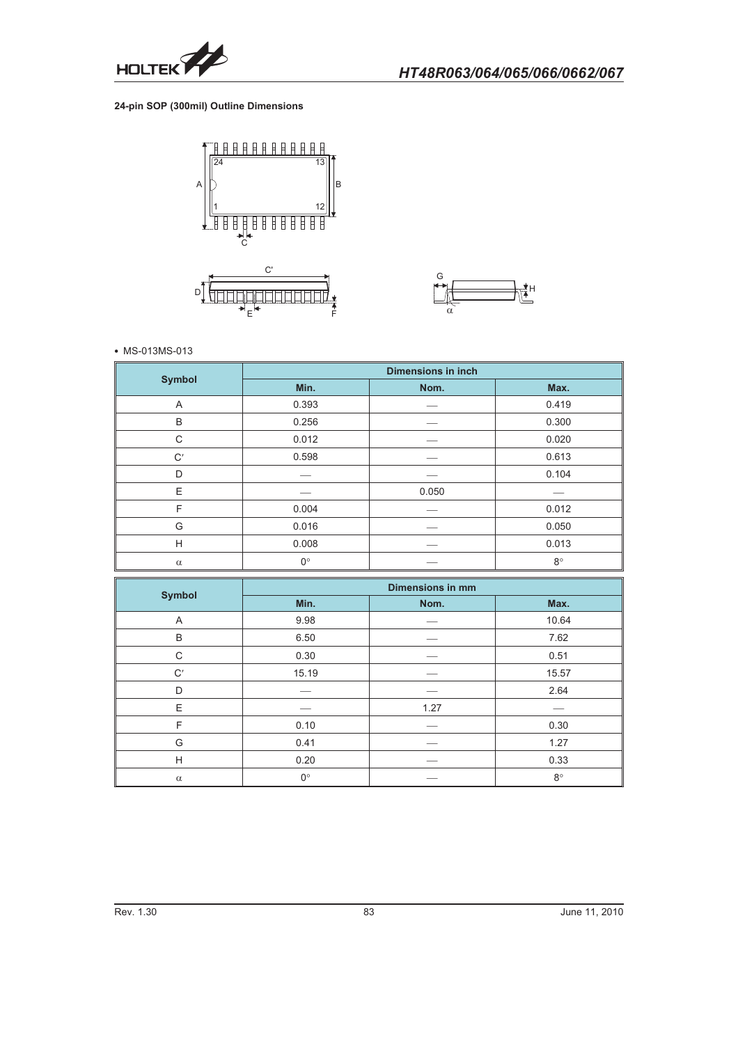

## **24-pin SOP (300mil) Outline Dimensions**





#### - MS-013MS-013

| <b>Symbol</b> | <b>Dimensions in inch</b> |       |             |
|---------------|---------------------------|-------|-------------|
|               | Min.                      | Nom.  | Max.        |
| A             | 0.393                     |       | 0.419       |
| B             | 0.256                     |       | 0.300       |
| C             | 0.012                     |       | 0.020       |
| C'            | 0.598                     |       | 0.613       |
| D             |                           |       | 0.104       |
| E             |                           | 0.050 |             |
| F             | 0.004                     |       | 0.012       |
| G             | 0.016                     |       | 0.050       |
| H             | 0.008                     |       | 0.013       |
| $\alpha$      | $0^{\circ}$               |       | $8^{\circ}$ |

|               | <b>Dimensions in mm</b> |      |             |
|---------------|-------------------------|------|-------------|
| <b>Symbol</b> | Min.                    | Nom. | Max.        |
| A             | 9.98                    |      | 10.64       |
| B             | 6.50                    |      | 7.62        |
| C             | 0.30                    |      | 0.51        |
| C'            | 15.19                   |      | 15.57       |
| D             |                         |      | 2.64        |
| E             |                         | 1.27 |             |
| F             | 0.10                    |      | 0.30        |
| G             | 0.41                    |      | 1.27        |
| H             | 0.20                    |      | 0.33        |
| $\alpha$      | $0^{\circ}$             |      | $8^{\circ}$ |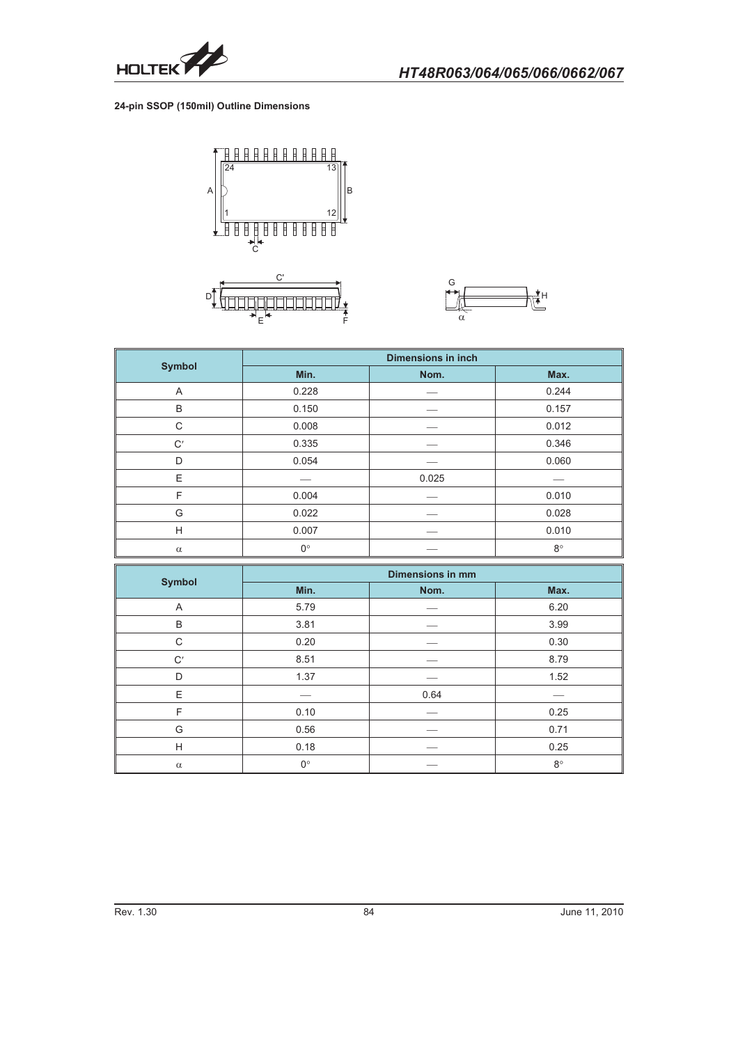

### **24-pin SSOP (150mil) Outline Dimensions**



 $E_{\rm{max}}$  and  $E_{\rm{max}}$ 



|               | <b>Dimensions in inch</b> |       |             |
|---------------|---------------------------|-------|-------------|
| <b>Symbol</b> | Min.                      | Nom.  | Max.        |
| A             | 0.228                     |       | 0.244       |
| B             | 0.150                     |       | 0.157       |
| C             | 0.008                     |       | 0.012       |
| C'            | 0.335                     |       | 0.346       |
| D             | 0.054                     |       | 0.060       |
| E             |                           | 0.025 |             |
| F             | 0.004                     |       | 0.010       |
| G             | 0.022                     |       | 0.028       |
| H             | 0.007                     |       | 0.010       |
| $\alpha$      | $0^{\circ}$               |       | $8^{\circ}$ |

|               | <b>Dimensions in mm</b> |      |           |
|---------------|-------------------------|------|-----------|
| <b>Symbol</b> | Min.                    | Nom. | Max.      |
| A             | 5.79                    |      | 6.20      |
| B             | 3.81                    |      | 3.99      |
| C             | 0.20                    |      | 0.30      |
| C'            | 8.51                    |      | 8.79      |
| D             | 1.37                    |      | 1.52      |
| E             |                         | 0.64 |           |
| F             | 0.10                    |      | 0.25      |
| G             | 0.56                    |      | 0.71      |
| H             | 0.18                    |      | 0.25      |
| $\alpha$      | $0^{\circ}$             |      | $8^\circ$ |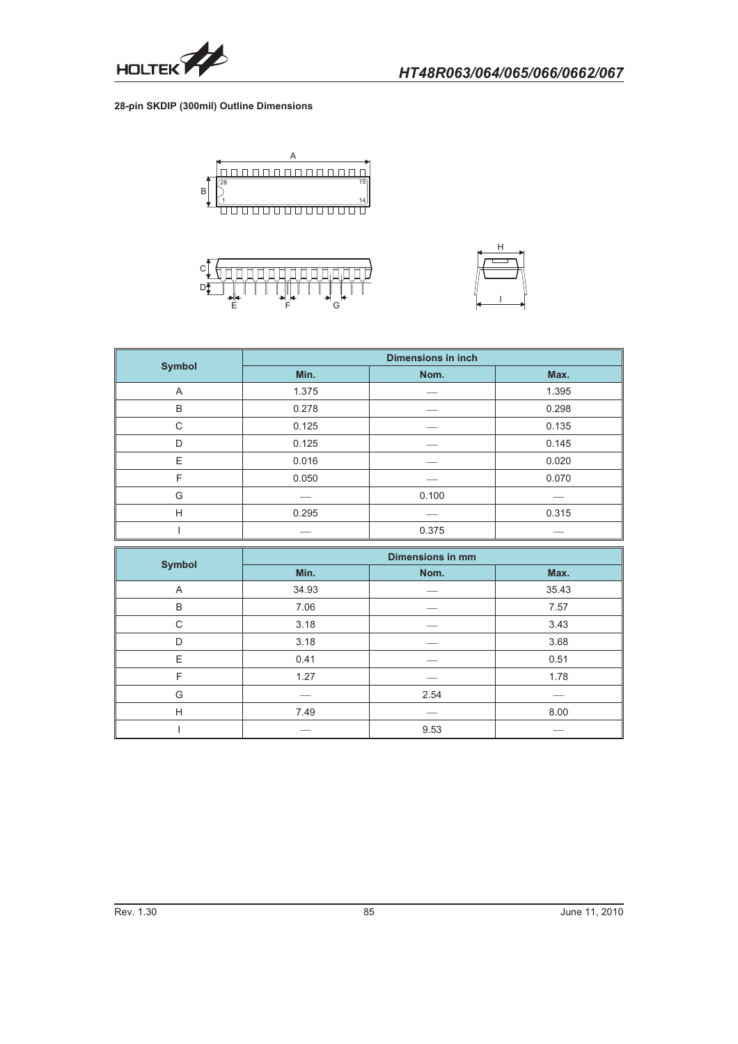

## **28-pin SKDIP (300mil) Outline Dimensions**







|               | <b>Dimensions in inch</b> |       |       |
|---------------|---------------------------|-------|-------|
| <b>Symbol</b> | Min.                      | Nom.  | Max.  |
| A             | 1.375                     |       | 1.395 |
| B             | 0.278                     |       | 0.298 |
| C             | 0.125                     |       | 0.135 |
| D             | 0.125                     |       | 0.145 |
| E             | 0.016                     |       | 0.020 |
| F             | 0.050                     |       | 0.070 |
| G             |                           | 0.100 |       |
| H             | 0.295                     |       | 0.315 |
|               |                           | 0.375 |       |

|                | <b>Dimensions in mm</b> |      |       |
|----------------|-------------------------|------|-------|
| <b>Symbol</b>  | Min.                    | Nom. | Max.  |
| $\overline{A}$ | 34.93                   |      | 35.43 |
| B              | 7.06                    |      | 7.57  |
| C              | 3.18                    |      | 3.43  |
| D              | 3.18                    |      | 3.68  |
| E              | 0.41                    |      | 0.51  |
| F              | 1.27                    |      | 1.78  |
| G              |                         | 2.54 |       |
| H              | 7.49                    |      | 8.00  |
|                |                         | 9.53 |       |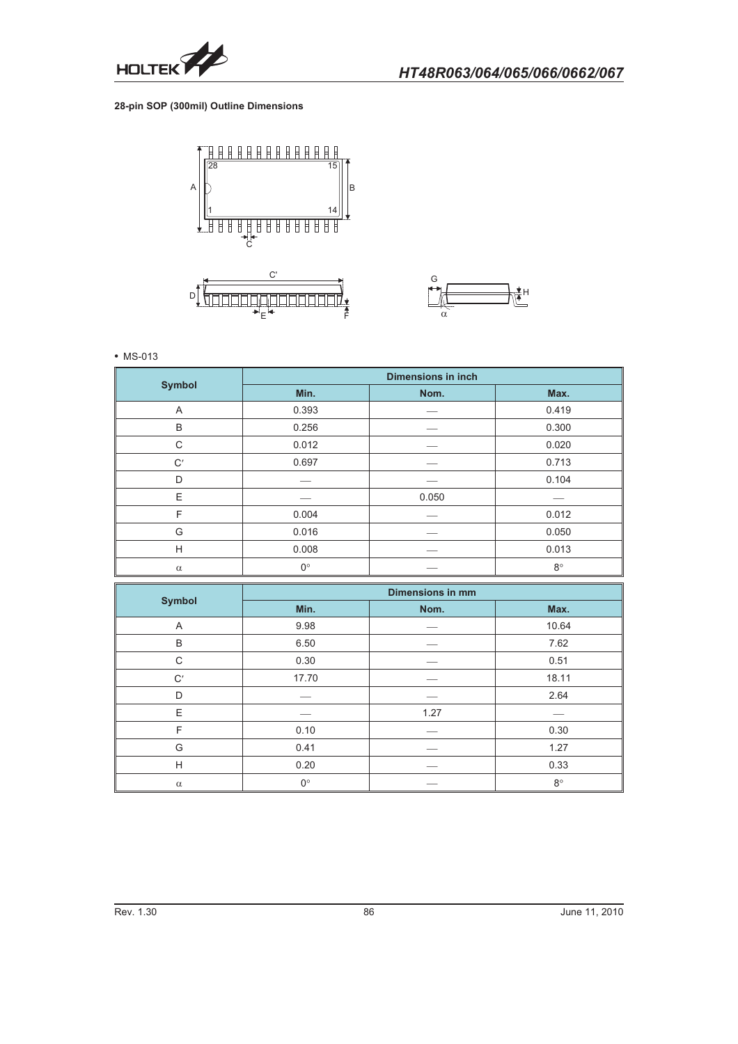

**28-pin SOP (300mil) Outline Dimensions**





- MS-013

|               | <b>Dimensions in inch</b> |       |           |
|---------------|---------------------------|-------|-----------|
| <b>Symbol</b> | Min.                      | Nom.  | Max.      |
| A             | 0.393                     |       | 0.419     |
| B             | 0.256                     |       | 0.300     |
| C             | 0.012                     |       | 0.020     |
| C'            | 0.697                     |       | 0.713     |
| D             |                           |       | 0.104     |
| E             |                           | 0.050 |           |
| F             | 0.004                     |       | 0.012     |
| G             | 0.016                     |       | 0.050     |
| H             | 0.008                     |       | 0.013     |
| $\alpha$      | $0^{\circ}$               |       | $8^\circ$ |

|               | <b>Dimensions in mm</b> |      |             |
|---------------|-------------------------|------|-------------|
| <b>Symbol</b> | Min.                    | Nom. | Max.        |
| A             | 9.98                    |      | 10.64       |
| B             | 6.50                    |      | 7.62        |
| C             | 0.30                    |      | 0.51        |
| C'            | 17.70                   |      | 18.11       |
| D             |                         |      | 2.64        |
| E             |                         | 1.27 |             |
| F             | 0.10                    |      | 0.30        |
| G             | 0.41                    |      | 1.27        |
| H             | 0.20                    |      | 0.33        |
| $\alpha$      | $0^{\circ}$             |      | $8^{\circ}$ |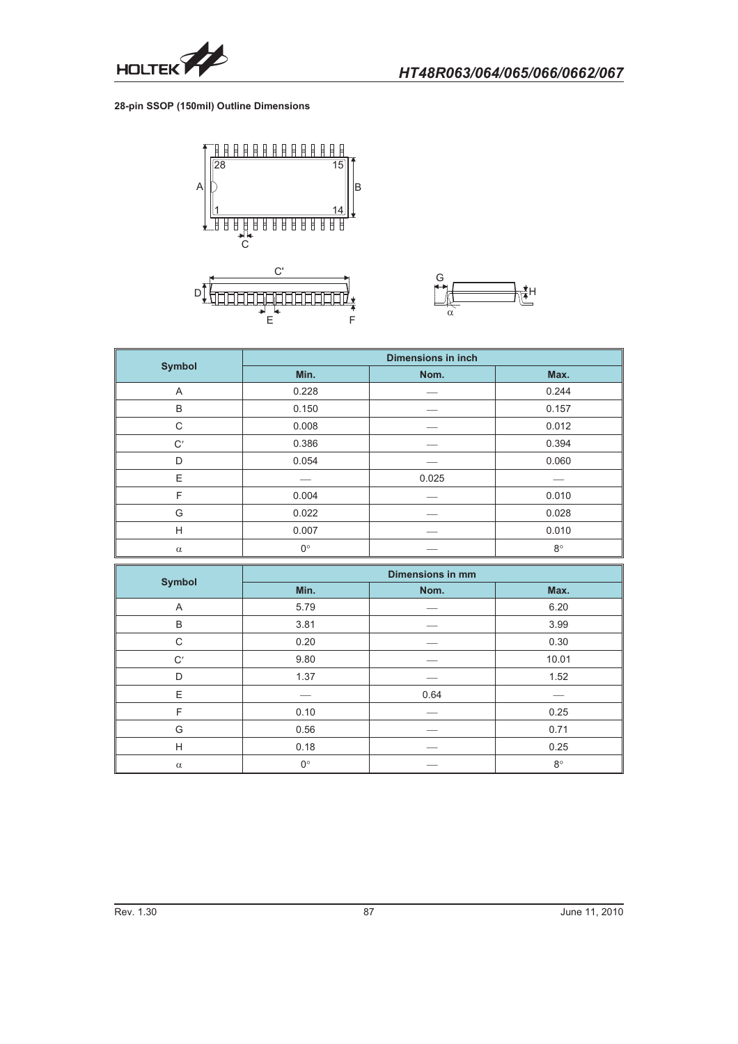

**28-pin SSOP (150mil) Outline Dimensions**





|               | <b>Dimensions in inch</b> |       |             |
|---------------|---------------------------|-------|-------------|
| <b>Symbol</b> | Min.                      | Nom.  | Max.        |
| A             | 0.228                     |       | 0.244       |
| B             | 0.150                     |       | 0.157       |
| C             | 0.008                     |       | 0.012       |
| C'            | 0.386                     |       | 0.394       |
| D             | 0.054                     |       | 0.060       |
| E             |                           | 0.025 |             |
| F             | 0.004                     |       | 0.010       |
| G             | 0.022                     |       | 0.028       |
| H             | 0.007                     |       | 0.010       |
| $\alpha$      | $0^{\circ}$               |       | $8^{\circ}$ |

|               | <b>Dimensions in mm</b> |      |             |
|---------------|-------------------------|------|-------------|
| <b>Symbol</b> | Min.                    | Nom. | Max.        |
| A             | 5.79                    |      | 6.20        |
| B             | 3.81                    |      | 3.99        |
| C             | 0.20                    |      | 0.30        |
| C'            | 9.80                    |      | 10.01       |
| D             | 1.37                    |      | 1.52        |
| E             |                         | 0.64 |             |
| F             | 0.10                    |      | 0.25        |
| G             | 0.56                    |      | 0.71        |
| H             | 0.18                    |      | 0.25        |
| $\alpha$      | $0^{\circ}$             |      | $8^{\circ}$ |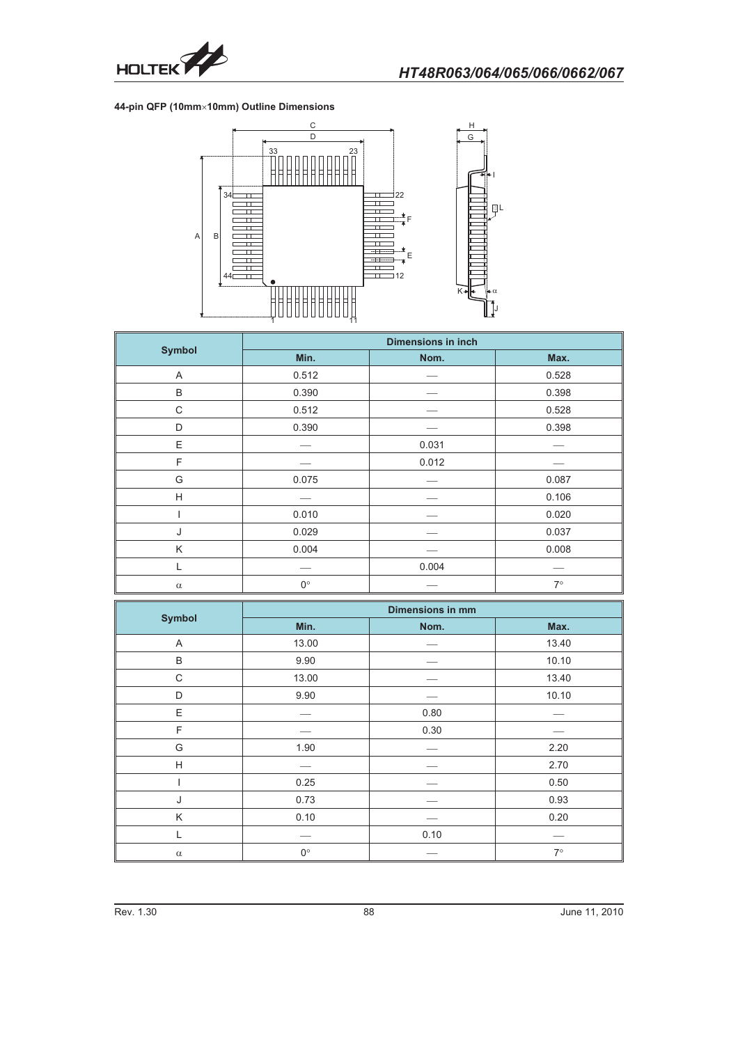

#### **44-pin QFP (10mm-10mm) Outline Dimensions**



|               | <b>Dimensions in inch</b> |       |           |
|---------------|---------------------------|-------|-----------|
| <b>Symbol</b> | Min.                      | Nom.  | Max.      |
| A             | 0.512                     |       | 0.528     |
| B             | 0.390                     |       | 0.398     |
| C             | 0.512                     |       | 0.528     |
| D             | 0.390                     |       | 0.398     |
| E             |                           | 0.031 |           |
| F             |                           | 0.012 |           |
| G             | 0.075                     |       | 0.087     |
| H             |                           |       | 0.106     |
|               | 0.010                     |       | 0.020     |
| J             | 0.029                     |       | 0.037     |
| K             | 0.004                     |       | 0.008     |
| L             |                           | 0.004 |           |
| $\alpha$      | $0^{\circ}$               |       | $7^\circ$ |

|               | <b>Dimensions in mm</b> |      |           |
|---------------|-------------------------|------|-----------|
| <b>Symbol</b> | Min.                    | Nom. | Max.      |
| A             | 13.00                   |      | 13.40     |
| B             | 9.90                    |      | 10.10     |
| C             | 13.00                   |      | 13.40     |
| D             | 9.90                    |      | 10.10     |
| Ε             |                         | 0.80 |           |
| F             |                         | 0.30 |           |
| G             | 1.90                    |      | 2.20      |
| H             |                         |      | 2.70      |
|               | 0.25                    |      | 0.50      |
| J             | 0.73                    |      | 0.93      |
| Κ             | 0.10                    |      | 0.20      |
|               |                         | 0.10 |           |
| $\alpha$      | $0^{\circ}$             |      | $7^\circ$ |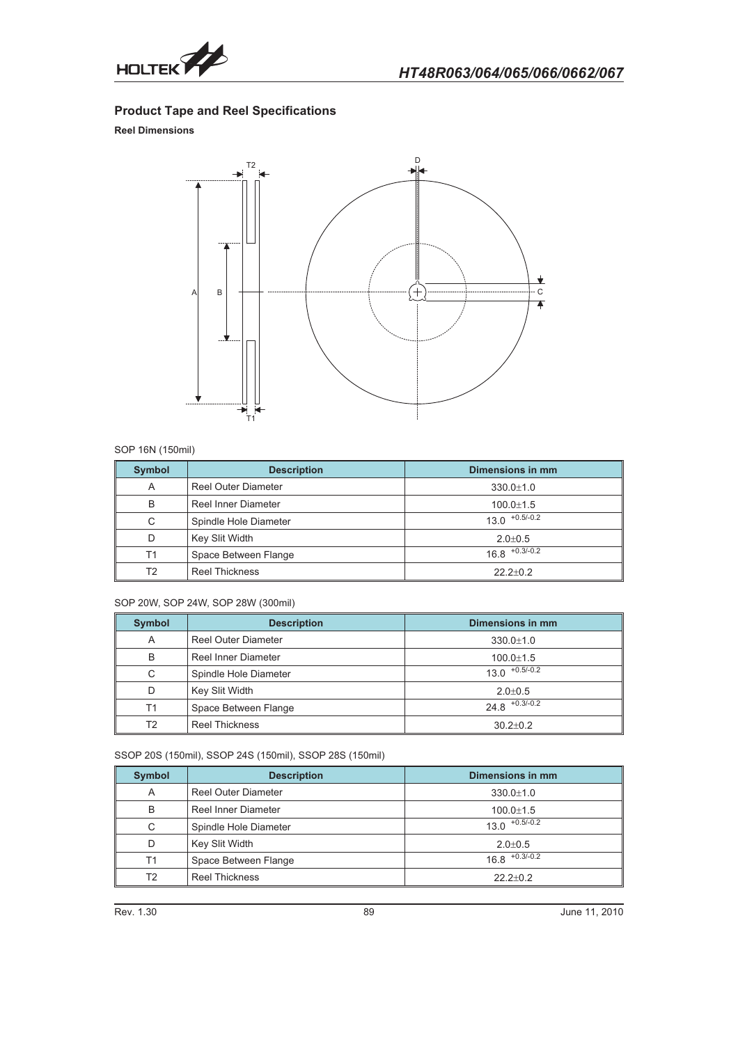

# **Product Tape and Reel Specifications**

## **Reel Dimensions**



#### SOP 16N (150mil)

| <b>Symbol</b> | <b>Description</b>         | <b>Dimensions in mm</b> |
|---------------|----------------------------|-------------------------|
| A             | <b>Reel Outer Diameter</b> | $330.0 \pm 1.0$         |
| B             | Reel Inner Diameter        | $100.0 \pm 1.5$         |
| С             | Spindle Hole Diameter      | $13.0$ $+0.5/-0.2$      |
| D             | Key Slit Width             | $2.0 \pm 0.5$           |
| T1            | Space Between Flange       | $16.8$ $+0.3/-0.2$      |
| Т2            | <b>Reel Thickness</b>      | $22.2+0.2$              |

#### SOP 20W, SOP 24W, SOP 28W (300mil)

| <b>Symbol</b>  | <b>Description</b>         | Dimensions in mm   |
|----------------|----------------------------|--------------------|
| A              | <b>Reel Outer Diameter</b> | $330.0 \pm 1.0$    |
| B              | Reel Inner Diameter        | $100.0 \pm 1.5$    |
| С              | Spindle Hole Diameter      | $13.0$ $+0.5/-0.2$ |
| D              | Key Slit Width             | $2.0 + 0.5$        |
| T1             | Space Between Flange       | $24.8$ $+0.3/-0.2$ |
| T <sub>2</sub> | <b>Reel Thickness</b>      | $30.2 + 0.2$       |

SSOP 20S (150mil), SSOP 24S (150mil), SSOP 28S (150mil)

| <b>Symbol</b> | <b>Description</b>         | Dimensions in mm   |
|---------------|----------------------------|--------------------|
| A             | <b>Reel Outer Diameter</b> | $330.0 \pm 1.0$    |
| B             | Reel Inner Diameter        | $100.0 \pm 1.5$    |
| С             | Spindle Hole Diameter      | $13.0$ $+0.5/-0.2$ |
| D             | Key Slit Width             | $2.0 \pm 0.5$      |
| T1            | Space Between Flange       | $16.8$ $+0.3/-0.2$ |
| T2            | <b>Reel Thickness</b>      | $22.2+0.2$         |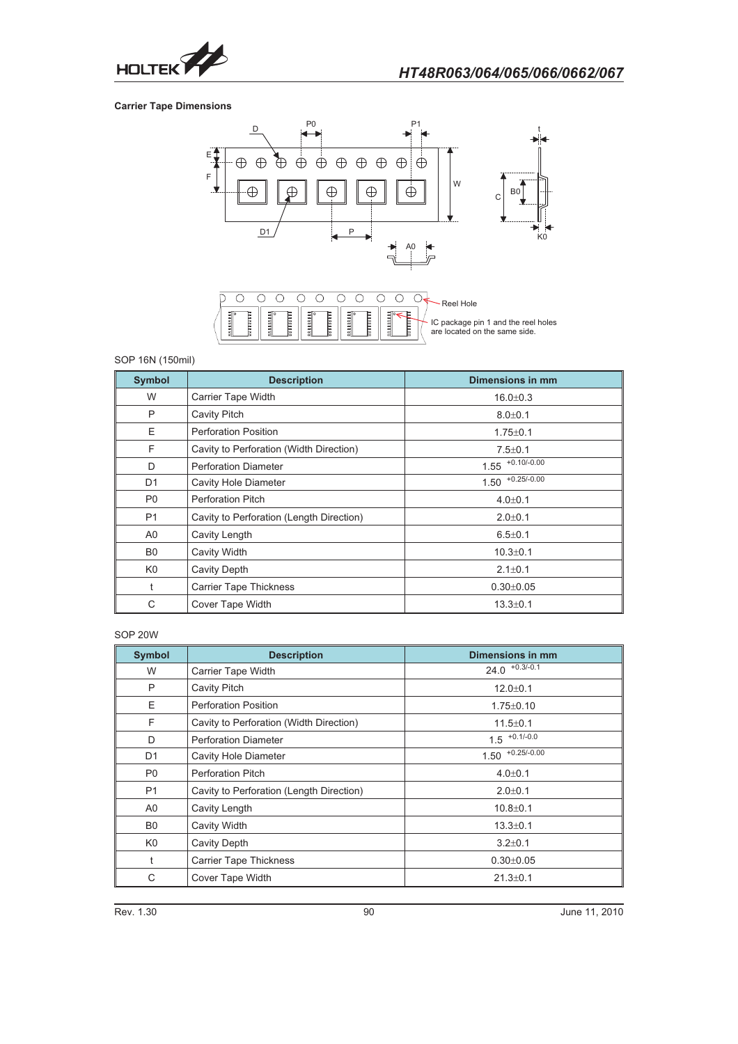

## **Carrier Tape Dimensions**



## SOP 16N (150mil)

| <b>Symbol</b>  | <b>Description</b>                       | Dimensions in mm   |
|----------------|------------------------------------------|--------------------|
| W              | Carrier Tape Width                       | $16.0 \pm 0.3$     |
| P              | <b>Cavity Pitch</b>                      | $8.0 + 0.1$        |
| E              | <b>Perforation Position</b>              | $1.75 \pm 0.1$     |
| F              | Cavity to Perforation (Width Direction)  | $7.5 \pm 0.1$      |
| D              | <b>Perforation Diameter</b>              | $1.55$ +0.10/-0.00 |
| D <sub>1</sub> | <b>Cavity Hole Diameter</b>              | $1.50$ +0.25/-0.00 |
| P <sub>0</sub> | <b>Perforation Pitch</b>                 | $4.0 \pm 0.1$      |
| <b>P1</b>      | Cavity to Perforation (Length Direction) | $2.0 \pm 0.1$      |
| A <sub>0</sub> | Cavity Length                            | $6.5 \pm 0.1$      |
| B <sub>0</sub> | <b>Cavity Width</b>                      | $10.3 \pm 0.1$     |
| K <sub>0</sub> | <b>Cavity Depth</b>                      | $2.1 \pm 0.1$      |
| t              | <b>Carrier Tape Thickness</b>            | $0.30 + 0.05$      |
| C              | Cover Tape Width                         | $13.3 \pm 0.1$     |

#### SOP 20W

| <b>Symbol</b>  | <b>Description</b>                       | Dimensions in mm      |
|----------------|------------------------------------------|-----------------------|
| W              | Carrier Tape Width                       | $24.0$ $+0.3/-0.1$    |
| P              | <b>Cavity Pitch</b>                      | $12.0 + 0.1$          |
| E              | <b>Perforation Position</b>              | $1.75 \pm 0.10$       |
| F              | Cavity to Perforation (Width Direction)  | $11.5 \pm 0.1$        |
| D              | <b>Perforation Diameter</b>              | $1.5$ +0.1/-0.0       |
| D <sub>1</sub> | <b>Cavity Hole Diameter</b>              | $+0.25/-0.00$<br>1.50 |
| P <sub>0</sub> | <b>Perforation Pitch</b>                 | $4.0 \pm 0.1$         |
| P <sub>1</sub> | Cavity to Perforation (Length Direction) | $2.0 \pm 0.1$         |
| A <sub>0</sub> | Cavity Length                            | $10.8 + 0.1$          |
| B <sub>0</sub> | Cavity Width                             | $13.3 \pm 0.1$        |
| K <sub>0</sub> | <b>Cavity Depth</b>                      | $3.2 \pm 0.1$         |
| t              | <b>Carrier Tape Thickness</b>            | $0.30 \pm 0.05$       |
| С              | Cover Tape Width                         | $21.3 \pm 0.1$        |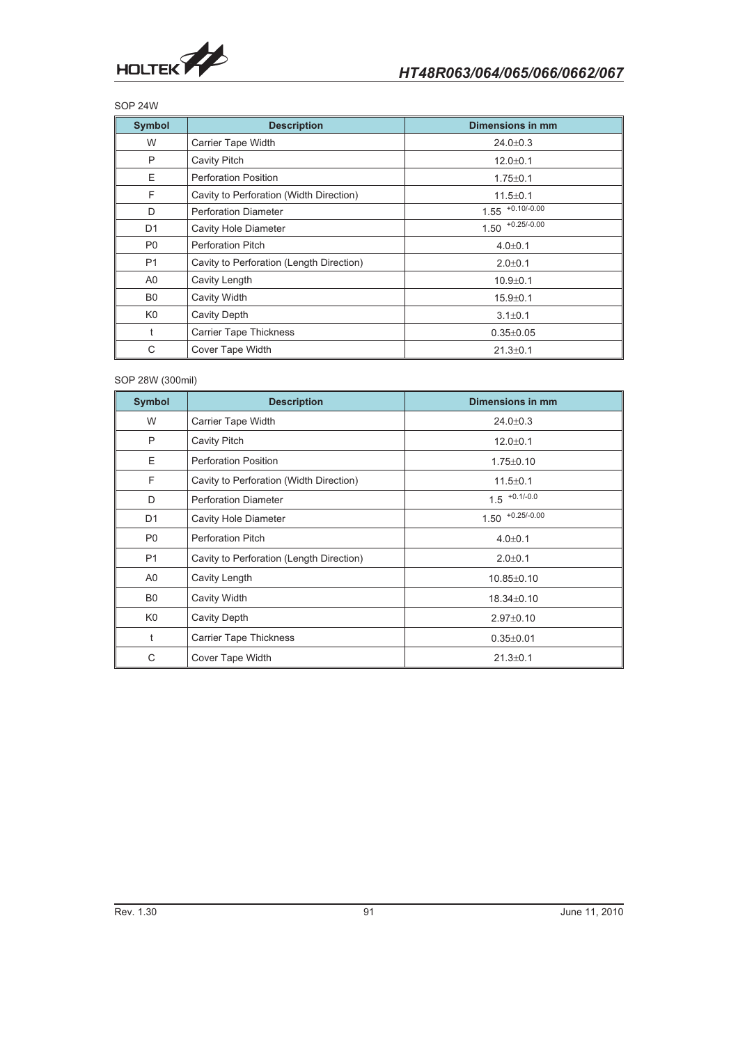

## SOP 24W

| <b>Symbol</b>  | <b>Description</b>                       | Dimensions in mm     |
|----------------|------------------------------------------|----------------------|
| W              | Carrier Tape Width                       | $24.0 \pm 0.3$       |
| P              | <b>Cavity Pitch</b>                      | $12.0 + 0.1$         |
| E              | <b>Perforation Position</b>              | $1.75 \pm 0.1$       |
| F              | Cavity to Perforation (Width Direction)  | $11.5 \pm 0.1$       |
| D              | <b>Perforation Diameter</b>              | $1.55$ $+0.10/-0.00$ |
| D <sub>1</sub> | Cavity Hole Diameter                     | $1.50$ $+0.25/-0.00$ |
| P <sub>0</sub> | <b>Perforation Pitch</b>                 | $4.0 \pm 0.1$        |
| P <sub>1</sub> | Cavity to Perforation (Length Direction) | $2.0 + 0.1$          |
| A0             | Cavity Length                            | $10.9 + 0.1$         |
| B <sub>0</sub> | <b>Cavity Width</b>                      | $15.9 + 0.1$         |
| K <sub>0</sub> | <b>Cavity Depth</b>                      | $3.1 \pm 0.1$        |
| t              | <b>Carrier Tape Thickness</b>            | $0.35 \pm 0.05$      |
| C              | Cover Tape Width                         | $21.3 \pm 0.1$       |

#### SOP 28W (300mil)

| <b>Symbol</b>  | <b>Description</b>                       | Dimensions in mm   |
|----------------|------------------------------------------|--------------------|
| W              | Carrier Tape Width                       | $24.0 \pm 0.3$     |
| P              | Cavity Pitch                             | $12.0 + 0.1$       |
| E              | <b>Perforation Position</b>              | $1.75 \pm 0.10$    |
| F              | Cavity to Perforation (Width Direction)  | $11.5 \pm 0.1$     |
| D              | <b>Perforation Diameter</b>              | $1.5$ +0.1/-0.0    |
| D <sub>1</sub> | Cavity Hole Diameter                     | $1.50$ +0.25/-0.00 |
| P <sub>0</sub> | <b>Perforation Pitch</b>                 | $4.0 \pm 0.1$      |
| P <sub>1</sub> | Cavity to Perforation (Length Direction) | $2.0 + 0.1$        |
| A <sub>0</sub> | Cavity Length                            | $10.85 \pm 0.10$   |
| B <sub>0</sub> | Cavity Width                             | $18.34 \pm 0.10$   |
| K <sub>0</sub> | Cavity Depth                             | $2.97 \pm 0.10$    |
| t              | <b>Carrier Tape Thickness</b>            | $0.35 \pm 0.01$    |
| C              | Cover Tape Width                         | $21.3 \pm 0.1$     |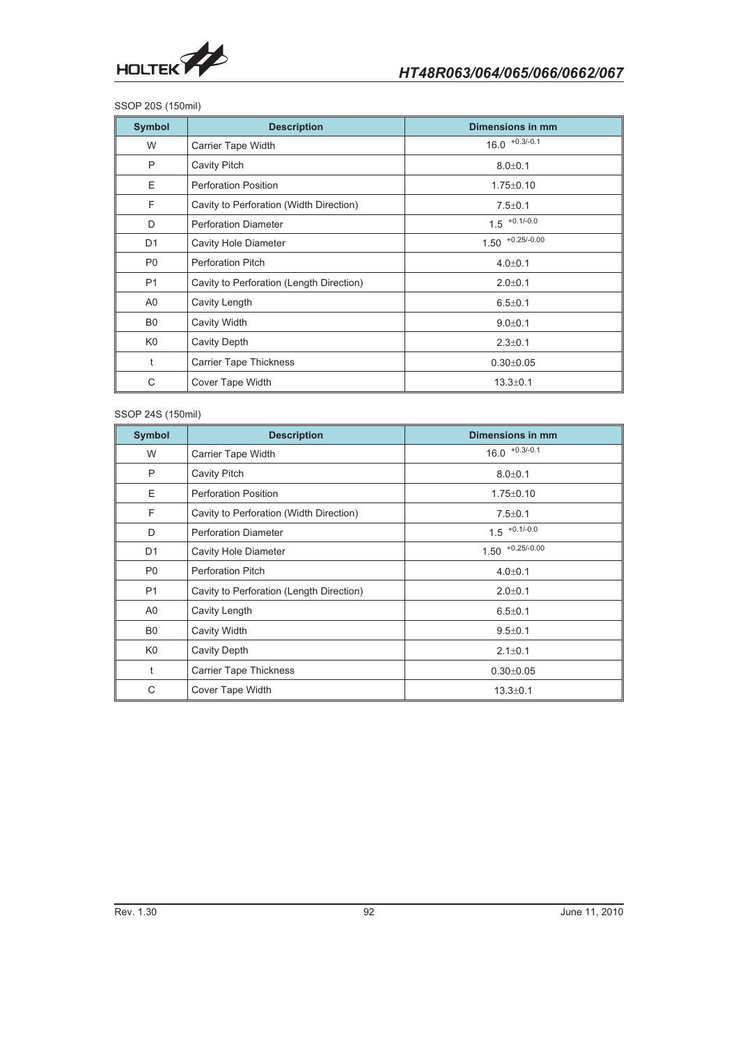

#### SSOP 20S (150mil)

| <b>Symbol</b>  | <b>Description</b>                       | Dimensions in mm   |
|----------------|------------------------------------------|--------------------|
| W              | <b>Carrier Tape Width</b>                | $16.0$ $+0.3/-0.1$ |
| P              | Cavity Pitch                             | $8.0 + 0.1$        |
| E              | <b>Perforation Position</b>              | $1.75 \pm 0.10$    |
| F              | Cavity to Perforation (Width Direction)  | $7.5 \pm 0.1$      |
| D              | <b>Perforation Diameter</b>              | $1.5$ $+0.1/-0.0$  |
| D <sub>1</sub> | <b>Cavity Hole Diameter</b>              | $1.50$ +0.25/-0.00 |
| P <sub>0</sub> | <b>Perforation Pitch</b>                 | $4.0 \pm 0.1$      |
| P1             | Cavity to Perforation (Length Direction) | $2.0 + 0.1$        |
| A0             | Cavity Length                            | $6.5 \pm 0.1$      |
| B <sub>0</sub> | Cavity Width                             | $9.0 + 0.1$        |
| K <sub>0</sub> | Cavity Depth                             | $2.3 \pm 0.1$      |
| t              | <b>Carrier Tape Thickness</b>            | $0.30 \pm 0.05$    |
| C              | Cover Tape Width                         | $13.3 \pm 0.1$     |

#### SSOP 24S (150mil)

| <b>Symbol</b>  | <b>Description</b>                       | <b>Dimensions in mm</b> |
|----------------|------------------------------------------|-------------------------|
| W              | Carrier Tape Width                       | $16.0$ $+0.3/-0.1$      |
| P              | <b>Cavity Pitch</b>                      | $8.0 + 0.1$             |
| E              | <b>Perforation Position</b>              | $1.75 \pm 0.10$         |
| F              | Cavity to Perforation (Width Direction)  | $7.5 \pm 0.1$           |
| D              | <b>Perforation Diameter</b>              | $1.5$ +0.1/-0.0         |
| D <sub>1</sub> | <b>Cavity Hole Diameter</b>              | $1.50$ +0.25/-0.00      |
| P <sub>0</sub> | <b>Perforation Pitch</b>                 | $4.0 \pm 0.1$           |
| P1             | Cavity to Perforation (Length Direction) | $2.0 \pm 0.1$           |
| A <sub>0</sub> | Cavity Length                            | $6.5 \pm 0.1$           |
| B <sub>0</sub> | Cavity Width                             | $9.5 \pm 0.1$           |
| K <sub>0</sub> | Cavity Depth                             | $2.1 \pm 0.1$           |
| $\ddagger$     | <b>Carrier Tape Thickness</b>            | $0.30 + 0.05$           |
| C              | Cover Tape Width                         | $13.3 \pm 0.1$          |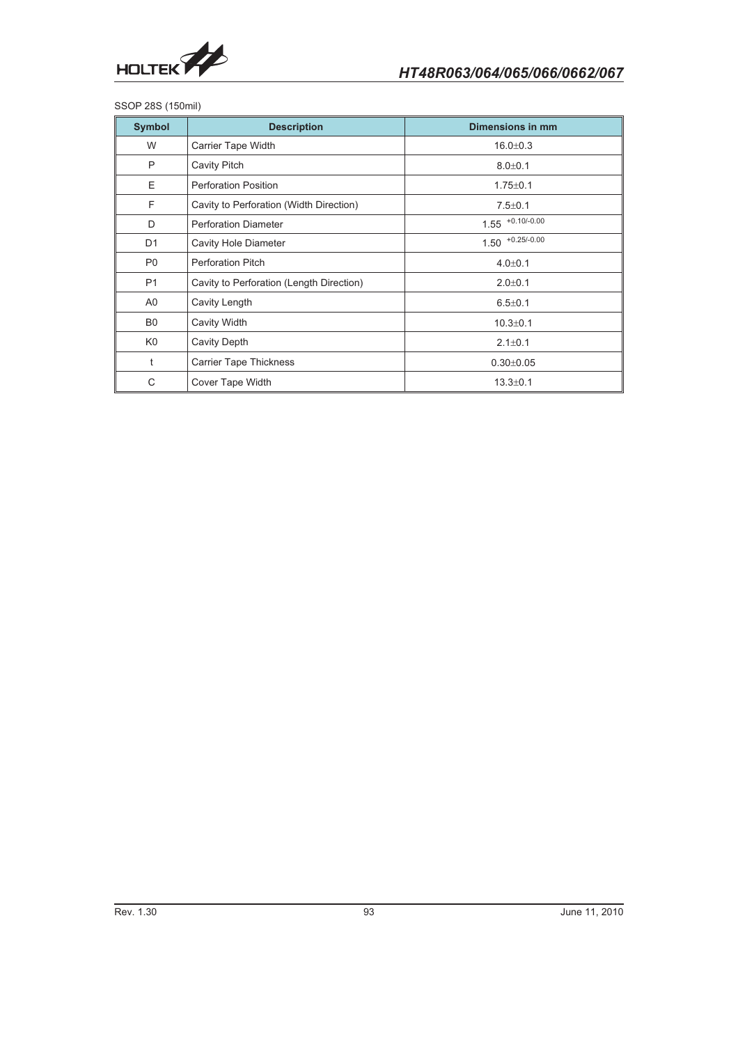

SSOP 28S (150mil)

| <b>Symbol</b>  | <b>Description</b>                       | <b>Dimensions in mm</b> |
|----------------|------------------------------------------|-------------------------|
| W              | <b>Carrier Tape Width</b>                | $16.0 \pm 0.3$          |
| P              | Cavity Pitch                             | $8.0 + 0.1$             |
| E              | <b>Perforation Position</b>              | $1.75 \pm 0.1$          |
| F              | Cavity to Perforation (Width Direction)  | $7.5 \pm 0.1$           |
| D              | <b>Perforation Diameter</b>              | $1.55$ +0.10/-0.00      |
| D <sub>1</sub> | <b>Cavity Hole Diameter</b>              | $1.50$ +0.25/-0.00      |
| P <sub>0</sub> | <b>Perforation Pitch</b>                 | $4.0 + 0.1$             |
| P <sub>1</sub> | Cavity to Perforation (Length Direction) | $2.0 + 0.1$             |
| A <sub>0</sub> | Cavity Length                            | $6.5 \pm 0.1$           |
| B <sub>0</sub> | Cavity Width                             | $10.3 \pm 0.1$          |
| K <sub>0</sub> | <b>Cavity Depth</b>                      | $2.1 \pm 0.1$           |
| t              | <b>Carrier Tape Thickness</b>            | $0.30 \pm 0.05$         |
| C              | Cover Tape Width                         | $13.3 \pm 0.1$          |